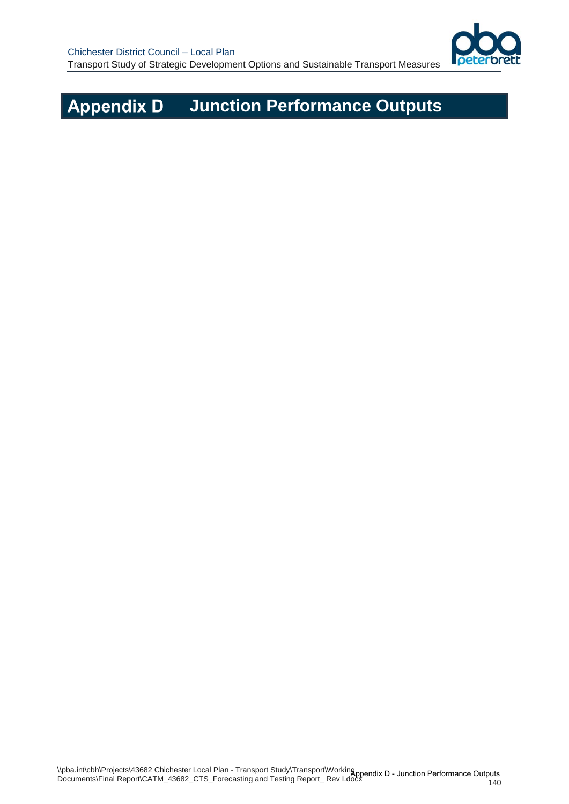

## **Appendix D Junction Performance Outputs**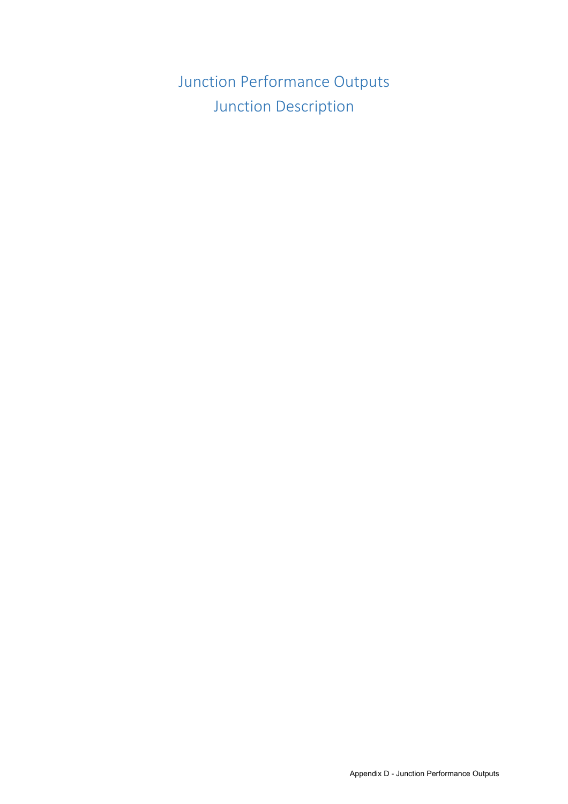Junction Performance Outputs Junction Description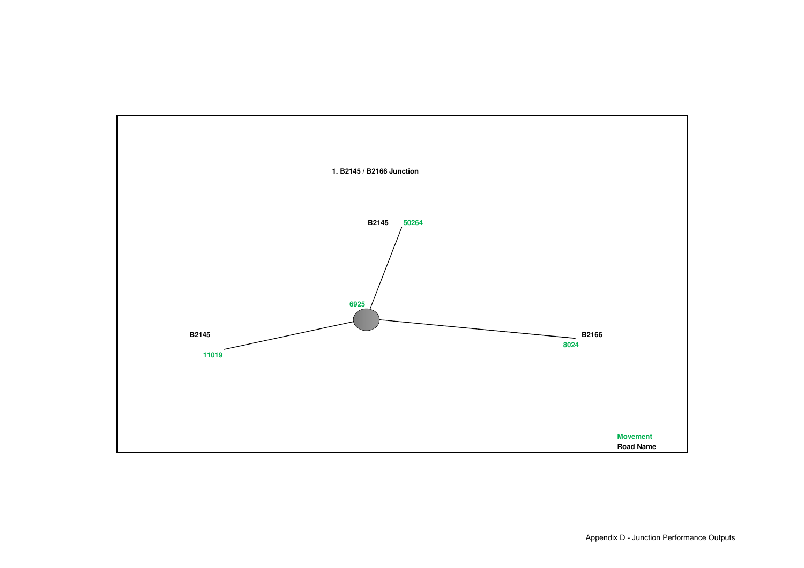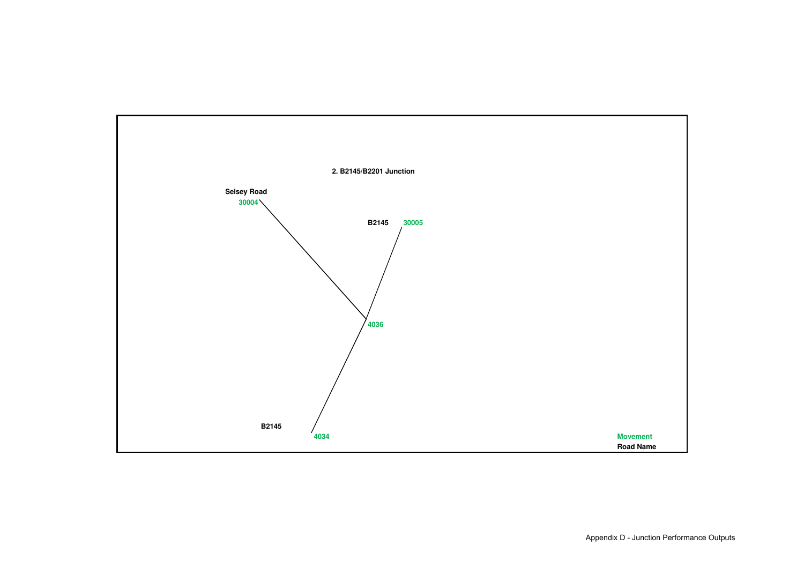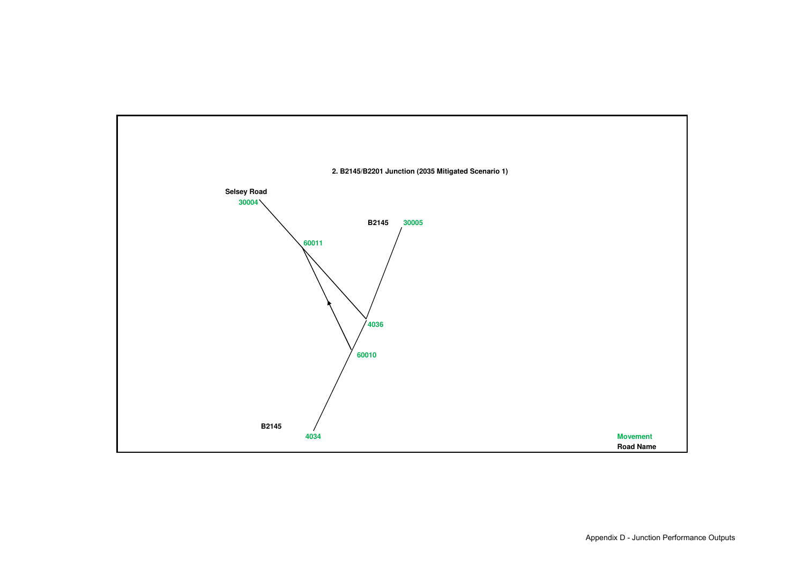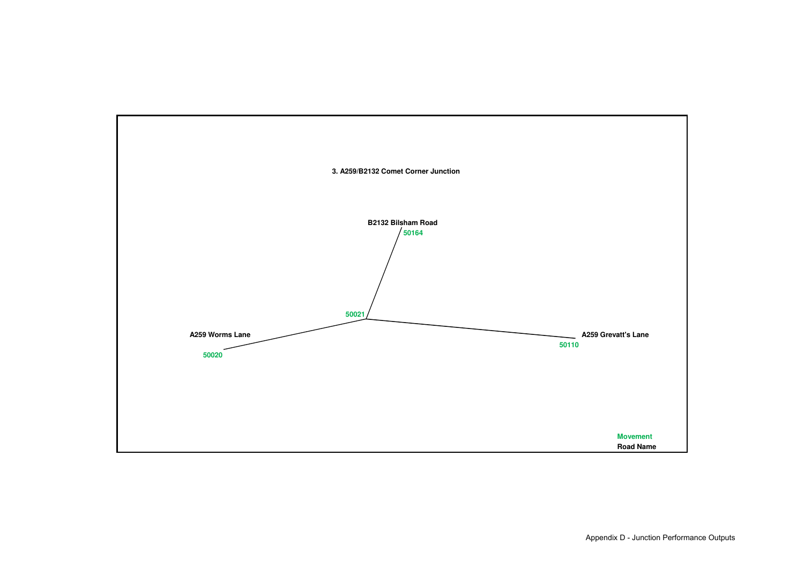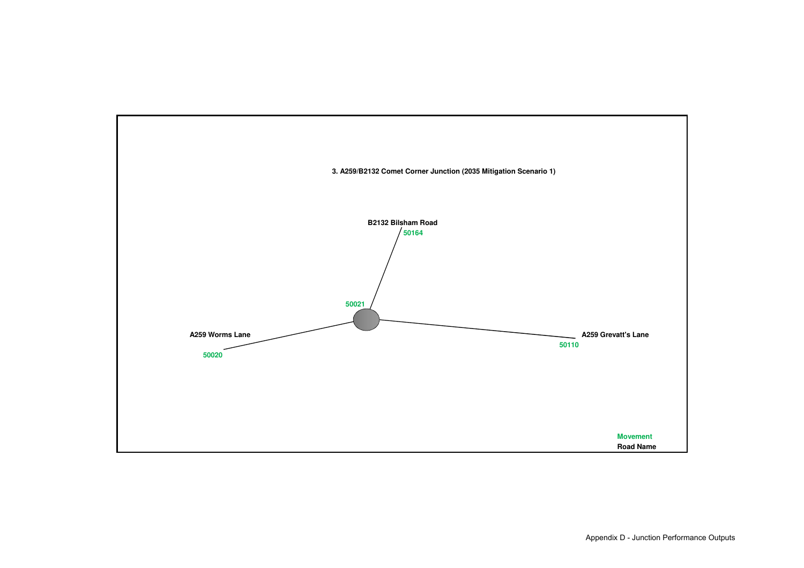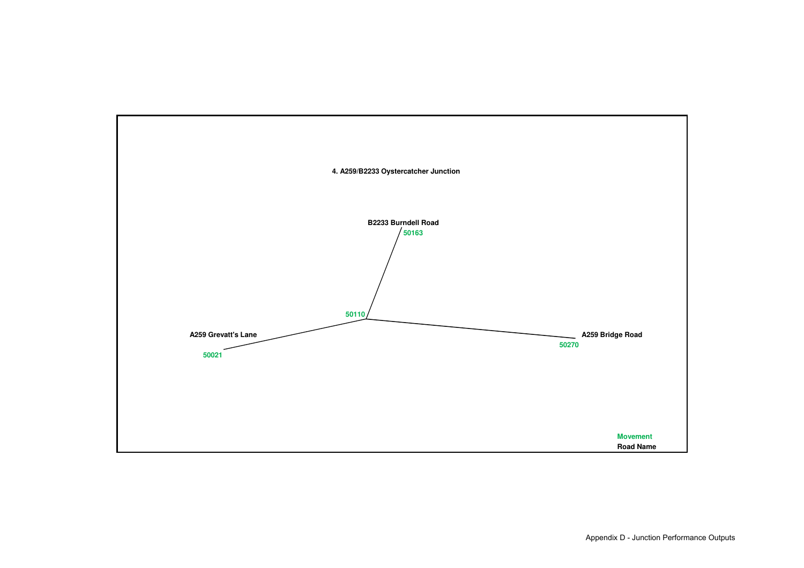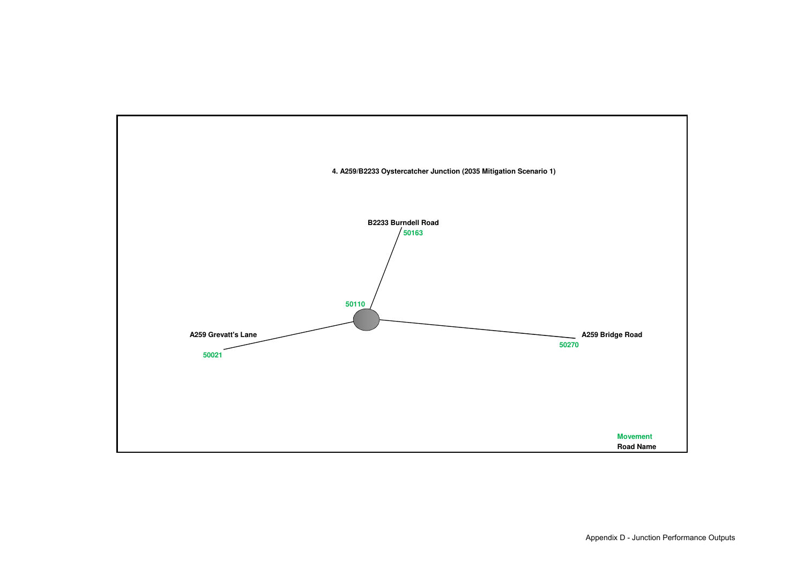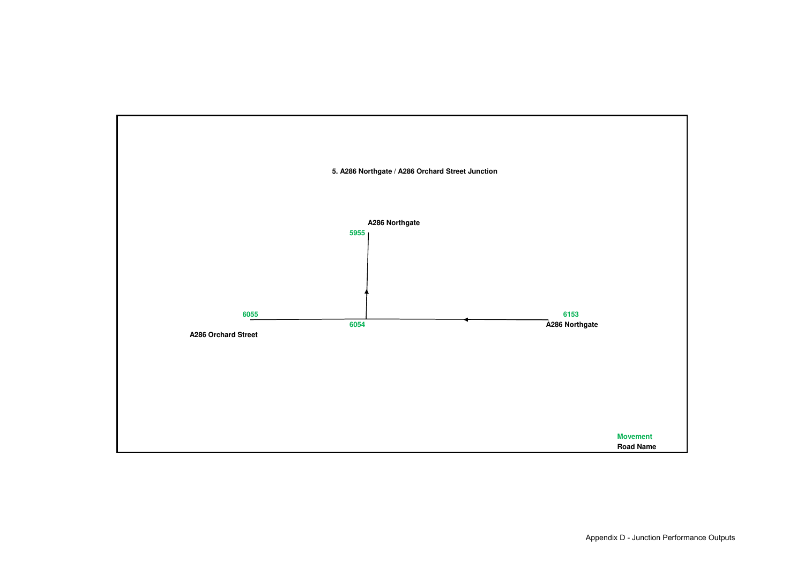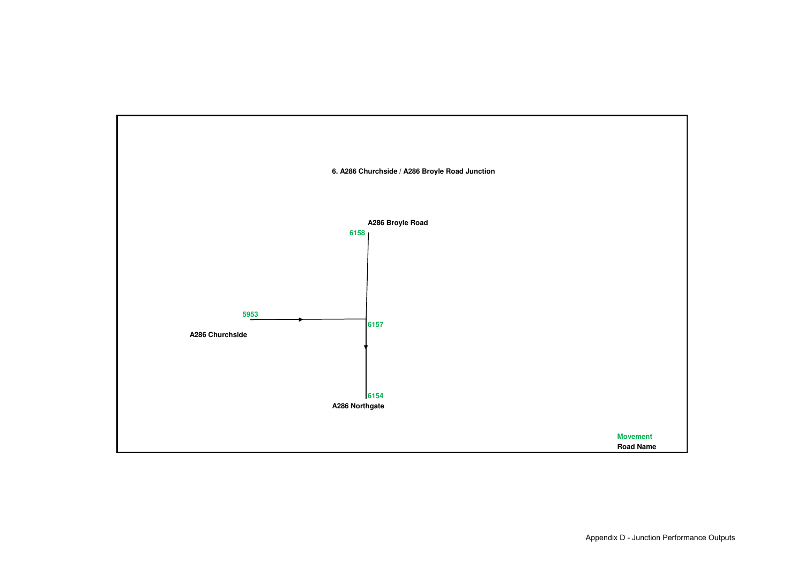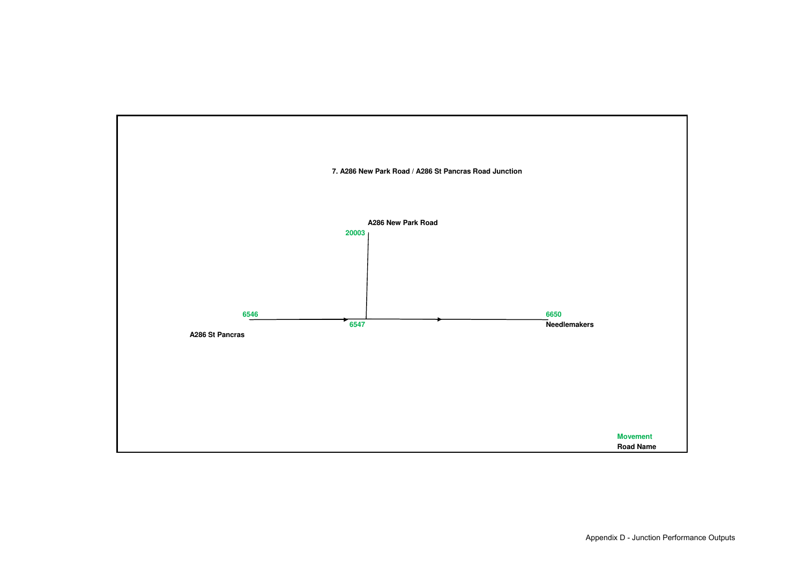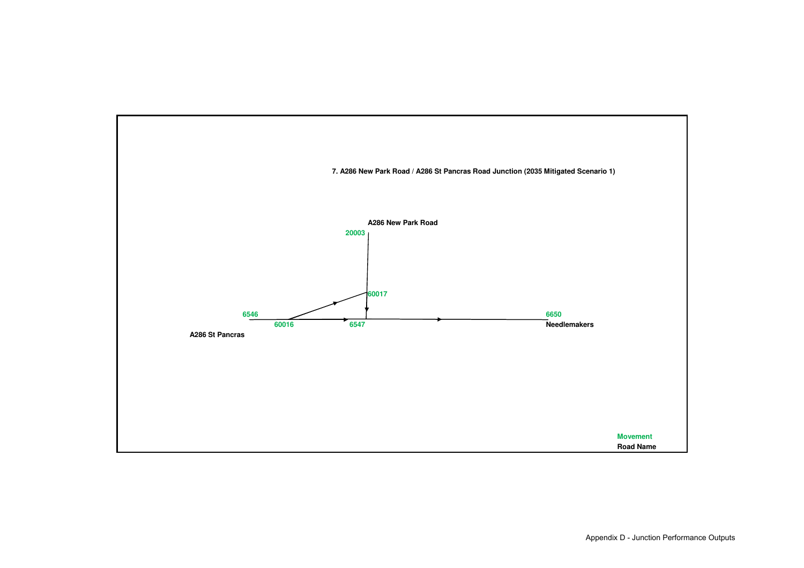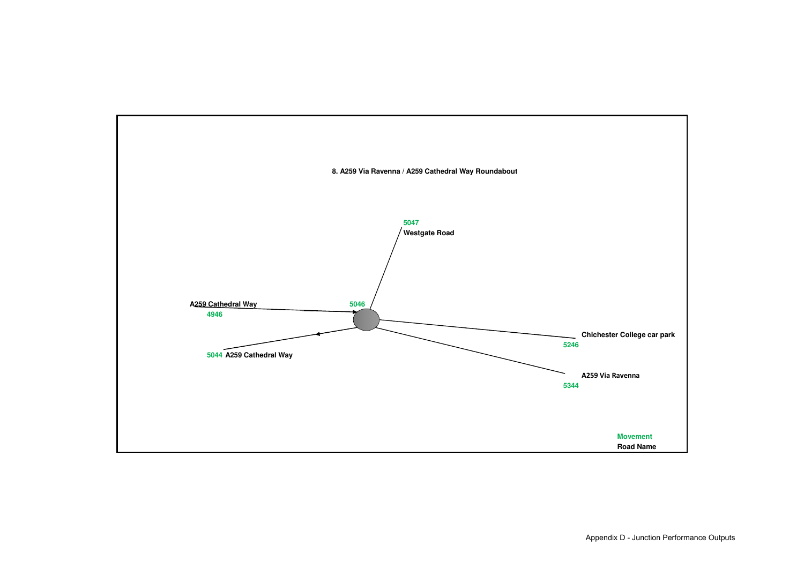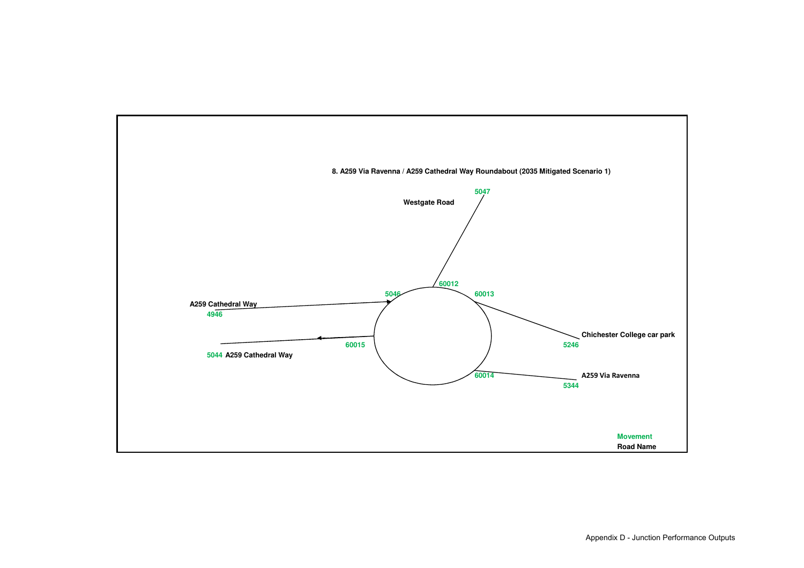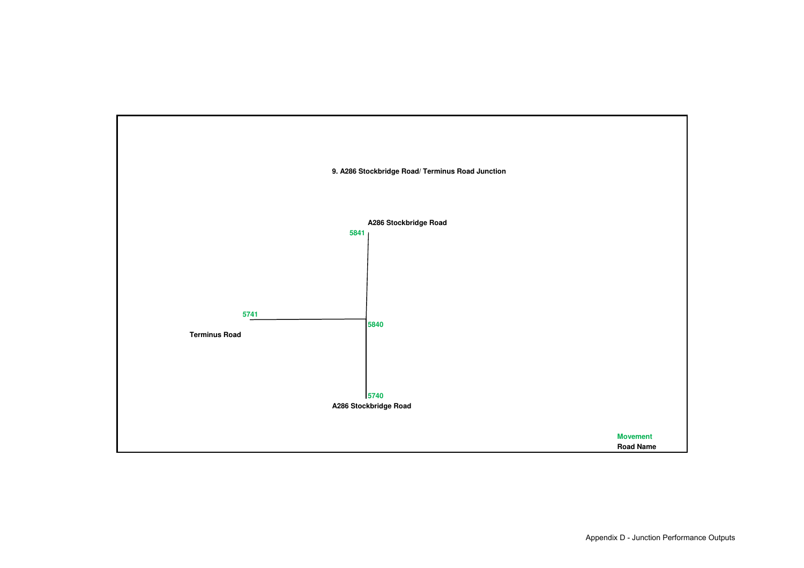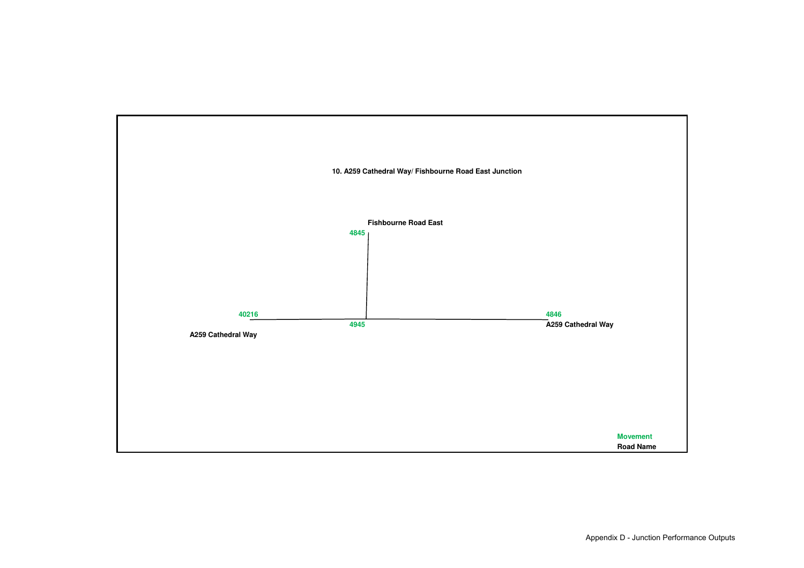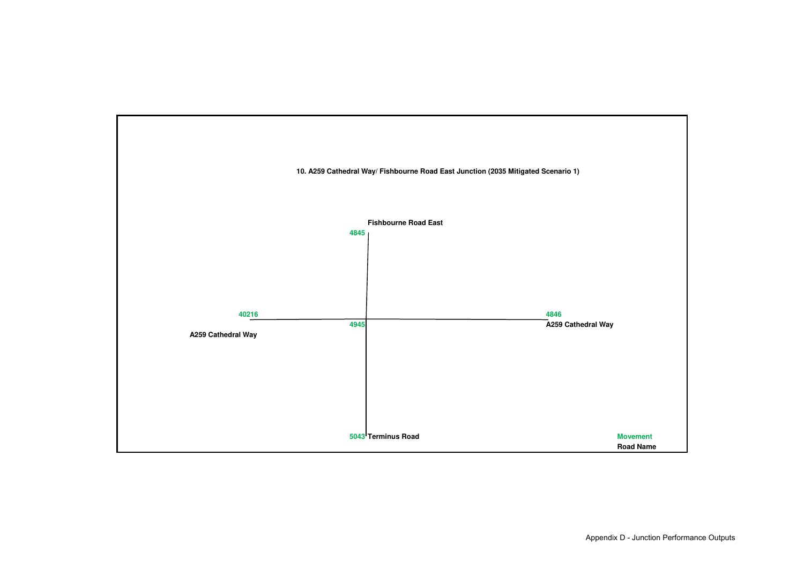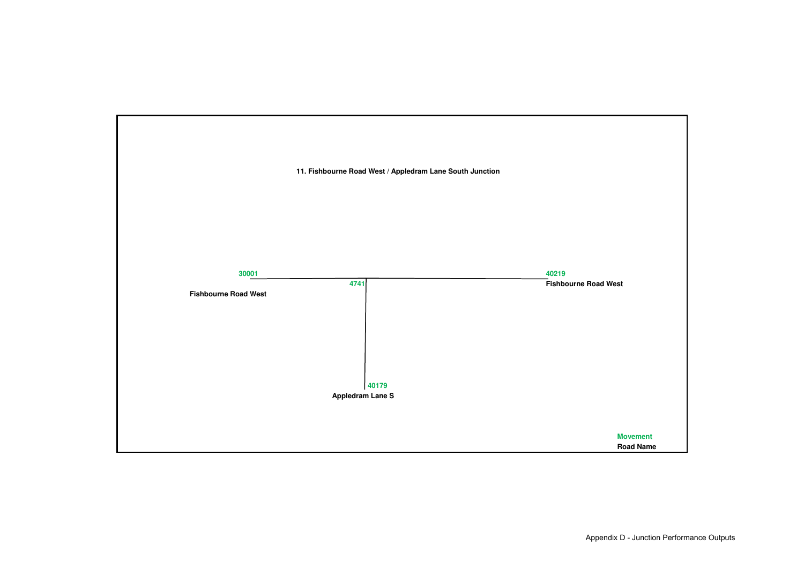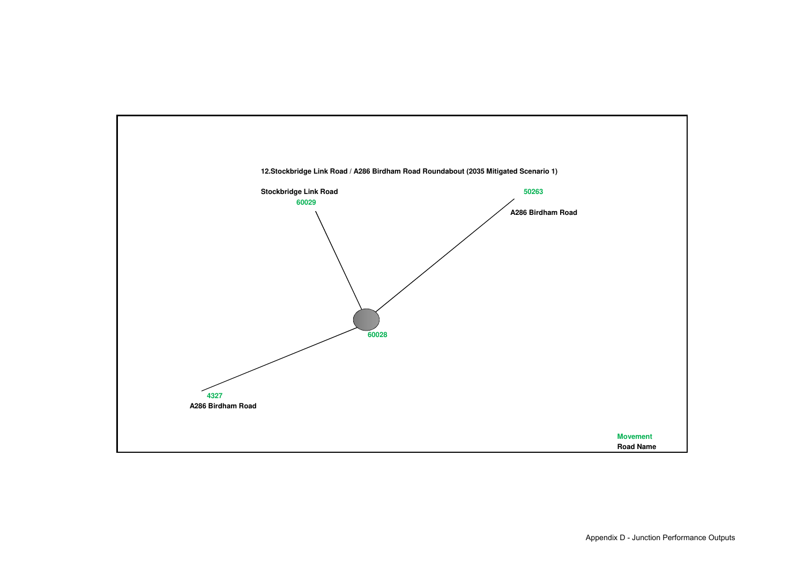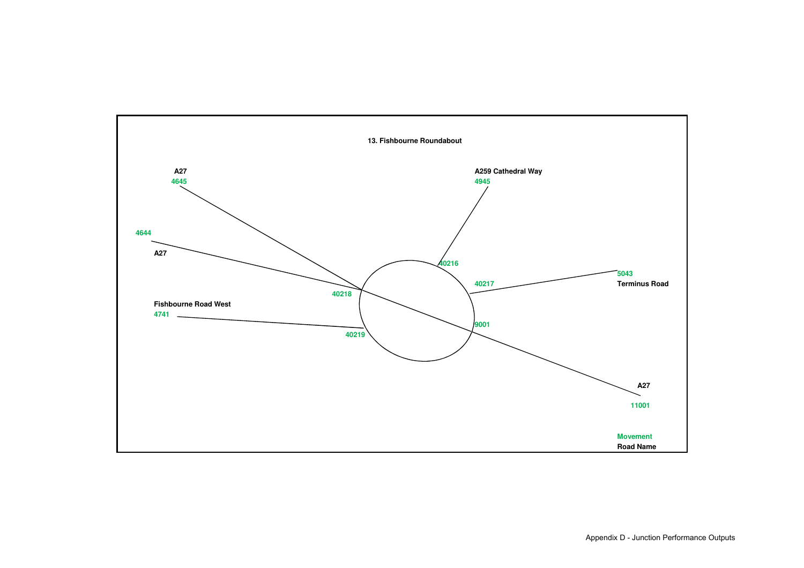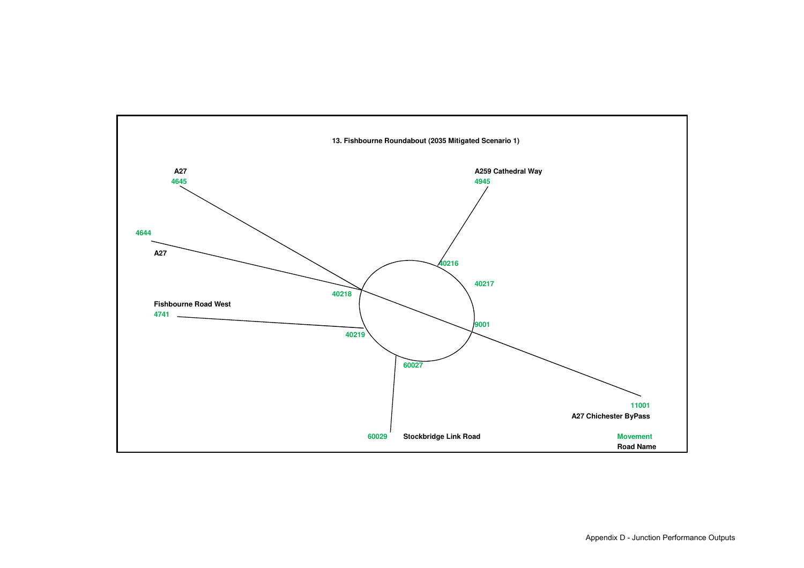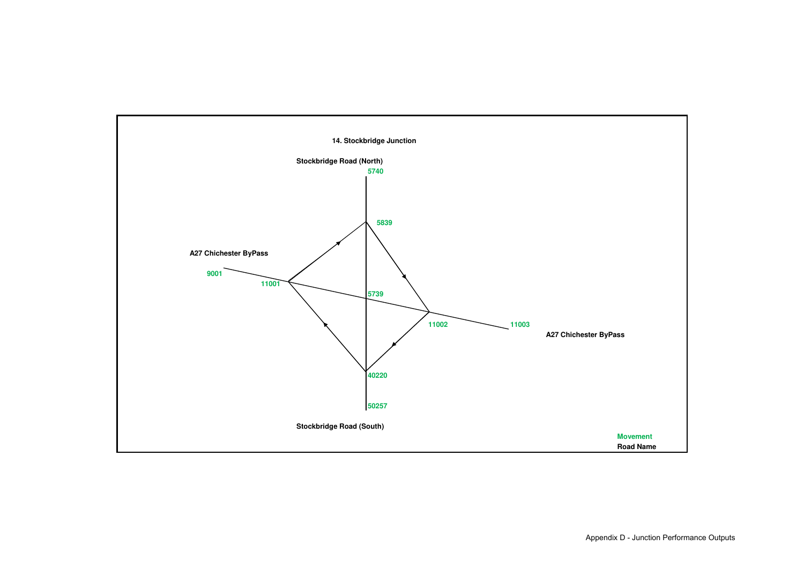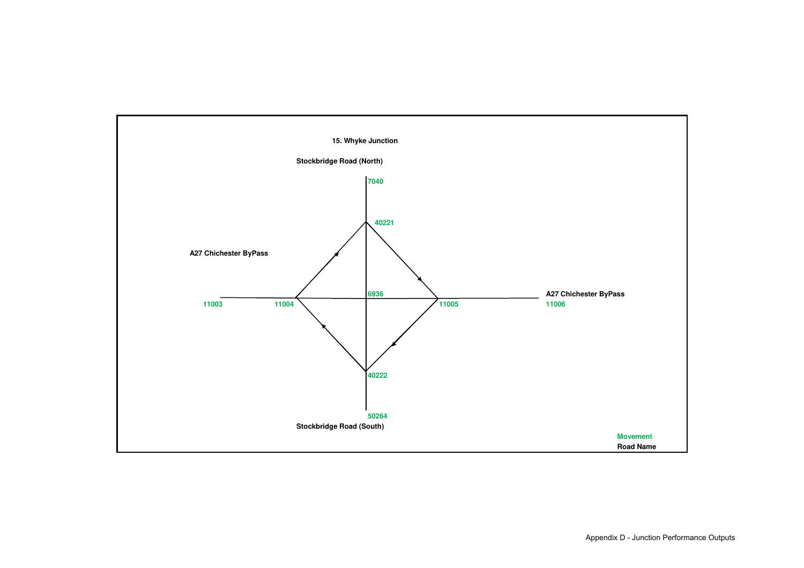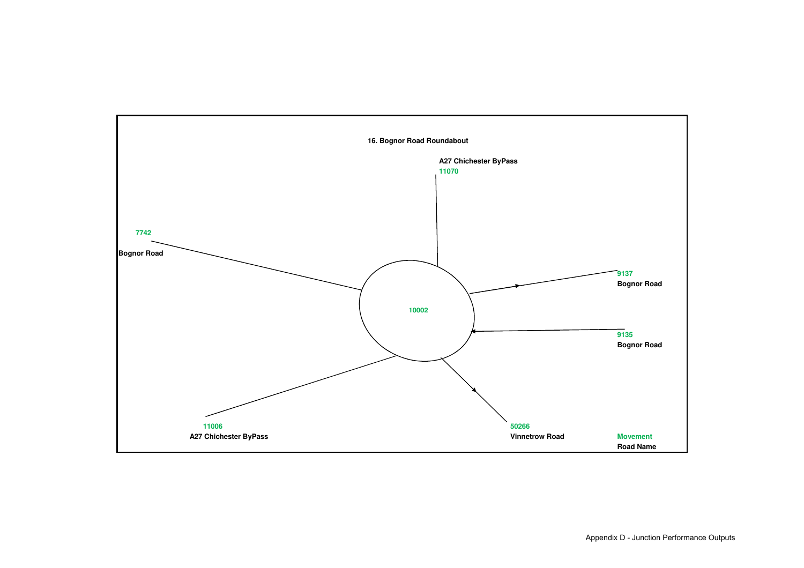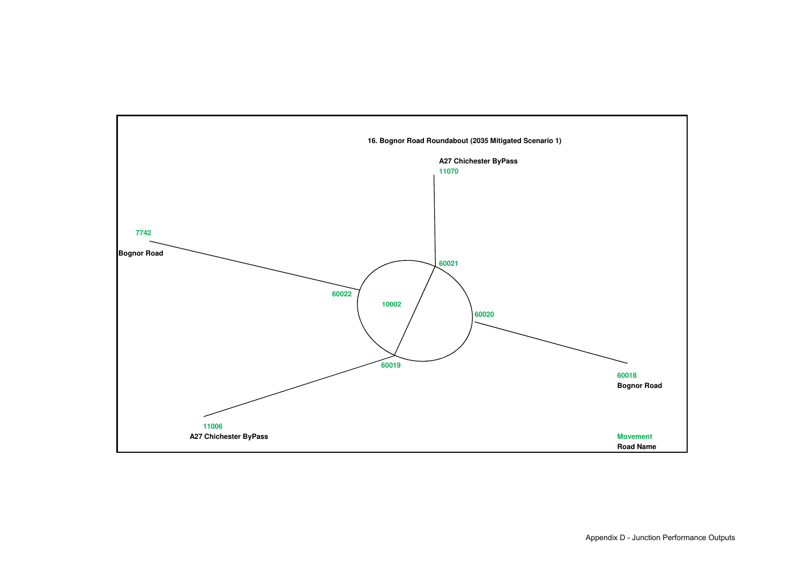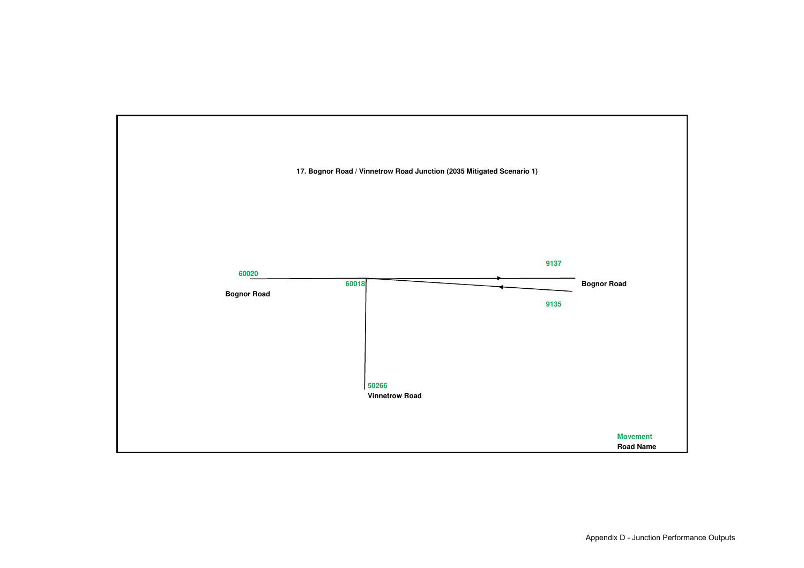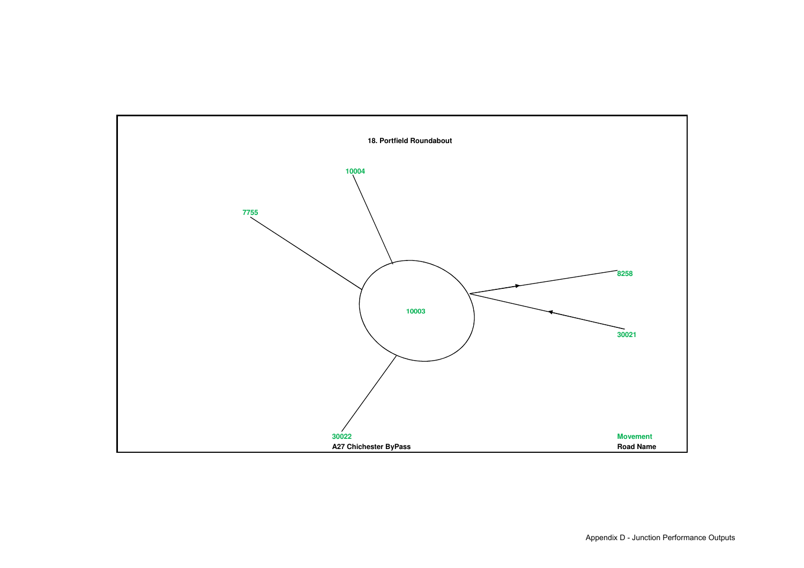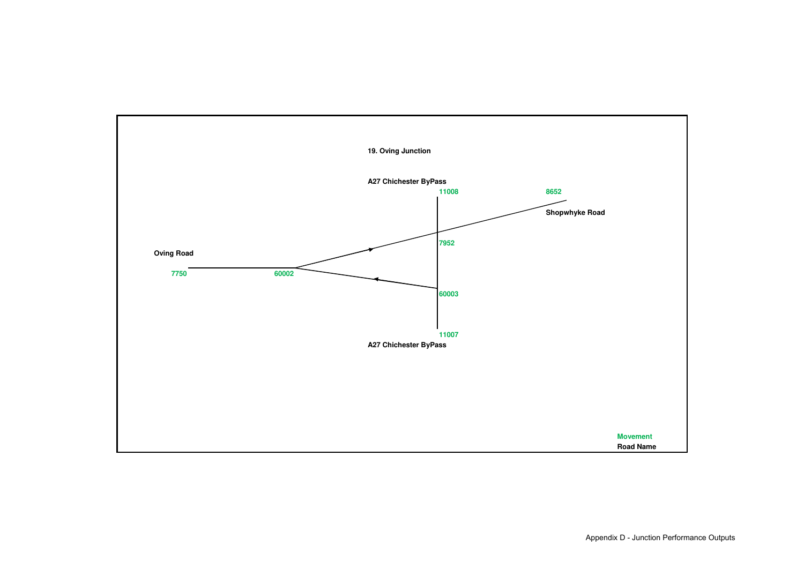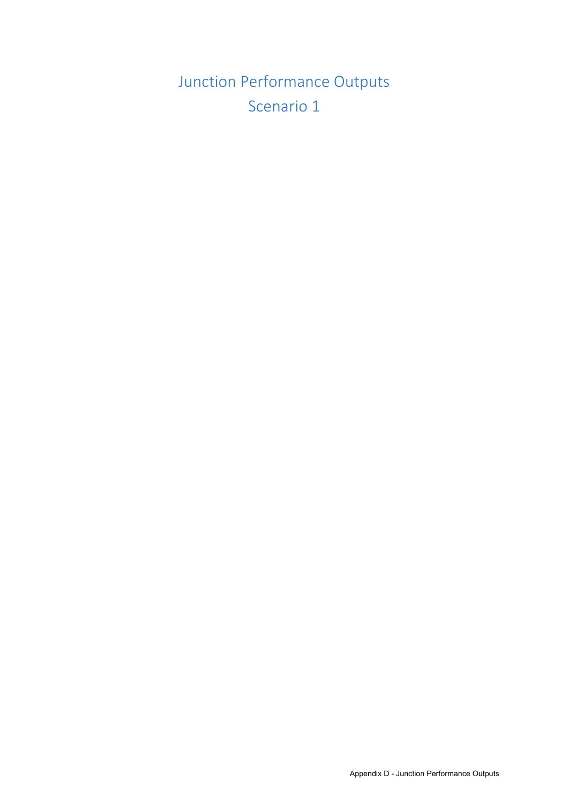Junction Performance Outputs Scenario 1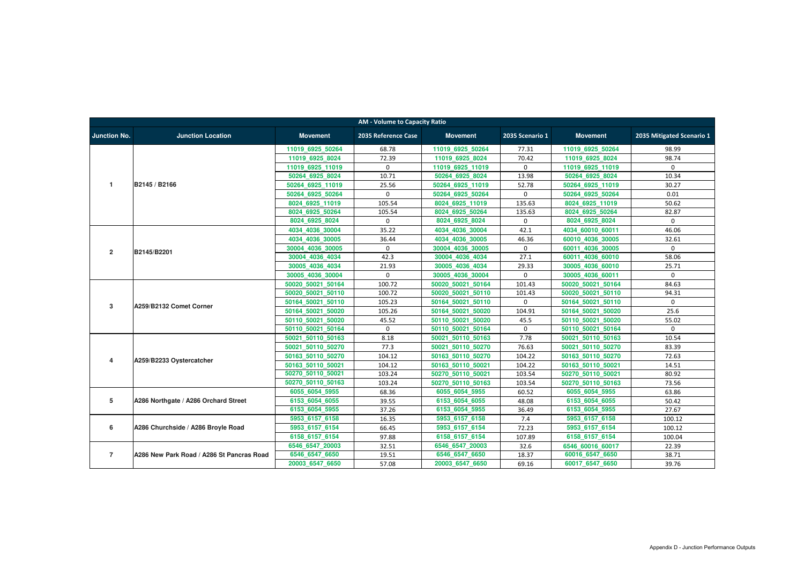| <b>AM - Volume to Capacity Ratio</b> |                                           |                   |                     |                   |                 |                   |                           |  |
|--------------------------------------|-------------------------------------------|-------------------|---------------------|-------------------|-----------------|-------------------|---------------------------|--|
| <b>Junction No.</b>                  | <b>Junction Location</b>                  | <b>Movement</b>   | 2035 Reference Case | <b>Movement</b>   | 2035 Scenario 1 | <b>Movement</b>   | 2035 Mitigated Scenario 1 |  |
|                                      |                                           | 11019_6925_50264  | 68.78               | 11019 6925 50264  | 77.31           | 11019 6925 50264  | 98.99                     |  |
|                                      |                                           | 11019 6925 8024   | 72.39               | 11019 6925 8024   | 70.42           | 11019 6925 8024   | 98.74                     |  |
|                                      |                                           | 11019 6925 11019  | $\Omega$            | 11019 6925 11019  | 0               | 11019 6925 11019  | $\Omega$                  |  |
|                                      |                                           | 50264 6925 8024   | 10.71               | 50264 6925 8024   | 13.98           | 50264 6925 8024   | 10.34                     |  |
| $\mathbf 1$                          | B2145 / B2166                             | 50264 6925 11019  | 25.56               | 50264 6925 11019  | 52.78           | 50264 6925 11019  | 30.27                     |  |
|                                      |                                           | 50264 6925 50264  | 0                   | 50264 6925 50264  | $\mathbf 0$     | 50264 6925 50264  | 0.01                      |  |
|                                      |                                           | 8024_6925_11019   | 105.54              | 8024_6925_11019   | 135.63          | 8024 6925 11019   | 50.62                     |  |
|                                      |                                           | 8024 6925 50264   | 105.54              | 8024 6925 50264   | 135.63          | 8024 6925 50264   | 82.87                     |  |
|                                      |                                           | 8024_6925_8024    | $\mathbf 0$         | 8024_6925_8024    | 0               | 8024_6925_8024    | $\mathbf{0}$              |  |
|                                      |                                           | 4034 4036 30004   | 35.22               | 4034 4036 30004   | 42.1            | 4034 60010 60011  | 46.06                     |  |
|                                      |                                           | 4034 4036 30005   | 36.44               | 4034 4036 30005   | 46.36           | 60010 4036 30005  | 32.61                     |  |
| $\mathbf{2}$                         |                                           | 30004 4036 30005  | $\mathbf{0}$        | 30004 4036 30005  | $\mathbf 0$     | 60011 4036 30005  | $\Omega$                  |  |
|                                      | B2145/B2201                               | 30004 4036 4034   | 42.3                | 30004 4036 4034   | 27.1            | 60011 4036 60010  | 58.06                     |  |
|                                      |                                           | 30005 4036 4034   | 21.93               | 30005 4036 4034   | 29.33           | 30005 4036 60010  | 25.71                     |  |
|                                      |                                           | 30005 4036 30004  | $\mathbf{0}$        | 30005 4036 30004  | $\mathbf 0$     | 30005 4036 60011  | $\mathbf{0}$              |  |
|                                      | A259/B2132 Comet Corner                   | 50020 50021 50164 | 100.72              | 50020 50021 50164 | 101.43          | 50020 50021 50164 | 84.63                     |  |
|                                      |                                           | 50020 50021 50110 | 100.72              | 50020 50021 50110 | 101.43          | 50020 50021 50110 | 94.31                     |  |
| 3                                    |                                           | 50164 50021 50110 | 105.23              | 50164 50021 50110 | 0               | 50164 50021 50110 | $\mathbf{0}$              |  |
|                                      |                                           | 50164 50021 50020 | 105.26              | 50164 50021 50020 | 104.91          | 50164 50021 50020 | 25.6                      |  |
|                                      |                                           | 50110 50021 50020 | 45.52               | 50110 50021 50020 | 45.5            | 50110 50021 50020 | 55.02                     |  |
|                                      |                                           | 50110 50021 50164 | 0                   | 50110 50021 50164 | $\mathbf 0$     | 50110 50021 50164 | $\mathbf{0}$              |  |
|                                      |                                           | 50021 50110 50163 | 8.18                | 50021 50110 50163 | 7.78            | 50021 50110 50163 | 10.54                     |  |
|                                      |                                           | 50021 50110 50270 | 77.3                | 50021 50110 50270 | 76.63           | 50021 50110 50270 | 83.39                     |  |
| 4                                    | A259/B2233 Oystercatcher                  | 50163 50110_50270 | 104.12              | 50163 50110 50270 | 104.22          | 50163 50110 50270 | 72.63                     |  |
|                                      |                                           | 50163 50110 50021 | 104.12              | 50163_50110_50021 | 104.22          | 50163 50110 50021 | 14.51                     |  |
|                                      |                                           | 50270_50110_50021 | 103.24              | 50270 50110 50021 | 103.54          | 50270 50110 50021 | 80.92                     |  |
|                                      |                                           | 50270 50110 50163 | 103.24              | 50270 50110 50163 | 103.54          | 50270 50110 50163 | 73.56                     |  |
|                                      |                                           | 6055_6054_5955    | 68.36               | 6055_6054_5955    | 60.52           | 6055_6054_5955    | 63.86                     |  |
| 5                                    | A286 Northgate / A286 Orchard Street      | 6153 6054 6055    | 39.55               | 6153 6054 6055    | 48.08           | 6153 6054 6055    | 50.42                     |  |
|                                      |                                           | 6153_6054_5955    | 37.26               | 6153_6054_5955    | 36.49           | 6153 6054 5955    | 27.67                     |  |
|                                      |                                           | 5953_6157_6158    | 16.35               | 5953_6157_6158    | 7.4             | 5953_6157_6158    | 100.12                    |  |
| 6                                    | A286 Churchside / A286 Broyle Road        | 5953 6157 6154    | 66.45               | 5953_6157_6154    | 72.23           | 5953_6157_6154    | 100.12                    |  |
|                                      |                                           | 6158_6157_6154    | 97.88               | 6158_6157_6154    | 107.89          | 6158 6157 6154    | 100.04                    |  |
|                                      |                                           | 6546_6547_20003   | 32.51               | 6546 6547 20003   | 32.6            | 6546 60016 60017  | 22.39                     |  |
| $\overline{7}$                       | A286 New Park Road / A286 St Pancras Road | 6546_6547_6650    | 19.51               | 6546 6547 6650    | 18.37           | 60016_6547_6650   | 38.71                     |  |
|                                      |                                           | 20003_6547_6650   | 57.08               | 20003 6547 6650   | 69.16           | 60017_6547_6650   | 39.76                     |  |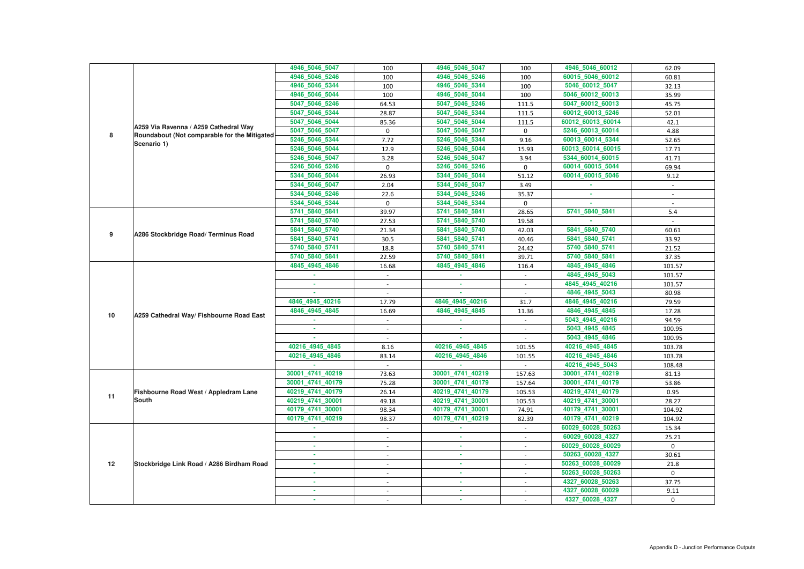|    |                                              | 4946_5046_5047   | 100                      | 4946_5046_5047   | 100         | 4946_5046_60012   | 62.09        |
|----|----------------------------------------------|------------------|--------------------------|------------------|-------------|-------------------|--------------|
|    |                                              | 4946_5046_5246   | 100                      | 4946_5046_5246   | 100         | 60015 5046 60012  | 60.81        |
|    |                                              | 4946 5046 5344   | 100                      | 4946_5046_5344   | 100         | 5046_60012_5047   | 32.13        |
|    |                                              | 4946_5046_5044   | 100                      | 4946_5046_5044   | 100         | 5046_60012_60013  | 35.99        |
|    |                                              | 5047_5046_5246   | 64.53                    | 5047 5046 5246   | 111.5       | 5047_60012_60013  | 45.75        |
|    |                                              | 5047 5046 5344   | 28.87                    | 5047 5046 5344   | 111.5       | 60012_60013_5246  | 52.01        |
|    |                                              | 5047_5046_5044   | 85.36                    | 5047_5046_5044   | 111.5       | 60012_60013_60014 | 42.1         |
|    | A259 Via Ravenna / A259 Cathedral Way        | 5047_5046_5047   | $\mathbf 0$              | 5047_5046_5047   | $\mathbf 0$ | 5246_60013_60014  | 4.88         |
| 8  | Roundabout (Not comparable for the Mitigated | 5246_5046_5344   | 7.72                     | 5246_5046_5344   | 9.16        | 60013_60014_5344  | 52.65        |
|    | Scenario 1)                                  | 5246_5046_5044   | 12.9                     | 5246 5046 5044   | 15.93       | 60013_60014_60015 | 17.71        |
|    |                                              | 5246_5046_5047   | 3.28                     | 5246_5046_5047   | 3.94        | 5344_60014_60015  | 41.71        |
|    |                                              | 5246_5046_5246   | $\mathbf 0$              | 5246_5046_5246   | $\mathbf 0$ | 60014_60015_5044  | 69.94        |
|    |                                              | 5344_5046_5044   | 26.93                    | 5344_5046_5044   | 51.12       | 60014_60015_5046  | 9.12         |
|    |                                              | 5344_5046_5047   | 2.04                     | 5344_5046_5047   | 3.49        |                   | $\sim$       |
|    |                                              | 5344_5046_5246   | 22.6                     | 5344_5046_5246   | 35.37       | ×.                |              |
|    |                                              | 5344_5046_5344   | $\mathbf{0}$             | 5344_5046_5344   | $\Omega$    | ×.                |              |
|    |                                              | 5741_5840_5841   | 39.97                    | 5741_5840_5841   | 28.65       | 5741_5840_5841    | 5.4          |
|    |                                              | 5741_5840_5740   | 27.53                    | 5741_5840_5740   | 19.58       |                   |              |
|    |                                              | 5841 5840 5740   | 21.34                    | 5841_5840_5740   | 42.03       | 5841_5840_5740    | 60.61        |
| 9  | A286 Stockbridge Road/ Terminus Road         | 5841_5840_5741   | 30.5                     | 5841_5840_5741   | 40.46       | 5841_5840_5741    | 33.92        |
|    |                                              | 5740_5840_5741   | 18.8                     | 5740_5840_5741   | 24.42       | 5740_5840_5741    | 21.52        |
|    |                                              | 5740_5840_5841   | 22.59                    | 5740_5840_5841   | 39.71       | 5740_5840_5841    | 37.35        |
|    | A259 Cathedral Way/ Fishbourne Road East     | 4845_4945_4846   | 16.68                    | 4845_4945_4846   | 116.4       | 4845_4945_4846    | 101.57       |
|    |                                              |                  |                          |                  |             | 4845_4945_5043    | 101.57       |
|    |                                              |                  |                          | $\sim$           |             | 4845_4945_40216   | 101.57       |
|    |                                              |                  |                          |                  |             | 4846_4945_5043    | 80.98        |
|    |                                              | 4846 4945 40216  | 17.79                    | 4846_4945_40216  | 31.7        | 4846_4945_40216   | 79.59        |
| 10 |                                              | 4846_4945_4845   | 16.69                    | 4846_4945_4845   | 11.36       | 4846_4945_4845    | 17.28        |
|    |                                              |                  |                          |                  |             | 5043_4945_40216   | 94.59        |
|    |                                              |                  |                          |                  |             | 5043_4945_4845    | 100.95       |
|    |                                              |                  |                          |                  |             | 5043_4945_4846    | 100.95       |
|    |                                              | 40216 4945 4845  | 8.16                     | 40216 4945 4845  | 101.55      | 40216 4945 4845   | 103.78       |
|    |                                              | 40216_4945_4846  | 83.14                    | 40216 4945 4846  | 101.55      | 40216_4945_4846   | 103.78       |
|    |                                              |                  |                          |                  |             | 40216_4945_5043   | 108.48       |
|    |                                              | 30001 4741 40219 | 73.63                    | 30001_4741_40219 | 157.63      | 30001_4741_40219  | 81.13        |
|    |                                              | 30001_4741_40179 | 75.28                    | 30001_4741_40179 | 157.64      | 30001_4741_40179  | 53.86        |
| 11 | Fishbourne Road West / Appledram Lane        | 40219_4741_40179 | 26.14                    | 40219_4741_40179 | 105.53      | 40219_4741_40179  | 0.95         |
|    | <b>South</b>                                 | 40219 4741 30001 | 49.18                    | 40219_4741_30001 | 105.53      | 40219_4741_30001  | 28.27        |
|    |                                              | 40179_4741_30001 | 98.34                    | 40179_4741_30001 | 74.91       | 40179_4741_30001  | 104.92       |
|    |                                              | 40179_4741_40219 | 98.37                    | 40179_4741_40219 | 82.39       | 40179_4741_40219  | 104.92       |
|    |                                              | ×.               | $\sim$                   | m.               | $\sim$      | 60029_60028_50263 | 15.34        |
|    |                                              | ×.               | $\overline{\phantom{a}}$ | ×.               | $\sim$      | 60029_60028_4327  | 25.21        |
|    |                                              |                  |                          | ×.               |             | 60029_60028_60029 | $\mathbf{0}$ |
|    |                                              | ×.               | $\overline{\phantom{a}}$ | <b>COL</b>       | $\sim$      | 50263_60028_4327  | 30.61        |
| 12 | Stockbridge Link Road / A286 Birdham Road    |                  | $\overline{\phantom{a}}$ | ٠                | $\sim$      | 50263_60028_60029 | 21.8         |
|    |                                              | ٠                | $\overline{\phantom{a}}$ | ×.               | $\sim$      | 50263_60028_50263 | 0            |
|    |                                              | ٠                |                          | ٠                |             | 4327_60028_50263  | 37.75        |
|    |                                              |                  |                          | ×.               |             | 4327_60028_60029  | 9.11         |
|    |                                              |                  | $\overline{\phantom{a}}$ | ٠                |             | 4327_60028_4327   | $\mathbf{0}$ |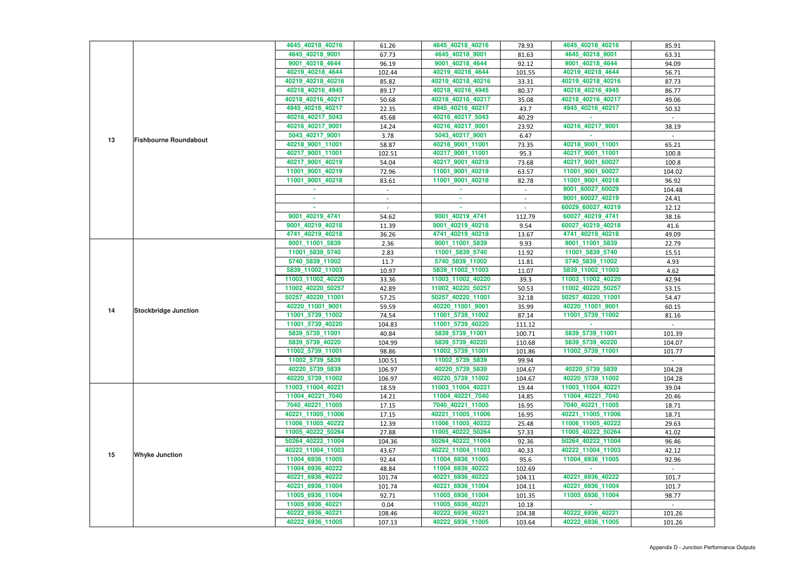|    |                              | 4645 40218 40216                   | 61.26  | 4645_40218_40216                      | 78.93            | 4645_40218_40216                      | 85.91  |
|----|------------------------------|------------------------------------|--------|---------------------------------------|------------------|---------------------------------------|--------|
|    |                              | 4645_40218_9001                    | 67.73  | 4645_40218_9001                       | 81.63            | 4645_40218_9001                       | 63.31  |
|    |                              | 9001_40218_4644                    | 96.19  | 9001_40218_4644                       | 92.12            | 9001_40218_4644                       | 94.09  |
|    |                              | 40219_40218_4644                   | 102.44 | 40219_40218_4644                      | 101.55           | 40219_40218_4644                      | 56.71  |
|    |                              | 40219_40218_40216                  | 85.82  | 40219_40218_40216                     | 33.31            | 40219 40218 40216                     | 87.73  |
|    |                              | 40218_40216_4945                   | 89.17  | 40218_40216_4945                      | 80.37            | 40218_40216_4945                      | 86.77  |
|    |                              | 40218_40216_40217                  | 50.68  | 40218_40216_40217                     | 35.08            | 40218_40216_40217                     | 49.06  |
|    |                              | 4945_40216_40217                   | 22.35  | 4945_40216_40217                      | 43.7             | 4945_40216_40217                      | 50.32  |
|    |                              | 40216_40217_5043                   | 45.68  | 40216_40217_5043                      | 40.29            |                                       |        |
|    |                              | 40216_40217_9001                   | 14.24  | 40216_40217_9001                      | 23.92            | 40216_40217_9001                      | 38.19  |
|    |                              | 5043_40217_9001                    | 3.78   | 5043_40217_9001                       | 6.47             |                                       |        |
| 13 | <b>Fishbourne Roundabout</b> | 40218_9001_11001                   | 58.87  | 40218_9001_11001                      | 73.35            | 40218_9001_11001                      | 65.21  |
|    |                              | 40217_9001_11001                   | 102.51 | 40217_9001_11001                      | 95.3             | 40217_9001_11001                      | 100.8  |
|    |                              | 40217_9001_40219                   | 54.04  | 40217_9001_40219                      | 73.68            | 40217_9001_60027                      | 100.8  |
|    |                              | 11001_9001_40219                   | 72.96  | 11001_9001_40219                      | 63.57            | 11001_9001_60027                      | 104.02 |
|    |                              | 11001 9001 40218                   | 83.61  | 11001_9001_40218                      | 82.78            | 11001_9001_40218                      | 96.92  |
|    |                              |                                    | $\sim$ |                                       | $\sim$           | 9001_60027_60029                      | 104.48 |
|    |                              |                                    |        | ٠                                     |                  | 9001_60027_40219                      | 24.41  |
|    |                              |                                    |        |                                       |                  | 60029_60027_40219                     | 12.12  |
|    |                              | 9001_40219_4741                    | 54.62  | 9001_40219_4741                       | 112.79           | 60027_40219_4741                      | 38.16  |
|    |                              | 9001_40219_40218                   | 11.39  | 9001_40219_40218                      | 9.54             | 60027_40219_40218                     | 41.6   |
|    |                              | 4741_40219_40218                   | 36.26  | 4741_40219_40218                      | 13.67            | 4741_40219_40218                      | 49.09  |
|    |                              | 9001_11001_5839                    | 2.36   | 9001_11001_5839                       | 9.93             | 9001_11001_5839                       | 22.79  |
|    |                              | 11001_5839_5740                    | 2.83   | 11001_5839_5740                       | 11.92            | 11001_5839_5740                       | 15.51  |
|    |                              | 5740_5839_11002                    | 11.7   | 5740_5839_11002                       | 11.81            | 5740_5839_11002                       | 4.93   |
|    |                              | 5839_11002_11003                   | 10.97  | 5839_11002_11003                      | 11.07            | 5839_11002_11003                      | 4.62   |
|    | <b>Stockbridge Junction</b>  | 11003_11002_40220                  | 33.36  | 11003_11002_40220                     | 39.3             | 11003_11002_40220                     | 42.94  |
|    |                              | 11002_40220_50257                  | 42.89  | 11002_40220_50257                     | 50.53            | 11002_40220_50257                     | 53.15  |
|    |                              | 50257_40220_11001                  | 57.25  | 50257_40220_11001                     | 32.18            | 50257_40220_11001                     | 54.47  |
|    |                              | 40220_11001_9001                   | 59.59  | 40220_11001_9001                      | 35.99            | 40220 11001 9001                      | 60.15  |
| 14 |                              | 11001_5739_11002                   | 74.54  | 11001_5739_11002                      |                  | 11001 5739 11002                      |        |
|    |                              | 11001_5739_40220                   |        | 11001_5739_40220                      | 87.14            |                                       | 81.16  |
|    |                              |                                    | 104.83 | 5839_5739_11001                       | 111.12           | 5839_5739_11001                       |        |
|    |                              | 5839_5739_11001<br>5839_5739_40220 | 40.84  | 5839_5739_40220                       | 100.71<br>110.68 | 5839_5739_40220                       | 101.39 |
|    |                              | 11002 5739 11001                   | 104.99 |                                       |                  | 11002 5739 11001                      | 104.07 |
|    |                              |                                    | 98.86  | 11002_5739_11001                      | 101.86           |                                       | 101.77 |
|    |                              | 11002_5739_5839                    | 100.51 | 11002_5739_5839                       | 99.94            |                                       |        |
|    |                              | 40220 5739 5839                    | 106.97 | 40220 5739 5839                       | 104.67           | 40220_5739_5839                       | 104.28 |
|    |                              | 40220_5739_11002                   | 106.97 | 40220_5739_11002                      | 104.67           | 40220_5739_11002                      | 104.28 |
|    |                              | 11003_11004_40221                  | 18.59  | 11003 11004 40221                     | 19.44            | 11003_11004_40221                     | 39.04  |
|    |                              | 11004_40221_7040                   | 14.21  | 11004_40221_7040                      | 14.85            | 11004_40221_7040                      | 20.46  |
|    |                              | 7040_40221_11005                   | 17.15  | 7040_40221_11005<br>40221 11005 11006 | 16.95            | 7040_40221_11005<br>40221 11005 11006 | 18.71  |
|    |                              | 40221_11005_11006                  | 17.15  |                                       | 16.95            |                                       | 18.71  |
|    |                              | 11006_11005_40222                  | 12.39  | 11006_11005_40222                     | 25.48            | 11006 11005 40222                     | 29.63  |
|    |                              | 11005_40222_50264                  | 27.88  | 11005_40222_50264                     | 57.33            | 11005_40222_50264                     | 41.02  |
|    |                              | 50264_40222_11004                  | 104.36 | 50264_40222_11004                     | 92.36            | 50264_40222_11004                     | 96.46  |
| 15 | <b>Whyke Junction</b>        | 40222_11004_11003                  | 43.67  | 40222_11004_11003                     | 40.33            | 40222_11004_11003                     | 42.12  |
|    |                              | 11004_6936_11005                   | 92.44  | 11004_6936_11005                      | 95.6             | 11004_6936_11005                      | 92.96  |
|    |                              | 11004_6936_40222                   | 48.84  | 11004_6936_40222                      | 102.69           |                                       | $\sim$ |
|    |                              | 40221_6936_40222                   | 101.74 | 40221_6936_40222                      | 104.11           | 40221_6936_40222                      | 101.7  |
|    |                              | 40221_6936_11004                   | 101.74 | 40221_6936_11004                      | 104.11           | 40221_6936_11004                      | 101.7  |
|    |                              | 11005_6936_11004                   | 92.71  | 11005_6936_11004                      | 101.35           | 11005_6936_11004                      | 98.77  |
|    |                              | 11005_6936_40221                   | 0.04   | 11005_6936_40221                      | 10.18            |                                       |        |
|    |                              | 40222_6936_40221                   | 108.46 | 40222_6936_40221                      | 104.38           | 40222 6936 40221                      | 101.26 |
|    |                              | 40222_6936_11005                   | 107.13 | 40222_6936_11005                      | 103.64           | 40222_6936_11005                      | 101.26 |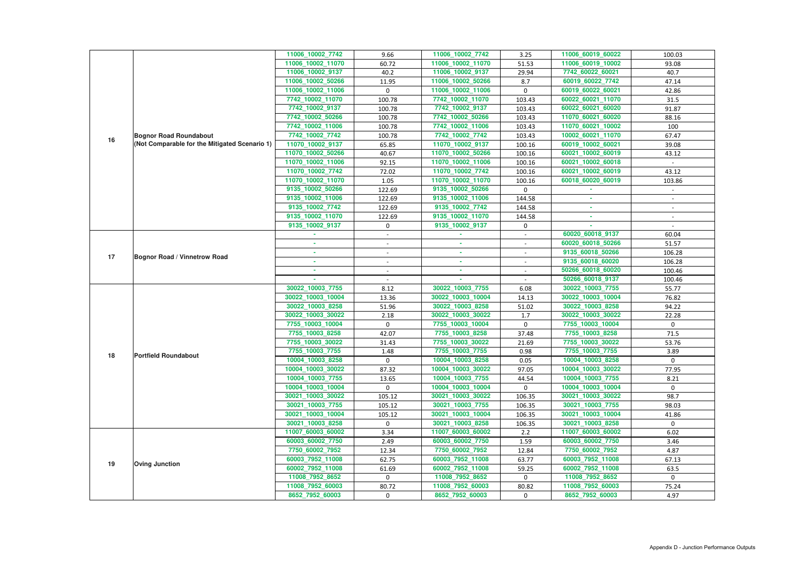|    |                                               | 11006_10002_7742  | 9.66                     | 11006_10002_7742  | 3.25                     | 11006_60019_60022 | 100.03         |
|----|-----------------------------------------------|-------------------|--------------------------|-------------------|--------------------------|-------------------|----------------|
|    |                                               | 11006_10002_11070 | 60.72                    | 11006_10002_11070 | 51.53                    | 11006_60019_10002 | 93.08          |
|    |                                               | 11006_10002_9137  | 40.2                     | 11006_10002_9137  | 29.94                    | 7742_60022_60021  | 40.7           |
|    |                                               | 11006_10002_50266 | 11.95                    | 11006_10002_50266 | 8.7                      | 60019_60022_7742  | 47.14          |
|    |                                               | 11006_10002_11006 | $\mathbf 0$              | 11006_10002_11006 | $\mathbf 0$              | 60019_60022_60021 | 42.86          |
|    |                                               | 7742_10002_11070  | 100.78                   | 7742_10002_11070  | 103.43                   | 60022_60021_11070 | 31.5           |
|    |                                               | 7742_10002_9137   | 100.78                   | 7742_10002_9137   | 103.43                   | 60022_60021_60020 | 91.87          |
|    |                                               | 7742_10002_50266  | 100.78                   | 7742_10002_50266  | 103.43                   | 11070_60021_60020 | 88.16          |
|    |                                               | 7742_10002_11006  | 100.78                   | 7742_10002_11006  | 103.43                   | 11070_60021_10002 | 100            |
| 16 | <b>Bognor Road Roundabout</b>                 | 7742 10002 7742   | 100.78                   | 7742_10002_7742   | 103.43                   | 10002_60021_11070 | 67.47          |
|    | (Not Comparable for the Mitigated Scenario 1) | 11070_10002_9137  | 65.85                    | 11070_10002_9137  | 100.16                   | 60019_10002_60021 | 39.08          |
|    |                                               | 11070_10002_50266 | 40.67                    | 11070_10002_50266 | 100.16                   | 60021_10002_60019 | 43.12          |
|    |                                               | 11070_10002_11006 | 92.15                    | 11070_10002_11006 | 100.16                   | 60021_10002_60018 |                |
|    |                                               | 11070_10002_7742  | 72.02                    | 11070_10002_7742  | 100.16                   | 60021_10002_60019 | 43.12          |
|    |                                               | 11070_10002_11070 | 1.05                     | 11070_10002_11070 | 100.16                   | 60018_60020_60019 | 103.86         |
|    |                                               | 9135_10002_50266  | 122.69                   | 9135_10002_50266  | $\mathbf 0$              |                   |                |
|    |                                               | 9135_10002_11006  | 122.69                   | 9135_10002_11006  | 144.58                   |                   |                |
|    |                                               | 9135_10002_7742   | 122.69                   | 9135_10002_7742   | 144.58                   | $\sim$            | $\sim$         |
|    |                                               | 9135 10002 11070  | 122.69                   | 9135_10002_11070  | 144.58                   | ×.                |                |
|    |                                               | 9135_10002_9137   | $\mathbf 0$              | 9135_10002_9137   | 0                        |                   |                |
|    |                                               |                   | $\overline{\phantom{a}}$ |                   | $\overline{\phantom{a}}$ | 60020_60018_9137  | 60.04          |
|    |                                               | ٠                 | $\sim$                   | ×.                | $\blacksquare$           | 60020 60018 50266 | 51.57          |
| 17 | <b>Bognor Road / Vinnetrow Road</b>           | ٠                 | $\overline{\phantom{a}}$ | $\sim$            | $\sim$                   | 9135_60018_50266  | 106.28         |
|    |                                               | ٠                 |                          | $\sim$            |                          | 9135_60018_60020  | 106.28         |
|    |                                               |                   |                          | ×.                |                          | 50266_60018_60020 | 100.46         |
|    |                                               |                   |                          |                   |                          | 50266_60018_9137  | 100.46         |
|    | <b>Portfield Roundabout</b>                   | 30022_10003_7755  | 8.12                     | 30022_10003_7755  | 6.08                     | 30022_10003_7755  | 55.77          |
|    |                                               | 30022_10003_10004 | 13.36                    | 30022_10003_10004 | 14.13                    | 30022_10003_10004 | 76.82          |
|    |                                               | 30022_10003_8258  | 51.96                    | 30022_10003_8258  | 51.02                    | 30022_10003_8258  | 94.22          |
|    |                                               | 30022_10003_30022 | 2.18                     | 30022_10003_30022 | $1.7$                    | 30022_10003_30022 | 22.28          |
|    |                                               | 7755_10003_10004  | $\mathbf 0$              | 7755 10003 10004  | $\mathbf 0$              | 7755_10003_10004  | $\overline{0}$ |
|    |                                               | 7755_10003_8258   | 42.07                    | 7755 10003 8258   | 37.48                    | 7755_10003_8258   | 71.5           |
|    |                                               | 7755_10003_30022  | 31.43                    | 7755_10003_30022  | 21.69                    | 7755_10003_30022  | 53.76          |
|    |                                               | 7755_10003_7755   | 1.48                     | 7755_10003_7755   | 0.98                     | 7755_10003_7755   | 3.89           |
| 18 |                                               | 10004_10003_8258  | $\mathbf 0$              | 10004_10003_8258  | 0.05                     | 10004_10003_8258  | $\mathbf{0}$   |
|    |                                               | 10004_10003_30022 | 87.32                    | 10004 10003 30022 | 97.05                    | 10004_10003_30022 | 77.95          |
|    |                                               | 10004_10003_7755  | 13.65                    | 10004_10003_7755  | 44.54                    | 10004_10003_7755  | 8.21           |
|    |                                               | 10004_10003_10004 | $\mathbf 0$              | 10004_10003_10004 | $\mathbf{0}$             | 10004_10003_10004 | $\mathbf{0}$   |
|    |                                               | 30021_10003_30022 | 105.12                   | 30021_10003_30022 | 106.35                   | 30021_10003_30022 | 98.7           |
|    |                                               | 30021_10003_7755  | 105.12                   | 30021_10003_7755  | 106.35                   | 30021_10003_7755  | 98.03          |
|    |                                               | 30021_10003_10004 | 105.12                   | 30021_10003_10004 | 106.35                   | 30021_10003_10004 | 41.86          |
|    |                                               | 30021_10003_8258  | $\mathbf{0}$             | 30021_10003_8258  | 106.35                   | 30021_10003_8258  | $\mathbf{0}$   |
|    |                                               | 11007_60003_60002 | 3.34                     | 11007_60003_60002 | 2.2                      | 11007_60003_60002 | 6.02           |
| 19 |                                               | 60003_60002_7750  | 2.49                     | 60003_60002_7750  | 1.59                     | 60003_60002_7750  | 3.46           |
|    |                                               | 7750_60002_7952   | 12.34                    | 7750_60002_7952   | 12.84                    | 7750_60002_7952   | 4.87           |
|    |                                               | 60003_7952_11008  | 62.75                    | 60003_7952_11008  | 63.77                    | 60003_7952_11008  | 67.13          |
|    | <b>Oving Junction</b>                         | 60002_7952_11008  | 61.69                    | 60002_7952_11008  | 59.25                    | 60002_7952_11008  | 63.5           |
|    |                                               | 11008_7952_8652   | $\mathbf 0$              | 11008_7952_8652   | 0                        | 11008_7952_8652   | $\mathbf{0}$   |
|    |                                               | 11008_7952_60003  | 80.72                    | 11008_7952_60003  | 80.82                    | 11008_7952_60003  | 75.24          |
|    |                                               | 8652_7952_60003   | $\mathbf 0$              | 8652_7952_60003   | 0                        | 8652_7952_60003   | 4.97           |
|    |                                               |                   |                          |                   |                          |                   |                |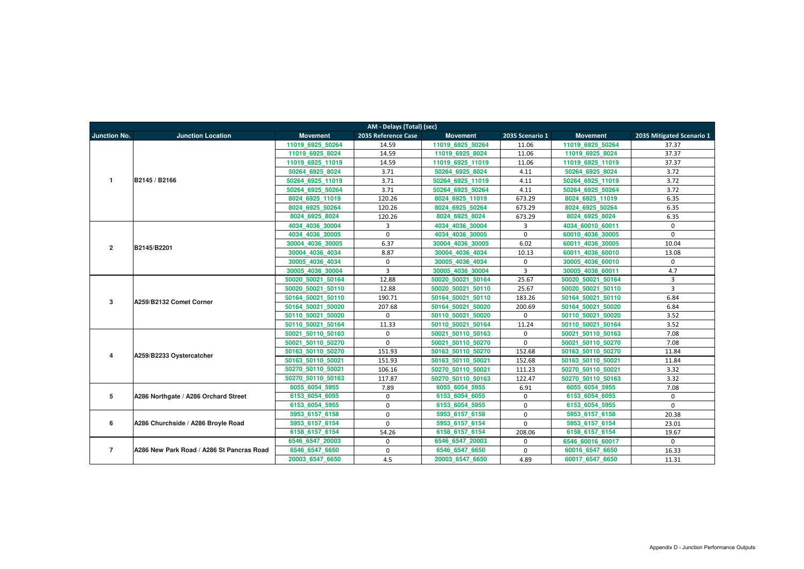| AM - Delays (Total) (sec) |                                           |                   |                     |                   |                 |                   |                           |  |
|---------------------------|-------------------------------------------|-------------------|---------------------|-------------------|-----------------|-------------------|---------------------------|--|
| <b>Junction No.</b>       | <b>Junction Location</b>                  | <b>Movement</b>   | 2035 Reference Case | <b>Movement</b>   | 2035 Scenario 1 | <b>Movement</b>   | 2035 Mitigated Scenario 1 |  |
|                           |                                           | 11019 6925 50264  | 14.59               | 11019 6925 50264  | 11.06           | 11019 6925 50264  | 37.37                     |  |
|                           |                                           | 11019 6925 8024   | 14.59               | 11019 6925 8024   | 11.06           | 11019 6925 8024   | 37.37                     |  |
|                           |                                           | 11019 6925 11019  | 14.59               | 11019 6925 11019  | 11.06           | 11019 6925 11019  | 37.37                     |  |
|                           |                                           | 50264 6925 8024   | 3.71                | 50264 6925 8024   | 4.11            | 50264 6925 8024   | 3.72                      |  |
| $\mathbf{1}$              | B2145 / B2166                             | 50264 6925 11019  | 3.71                | 50264_6925_11019  | 4.11            | 50264_6925_11019  | 3.72                      |  |
|                           |                                           | 50264 6925 50264  | 3.71                | 50264 6925 50264  | 4.11            | 50264 6925 50264  | 3.72                      |  |
|                           |                                           | 8024 6925 11019   | 120.26              | 8024 6925 11019   | 673.29          | 8024 6925 11019   | 6.35                      |  |
|                           |                                           | 8024 6925 50264   | 120.26              | 8024 6925 50264   | 673.29          | 8024 6925 50264   | 6.35                      |  |
|                           |                                           | 8024 6925 8024    | 120.26              | 8024 6925 8024    | 673.29          | 8024 6925 8024    | 6.35                      |  |
|                           |                                           | 4034_4036_30004   | 3                   | 4034_4036_30004   | $\mathbf{3}$    | 4034_60010_60011  | $\Omega$                  |  |
|                           |                                           | 4034 4036 30005   | $\mathbf{0}$        | 4034 4036 30005   | $\mathbf 0$     | 60010 4036 30005  | $\mathbf{0}$              |  |
| $\overline{2}$            | B2145/B2201                               | 30004 4036 30005  | 6.37                | 30004 4036 30005  | 6.02            | 60011 4036 30005  | 10.04                     |  |
|                           |                                           | 30004 4036 4034   | 8.87                | 30004 4036 4034   | 10.13           | 60011 4036 60010  | 13.08                     |  |
|                           |                                           | 30005 4036 4034   | $\mathbf 0$         | 30005 4036 4034   | $\mathbf 0$     | 30005 4036 60010  | $\mathbf{0}$              |  |
|                           |                                           | 30005 4036 30004  | $\overline{3}$      | 30005 4036 30004  | $\overline{3}$  | 30005 4036 60011  | 4.7                       |  |
|                           | A259/B2132 Comet Corner                   | 50020 50021 50164 | 12.88               | 50020 50021 50164 | 25.67           | 50020 50021 50164 | 3                         |  |
|                           |                                           | 50020 50021 50110 | 12.88               | 50020 50021 50110 | 25.67           | 50020 50021 50110 | $\overline{3}$            |  |
| 3                         |                                           | 50164 50021 50110 | 190.71              | 50164 50021 50110 | 183.26          | 50164 50021 50110 | 6.84                      |  |
|                           |                                           | 50164 50021 50020 | 207.68              | 50164 50021 50020 | 200.69          | 50164 50021 50020 | 6.84                      |  |
|                           |                                           | 50110 50021 50020 | $\mathbf 0$         | 50110 50021 50020 | $\mathbf 0$     | 50110 50021 50020 | 3.52                      |  |
|                           |                                           | 50110 50021 50164 | 11.33               | 50110 50021 50164 | 11.24           | 50110 50021 50164 | 3.52                      |  |
|                           |                                           | 50021 50110 50163 | $\mathbf{0}$        | 50021 50110 50163 | $\mathbf 0$     | 50021 50110 50163 | 7.08                      |  |
|                           |                                           | 50021 50110 50270 | $\mathbf 0$         | 50021 50110 50270 | $\mathbf 0$     | 50021 50110 50270 | 7.08                      |  |
| 4                         | A259/B2233 Oystercatcher                  | 50163 50110 50270 | 151.93              | 50163 50110 50270 | 152.68          | 50163 50110 50270 | 11.84                     |  |
|                           |                                           | 50163 50110 50021 | 151.93              | 50163 50110 50021 | 152.68          | 50163 50110 50021 | 11.84                     |  |
|                           |                                           | 50270 50110 50021 | 106.16              | 50270 50110 50021 | 111.23          | 50270 50110 50021 | 3.32                      |  |
|                           |                                           | 50270 50110 50163 | 117.87              | 50270 50110 50163 | 122.47          | 50270 50110 50163 | 3.32                      |  |
|                           |                                           | 6055 6054 5955    | 7.89                | 6055 6054 5955    | 6.91            | 6055 6054 5955    | 7.08                      |  |
| 5                         | A286 Northgate / A286 Orchard Street      | 6153 6054 6055    | $\mathbf{0}$        | 6153 6054 6055    | $\mathbf 0$     | 6153 6054 6055    | $\mathbf 0$               |  |
|                           |                                           | 6153 6054 5955    | $\mathbf{0}$        | 6153 6054 5955    | $\mathbf 0$     | 6153 6054 5955    | $\mathbf 0$               |  |
| 6                         |                                           | 5953 6157 6158    | $\Omega$            | 5953 6157 6158    | $\mathbf 0$     | 5953 6157 6158    | 20.38                     |  |
|                           | A286 Churchside / A286 Broyle Road        | 5953 6157 6154    | $\Omega$            | 5953 6157 6154    | $\mathbf 0$     | 5953 6157 6154    | 23.01                     |  |
|                           |                                           | 6158 6157 6154    | 54.26               | 6158 6157 6154    | 208.06          | 6158 6157 6154    | 19.67                     |  |
|                           |                                           | 6546 6547 20003   | $\mathbf 0$         | 6546 6547 20003   | $\mathbf 0$     | 6546 60016 60017  | $\mathbf 0$               |  |
| $\overline{7}$            | A286 New Park Road / A286 St Pancras Road | 6546_6547_6650    | $\mathbf 0$         | 6546_6547_6650    | 0               | 60016_6547_6650   | 16.33                     |  |
|                           |                                           | 20003 6547 6650   | 4.5                 | 20003_6547_6650   | 4.89            | 60017_6547_6650   | 11.31                     |  |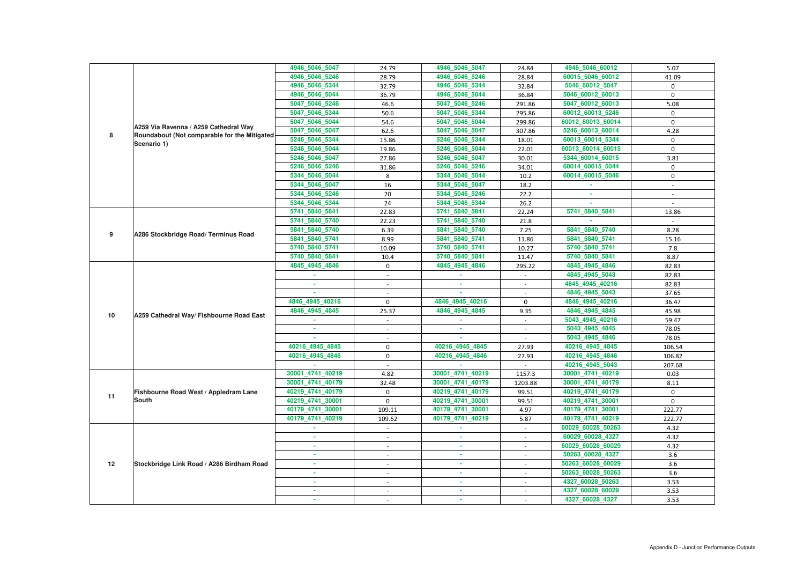|    |                                               | 4946_5046_5047   | 24.79                    | 4946_5046_5047   | 24.84       | 4946_5046_60012   | 5.07        |
|----|-----------------------------------------------|------------------|--------------------------|------------------|-------------|-------------------|-------------|
|    |                                               | 4946_5046_5246   | 28.79                    | 4946_5046_5246   | 28.84       | 60015_5046_60012  | 41.09       |
|    |                                               | 4946 5046 5344   | 32.79                    | 4946_5046_5344   | 32.84       | 5046_60012_5047   | 0           |
|    |                                               | 4946_5046_5044   | 36.79                    | 4946_5046_5044   | 36.84       | 5046_60012_60013  | 0           |
|    |                                               | 5047_5046_5246   | 46.6                     | 5047 5046 5246   | 291.86      | 5047_60012_60013  | 5.08        |
|    |                                               | 5047 5046 5344   | 50.6                     | 5047 5046 5344   | 295.86      | 60012_60013_5246  | $\mathbf 0$ |
|    |                                               | 5047_5046_5044   | 54.6                     | 5047_5046_5044   | 299.86      | 60012_60013_60014 | $\Omega$    |
|    | A259 Via Ravenna / A259 Cathedral Way         | 5047_5046_5047   | 62.6                     | 5047_5046_5047   | 307.86      | 5246 60013 60014  | 4.28        |
| 8  | Roundabout (Not comparable for the Mitigated) | 5246_5046_5344   | 15.86                    | 5246_5046_5344   | 18.01       | 60013_60014_5344  | 0           |
|    | Scenario 1)                                   | 5246_5046_5044   | 19.86                    | 5246 5046 5044   | 22.01       | 60013_60014_60015 | $\mathbf 0$ |
|    |                                               | 5246 5046 5047   | 27.86                    | 5246_5046_5047   | 30.01       | 5344_60014_60015  | 3.81        |
|    |                                               | 5246_5046_5246   | 31.86                    | 5246_5046_5246   | 34.01       | 60014_60015_5044  | 0           |
|    |                                               | 5344_5046_5044   | 8                        | 5344_5046_5044   | 10.2        | 60014_60015_5046  | $\mathbf 0$ |
|    |                                               | 5344_5046_5047   | 16                       | 5344_5046_5047   | 18.2        |                   | $\sim$      |
|    |                                               | 5344_5046_5246   | 20                       | 5344_5046_5246   | 22.2        | ×.                |             |
|    |                                               | 5344_5046_5344   | 24                       | 5344_5046_5344   | 26.2        | ×.                |             |
|    |                                               | 5741_5840_5841   | 22.83                    | 5741 5840 5841   | 22.24       | 5741_5840_5841    | 13.86       |
|    |                                               | 5741_5840_5740   | 22.23                    | 5741_5840_5740   | 21.8        |                   |             |
|    |                                               | 5841_5840_5740   | 6.39                     | 5841_5840_5740   | 7.25        | 5841_5840_5740    | 8.28        |
| 9  | A286 Stockbridge Road/ Terminus Road          | 5841_5840_5741   | 8.99                     | 5841_5840_5741   | 11.86       | 5841 5840 5741    | 15.16       |
|    |                                               | 5740_5840_5741   | 10.09                    | 5740_5840_5741   | 10.27       | 5740_5840_5741    | 7.8         |
|    |                                               | 5740_5840_5841   | 10.4                     | 5740_5840_5841   | 11.47       | 5740_5840_5841    | 8.87        |
|    | A259 Cathedral Way/ Fishbourne Road East      | 4845_4945_4846   | $\mathbf 0$              | 4845_4945_4846   | 295.22      | 4845_4945_4846    | 82.83       |
|    |                                               |                  | $\overline{a}$           |                  |             | 4845_4945_5043    | 82.83       |
|    |                                               |                  |                          | $\sim$           |             | 4845_4945_40216   | 82.83       |
|    |                                               |                  |                          |                  |             | 4846_4945_5043    | 37.65       |
|    |                                               | 4846 4945 40216  | $\mathbf 0$              | 4846_4945_40216  | $\mathbf 0$ | 4846_4945_40216   | 36.47       |
| 10 |                                               | 4846_4945_4845   | 25.37                    | 4846_4945_4845   | 9.35        | 4846_4945_4845    | 45.98       |
|    |                                               |                  |                          |                  |             | 5043_4945_40216   | 59.47       |
|    |                                               |                  |                          |                  |             | 5043_4945_4845    | 78.05       |
|    |                                               |                  |                          |                  |             | 5043_4945_4846    | 78.05       |
|    |                                               | 40216 4945 4845  | $\mathbf 0$              | 40216 4945 4845  | 27.93       | 40216 4945 4845   | 106.54      |
|    |                                               | 40216 4945 4846  | $\mathbf 0$              | 40216 4945 4846  | 27.93       | 40216_4945_4846   | 106.82      |
|    |                                               |                  |                          |                  |             | 40216_4945_5043   | 207.68      |
|    |                                               | 30001_4741_40219 | 4.82                     | 30001_4741_40219 | 1157.3      | 30001_4741_40219  | 0.03        |
|    |                                               | 30001 4741 40179 | 32.48                    | 30001_4741_40179 | 1203.88     | 30001_4741_40179  | 8.11        |
| 11 | Fishbourne Road West / Appledram Lane         | 40219_4741_40179 | $\mathbf 0$              | 40219_4741_40179 | 99.51       | 40219_4741_40179  | $\mathbf 0$ |
|    | <b>South</b>                                  | 40219_4741_30001 | $\mathbf 0$              | 40219_4741_30001 | 99.51       | 40219_4741_30001  | $\mathbf 0$ |
|    |                                               | 40179_4741_30001 | 109.11                   | 40179_4741_30001 | 4.97        | 40179_4741_30001  | 222.77      |
|    |                                               | 40179_4741_40219 | 109.62                   | 40179_4741_40219 | 5.87        | 40179_4741_40219  | 222.77      |
|    |                                               | $\sim$           | $\sim$                   | m.               | $\sim$      | 60029_60028_50263 | 4.32        |
|    |                                               | ×.               | $\overline{\phantom{a}}$ | ×.               | $\sim$      | 60029_60028_4327  | 4.32        |
|    |                                               |                  |                          | ×.               |             | 60029_60028_60029 | 4.32        |
|    |                                               | ×.               | $\overline{\phantom{a}}$ | <b>COL</b>       | $\sim$      | 50263_60028_4327  | 3.6         |
| 12 | Stockbridge Link Road / A286 Birdham Road     |                  | $\overline{\phantom{a}}$ | ٠                | $\sim$      | 50263_60028_60029 | 3.6         |
|    |                                               | ٠                | $\overline{\phantom{a}}$ | ×.               | $\sim$      | 50263_60028_50263 | 3.6         |
|    |                                               | ٠                |                          | ٠                |             | 4327_60028_50263  | 3.53        |
|    |                                               |                  |                          | ×.               |             | 4327_60028_60029  | 3.53        |
|    |                                               |                  | $\overline{\phantom{a}}$ | ٠                |             | 4327_60028_4327   | 3.53        |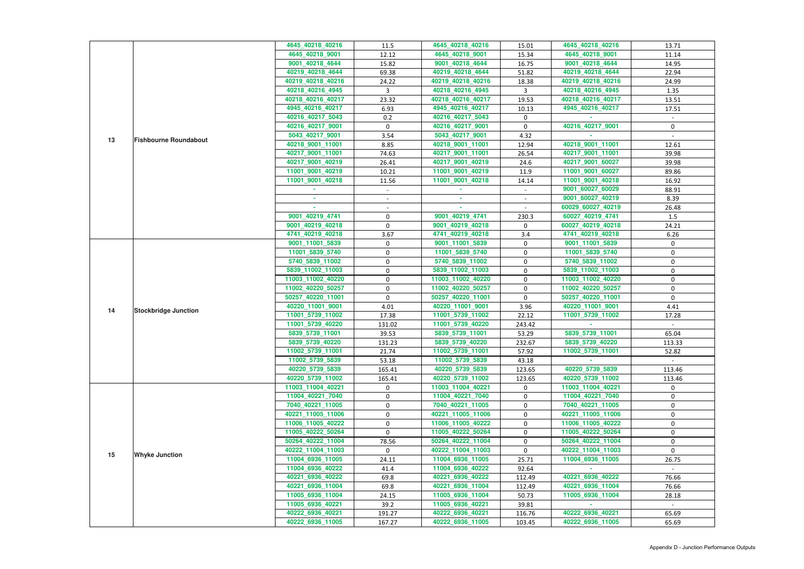|    |                              | 4645_40218_40216  | 11.5             | 4645_40218_40216  | 15.01          | 4645_40218_40216  | 13.71       |
|----|------------------------------|-------------------|------------------|-------------------|----------------|-------------------|-------------|
|    |                              | 4645_40218_9001   | 12.12            | 4645_40218_9001   | 15.34          | 4645_40218_9001   | 11.14       |
|    |                              | 9001_40218_4644   | 15.82            | 9001_40218_4644   | 16.75          | 9001_40218_4644   | 14.95       |
|    |                              | 40219_40218_4644  | 69.38            | 40219_40218_4644  | 51.82          | 40219_40218_4644  | 22.94       |
|    |                              | 40219_40218_40216 | 24.22            | 40219 40218 40216 | 18.38          | 40219_40218_40216 | 24.99       |
|    |                              | 40218_40216_4945  | 3                | 40218_40216_4945  | $\overline{3}$ | 40218_40216_4945  | 1.35        |
|    |                              | 40218_40216_40217 | 23.32            | 40218_40216_40217 | 19.53          | 40218_40216_40217 | 13.51       |
|    |                              | 4945_40216_40217  | 6.93             | 4945_40216_40217  | 10.13          | 4945_40216_40217  | 17.51       |
|    |                              | 40216_40217_5043  | 0.2              | 40216_40217_5043  | 0              |                   |             |
|    |                              | 40216_40217_9001  | $\mathbf 0$      | 40216_40217_9001  | $\mathbf 0$    | 40216_40217_9001  | 0           |
|    |                              | 5043_40217_9001   | 3.54             | 5043_40217_9001   | 4.32           |                   |             |
| 13 | <b>Fishbourne Roundabout</b> | 40218_9001_11001  | 8.85             | 40218_9001_11001  | 12.94          | 40218_9001_11001  | 12.61       |
|    |                              | 40217_9001_11001  | 74.63            | 40217_9001_11001  | 26.54          | 40217_9001_11001  | 39.98       |
|    |                              | 40217_9001_40219  |                  |                   |                |                   |             |
|    |                              |                   | 26.41            | 40217_9001_40219  | 24.6           | 40217_9001_60027  | 39.98       |
|    |                              | 11001_9001_40219  | 10.21            | 11001_9001_40219  | 11.9           | 11001_9001_60027  | 89.86       |
|    |                              | 11001_9001_40218  | 11.56            | 11001_9001_40218  | 14.14          | 11001 9001 40218  | 16.92       |
|    |                              |                   | $\sim$           |                   | $\sim$         | 9001_60027_60029  | 88.91       |
|    |                              |                   |                  | a.                |                | 9001_60027_40219  | 8.39        |
|    |                              |                   |                  |                   |                | 60029_60027_40219 | 26.48       |
|    |                              | 9001_40219_4741   | $\boldsymbol{0}$ | 9001_40219_4741   | 230.3          | 60027_40219_4741  | 1.5         |
|    |                              | 9001_40219_40218  | $\mathbf 0$      | 9001_40219_40218  | 0              | 60027_40219_40218 | 24.21       |
|    |                              | 4741_40219_40218  | 3.67             | 4741_40219_40218  | 3.4            | 4741_40219_40218  | 6.26        |
|    |                              | 9001_11001_5839   | 0                | 9001_11001_5839   | 0              | 9001_11001_5839   | 0           |
|    |                              | 11001_5839_5740   | $\pmb{0}$        | 11001_5839_5740   | $\pmb{0}$      | 11001_5839_5740   | $\mathbf 0$ |
|    |                              | 5740_5839_11002   | 0                | 5740_5839_11002   | 0              | 5740_5839_11002   | 0           |
|    | <b>Stockbridge Junction</b>  | 5839_11002_11003  | 0                | 5839_11002_11003  | $\pmb{0}$      | 5839_11002_11003  | $\mathbf 0$ |
|    |                              | 11003_11002_40220 | $\pmb{0}$        | 11003_11002_40220 | $\mathbf 0$    | 11003_11002_40220 | $\mathbf 0$ |
|    |                              | 11002_40220_50257 | 0                | 11002_40220_50257 | $\mathbf 0$    | 11002_40220_50257 | 0           |
|    |                              | 50257_40220_11001 | $\pmb{0}$        | 50257_40220_11001 | $\mathbf 0$    | 50257_40220_11001 | 0           |
| 14 |                              | 40220_11001_9001  | 4.01             | 40220_11001_9001  | 3.96           | 40220 11001 9001  | 4.41        |
|    |                              | 11001_5739_11002  | 17.38            | 11001_5739_11002  | 22.12          | 11001_5739_11002  | 17.28       |
|    |                              | 11001_5739_40220  | 131.02           | 11001_5739_40220  | 243.42         |                   |             |
|    |                              | 5839_5739_11001   | 39.53            | 5839_5739_11001   | 53.29          | 5839_5739_11001   | 65.04       |
|    |                              | 5839_5739_40220   | 131.23           | 5839_5739_40220   | 232.67         | 5839_5739_40220   | 113.33      |
|    |                              | 11002_5739_11001  | 21.74            | 11002_5739_11001  | 57.92          | 11002_5739_11001  | 52.82       |
|    |                              | 11002_5739_5839   | 53.18            | 11002_5739_5839   | 43.18          |                   |             |
|    |                              | 40220_5739_5839   | 165.41           | 40220_5739_5839   | 123.65         | 40220_5739_5839   | 113.46      |
|    |                              | 40220_5739_11002  | 165.41           | 40220_5739_11002  | 123.65         | 40220_5739_11002  | 113.46      |
|    |                              | 11003_11004_40221 | 0                | 11003_11004_40221 | 0              | 11003_11004_40221 | $\mathbf 0$ |
|    |                              | 11004_40221_7040  | 0                | 11004_40221_7040  | 0              | 11004_40221_7040  | 0           |
|    |                              | 7040_40221_11005  | 0                | 7040_40221_11005  | 0              | 7040_40221_11005  | 0           |
|    |                              | 40221_11005_11006 | 0                | 40221_11005_11006 | $\pmb{0}$      | 40221_11005_11006 | 0           |
|    |                              | 11006 11005 40222 | 0                | 11006_11005_40222 | 0              | 11006_11005_40222 | 0           |
|    |                              | 11005_40222_50264 | $\mathbf 0$      | 11005_40222_50264 | 0              | 11005_40222_50264 | 0           |
|    |                              | 50264_40222_11004 | 78.56            | 50264_40222_11004 | $\mathbf 0$    | 50264_40222_11004 | 0           |
|    |                              | 40222_11004_11003 | $\mathbf{0}$     | 40222_11004_11003 | $\mathbf 0$    | 40222_11004_11003 | $\Omega$    |
| 15 | <b>Whyke Junction</b>        | 11004_6936_11005  | 24.11            | 11004_6936_11005  | 25.71          | 11004_6936_11005  | 26.75       |
|    |                              | 11004_6936_40222  | 41.4             | 11004_6936_40222  | 92.64          |                   |             |
|    |                              | 40221_6936_40222  | 69.8             | 40221_6936_40222  | 112.49         | 40221_6936_40222  | 76.66       |
|    |                              | 40221_6936_11004  | 69.8             | 40221_6936_11004  | 112.49         | 40221_6936_11004  | 76.66       |
|    |                              | 11005_6936_11004  | 24.15            | 11005_6936_11004  | 50.73          | 11005_6936_11004  | 28.18       |
|    |                              | 11005_6936_40221  | 39.2             | 11005_6936_40221  | 39.81          |                   |             |
|    |                              | 40222_6936_40221  | 191.27           | 40222_6936_40221  | 116.76         | 40222_6936_40221  | 65.69       |
|    |                              | 40222_6936_11005  | 167.27           | 40222_6936_11005  | 103.45         | 40222_6936_11005  | 65.69       |
|    |                              |                   |                  |                   |                |                   |             |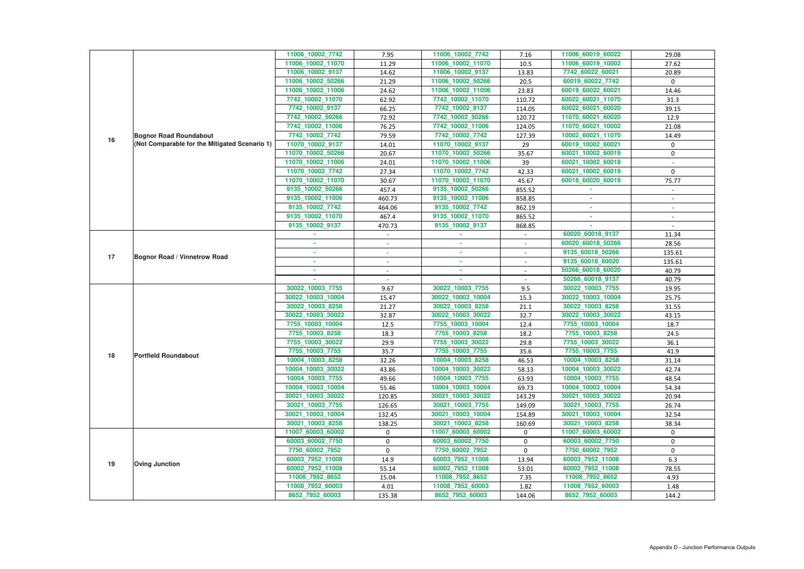|    |                                               | 11006_10002_7742  | 7.95           | 11006_10002_7742  | 7.16   | 11006_60019_60022 | 29.08        |
|----|-----------------------------------------------|-------------------|----------------|-------------------|--------|-------------------|--------------|
|    |                                               | 11006_10002_11070 | 11.29          | 11006_10002_11070 | 10.5   | 11006_60019_10002 | 27.62        |
|    |                                               | 11006_10002_9137  | 14.62          | 11006_10002_9137  | 13.83  | 7742_60022_60021  | 20.89        |
|    |                                               | 11006_10002_50266 | 21.29          | 11006_10002_50266 | 20.5   | 60019_60022_7742  | $\mathbf{0}$ |
|    |                                               | 11006_10002_11006 | 24.62          | 11006_10002_11006 | 23.83  | 60019_60022_60021 | 14.46        |
|    |                                               | 7742_10002_11070  | 62.92          | 7742_10002_11070  | 110.72 | 60022_60021_11070 | 31.3         |
|    |                                               | 7742_10002_9137   | 66.25          | 7742_10002_9137   | 114.05 | 60022_60021_60020 | 39.15        |
|    |                                               | 7742_10002_50266  | 72.92          | 7742_10002_50266  | 120.72 | 11070_60021_60020 | 12.9         |
|    |                                               | 7742_10002_11006  | 76.25          | 7742_10002_11006  | 124.05 | 11070_60021_10002 | 21.08        |
| 16 | <b>Bognor Road Roundabout</b>                 | 7742_10002_7742   | 79.59          | 7742_10002_7742   | 127.39 | 10002_60021_11070 | 14.49        |
|    | (Not Comparable for the Mitigated Scenario 1) | 11070_10002_9137  | 14.01          | 11070_10002_9137  | 29     | 60019_10002_60021 | 0            |
|    |                                               | 11070_10002_50266 | 20.67          | 11070_10002_50266 | 35.67  | 60021_10002_60019 | $\mathbf 0$  |
|    |                                               | 11070_10002_11006 | 24.01          | 11070_10002_11006 | 39     | 60021_10002_60018 |              |
|    |                                               | 11070_10002_7742  | 27.34          | 11070_10002_7742  | 42.33  | 60021_10002_60019 | $\mathbf{0}$ |
|    |                                               | 11070_10002_11070 | 30.67          | 11070_10002_11070 | 45.67  | 60018_60020_60019 | 75.77        |
|    |                                               | 9135_10002_50266  | 457.4          | 9135_10002_50266  | 855.52 |                   |              |
|    |                                               | 9135_10002_11006  | 460.73         | 9135_10002_11006  | 858.85 |                   |              |
|    |                                               | 9135_10002_7742   | 464.06         | 9135_10002_7742   | 862.19 | $\sim$            | $\sim$       |
|    |                                               | 9135_10002_11070  | 467.4          | 9135_10002_11070  | 865.52 | ×.                |              |
|    |                                               | 9135_10002_9137   | 470.73         | 9135_10002_9137   | 868.85 |                   |              |
|    |                                               |                   |                |                   |        | 60020_60018_9137  | 11.34        |
|    |                                               | ٠                 | $\sim$         | ×.                | $\sim$ | 60020_60018_50266 | 28.56        |
|    |                                               | ٠                 | $\blacksquare$ | $\sim$            | $\sim$ | 9135_60018_50266  | 135.61       |
| 17 | <b>Bognor Road / Vinnetrow Road</b>           | ٠                 |                | $\sim$            |        | 9135_60018_60020  | 135.61       |
|    |                                               |                   |                | $\sim$            |        | 50266_60018_60020 | 40.79        |
|    |                                               |                   |                |                   |        | 50266_60018_9137  | 40.79        |
|    |                                               | 30022_10003_7755  | 9.67           | 30022_10003_7755  | 9.5    | 30022_10003_7755  | 19.95        |
|    |                                               | 30022_10003_10004 | 15.47          | 30022_10003_10004 | 15.3   | 30022_10003_10004 | 25.75        |
|    |                                               | 30022_10003_8258  | 21.27          | 30022_10003_8258  | 21.1   | 30022_10003_8258  | 31.55        |
|    |                                               | 30022_10003_30022 | 32.87          | 30022_10003_30022 | 32.7   | 30022_10003_30022 | 43.15        |
|    |                                               | 7755_10003_10004  | 12.5           | 7755 10003 10004  | 12.4   | 7755 10003 10004  | 18.7         |
|    |                                               | 7755 10003 8258   | 18.3           | 7755_10003_8258   | 18.2   | 7755_10003_8258   | 24.5         |
|    |                                               | 7755_10003_30022  | 29.9           | 7755_10003_30022  | 29.8   | 7755_10003_30022  | 36.1         |
|    |                                               | 7755_10003_7755   | 35.7           | 7755_10003_7755   | 35.6   | 7755_10003_7755   | 41.9         |
| 18 | <b>Portfield Roundabout</b>                   | 10004_10003_8258  | 32.26          | 10004_10003_8258  | 46.53  | 10004_10003_8258  | 31.14        |
|    |                                               | 10004 10003 30022 | 43.86          | 10004_10003_30022 | 58.13  | 10004_10003_30022 | 42.74        |
|    |                                               | 10004_10003_7755  | 49.66          | 10004_10003_7755  | 63.93  | 10004_10003_7755  | 48.54        |
|    |                                               | 10004_10003_10004 | 55.46          | 10004_10003_10004 | 69.73  | 10004_10003_10004 | 54.34        |
|    |                                               | 30021_10003_30022 | 120.85         | 30021_10003_30022 | 143.29 | 30021_10003_30022 | 20.94        |
|    |                                               | 30021_10003_7755  | 126.65         | 30021_10003_7755  | 149.09 | 30021_10003_7755  | 26.74        |
|    |                                               | 30021_10003_10004 | 132.45         | 30021_10003_10004 | 154.89 | 30021_10003_10004 | 32.54        |
|    |                                               | 30021_10003_8258  | 138.25         | 30021_10003_8258  | 160.69 | 30021_10003_8258  | 38.34        |
|    |                                               | 11007_60003_60002 | $\mathbf{0}$   | 11007_60003_60002 | 0      | 11007_60003_60002 | 0            |
|    |                                               | 60003_60002_7750  | $\mathbf 0$    | 60003_60002_7750  | 0      | 60003_60002_7750  | 0            |
|    |                                               | 7750_60002_7952   | 0              | 7750_60002_7952   | 0      | 7750_60002_7952   | 0            |
|    |                                               | 60003_7952_11008  | 14.9           | 60003_7952_11008  | 13.94  | 60003_7952_11008  | 6.3          |
| 19 | <b>Oving Junction</b>                         |                   |                | 60002_7952_11008  | 53.01  | 60002_7952_11008  | 78.55        |
|    |                                               | 60002_7952_11008  | 55.14          |                   |        |                   |              |
|    |                                               | 11008_7952_8652   | 15.04          | 11008_7952_8652   | 7.35   | 11008_7952_8652   | 4.93         |
|    |                                               | 11008_7952_60003  | 4.01           | 11008_7952_60003  | 1.82   | 11008_7952_60003  | 1.48         |
|    |                                               | 8652_7952_60003   | 135.38         | 8652_7952_60003   | 144.06 | 8652_7952_60003   | 144.2        |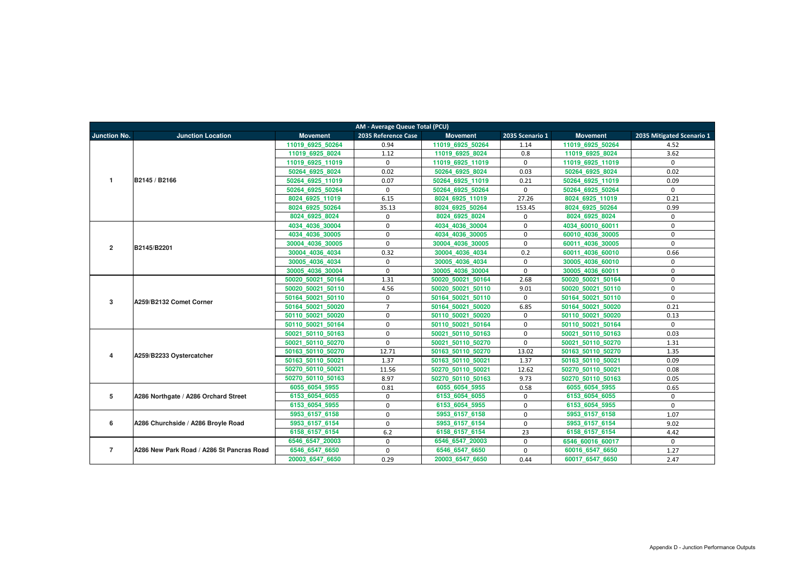|                     | AM - Average Queue Total (PCU)            |                   |                     |                   |                     |                   |                           |  |  |  |  |
|---------------------|-------------------------------------------|-------------------|---------------------|-------------------|---------------------|-------------------|---------------------------|--|--|--|--|
| <b>Junction No.</b> | <b>Junction Location</b>                  | <b>Movement</b>   | 2035 Reference Case | <b>Movement</b>   | 2035 Scenario 1     | <b>Movement</b>   | 2035 Mitigated Scenario 1 |  |  |  |  |
|                     |                                           | 11019 6925 50264  | 0.94                | 11019 6925 50264  | 1.14                | 11019 6925 50264  | 4.52                      |  |  |  |  |
|                     |                                           | 11019 6925 8024   | 1.12                | 11019 6925 8024   | 0.8                 | 11019 6925 8024   | 3.62                      |  |  |  |  |
|                     |                                           | 11019_6925_11019  | $\mathbf{0}$        | 11019 6925 11019  | $\mathbf 0$         | 11019 6925 11019  | $\mathbf{0}$              |  |  |  |  |
|                     |                                           | 50264 6925 8024   | 0.02                | 50264 6925 8024   | 0.03                | 50264 6925 8024   | 0.02                      |  |  |  |  |
| $\mathbf{1}$        | B2145 / B2166                             | 50264_6925_11019  | 0.07                | 50264_6925_11019  | 0.21                | 50264 6925 11019  | 0.09                      |  |  |  |  |
|                     |                                           | 50264 6925 50264  | $\mathbf{0}$        | 50264 6925 50264  | $\mathbf 0$         | 50264 6925 50264  | $\Omega$                  |  |  |  |  |
|                     |                                           | 8024 6925 11019   | 6.15                | 8024 6925 11019   | 27.26               | 8024 6925 11019   | 0.21                      |  |  |  |  |
|                     |                                           | 8024 6925 50264   | 35.13               | 8024_6925_50264   | 153.45              | 8024 6925 50264   | 0.99                      |  |  |  |  |
|                     |                                           | 8024 6925 8024    | $\Omega$            | 8024 6925 8024    | 0                   | 8024 6925 8024    | $\Omega$                  |  |  |  |  |
|                     |                                           | 4034_4036_30004   | $\Omega$            | 4034_4036_30004   | $\mathbf 0$         | 4034 60010 60011  | $\Omega$                  |  |  |  |  |
|                     |                                           | 4034 4036 30005   | $\Omega$            | 4034 4036 30005   | $\mathbf 0$         | 60010 4036 30005  | $\Omega$                  |  |  |  |  |
| $\overline{2}$      | B2145/B2201                               | 30004 4036 30005  | 0                   | 30004 4036 30005  | $\mathbf 0$         | 60011 4036 30005  | $\Omega$                  |  |  |  |  |
|                     |                                           | 30004 4036 4034   | 0.32                | 30004 4036 4034   | 0.2                 | 60011 4036 60010  | 0.66                      |  |  |  |  |
|                     |                                           | 30005 4036 4034   | $\mathbf 0$         | 30005 4036 4034   | $\mathbf 0$         | 30005 4036 60010  | $\Omega$                  |  |  |  |  |
|                     |                                           | 30005 4036 30004  | $\mathbf{0}$        | 30005 4036 30004  | $\mathbf 0$         | 30005 4036 60011  | $\Omega$                  |  |  |  |  |
|                     | A259/B2132 Comet Corner                   | 50020 50021 50164 | 1.31                | 50020 50021 50164 | 2.68                | 50020 50021 50164 | $\Omega$                  |  |  |  |  |
|                     |                                           | 50020 50021 50110 | 4.56                | 50020 50021 50110 | 9.01                | 50020 50021 50110 | $\Omega$                  |  |  |  |  |
| 3                   |                                           | 50164 50021 50110 | $\mathbf 0$         | 50164 50021 50110 | $\mathbf 0$         | 50164 50021 50110 | $\mathbf 0$               |  |  |  |  |
|                     |                                           | 50164 50021 50020 | $\overline{7}$      | 50164 50021 50020 | 6.85                | 50164 50021 50020 | 0.21                      |  |  |  |  |
|                     |                                           | 50110 50021 50020 | $\mathbf 0$         | 50110 50021 50020 | $\mathbf 0$         | 50110 50021 50020 | 0.13                      |  |  |  |  |
|                     |                                           | 50110 50021 50164 | $\mathbf 0$         | 50110 50021 50164 | $\mathbf 0$         | 50110 50021 50164 | $\Omega$                  |  |  |  |  |
|                     |                                           | 50021 50110 50163 | $\mathbf{0}$        | 50021 50110 50163 | $\mathbf 0$         | 50021 50110 50163 | 0.03                      |  |  |  |  |
|                     |                                           | 50021 50110 50270 | $\mathbf 0$         | 50021 50110 50270 | $\mathsf{O}\xspace$ | 50021 50110 50270 | 1.31                      |  |  |  |  |
| 4                   | A259/B2233 Oystercatcher                  | 50163 50110 50270 | 12.71               | 50163 50110 50270 | 13.02               | 50163 50110 50270 | 1.35                      |  |  |  |  |
|                     |                                           | 50163 50110 50021 | 1.37                | 50163_50110_50021 | 1.37                | 50163 50110 50021 | 0.09                      |  |  |  |  |
|                     |                                           | 50270 50110 50021 | 11.56               | 50270 50110 50021 | 12.62               | 50270 50110 50021 | 0.08                      |  |  |  |  |
|                     |                                           | 50270 50110 50163 | 8.97                | 50270 50110 50163 | 9.73                | 50270 50110 50163 | 0.05                      |  |  |  |  |
|                     |                                           | 6055 6054 5955    | 0.81                | 6055 6054 5955    | 0.58                | 6055_6054_5955    | 0.65                      |  |  |  |  |
| 5                   | A286 Northgate / A286 Orchard Street      | 6153 6054 6055    | $\mathbf 0$         | 6153 6054 6055    | $\mathbf 0$         | 6153 6054 6055    | $\mathbf 0$               |  |  |  |  |
|                     |                                           | 6153 6054 5955    | $\mathbf 0$         | 6153 6054 5955    | $\mathbf 0$         | 6153 6054 5955    | $\mathbf 0$               |  |  |  |  |
|                     |                                           | 5953 6157 6158    | $\mathbf{0}$        | 5953 6157 6158    | $\mathbf 0$         | 5953 6157 6158    | 1.07                      |  |  |  |  |
| 6                   | A286 Churchside / A286 Broyle Road        | 5953 6157 6154    | $\mathbf{0}$        | 5953 6157 6154    | $\mathbf 0$         | 5953 6157 6154    | 9.02                      |  |  |  |  |
|                     |                                           | 6158 6157 6154    | 6.2                 | 6158 6157 6154    | 23                  | 6158 6157 6154    | 4.42                      |  |  |  |  |
|                     |                                           | 6546 6547 20003   | $\mathbf 0$         | 6546 6547 20003   | $\mathbf 0$         | 6546 60016 60017  | $\mathbf 0$               |  |  |  |  |
| $\overline{7}$      | A286 New Park Road / A286 St Pancras Road | 6546_6547_6650    | $\mathbf{0}$        | 6546_6547_6650    | $\mathbf 0$         | 60016_6547_6650   | 1.27                      |  |  |  |  |
|                     |                                           | 20003_6547_6650   | 0.29                | 20003_6547_6650   | 0.44                | 60017_6547_6650   | 2.47                      |  |  |  |  |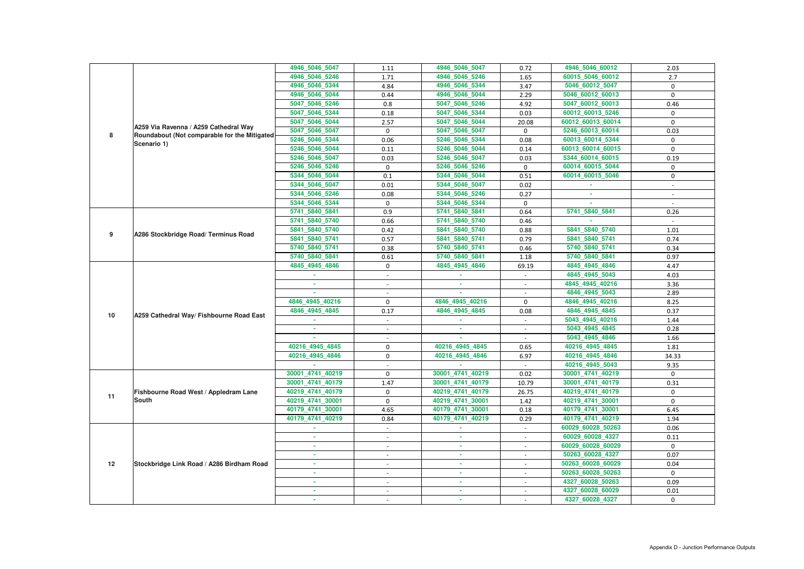|    |                                              | 4946_5046_5047   | 1.11                     | 4946_5046_5047   | 0.72                     | 4946_5046_60012   | 2.03           |
|----|----------------------------------------------|------------------|--------------------------|------------------|--------------------------|-------------------|----------------|
|    |                                              | 4946_5046_5246   | 1.71                     | 4946_5046_5246   | 1.65                     | 60015_5046_60012  | 2.7            |
|    |                                              | 4946_5046_5344   | 4.84                     | 4946_5046_5344   | 3.47                     | 5046_60012_5047   | 0              |
|    |                                              | 4946_5046_5044   | 0.44                     | 4946_5046_5044   | 2.29                     | 5046_60012_60013  | 0              |
|    |                                              | 5047_5046_5246   | 0.8                      | 5047 5046 5246   | 4.92                     | 5047_60012_60013  | 0.46           |
|    |                                              | 5047_5046_5344   | 0.18                     | 5047_5046_5344   | 0.03                     | 60012_60013_5246  | $\mathbf 0$    |
|    |                                              | 5047_5046_5044   | 2.57                     | 5047_5046_5044   | 20.08                    | 60012_60013_60014 | $\Omega$       |
|    | A259 Via Ravenna / A259 Cathedral Way        | 5047_5046_5047   | $\mathbf 0$              | 5047_5046_5047   | $\mathbf 0$              | 5246_60013_60014  | 0.03           |
| 8  | Roundabout (Not comparable for the Mitigated | 5246_5046_5344   | 0.06                     | 5246_5046_5344   | 0.08                     | 60013_60014_5344  | $\mathbf{0}$   |
|    | Scenario 1)                                  | 5246_5046_5044   | 0.11                     | 5246_5046_5044   | 0.14                     | 60013_60014_60015 | $\mathbf 0$    |
|    |                                              | 5246_5046_5047   | 0.03                     | 5246 5046 5047   | 0.03                     | 5344 60014 60015  | 0.19           |
|    |                                              | 5246_5046_5246   | $\mathbf 0$              | 5246_5046_5246   | $\mathbf 0$              | 60014_60015_5044  | 0              |
|    |                                              | 5344_5046_5044   | 0.1                      | 5344_5046_5044   | 0.51                     | 60014_60015_5046  | $\mathbf 0$    |
|    |                                              | 5344_5046_5047   | 0.01                     | 5344_5046_5047   | 0.02                     |                   | $\sim$         |
|    |                                              | 5344_5046_5246   | 0.08                     | 5344_5046_5246   | 0.27                     | ×.                |                |
|    |                                              | 5344_5046_5344   | $\mathbf 0$              | 5344_5046_5344   | $\mathbf 0$              | a.                |                |
|    |                                              | 5741_5840_5841   | 0.9                      | 5741_5840_5841   | 0.64                     | 5741_5840_5841    | 0.26           |
|    |                                              | 5741_5840_5740   | 0.66                     | 5741_5840_5740   | 0.46                     |                   |                |
| 9  | A286 Stockbridge Road/ Terminus Road         | 5841 5840 5740   | 0.42                     | 5841_5840_5740   | 0.88                     | 5841_5840_5740    | 1.01           |
|    |                                              | 5841_5840_5741   | 0.57                     | 5841_5840_5741   | 0.79                     | 5841_5840_5741    | 0.74           |
|    |                                              | 5740_5840_5741   | 0.38                     | 5740_5840_5741   | 0.46                     | 5740_5840_5741    | 0.34           |
|    |                                              | 5740_5840_5841   | 0.61                     | 5740_5840_5841   | 1.18                     | 5740_5840_5841    | 0.97           |
|    |                                              | 4845_4945_4846   | $\mathbf 0$              | 4845_4945_4846   | 69.19                    | 4845_4945_4846    | 4.47           |
|    |                                              |                  | $\blacksquare$           |                  | $\blacksquare$           | 4845_4945_5043    | 4.03           |
|    |                                              | ×.               |                          |                  |                          | 4845_4945_40216   | 3.36           |
|    | A259 Cathedral Way/ Fishbourne Road East     |                  |                          |                  | $\overline{\phantom{a}}$ | 4846_4945_5043    | 2.89           |
|    |                                              | 4846 4945 40216  | $\mathbf 0$              | 4846_4945_40216  | $\mathbf 0$              | 4846_4945_40216   | 8.25           |
| 10 |                                              | 4846_4945_4845   | 0.17                     | 4846_4945_4845   | 0.08                     | 4846_4945_4845    | 0.37           |
|    |                                              |                  |                          |                  |                          | 5043_4945_40216   | 1.44           |
|    |                                              |                  |                          |                  | $\overline{\phantom{a}}$ | 5043_4945_4845    | 0.28           |
|    |                                              |                  | $\blacksquare$           |                  | $\overline{\phantom{a}}$ | 5043_4945_4846    | 1.66           |
|    |                                              | 40216 4945 4845  | $\mathbf 0$              | 40216 4945 4845  | 0.65                     | 40216 4945 4845   | 1.81           |
|    |                                              | 40216_4945_4846  | $\mathbf 0$              | 40216_4945_4846  | 6.97                     | 40216_4945_4846   | 34.33          |
|    |                                              |                  |                          |                  |                          | 40216_4945_5043   | 9.35           |
|    |                                              | 30001_4741_40219 | $\mathbf{0}$             | 30001_4741_40219 | 0.02                     | 30001_4741_40219  | $\Omega$       |
|    |                                              | 30001 4741 40179 | 1.47                     | 30001 4741 40179 | 10.79                    | 30001_4741_40179  | 0.31           |
| 11 | Fishbourne Road West / Appledram Lane        | 40219_4741_40179 | 0                        | 40219_4741_40179 | 26.75                    | 40219_4741_40179  | $\mathbf 0$    |
|    | <b>South</b>                                 | 40219_4741_30001 | $\mathbf 0$              | 40219_4741_30001 | 1.42                     | 40219_4741_30001  | $\mathbf{0}$   |
|    |                                              | 40179_4741_30001 | 4.65                     | 40179_4741_30001 | 0.18                     | 40179_4741_30001  | 6.45           |
|    |                                              | 40179_4741_40219 | 0.84                     | 40179_4741_40219 | 0.29                     | 40179_4741_40219  | 1.94           |
|    |                                              | $\sim$           | $\sim$                   | ×.               | $\sim$                   | 60029_60028_50263 | 0.06           |
|    |                                              | $\sim$           | $\overline{\phantom{a}}$ | $\sim$           | $\sim$                   | 60029_60028_4327  | 0.11           |
|    |                                              | ×.               |                          | m.               | $\sim$                   | 60029_60028_60029 | $\mathbf{0}$   |
|    |                                              | m.               | $\overline{\phantom{a}}$ | <b>COL</b>       | $\sim$                   | 50263_60028_4327  | 0.07           |
| 12 | Stockbridge Link Road / A286 Birdham Road    |                  | $\overline{\phantom{a}}$ | ×.               | $\sim$                   | 50263_60028_60029 | 0.04           |
|    |                                              | ×.               | $\sim$                   | $\sim$           | $\sim$                   | 50263_60028_50263 | $\mathbf 0$    |
|    |                                              | ٠                |                          | ٠                | $\sim$                   | 4327_60028_50263  | 0.09           |
|    |                                              |                  |                          | $\sim$           | $\sim$                   | 4327_60028_60029  | 0.01           |
|    |                                              |                  | $\overline{\phantom{a}}$ | ٠                | $\overline{\phantom{a}}$ | 4327_60028_4327   | $\overline{0}$ |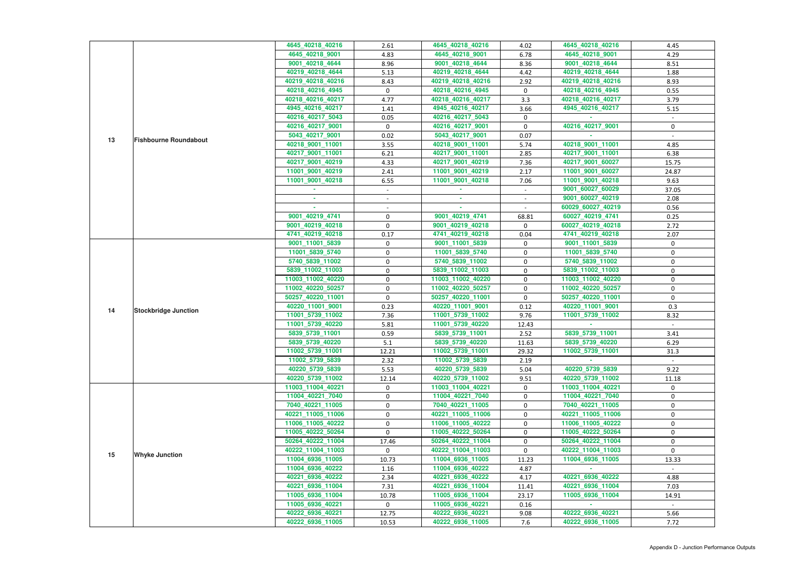|    |                              | 4645_40218_40216  | 2.61             | 4645_40218_40216  | 4.02         | 4645_40218_40216  | 4.45        |
|----|------------------------------|-------------------|------------------|-------------------|--------------|-------------------|-------------|
|    |                              | 4645_40218_9001   | 4.83             | 4645_40218_9001   | 6.78         | 4645_40218_9001   | 4.29        |
|    |                              | 9001_40218_4644   | 8.96             | 9001_40218_4644   | 8.36         | 9001_40218_4644   | 8.51        |
|    |                              | 40219_40218_4644  | 5.13             | 40219_40218_4644  | 4.42         | 40219_40218_4644  | 1.88        |
|    |                              | 40219_40218_40216 | 8.43             | 40219_40218_40216 | 2.92         | 40219_40218_40216 | 8.93        |
|    |                              | 40218_40216_4945  | $\mathbf 0$      | 40218_40216_4945  | $\mathbf 0$  | 40218_40216_4945  | 0.55        |
|    |                              | 40218_40216_40217 | 4.77             | 40218_40216_40217 | 3.3          | 40218_40216_40217 | 3.79        |
|    |                              | 4945_40216_40217  | 1.41             | 4945_40216_40217  | 3.66         | 4945_40216_40217  | 5.15        |
|    |                              | 40216_40217_5043  | 0.05             | 40216_40217_5043  | 0            |                   |             |
|    |                              | 40216_40217_9001  | 0                | 40216_40217_9001  | $\mathbf 0$  | 40216_40217_9001  | 0           |
|    |                              | 5043_40217_9001   | 0.02             | 5043_40217_9001   | 0.07         |                   |             |
| 13 | <b>Fishbourne Roundabout</b> | 40218_9001_11001  |                  | 40218_9001_11001  |              | 40218_9001_11001  |             |
|    |                              |                   | 3.55             |                   | 5.74         |                   | 4.85        |
|    |                              | 40217_9001_11001  | 6.21             | 40217_9001_11001  | 2.85         | 40217_9001_11001  | 6.38        |
|    |                              | 40217_9001_40219  | 4.33             | 40217_9001_40219  | 7.36         | 40217_9001_60027  | 15.75       |
|    |                              | 11001_9001_40219  | 2.41             | 11001_9001_40219  | 2.17         | 11001_9001_60027  | 24.87       |
|    |                              | 11001_9001_40218  | 6.55             | 11001_9001_40218  | 7.06         | 11001_9001_40218  | 9.63        |
|    |                              |                   | $\sim$           |                   | $\sim$       | 9001_60027_60029  | 37.05       |
|    |                              |                   |                  | ×.                |              | 9001_60027_40219  | 2.08        |
|    |                              |                   |                  |                   |              | 60029_60027_40219 | 0.56        |
|    |                              | 9001_40219_4741   | $\pmb{0}$        | 9001 40219 4741   | 68.81        | 60027_40219_4741  | 0.25        |
|    |                              | 9001_40219_40218  | $\mathbf 0$      | 9001_40219_40218  | 0            | 60027_40219_40218 | 2.72        |
|    |                              | 4741_40219_40218  | 0.17             | 4741_40219_40218  | 0.04         | 4741_40219_40218  | 2.07        |
|    |                              | 9001_11001_5839   | 0                | 9001_11001_5839   | 0            | 9001_11001_5839   | 0           |
|    |                              | 11001_5839_5740   | $\boldsymbol{0}$ | 11001_5839_5740   | $\pmb{0}$    | 11001_5839_5740   | $\mathbf 0$ |
|    |                              | 5740_5839_11002   | 0                | 5740_5839_11002   | 0            | 5740_5839_11002   | 0           |
|    | <b>Stockbridge Junction</b>  | 5839_11002_11003  | 0                | 5839_11002_11003  | $\mathbf 0$  | 5839_11002_11003  | $\mathbf 0$ |
|    |                              | 11003_11002_40220 | $\pmb{0}$        | 11003_11002_40220 | $\mathbf 0$  | 11003_11002_40220 | $\mathbf 0$ |
|    |                              | 11002_40220_50257 | $\boldsymbol{0}$ | 11002_40220_50257 | $\mathbf 0$  | 11002_40220_50257 | 0           |
|    |                              | 50257_40220_11001 | $\pmb{0}$        | 50257_40220_11001 | $\mathbf 0$  | 50257_40220_11001 | 0           |
| 14 |                              | 40220_11001_9001  | 0.23             | 40220_11001_9001  | 0.12         | 40220 11001 9001  | 0.3         |
|    |                              | 11001_5739_11002  | 7.36             | 11001_5739_11002  | 9.76         | 11001 5739 11002  | 8.32        |
|    |                              | 11001_5739_40220  | 5.81             | 11001_5739_40220  | 12.43        |                   |             |
|    |                              | 5839_5739_11001   | 0.59             | 5839_5739_11001   | 2.52         | 5839_5739_11001   | 3.41        |
|    |                              | 5839_5739_40220   | 5.1              | 5839_5739_40220   | 11.63        | 5839_5739_40220   | 6.29        |
|    |                              | 11002_5739_11001  | 12.21            | 11002_5739_11001  | 29.32        | 11002_5739_11001  | 31.3        |
|    |                              | 11002_5739_5839   | 2.32             | 11002_5739_5839   | 2.19         |                   |             |
|    |                              | 40220_5739_5839   | 5.53             | 40220 5739 5839   | 5.04         | 40220_5739_5839   | 9.22        |
|    |                              | 40220_5739_11002  | 12.14            | 40220_5739_11002  | 9.51         | 40220_5739_11002  | 11.18       |
|    |                              | 11003 11004 40221 | $\mathbf{0}$     | 11003_11004_40221 | $\mathbf{0}$ | 11003 11004 40221 | $\mathbf 0$ |
|    |                              | 11004_40221_7040  | 0                | 11004_40221_7040  | 0            | 11004_40221_7040  | 0           |
|    |                              | 7040_40221_11005  | 0                | 7040_40221_11005  | 0            | 7040_40221_11005  | 0           |
|    |                              | 40221_11005_11006 | $\boldsymbol{0}$ | 40221_11005_11006 | $\pmb{0}$    | 40221_11005_11006 | 0           |
|    |                              | 11006_11005_40222 | $\mathbf 0$      | 11006 11005 40222 | 0            | 11006_11005_40222 | 0           |
|    |                              | 11005_40222_50264 | $\mathbf 0$      | 11005_40222_50264 | 0            | 11005_40222_50264 | 0           |
|    |                              | 50264_40222_11004 | 17.46            | 50264_40222_11004 | $\mathbf 0$  | 50264_40222_11004 | 0           |
|    |                              | 40222_11004_11003 | $\mathbf{0}$     | 40222_11004_11003 | $\mathbf 0$  | 40222 11004 11003 | $\Omega$    |
| 15 | <b>Whyke Junction</b>        | 11004_6936_11005  | 10.73            | 11004_6936_11005  | 11.23        | 11004_6936_11005  | 13.33       |
|    |                              | 11004_6936_40222  | 1.16             | 11004_6936_40222  | 4.87         |                   |             |
|    |                              | 40221_6936_40222  | 2.34             | 40221_6936_40222  | 4.17         | 40221_6936_40222  | 4.88        |
|    |                              | 40221_6936_11004  | 7.31             | 40221_6936_11004  | 11.41        | 40221_6936_11004  | 7.03        |
|    |                              | 11005_6936_11004  | 10.78            | 11005_6936_11004  | 23.17        | 11005 6936 11004  | 14.91       |
|    |                              | 11005_6936_40221  | $\mathbf 0$      | 11005_6936_40221  | 0.16         |                   |             |
|    |                              | 40222_6936_40221  | 12.75            | 40222_6936_40221  | 9.08         | 40222_6936_40221  | 5.66        |
|    |                              | 40222_6936_11005  | 10.53            | 40222_6936_11005  | 7.6          | 40222_6936_11005  | 7.72        |
|    |                              |                   |                  |                   |              |                   |             |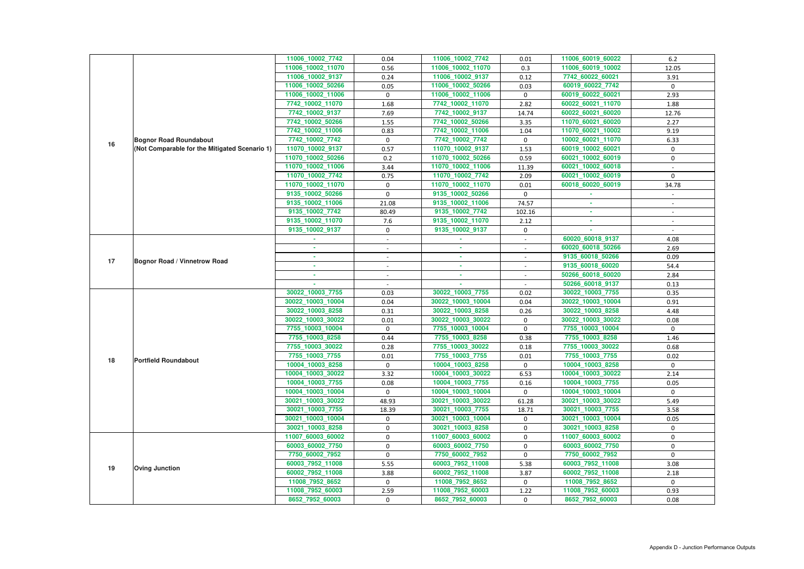|    |                                               | 11006_10002_7742  | 0.04           | 11006_10002_7742  | 0.01                     | 11006_60019_60022 | $6.2$                    |
|----|-----------------------------------------------|-------------------|----------------|-------------------|--------------------------|-------------------|--------------------------|
|    |                                               | 11006_10002_11070 | 0.56           | 11006_10002_11070 | 0.3                      | 11006_60019_10002 | 12.05                    |
|    |                                               | 11006_10002_9137  | 0.24           | 11006_10002_9137  | 0.12                     | 7742_60022_60021  | 3.91                     |
|    |                                               | 11006_10002_50266 | 0.05           | 11006_10002_50266 | 0.03                     | 60019_60022_7742  | $\mathbf 0$              |
|    |                                               | 11006_10002_11006 | $\mathbf 0$    | 11006_10002_11006 | 0                        | 60019_60022_60021 | 2.93                     |
|    |                                               | 7742_10002_11070  | 1.68           | 7742_10002_11070  | 2.82                     | 60022_60021_11070 | 1.88                     |
|    |                                               | 7742_10002_9137   | 7.69           | 7742_10002_9137   | 14.74                    | 60022_60021_60020 | 12.76                    |
|    |                                               | 7742_10002_50266  | 1.55           | 7742_10002_50266  | 3.35                     | 11070_60021_60020 | 2.27                     |
|    |                                               | 7742_10002_11006  | 0.83           | 7742_10002_11006  | 1.04                     | 11070 60021 10002 | 9.19                     |
|    | <b>Bognor Road Roundabout</b>                 | 7742_10002_7742   | $\mathbf 0$    | 7742_10002_7742   | $\mathbf 0$              | 10002_60021_11070 | 6.33                     |
| 16 | (Not Comparable for the Mitigated Scenario 1) | 11070_10002_9137  | 0.57           | 11070_10002_9137  | 1.53                     | 60019_10002_60021 | $\mathbf 0$              |
|    |                                               | 11070_10002_50266 | 0.2            | 11070_10002_50266 | 0.59                     | 60021_10002_60019 | $\mathbf 0$              |
|    |                                               | 11070_10002_11006 | 3.44           | 11070_10002_11006 | 11.39                    | 60021_10002_60018 |                          |
|    |                                               | 11070_10002_7742  | 0.75           | 11070_10002_7742  | 2.09                     | 60021_10002_60019 | $\mathbf 0$              |
|    |                                               | 11070_10002_11070 | 0              | 11070_10002_11070 | 0.01                     | 60018_60020_60019 | 34.78                    |
|    |                                               | 9135_10002_50266  | $\Omega$       | 9135_10002_50266  | $\mathbf 0$              |                   |                          |
|    |                                               | 9135_10002_11006  | 21.08          | 9135_10002_11006  | 74.57                    |                   |                          |
|    |                                               | 9135_10002_7742   | 80.49          | 9135_10002_7742   | 102.16                   | ٠                 | $\overline{\phantom{a}}$ |
|    |                                               | 9135_10002_11070  | 7.6            | 9135_10002_11070  | 2.12                     | ×.                |                          |
|    |                                               | 9135_10002_9137   | 0              | 9135_10002_9137   | $\mathbf 0$              |                   |                          |
|    |                                               |                   |                |                   | $\overline{\phantom{a}}$ | 60020_60018_9137  | 4.08                     |
|    |                                               |                   | $\blacksquare$ | ٠                 | $\sim$                   | 60020_60018_50266 | 2.69                     |
|    |                                               |                   | $\sim$         | ٠                 | $\sim$                   | 9135_60018_50266  | 0.09                     |
| 17 | <b>Bognor Road / Vinnetrow Road</b>           |                   |                | ٠                 |                          | 9135_60018_60020  | 54.4                     |
|    |                                               |                   |                | ×.                | $\blacksquare$           | 50266_60018_60020 | 2.84                     |
|    |                                               |                   |                |                   | $\overline{\phantom{a}}$ | 50266_60018_9137  | 0.13                     |
|    |                                               | 30022_10003_7755  | 0.03           | 30022_10003_7755  | 0.02                     | 30022_10003_7755  | 0.35                     |
|    |                                               | 30022_10003_10004 | 0.04           | 30022_10003_10004 | 0.04                     | 30022_10003_10004 | 0.91                     |
|    |                                               | 30022_10003_8258  | 0.31           | 30022_10003_8258  | 0.26                     | 30022_10003_8258  | 4.48                     |
|    |                                               | 30022_10003_30022 | 0.01           | 30022_10003_30022 | 0                        | 30022_10003_30022 | 0.08                     |
|    |                                               | 7755_10003_10004  | $\mathbf 0$    | 7755_10003_10004  | 0                        | 7755_10003_10004  | $\mathbf{0}$             |
|    |                                               | 7755_10003_8258   | 0.44           | 7755_10003_8258   | 0.38                     | 7755_10003_8258   | 1.46                     |
|    |                                               | 7755_10003_30022  | 0.28           | 7755_10003_30022  | 0.18                     | 7755_10003_30022  | 0.68                     |
|    |                                               | 7755_10003_7755   | $0.01\,$       | 7755_10003_7755   | $0.01\,$                 | 7755_10003_7755   | 0.02                     |
| 18 | <b>Portfield Roundabout</b>                   | 10004_10003_8258  | $\mathbf 0$    | 10004_10003_8258  | 0                        | 10004_10003_8258  | $\mathbf 0$              |
|    |                                               | 10004_10003_30022 | 3.32           | 10004_10003_30022 | 6.53                     | 10004_10003_30022 | 2.14                     |
|    |                                               | 10004_10003_7755  | 0.08           | 10004_10003_7755  | 0.16                     | 10004_10003_7755  | 0.05                     |
|    |                                               | 10004_10003_10004 | $\mathbf{0}$   | 10004_10003_10004 | $\mathbf{0}$             | 10004_10003_10004 | $\mathbf{0}$             |
|    |                                               | 30021_10003_30022 | 48.93          | 30021_10003_30022 | 61.28                    | 30021_10003_30022 | 5.49                     |
|    |                                               | 30021_10003_7755  | 18.39          | 30021_10003_7755  | 18.71                    | 30021_10003_7755  | 3.58                     |
|    |                                               | 30021_10003_10004 | $\mathbf{0}$   | 30021_10003_10004 | 0                        | 30021_10003_10004 | 0.05                     |
|    |                                               | 30021_10003_8258  | $\mathbf 0$    | 30021_10003_8258  | 0                        | 30021_10003_8258  | $\mathbf{0}$             |
|    |                                               | 11007_60003_60002 | 0              | 11007_60003_60002 | 0                        | 11007_60003_60002 | 0                        |
|    |                                               | 60003_60002_7750  | 0              | 60003_60002_7750  | 0                        | 60003_60002_7750  | $\mathbf 0$              |
|    |                                               | 7750_60002_7952   | $\mathbf 0$    | 7750_60002_7952   | $\mathbf{0}$             | 7750_60002_7952   | $\mathbf{0}$             |
|    |                                               | 60003_7952_11008  | 5.55           | 60003_7952_11008  | 5.38                     | 60003_7952_11008  | 3.08                     |
| 19 | <b>Oving Junction</b>                         | 60002_7952_11008  | 3.88           | 60002_7952_11008  | 3.87                     | 60002_7952_11008  | 2.18                     |
|    |                                               | 11008_7952_8652   | $\mathbf 0$    | 11008_7952_8652   | 0                        | 11008_7952_8652   | $\mathbf{0}$             |
|    |                                               |                   |                |                   |                          |                   |                          |
|    |                                               | 11008_7952_60003  | 2.59           | 11008_7952_60003  | 1.22                     | 11008_7952_60003  | 0.93                     |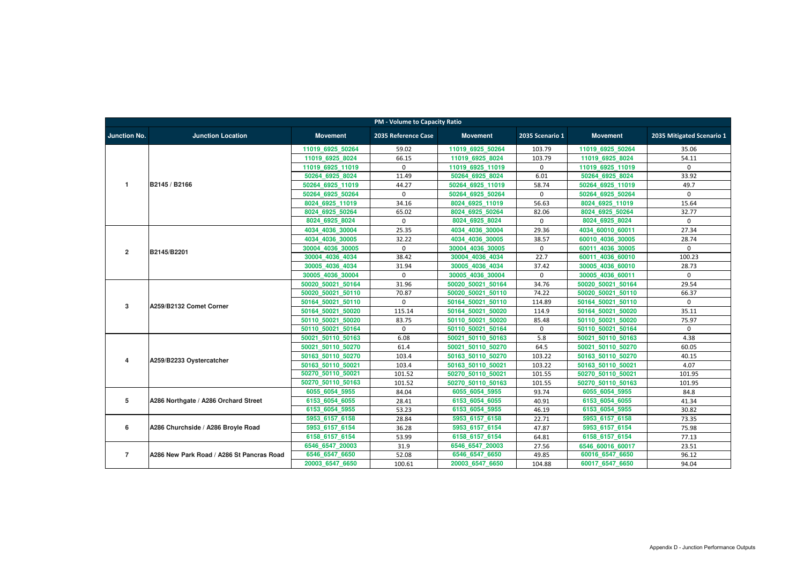|                     | <b>PM - Volume to Capacity Ratio</b>      |                   |                     |                   |                 |                   |                           |  |  |  |  |
|---------------------|-------------------------------------------|-------------------|---------------------|-------------------|-----------------|-------------------|---------------------------|--|--|--|--|
| <b>Junction No.</b> | <b>Junction Location</b>                  | <b>Movement</b>   | 2035 Reference Case | <b>Movement</b>   | 2035 Scenario 1 | <b>Movement</b>   | 2035 Mitigated Scenario 1 |  |  |  |  |
|                     |                                           | 11019_6925_50264  | 59.02               | 11019 6925 50264  | 103.79          | 11019_6925_50264  | 35.06                     |  |  |  |  |
|                     |                                           | 11019 6925 8024   | 66.15               | 11019 6925 8024   | 103.79          | 11019 6925 8024   | 54.11                     |  |  |  |  |
|                     |                                           | 11019 6925 11019  | $\Omega$            | 11019 6925 11019  | $\mathbf 0$     | 11019 6925 11019  | $\mathbf 0$               |  |  |  |  |
|                     |                                           | 50264 6925 8024   | 11.49               | 50264 6925 8024   | 6.01            | 50264 6925 8024   | 33.92                     |  |  |  |  |
| $\mathbf 1$         | B2145 / B2166                             | 50264 6925 11019  | 44.27               | 50264 6925 11019  | 58.74           | 50264 6925 11019  | 49.7                      |  |  |  |  |
|                     |                                           | 50264 6925 50264  | $\mathbf 0$         | 50264 6925 50264  | 0               | 50264 6925 50264  | $\Omega$                  |  |  |  |  |
|                     |                                           | 8024_6925_11019   | 34.16               | 8024 6925 11019   | 56.63           | 8024 6925 11019   | 15.64                     |  |  |  |  |
|                     |                                           | 8024 6925 50264   | 65.02               | 8024 6925 50264   | 82.06           | 8024 6925 50264   | 32.77                     |  |  |  |  |
|                     |                                           | 8024_6925_8024    | $\Omega$            | 8024_6925_8024    | $\mathbf{0}$    | 8024_6925_8024    | $\mathbf{0}$              |  |  |  |  |
|                     |                                           | 4034 4036 30004   | 25.35               | 4034 4036 30004   | 29.36           | 4034 60010 60011  | 27.34                     |  |  |  |  |
|                     |                                           | 4034 4036 30005   | 32.22               | 4034 4036 30005   | 38.57           | 60010 4036 30005  | 28.74                     |  |  |  |  |
| $\overline{2}$      | B2145/B2201                               | 30004 4036 30005  | $\Omega$            | 30004 4036 30005  | 0               | 60011 4036 30005  | $\mathbf{0}$              |  |  |  |  |
|                     |                                           | 30004 4036 4034   | 38.42               | 30004 4036 4034   | 22.7            | 60011 4036 60010  | 100.23                    |  |  |  |  |
|                     |                                           | 30005 4036 4034   | 31.94               | 30005_4036_4034   | 37.42           | 30005 4036 60010  | 28.73                     |  |  |  |  |
|                     |                                           | 30005 4036 30004  | $\mathbf 0$         | 30005 4036 30004  | $\mathbf 0$     | 30005 4036 60011  | $\Omega$                  |  |  |  |  |
|                     |                                           | 50020 50021 50164 | 31.96               | 50020_50021_50164 | 34.76           | 50020 50021 50164 | 29.54                     |  |  |  |  |
|                     |                                           | 50020 50021 50110 | 70.87               | 50020 50021 50110 | 74.22           | 50020 50021 50110 | 66.37                     |  |  |  |  |
| 3                   | A259/B2132 Comet Corner                   | 50164 50021 50110 | $\Omega$            | 50164 50021 50110 | 114.89          | 50164 50021 50110 | $\Omega$                  |  |  |  |  |
|                     |                                           | 50164 50021 50020 | 115.14              | 50164 50021 50020 | 114.9           | 50164 50021 50020 | 35.11                     |  |  |  |  |
|                     |                                           | 50110 50021 50020 | 83.75               | 50110 50021 50020 | 85.48           | 50110 50021 50020 | 75.97                     |  |  |  |  |
|                     |                                           | 50110 50021 50164 | $\mathbf 0$         | 50110 50021 50164 | 0               | 50110 50021 50164 | $\mathbf 0$               |  |  |  |  |
|                     |                                           | 50021 50110 50163 | 6.08                | 50021 50110 50163 | 5.8             | 50021 50110 50163 | 4.38                      |  |  |  |  |
|                     |                                           | 50021 50110 50270 | 61.4                | 50021 50110 50270 | 64.5            | 50021 50110 50270 | 60.05                     |  |  |  |  |
| 4                   | A259/B2233 Oystercatcher                  | 50163_50110_50270 | 103.4               | 50163 50110 50270 | 103.22          | 50163 50110 50270 | 40.15                     |  |  |  |  |
|                     |                                           | 50163 50110 50021 | 103.4               | 50163 50110 50021 | 103.22          | 50163 50110 50021 | 4.07                      |  |  |  |  |
|                     |                                           | 50270_50110_50021 | 101.52              | 50270 50110 50021 | 101.55          | 50270 50110 50021 | 101.95                    |  |  |  |  |
|                     |                                           | 50270 50110 50163 | 101.52              | 50270 50110 50163 | 101.55          | 50270 50110 50163 | 101.95                    |  |  |  |  |
|                     |                                           | 6055_6054_5955    | 84.04               | 6055_6054_5955    | 93.74           | 6055_6054_5955    | 84.8                      |  |  |  |  |
| 5                   | A286 Northgate / A286 Orchard Street      | 6153 6054 6055    | 28.41               | 6153 6054 6055    | 40.91           | 6153 6054 6055    | 41.34                     |  |  |  |  |
|                     |                                           | 6153_6054_5955    | 53.23               | 6153_6054_5955    | 46.19           | 6153 6054 5955    | 30.82                     |  |  |  |  |
|                     |                                           | 5953_6157_6158    | 28.84               | 5953_6157_6158    | 22.71           | 5953_6157_6158    | 73.35                     |  |  |  |  |
| 6                   | A286 Churchside / A286 Broyle Road        | 5953_6157_6154    | 36.28               | 5953_6157_6154    | 47.87           | 5953_6157_6154    | 75.98                     |  |  |  |  |
|                     |                                           | 6158_6157_6154    | 53.99               | 6158_6157_6154    | 64.81           | 6158_6157_6154    | 77.13                     |  |  |  |  |
|                     |                                           | 6546_6547_20003   | 31.9                | 6546_6547_20003   | 27.56           | 6546 60016 60017  | 23.51                     |  |  |  |  |
| $\overline{7}$      | A286 New Park Road / A286 St Pancras Road | 6546 6547 6650    | 52.08               | 6546 6547 6650    | 49.85           | 60016_6547_6650   | 96.12                     |  |  |  |  |
|                     |                                           | 20003_6547_6650   | 100.61              | 20003_6547_6650   | 104.88          | 60017_6547_6650   | 94.04                     |  |  |  |  |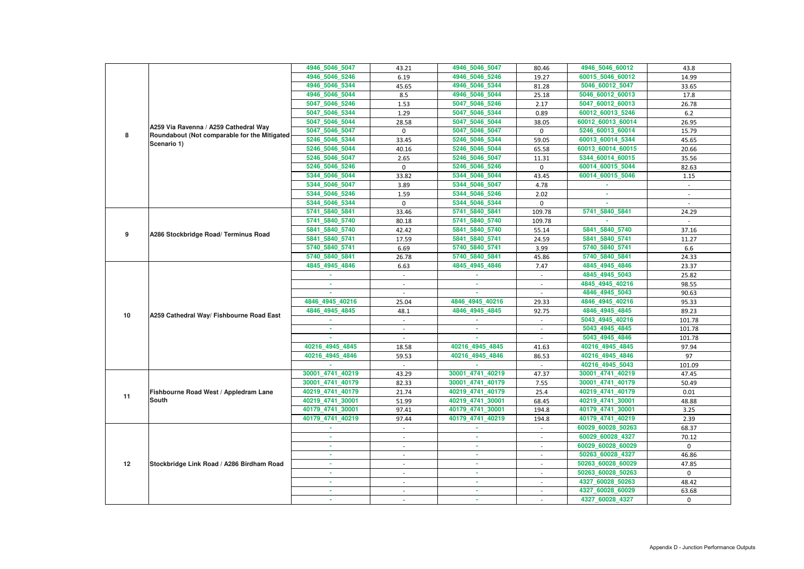|    |                                              | 4946_5046_5047   | 43.21                    | 4946_5046_5047   | 80.46                    | 4946_5046_60012   | 43.8         |
|----|----------------------------------------------|------------------|--------------------------|------------------|--------------------------|-------------------|--------------|
|    |                                              | 4946_5046_5246   | 6.19                     | 4946_5046_5246   | 19.27                    | 60015_5046_60012  | 14.99        |
|    |                                              | 4946_5046_5344   | 45.65                    | 4946_5046_5344   | 81.28                    | 5046_60012_5047   | 33.65        |
|    |                                              | 4946_5046_5044   | 8.5                      | 4946_5046_5044   | 25.18                    | 5046_60012_60013  | 17.8         |
|    |                                              | 5047_5046_5246   | 1.53                     | 5047_5046_5246   | 2.17                     | 5047_60012_60013  | 26.78        |
|    |                                              | 5047_5046_5344   | 1.29                     | 5047_5046_5344   | 0.89                     | 60012 60013 5246  | 6.2          |
|    |                                              | 5047_5046_5044   | 28.58                    | 5047_5046_5044   | 38.05                    | 60012_60013_60014 | 26.95        |
|    | A259 Via Ravenna / A259 Cathedral Way        | 5047_5046_5047   | $\mathbf 0$              | 5047 5046 5047   | $\mathbf 0$              | 5246_60013_60014  | 15.79        |
| 8  | Roundabout (Not comparable for the Mitigated | 5246_5046_5344   | 33.45                    | 5246_5046_5344   | 59.05                    | 60013 60014 5344  | 45.65        |
|    | Scenario 1)                                  | 5246 5046 5044   | 40.16                    | 5246_5046_5044   | 65.58                    | 60013_60014_60015 | 20.66        |
|    |                                              | 5246_5046_5047   | 2.65                     | 5246_5046_5047   | 11.31                    | 5344_60014_60015  | 35.56        |
|    |                                              | 5246_5046_5246   | $\mathbf 0$              | 5246_5046_5246   | $\Omega$                 | 60014_60015_5044  | 82.63        |
|    |                                              | 5344_5046_5044   | 33.82                    | 5344_5046_5044   | 43.45                    | 60014_60015_5046  | 1.15         |
|    |                                              | 5344_5046_5047   | 3.89                     | 5344_5046_5047   | 4.78                     | $\sim$            | $\sim$       |
|    |                                              | 5344_5046_5246   | 1.59                     | 5344_5046_5246   | 2.02                     |                   |              |
|    |                                              | 5344_5046_5344   | $\mathbf 0$              | 5344_5046_5344   | $\mathbf 0$              |                   |              |
|    |                                              | 5741_5840_5841   | 33.46                    | 5741 5840 5841   | 109.78                   | 5741_5840_5841    | 24.29        |
|    |                                              | 5741 5840 5740   | 80.18                    | 5741 5840 5740   | 109.78                   |                   | $\sim$       |
|    |                                              | 5841_5840_5740   | 42.42                    | 5841_5840_5740   | 55.14                    | 5841_5840_5740    | 37.16        |
| 9  | A286 Stockbridge Road/ Terminus Road         | 5841_5840_5741   | 17.59                    | 5841_5840_5741   | 24.59                    | 5841_5840_5741    | 11.27        |
|    |                                              | 5740_5840_5741   | 6.69                     | 5740 5840 5741   | 3.99                     | 5740_5840_5741    | 6.6          |
|    |                                              | 5740_5840_5841   | 26.78                    | 5740_5840_5841   | 45.86                    | 5740_5840_5841    | 24.33        |
|    |                                              | 4845_4945_4846   | 6.63                     | 4845_4945_4846   | 7.47                     | 4845 4945 4846    | 23.37        |
|    |                                              |                  |                          |                  | $\blacksquare$           | 4845_4945_5043    | 25.82        |
|    |                                              | ×.               | $\blacksquare$           | $\sim$           |                          | 4845 4945 40216   | 98.55        |
|    | A259 Cathedral Way/ Fishbourne Road East     |                  |                          |                  |                          | 4846_4945_5043    | 90.63        |
|    |                                              | 4846 4945 40216  | 25.04                    | 4846_4945_40216  | 29.33                    | 4846_4945_40216   | 95.33        |
|    |                                              | 4846_4945_4845   | 48.1                     | 4846_4945_4845   | 92.75                    | 4846_4945_4845    | 89.23        |
| 10 |                                              |                  |                          |                  |                          | 5043_4945_40216   | 101.78       |
|    |                                              |                  |                          |                  |                          | 5043_4945_4845    | 101.78       |
|    |                                              |                  |                          |                  |                          | 5043_4945_4846    | 101.78       |
|    |                                              | 40216 4945 4845  | 18.58                    | 40216 4945 4845  | 41.63                    | 40216 4945 4845   | 97.94        |
|    |                                              | 40216_4945_4846  | 59.53                    | 40216_4945_4846  | 86.53                    | 40216_4945_4846   | 97           |
|    |                                              |                  |                          |                  |                          | 40216_4945_5043   | 101.09       |
|    |                                              | 30001_4741_40219 | 43.29                    | 30001_4741_40219 | 47.37                    | 30001_4741_40219  | 47.45        |
|    |                                              | 30001_4741_40179 | 82.33                    | 30001 4741 40179 | 7.55                     | 30001_4741_40179  | 50.49        |
|    | Fishbourne Road West / Appledram Lane        | 40219_4741_40179 | 21.74                    | 40219_4741_40179 | 25.4                     | 40219_4741_40179  | 0.01         |
| 11 | <b>South</b>                                 | 40219_4741_30001 | 51.99                    | 40219_4741_30001 | 68.45                    | 40219_4741_30001  | 48.88        |
|    |                                              | 40179_4741_30001 | 97.41                    | 40179_4741_30001 | 194.8                    | 40179_4741_30001  | 3.25         |
|    |                                              | 40179_4741_40219 | 97.44                    | 40179_4741_40219 | 194.8                    | 40179_4741_40219  | 2.39         |
|    |                                              | ×.               | $\sim$                   | ×.               | $\sim$                   | 60029_60028_50263 | 68.37        |
|    |                                              | ×.               | $\overline{\phantom{a}}$ | ×.               | $\sim$                   | 60029_60028_4327  | 70.12        |
|    |                                              |                  |                          | ×.               |                          | 60029_60028_60029 | $\mathbf{0}$ |
|    |                                              |                  | $\overline{\phantom{a}}$ | <b>COL</b>       | $\overline{\phantom{a}}$ | 50263_60028_4327  | 46.86        |
| 12 | Stockbridge Link Road / A286 Birdham Road    | ٠                | $\overline{\phantom{a}}$ | ×.               | $\sim$                   | 50263_60028_60029 | 47.85        |
|    |                                              | ×.               | $\sim$                   | ×.               | $\sim$                   | 50263_60028_50263 | $\mathbf{0}$ |
|    |                                              |                  |                          |                  |                          |                   |              |
|    |                                              | ٠                |                          | $\sim$           |                          | 4327_60028_50263  | 48.42        |
|    |                                              |                  | $\sim$                   | $\sim$           |                          | 4327_60028_60029  | 63.68        |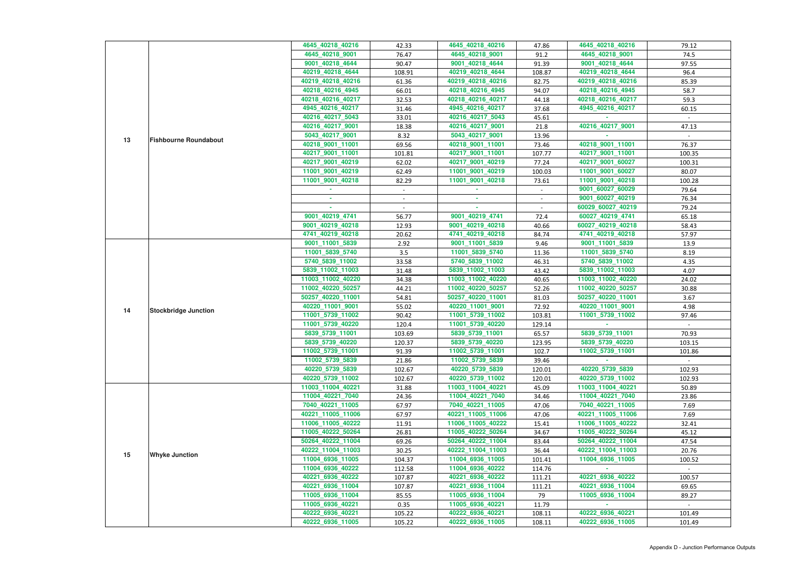|    |                              | 4645_40218_40216  | 42.33           | 4645_40218_40216  | 47.86           | 4645_40218_40216  | 79.12  |
|----|------------------------------|-------------------|-----------------|-------------------|-----------------|-------------------|--------|
|    |                              | 4645_40218_9001   | 76.47           | 4645_40218_9001   | 91.2            | 4645_40218_9001   | 74.5   |
|    |                              | 9001_40218_4644   | 90.47           | 9001_40218_4644   | 91.39           | 9001_40218_4644   | 97.55  |
|    |                              | 40219_40218_4644  | 108.91          | 40219_40218_4644  | 108.87          | 40219_40218_4644  | 96.4   |
|    |                              | 40219_40218_40216 | 61.36           | 40219_40218_40216 | 82.75           | 40219_40218_40216 | 85.39  |
|    |                              | 40218_40216_4945  | 66.01           | 40218_40216_4945  | 94.07           | 40218_40216_4945  | 58.7   |
|    |                              | 40218_40216_40217 | 32.53           | 40218_40216_40217 | 44.18           | 40218_40216_40217 | 59.3   |
|    |                              | 4945_40216_40217  | 31.46           | 4945_40216_40217  | 37.68           | 4945 40216 40217  | 60.15  |
|    |                              | 40216_40217_5043  | 33.01           | 40216_40217_5043  | 45.61           |                   |        |
|    |                              | 40216_40217_9001  | 18.38           | 40216_40217_9001  | 21.8            | 40216_40217_9001  | 47.13  |
|    |                              | 5043_40217_9001   | 8.32            | 5043_40217_9001   | 13.96           |                   |        |
| 13 | <b>Fishbourne Roundabout</b> | 40218_9001_11001  | 69.56           | 40218_9001_11001  | 73.46           | 40218_9001_11001  | 76.37  |
|    |                              | 40217_9001_11001  | 101.81          | 40217_9001_11001  | 107.77          | 40217_9001_11001  | 100.35 |
|    |                              | 40217_9001_40219  | 62.02           | 40217_9001_40219  | 77.24           | 40217_9001_60027  | 100.31 |
|    |                              | 11001_9001_40219  | 62.49           | 11001_9001_40219  | 100.03          | 11001_9001_60027  | 80.07  |
|    |                              | 11001 9001 40218  | 82.29           | 11001_9001_40218  | 73.61           | 11001_9001_40218  | 100.28 |
|    |                              |                   | $\sim$          |                   | $\sim$          | 9001_60027_60029  | 79.64  |
|    |                              |                   |                 | ×.                | $\sim$          | 9001_60027_40219  | 76.34  |
|    |                              | a.                |                 | $\sim$            |                 | 60029_60027_40219 | 79.24  |
|    |                              | 9001_40219_4741   | 56.77           | 9001_40219_4741   | 72.4            | 60027_40219_4741  | 65.18  |
|    |                              | 9001_40219_40218  | 12.93           | 9001_40219_40218  | 40.66           | 60027_40219_40218 | 58.43  |
|    |                              | 4741_40219_40218  | 20.62           | 4741_40219_40218  | 84.74           | 4741_40219_40218  | 57.97  |
|    |                              | 9001_11001_5839   | 2.92            | 9001_11001_5839   | 9.46            | 9001_11001_5839   | 13.9   |
|    |                              | 11001_5839_5740   | 3.5             | 11001_5839_5740   | 11.36           | 11001_5839_5740   | 8.19   |
|    |                              | 5740_5839_11002   | 33.58           | 5740_5839_11002   | 46.31           | 5740_5839_11002   | 4.35   |
|    | <b>Stockbridge Junction</b>  | 5839_11002_11003  | 31.48           | 5839_11002_11003  | 43.42           | 5839_11002_11003  | 4.07   |
|    |                              | 11003_11002_40220 | 34.38           | 11003_11002_40220 | 40.65           | 11003_11002_40220 | 24.02  |
|    |                              | 11002_40220_50257 | 44.21           | 11002_40220_50257 | 52.26           | 11002_40220_50257 | 30.88  |
|    |                              | 50257_40220_11001 | 54.81           | 50257_40220_11001 | 81.03           | 50257_40220_11001 | 3.67   |
|    |                              | 40220_11001_9001  | 55.02           | 40220_11001_9001  | 72.92           | 40220_11001_9001  | 4.98   |
| 14 |                              | 11001_5739_11002  | 90.42           | 11001_5739_11002  | 103.81          | 11001_5739_11002  | 97.46  |
|    |                              | 11001_5739_40220  | 120.4           | 11001_5739_40220  | 129.14          |                   |        |
|    |                              | 5839_5739_11001   | 103.69          | 5839_5739_11001   | 65.57           | 5839_5739_11001   | 70.93  |
|    |                              | 5839_5739_40220   | 120.37          | 5839_5739_40220   | 123.95          | 5839_5739_40220   | 103.15 |
|    |                              | 11002_5739_11001  | 91.39           | 11002_5739_11001  | 102.7           | 11002_5739_11001  | 101.86 |
|    |                              | 11002_5739_5839   | 21.86           | 11002_5739_5839   | 39.46           |                   |        |
|    |                              | 40220_5739_5839   | 102.67          | 40220 5739 5839   | 120.01          | 40220 5739 5839   | 102.93 |
|    |                              | 40220_5739_11002  | 102.67          | 40220_5739_11002  | 120.01          | 40220 5739 11002  | 102.93 |
|    |                              | 11003_11004_40221 | 31.88           | 11003_11004_40221 | 45.09           | 11003_11004_40221 | 50.89  |
|    |                              | 11004_40221_7040  | 24.36           | 11004_40221_7040  | 34.46           | 11004_40221_7040  | 23.86  |
|    |                              | 7040_40221_11005  | 67.97           | 7040_40221_11005  | 47.06           | 7040_40221_11005  | 7.69   |
|    |                              | 40221_11005_11006 | 67.97           | 40221_11005_11006 | 47.06           | 40221_11005_11006 | 7.69   |
|    |                              | 11006 11005 40222 | 11.91           | 11006_11005_40222 | 15.41           | 11006_11005_40222 | 32.41  |
|    |                              | 11005_40222_50264 | 26.81           | 11005_40222_50264 | 34.67           | 11005_40222_50264 | 45.12  |
|    |                              | 50264_40222_11004 | 69.26           | 50264_40222_11004 | 83.44           | 50264_40222_11004 | 47.54  |
|    |                              | 40222_11004_11003 |                 | 40222_11004_11003 |                 | 40222_11004_11003 | 20.76  |
| 15 | <b>Whyke Junction</b>        | 11004_6936_11005  | 30.25<br>104.37 | 11004_6936_11005  | 36.44<br>101.41 | 11004_6936_11005  | 100.52 |
|    |                              | 11004_6936_40222  |                 | 11004_6936_40222  |                 |                   |        |
|    |                              | 40221_6936_40222  | 112.58          | 40221_6936_40222  | 114.76          | 40221_6936_40222  |        |
|    |                              |                   | 107.87          |                   | 111.21          | 40221_6936_11004  | 100.57 |
|    |                              | 40221_6936_11004  | 107.87          | 40221_6936_11004  | 111.21          | 11005_6936_11004  | 69.65  |
|    |                              | 11005_6936_11004  | 85.55           | 11005_6936_11004  | 79              |                   | 89.27  |
|    |                              | 11005_6936_40221  | 0.35            | 11005_6936_40221  | 11.79           | 40222 6936 40221  |        |
|    |                              | 40222_6936_40221  | 105.22          | 40222_6936_40221  | 108.11          |                   | 101.49 |
|    |                              | 40222_6936_11005  | 105.22          | 40222_6936_11005  | 108.11          | 40222_6936_11005  | 101.49 |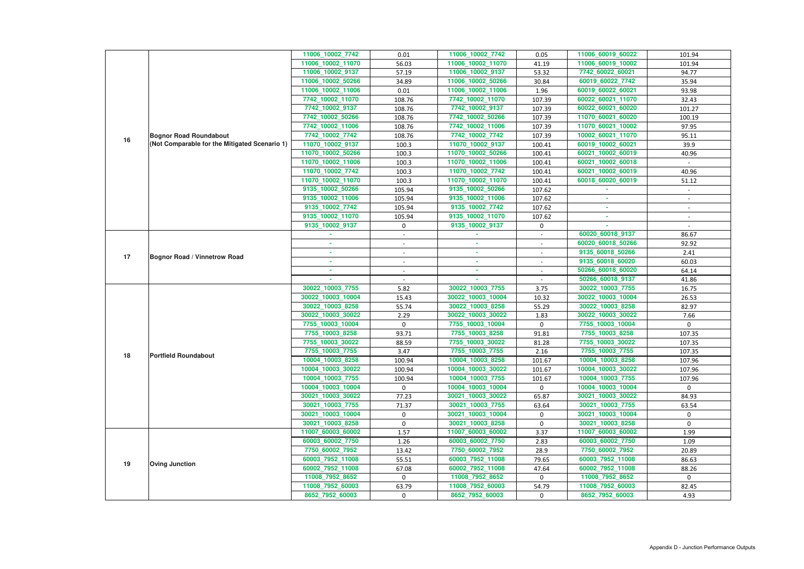|    |                                               | 11006_10002_7742                    | 0.01                     | 11006_10002_7742                    | 0.05              | 11006_60019_60022 | 101.94                   |
|----|-----------------------------------------------|-------------------------------------|--------------------------|-------------------------------------|-------------------|-------------------|--------------------------|
|    |                                               | 11006_10002_11070                   | 56.03                    | 11006_10002_11070                   | 41.19             | 11006_60019_10002 | 101.94                   |
|    |                                               | 11006_10002_9137                    | 57.19                    | 11006_10002_9137                    | 53.32             | 7742_60022_60021  | 94.77                    |
|    |                                               | 11006_10002_50266                   | 34.89                    | 11006_10002_50266                   | 30.84             | 60019_60022_7742  | 35.94                    |
|    |                                               | 11006_10002_11006                   | 0.01                     | 11006_10002_11006                   | 1.96              | 60019_60022_60021 | 93.98                    |
|    |                                               | 7742_10002_11070                    | 108.76                   | 7742_10002_11070                    | 107.39            | 60022 60021 11070 | 32.43                    |
|    |                                               | 7742_10002_9137                     | 108.76                   | 7742_10002_9137                     | 107.39            | 60022_60021_60020 | 101.27                   |
|    |                                               | 7742_10002_50266                    | 108.76                   | 7742_10002_50266                    | 107.39            | 11070_60021_60020 | 100.19                   |
|    |                                               | 7742_10002_11006                    | 108.76                   | 7742_10002_11006                    | 107.39            | 11070_60021_10002 | 97.95                    |
|    | <b>Bognor Road Roundabout</b>                 | 7742_10002_7742                     | 108.76                   | 7742_10002_7742                     | 107.39            | 10002_60021_11070 | 95.11                    |
| 16 | (Not Comparable for the Mitigated Scenario 1) | 11070_10002_9137                    | 100.3                    | 11070_10002_9137                    | 100.41            | 60019_10002_60021 | 39.9                     |
|    |                                               | 11070_10002_50266                   | 100.3                    | 11070_10002_50266                   | 100.41            | 60021_10002_60019 | 40.96                    |
|    |                                               | 11070_10002_11006                   | 100.3                    | 11070_10002_11006                   | 100.41            | 60021_10002_60018 |                          |
|    |                                               | 11070_10002_7742                    | 100.3                    | 11070_10002_7742                    | 100.41            | 60021_10002_60019 | 40.96                    |
|    |                                               | 11070_10002_11070                   | 100.3                    | 11070_10002_11070                   | 100.41            | 60018_60020_60019 | 51.12                    |
|    |                                               | 9135_10002_50266                    | 105.94                   | 9135_10002_50266                    | 107.62            |                   |                          |
|    |                                               | 9135_10002_11006                    | 105.94                   | 9135_10002_11006                    | 107.62            |                   |                          |
|    |                                               | 9135_10002_7742                     | 105.94                   | 9135 10002 7742                     | 107.62            |                   |                          |
|    |                                               | 9135_10002_11070                    | 105.94                   | 9135_10002_11070                    | 107.62            | ×.                | $\overline{\phantom{a}}$ |
|    |                                               | 9135_10002_9137                     | $\mathbf 0$              | 9135_10002_9137                     | 0                 |                   |                          |
|    |                                               |                                     |                          |                                     |                   | 60020_60018_9137  | 86.67                    |
|    |                                               |                                     | $\overline{\phantom{a}}$ | ×.                                  |                   | 60020_60018_50266 | 92.92                    |
| 17 | <b>Bognor Road / Vinnetrow Road</b>           | $\sim$                              | $\sim$                   | <b>COL</b>                          | $\sim$            | 9135_60018_50266  | 2.41                     |
|    |                                               | ×.                                  |                          | $\sim$                              |                   | 9135_60018_60020  | 60.03                    |
|    |                                               |                                     | $\sim$                   | ×.                                  |                   | 50266_60018_60020 | 64.14                    |
|    |                                               |                                     |                          |                                     |                   | 50266_60018_9137  | 41.86                    |
|    |                                               | 30022_10003_7755                    | 5.82                     | 30022_10003_7755                    | 3.75              | 30022_10003_7755  | 16.75                    |
|    |                                               | 30022_10003_10004                   | 15.43                    | 30022_10003_10004                   | 10.32             | 30022_10003_10004 | 26.53                    |
|    |                                               | 30022_10003_8258                    | 55.74                    | 30022_10003_8258                    | 55.29             | 30022_10003_8258  | 82.97                    |
|    |                                               | 30022_10003_30022                   | 2.29                     | 30022_10003_30022                   | 1.83              | 30022_10003_30022 | 7.66                     |
|    |                                               | 7755_10003_10004                    | $\mathbf 0$              | 7755_10003_10004                    | $\mathbf 0$       | 7755_10003_10004  | 0                        |
|    |                                               | 7755_10003_8258                     | 93.71                    | 7755_10003_8258                     | 91.81             | 7755 10003_8258   | 107.35                   |
|    |                                               | 7755_10003_30022                    | 88.59                    | 7755_10003_30022                    | 81.28             | 7755 10003 30022  | 107.35                   |
| 18 | <b>Portfield Roundabout</b>                   | 7755_10003_7755                     | 3.47                     | 7755_10003_7755                     | 2.16              | 7755_10003_7755   | 107.35                   |
|    |                                               | 10004_10003_8258                    | 100.94                   | 10004_10003_8258                    | 101.67            | 10004_10003_8258  | 107.96                   |
|    |                                               | 10004 10003 30022                   | 100.94                   | 10004_10003_30022                   | 101.67            | 10004_10003_30022 | 107.96                   |
|    |                                               | 10004_10003_7755                    | 100.94                   | 10004_10003_7755                    | 101.67            | 10004_10003_7755  | 107.96                   |
|    |                                               | 10004_10003_10004                   | $\mathbf 0$              | 10004_10003_10004                   | $\Omega$          | 10004_10003_10004 | $\mathbf{0}$             |
|    |                                               | 30021_10003_30022                   | 77.23                    | 30021_10003_30022                   | 65.87             | 30021_10003_30022 | 84.93                    |
|    |                                               | 30021_10003_7755                    | 71.37                    | 30021_10003_7755                    | 63.64             | 30021_10003_7755  | 63.54                    |
|    |                                               | 30021_10003_10004                   | $\mathbf 0$              | 30021_10003_10004                   | 0                 | 30021 10003 10004 | $\mathbf{0}$             |
|    |                                               | 30021_10003_8258                    | $\mathbf 0$              | 30021_10003_8258                    | $\mathbf{0}$      | 30021_10003_8258  | $\mathbf 0$              |
|    |                                               | 11007_60003_60002                   | 1.57                     | 11007_60003_60002                   | 3.37              | 11007_60003_60002 | 1.99                     |
|    |                                               | 60003_60002_7750                    | 1.26                     | 60003_60002_7750                    | 2.83              | 60003_60002_7750  | 1.09                     |
|    |                                               | 7750_60002_7952                     | 13.42                    | 7750_60002_7952                     | 28.9              | 7750_60002_7952   | 20.89                    |
| 19 | <b>Oving Junction</b>                         | 60003_7952_11008                    | 55.51                    | 60003_7952_11008                    | 79.65             | 60003_7952_11008  | 86.63                    |
|    |                                               | 60002_7952_11008<br>11008_7952_8652 | 67.08<br>$\overline{0}$  | 60002_7952_11008<br>11008_7952_8652 | 47.64<br>$\Omega$ | 60002_7952_11008  | 88.26<br>$\Omega$        |
|    |                                               |                                     |                          |                                     |                   | 11008_7952_8652   |                          |
|    |                                               | 11008_7952_60003                    | 63.79                    | 11008_7952_60003                    | 54.79             | 11008_7952_60003  | 82.45                    |
|    |                                               | 8652_7952_60003                     | $\mathbf{0}$             | 8652_7952_60003                     | 0                 | 8652_7952_60003   | 4.93                     |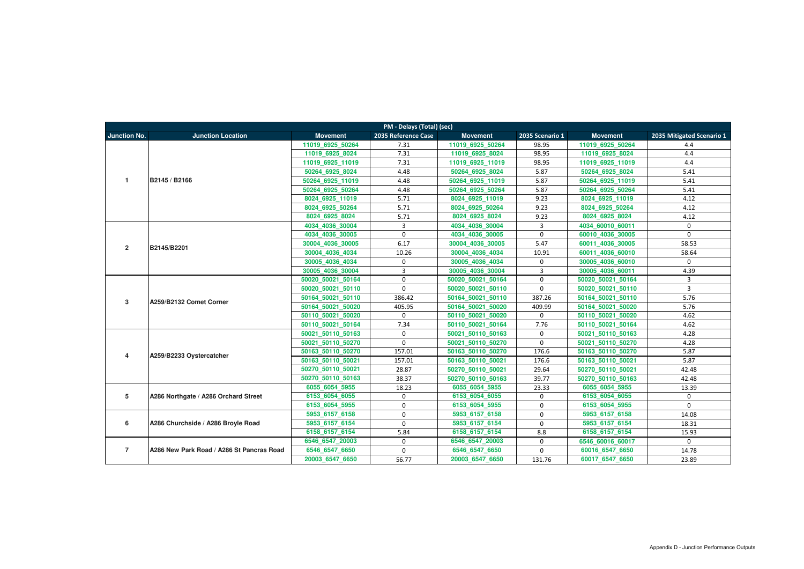|                         | PM - Delays (Total) (sec)                 |                   |                     |                   |                 |                   |                           |  |  |  |  |
|-------------------------|-------------------------------------------|-------------------|---------------------|-------------------|-----------------|-------------------|---------------------------|--|--|--|--|
| <b>Junction No.</b>     | <b>Junction Location</b>                  | <b>Movement</b>   | 2035 Reference Case | <b>Movement</b>   | 2035 Scenario 1 | <b>Movement</b>   | 2035 Mitigated Scenario 1 |  |  |  |  |
|                         |                                           | 11019 6925 50264  | 7.31                | 11019 6925 50264  | 98.95           | 11019 6925 50264  | 4.4                       |  |  |  |  |
|                         |                                           | 11019 6925 8024   | 7.31                | 11019 6925 8024   | 98.95           | 11019 6925 8024   | 4.4                       |  |  |  |  |
|                         |                                           | 11019 6925 11019  | 7.31                | 11019 6925 11019  | 98.95           | 11019 6925 11019  | 4.4                       |  |  |  |  |
|                         |                                           | 50264 6925 8024   | 4.48                | 50264 6925 8024   | 5.87            | 50264 6925 8024   | 5.41                      |  |  |  |  |
| $\overline{1}$          | B2145 / B2166                             | 50264 6925 11019  | 4.48                | 50264_6925_11019  | 5.87            | 50264 6925 11019  | 5.41                      |  |  |  |  |
|                         |                                           | 50264 6925 50264  | 4.48                | 50264 6925 50264  | 5.87            | 50264 6925 50264  | 5.41                      |  |  |  |  |
|                         |                                           | 8024 6925 11019   | 5.71                | 8024 6925 11019   | 9.23            | 8024 6925 11019   | 4.12                      |  |  |  |  |
|                         |                                           | 8024 6925 50264   | 5.71                | 8024 6925 50264   | 9.23            | 8024 6925 50264   | 4.12                      |  |  |  |  |
|                         |                                           | 8024 6925 8024    | 5.71                | 8024 6925 8024    | 9.23            | 8024 6925 8024    | 4.12                      |  |  |  |  |
|                         |                                           | 4034_4036_30004   | $\overline{3}$      | 4034_4036_30004   | $\overline{3}$  | 4034_60010_60011  | $\mathbf 0$               |  |  |  |  |
|                         |                                           | 4034 4036 30005   | $\mathbf{0}$        | 4034 4036 30005   | $\mathbf 0$     | 60010 4036 30005  | $\mathbf 0$               |  |  |  |  |
| $\overline{2}$          | B2145/B2201                               | 30004 4036 30005  | 6.17                | 30004 4036 30005  | 5.47            | 60011 4036 30005  | 58.53                     |  |  |  |  |
|                         |                                           | 30004 4036 4034   | 10.26               | 30004 4036 4034   | 10.91           | 60011 4036 60010  | 58.64                     |  |  |  |  |
|                         |                                           | 30005 4036 4034   | $\mathbf 0$         | 30005 4036 4034   | $\mathbf 0$     | 30005 4036 60010  | $\Omega$                  |  |  |  |  |
|                         |                                           | 30005 4036 30004  | 3                   | 30005 4036 30004  | $\overline{3}$  | 30005 4036 60011  | 4.39                      |  |  |  |  |
|                         | A259/B2132 Comet Corner                   | 50020 50021 50164 | $\mathbf 0$         | 50020 50021 50164 | $\mathbf 0$     | 50020 50021 50164 | $\overline{3}$            |  |  |  |  |
|                         |                                           | 50020 50021 50110 | $\mathbf 0$         | 50020 50021 50110 | $\mathbf 0$     | 50020 50021 50110 | $\overline{3}$            |  |  |  |  |
| 3                       |                                           | 50164 50021 50110 | 386.42              | 50164 50021 50110 | 387.26          | 50164 50021 50110 | 5.76                      |  |  |  |  |
|                         |                                           | 50164 50021 50020 | 405.95              | 50164 50021 50020 | 409.99          | 50164 50021 50020 | 5.76                      |  |  |  |  |
|                         |                                           | 50110 50021 50020 | $\mathbf 0$         | 50110 50021 50020 | $\mathbf 0$     | 50110 50021 50020 | 4.62                      |  |  |  |  |
|                         |                                           | 50110 50021 50164 | 7.34                | 50110 50021 50164 | 7.76            | 50110 50021 50164 | 4.62                      |  |  |  |  |
|                         |                                           | 50021 50110 50163 | $\mathbf 0$         | 50021 50110 50163 | $\mathbf 0$     | 50021 50110 50163 | 4.28                      |  |  |  |  |
|                         |                                           | 50021 50110 50270 | $\mathbf 0$         | 50021 50110 50270 | $\mathbf 0$     | 50021 50110 50270 | 4.28                      |  |  |  |  |
| $\overline{\mathbf{4}}$ | A259/B2233 Oystercatcher                  | 50163 50110 50270 | 157.01              | 50163 50110 50270 | 176.6           | 50163 50110 50270 | 5.87                      |  |  |  |  |
|                         |                                           | 50163 50110 50021 | 157.01              | 50163 50110 50021 | 176.6           | 50163 50110 50021 | 5.87                      |  |  |  |  |
|                         |                                           | 50270 50110 50021 | 28.87               | 50270 50110 50021 | 29.64           | 50270 50110 50021 | 42.48                     |  |  |  |  |
|                         |                                           | 50270 50110 50163 | 38.37               | 50270 50110 50163 | 39.77           | 50270 50110 50163 | 42.48                     |  |  |  |  |
|                         |                                           | 6055 6054 5955    | 18.23               | 6055 6054 5955    | 23.33           | 6055 6054 5955    | 13.39                     |  |  |  |  |
| $5\phantom{.0}$         | A286 Northgate / A286 Orchard Street      | 6153_6054_6055    | $\mathbf 0$         | 6153 6054 6055    | $\mathbf 0$     | 6153 6054 6055    | $\mathbf 0$               |  |  |  |  |
|                         |                                           | 6153 6054 5955    | $\mathbf 0$         | 6153 6054 5955    | $\mathbf 0$     | 6153 6054 5955    | $\mathbf 0$               |  |  |  |  |
|                         |                                           | 5953 6157 6158    | $\mathbf 0$         | 5953 6157 6158    | $\mathbf 0$     | 5953 6157 6158    | 14.08                     |  |  |  |  |
| 6                       | A286 Churchside / A286 Broyle Road        | 5953 6157 6154    | $\mathbf 0$         | 5953 6157 6154    | $\mathbf 0$     | 5953 6157 6154    | 18.31                     |  |  |  |  |
|                         |                                           | 6158 6157 6154    | 5.84                | 6158 6157 6154    | 8.8             | 6158 6157 6154    | 15.93                     |  |  |  |  |
|                         |                                           | 6546 6547 20003   | $\mathbf 0$         | 6546 6547 20003   | $\mathbf 0$     | 6546 60016 60017  | $\mathbf 0$               |  |  |  |  |
| $\overline{7}$          | A286 New Park Road / A286 St Pancras Road | 6546_6547_6650    | $\mathbf 0$         | 6546 6547 6650    | $\mathbf 0$     | 60016_6547_6650   | 14.78                     |  |  |  |  |
|                         |                                           | 20003_6547_6650   | 56.77               | 20003 6547 6650   | 131.76          | 60017_6547_6650   | 23.89                     |  |  |  |  |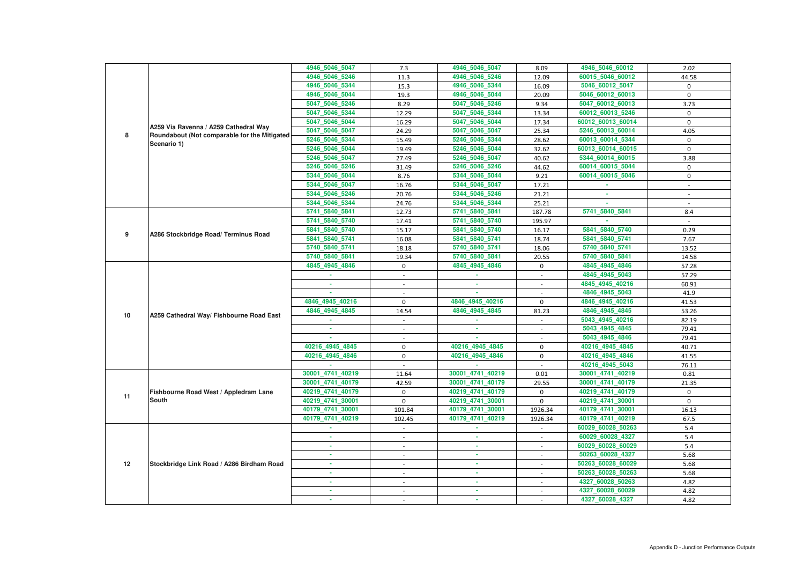|    |                                              | 4946 5046 5047   | 7.3                      | 4946_5046_5047   | 8.09        | 4946_5046_60012   | 2.02                     |
|----|----------------------------------------------|------------------|--------------------------|------------------|-------------|-------------------|--------------------------|
|    |                                              | 4946_5046_5246   | 11.3                     | 4946 5046 5246   | 12.09       | 60015_5046_60012  | 44.58                    |
|    |                                              | 4946_5046_5344   | 15.3                     | 4946_5046_5344   | 16.09       | 5046_60012_5047   | 0                        |
|    |                                              | 4946_5046_5044   | 19.3                     | 4946_5046_5044   | 20.09       | 5046_60012_60013  | 0                        |
|    |                                              | 5047_5046_5246   | 8.29                     | 5047_5046_5246   | 9.34        | 5047_60012_60013  | 3.73                     |
|    |                                              | 5047_5046_5344   | 12.29                    | 5047_5046_5344   | 13.34       | 60012_60013_5246  | $\mathbf 0$              |
|    |                                              | 5047_5046_5044   | 16.29                    | 5047_5046_5044   | 17.34       | 60012_60013_60014 | $\Omega$                 |
|    | A259 Via Ravenna / A259 Cathedral Way        | 5047 5046 5047   | 24.29                    | 5047 5046 5047   | 25.34       | 5246 60013 60014  | 4.05                     |
| 8  | Roundabout (Not comparable for the Mitigated | 5246_5046_5344   | 15.49                    | 5246_5046_5344   | 28.62       | 60013_60014_5344  | 0                        |
|    | Scenario 1)                                  | 5246_5046_5044   | 19.49                    | 5246_5046_5044   | 32.62       | 60013_60014_60015 | $\mathbf 0$              |
|    |                                              | 5246_5046_5047   | 27.49                    | 5246_5046_5047   | 40.62       | 5344_60014_60015  | 3.88                     |
|    |                                              | 5246_5046_5246   | 31.49                    | 5246_5046_5246   | 44.62       | 60014_60015_5044  | 0                        |
|    |                                              | 5344 5046 5044   | 8.76                     | 5344_5046_5044   | 9.21        | 60014_60015_5046  | 0                        |
|    |                                              | 5344_5046_5047   | 16.76                    | 5344_5046_5047   | 17.21       |                   | $\overline{\phantom{a}}$ |
|    |                                              | 5344_5046_5246   | 20.76                    | 5344_5046_5246   | 21.21       |                   |                          |
|    |                                              | 5344_5046_5344   | 24.76                    | 5344 5046 5344   | 25.21       |                   |                          |
|    |                                              | 5741_5840_5841   | 12.73                    | 5741_5840_5841   | 187.78      | 5741_5840_5841    | 8.4                      |
|    |                                              | 5741_5840_5740   | 17.41                    | 5741_5840_5740   | 195.97      |                   |                          |
|    |                                              | 5841_5840_5740   | 15.17                    | 5841_5840_5740   | 16.17       | 5841_5840_5740    | 0.29                     |
| 9  | A286 Stockbridge Road/ Terminus Road         | 5841_5840_5741   | 16.08                    | 5841 5840 5741   | 18.74       | 5841_5840_5741    | 7.67                     |
|    |                                              | 5740_5840_5741   | 18.18                    | 5740_5840_5741   | 18.06       | 5740_5840_5741    | 13.52                    |
|    |                                              | 5740_5840_5841   | 19.34                    | 5740_5840_5841   | 20.55       | 5740_5840_5841    | 14.58                    |
|    |                                              | 4845_4945_4846   | $\mathbf 0$              | 4845_4945_4846   | 0           | 4845_4945_4846    | 57.28                    |
|    |                                              |                  |                          |                  |             | 4845 4945 5043    | 57.29                    |
|    |                                              |                  | $\overline{\phantom{a}}$ | ×.               |             | 4845 4945 40216   | 60.91                    |
|    |                                              |                  |                          |                  |             | 4846 4945 5043    | 41.9                     |
|    |                                              | 4846 4945 40216  | $\mathbf 0$              | 4846 4945 40216  | $\mathbf 0$ | 4846 4945 40216   | 41.53                    |
|    |                                              | 4846 4945 4845   | 14.54                    | 4846_4945_4845   | 81.23       | 4846_4945_4845    | 53.26                    |
| 10 | A259 Cathedral Way/ Fishbourne Road East     |                  |                          |                  |             | 5043_4945_40216   | 82.19                    |
|    |                                              |                  |                          |                  |             | 5043 4945 4845    | 79.41                    |
|    |                                              |                  |                          |                  |             | 5043 4945 4846    | 79.41                    |
|    |                                              | 40216_4945_4845  | $\mathbf 0$              | 40216_4945_4845  | 0           | 40216_4945_4845   | 40.71                    |
|    |                                              | 40216_4945_4846  | $\mathbf 0$              | 40216 4945 4846  | $\mathbf 0$ | 40216_4945_4846   | 41.55                    |
|    |                                              |                  |                          |                  |             | 40216_4945_5043   | 76.11                    |
|    |                                              | 30001_4741_40219 | 11.64                    | 30001_4741_40219 | 0.01        | 30001_4741_40219  | 0.81                     |
|    |                                              | 30001_4741_40179 | 42.59                    | 30001_4741_40179 | 29.55       | 30001_4741_40179  | 21.35                    |
|    | Fishbourne Road West / Appledram Lane        | 40219_4741_40179 | $\mathbf 0$              | 40219_4741_40179 | 0           | 40219_4741_40179  | $\mathbf 0$              |
| 11 | <b>South</b>                                 | 40219_4741_30001 | $\mathbf 0$              | 40219_4741_30001 | $\mathbf 0$ | 40219_4741_30001  | $\mathbf 0$              |
|    |                                              | 40179_4741_30001 | 101.84                   | 40179_4741_30001 | 1926.34     | 40179_4741_30001  | 16.13                    |
|    |                                              | 40179_4741_40219 | 102.45                   | 40179_4741_40219 | 1926.34     | 40179_4741_40219  | 67.5                     |
|    |                                              | $\sim$           | $\sim$                   | <b>ALC</b>       | $\sim$      | 60029_60028_50263 | 5.4                      |
|    |                                              | ×.               | $\overline{\phantom{a}}$ | $\sim$           | $\sim$      | 60029_60028_4327  | 5.4                      |
|    |                                              |                  | $\sim$                   | $\sim$           | $\sim$      | 60029_60028_60029 | 5.4                      |
|    |                                              |                  | $\overline{\phantom{a}}$ | ×.               |             | 50263_60028_4327  | 5.68                     |
| 12 | Stockbridge Link Road / A286 Birdham Road    | ٠                | $\sim$                   | $\sim$           | $\sim$      | 50263_60028_60029 | 5.68                     |
|    |                                              | ×.               | $\sim$                   | <b>COL</b>       | $\sim$      | 50263_60028_50263 | 5.68                     |
|    |                                              |                  |                          | $\sim$           |             | 4327_60028_50263  | 4.82                     |
|    |                                              |                  |                          |                  |             | 4327_60028_60029  | 4.82                     |
|    |                                              |                  |                          |                  |             | 4327_60028_4327   | 4.82                     |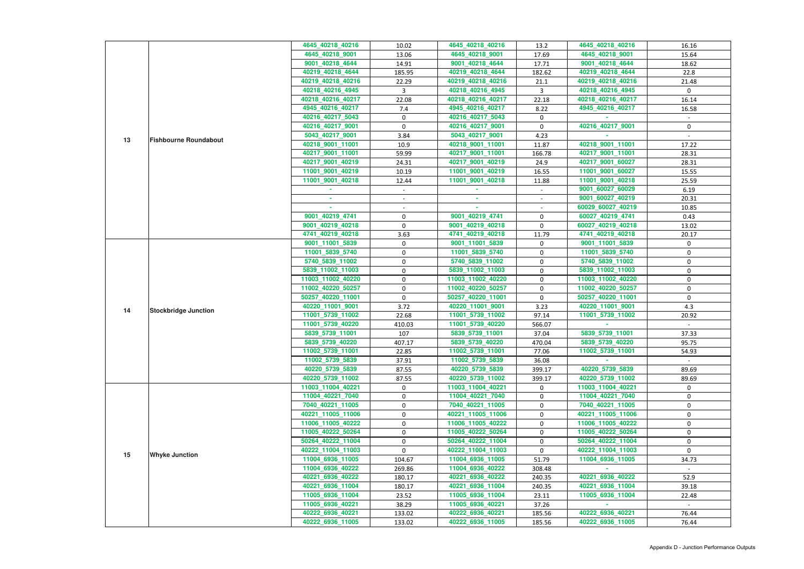|    |                              | 4645_40218_40216  | 10.02            | 4645_40218_40216  | 13.2         | 4645 40218 40216  | 16.16        |
|----|------------------------------|-------------------|------------------|-------------------|--------------|-------------------|--------------|
|    |                              | 4645_40218_9001   | 13.06            | 4645_40218_9001   | 17.69        | 4645_40218_9001   | 15.64        |
|    |                              | 9001_40218_4644   | 14.91            | 9001_40218_4644   | 17.71        | 9001_40218_4644   | 18.62        |
|    |                              | 40219_40218_4644  | 185.95           | 40219_40218_4644  | 182.62       | 40219_40218_4644  | 22.8         |
|    |                              | 40219_40218_40216 | 22.29            | 40219_40218_40216 | 21.1         | 40219_40218_40216 | 21.48        |
|    |                              | 40218_40216_4945  | 3                | 40218_40216_4945  | $\mathbf{3}$ | 40218_40216_4945  | $\mathbf{0}$ |
|    |                              | 40218_40216_40217 | 22.08            | 40218_40216_40217 | 22.18        | 40218_40216_40217 | 16.14        |
|    |                              | 4945_40216_40217  | 7.4              | 4945_40216_40217  | 8.22         | 4945 40216 40217  | 16.58        |
|    |                              | 40216_40217_5043  | $\mathbf 0$      | 40216_40217_5043  | 0            |                   |              |
|    |                              | 40216_40217_9001  | $\mathbf 0$      | 40216_40217_9001  | $\mathbf{0}$ | 40216_40217_9001  | $\mathbf 0$  |
|    |                              | 5043_40217_9001   | 3.84             | 5043_40217_9001   | 4.23         |                   |              |
| 13 | <b>Fishbourne Roundabout</b> | 40218_9001_11001  | 10.9             | 40218_9001_11001  | 11.87        | 40218_9001_11001  | 17.22        |
|    |                              | 40217_9001_11001  | 59.99            | 40217_9001_11001  | 166.78       | 40217_9001_11001  | 28.31        |
|    |                              | 40217_9001_40219  | 24.31            | 40217_9001_40219  | 24.9         | 40217_9001_60027  | 28.31        |
|    |                              | 11001_9001_40219  |                  | 11001_9001_40219  |              |                   |              |
|    |                              |                   | 10.19            |                   | 16.55        | 11001_9001_60027  | 15.55        |
|    |                              | 11001 9001 40218  | 12.44            | 11001_9001_40218  | 11.88        | 11001_9001_40218  | 25.59        |
|    |                              |                   | $\sim$           |                   | $\sim$       | 9001_60027_60029  | 6.19         |
|    |                              |                   |                  |                   | $\sim$       | 9001 60027 40219  | 20.31        |
|    |                              | $\sim$            |                  | A.                |              | 60029_60027_40219 | 10.85        |
|    |                              | 9001_40219_4741   | 0                | 9001_40219_4741   | 0            | 60027_40219_4741  | 0.43         |
|    |                              | 9001_40219_40218  | 0                | 9001_40219_40218  | 0            | 60027_40219_40218 | 13.02        |
|    |                              | 4741_40219_40218  | 3.63             | 4741_40219_40218  | 11.79        | 4741_40219_40218  | 20.17        |
|    |                              | 9001_11001_5839   | $\mathbf 0$      | 9001_11001_5839   | 0            | 9001_11001_5839   | 0            |
|    |                              | 11001_5839_5740   | 0                | 11001_5839_5740   | 0            | 11001_5839_5740   | $\mathbf 0$  |
|    |                              | 5740_5839_11002   | 0                | 5740_5839_11002   | 0            | 5740_5839_11002   | 0            |
|    |                              | 5839_11002_11003  | 0                | 5839_11002_11003  | 0            | 5839_11002_11003  | 0            |
|    |                              | 11003_11002_40220 | $\mathbf 0$      | 11003_11002_40220 | 0            | 11003_11002_40220 | 0            |
|    | <b>Stockbridge Junction</b>  | 11002_40220_50257 | $\boldsymbol{0}$ | 11002_40220_50257 | 0            | 11002_40220_50257 | 0            |
|    |                              | 50257_40220_11001 | $\mathbf 0$      | 50257_40220_11001 | 0            | 50257_40220_11001 | 0            |
|    |                              | 40220_11001_9001  | 3.72             | 40220_11001_9001  | 3.23         | 40220_11001_9001  | 4.3          |
| 14 |                              | 11001_5739_11002  | 22.68            | 11001_5739_11002  | 97.14        | 11001_5739_11002  | 20.92        |
|    |                              | 11001_5739_40220  | 410.03           | 11001_5739_40220  | 566.07       |                   |              |
|    |                              | 5839_5739_11001   | 107              | 5839_5739_11001   | 37.04        | 5839 5739 11001   | 37.33        |
|    |                              | 5839_5739_40220   | 407.17           | 5839_5739_40220   | 470.04       | 5839_5739_40220   | 95.75        |
|    |                              | 11002_5739_11001  | 22.85            | 11002_5739_11001  | 77.06        | 11002_5739_11001  | 54.93        |
|    |                              | 11002_5739_5839   | 37.91            | 11002_5739_5839   | 36.08        |                   |              |
|    |                              |                   |                  |                   |              |                   |              |
|    |                              | 40220_5739_5839   | 87.55            | 40220_5739_5839   | 399.17       | 40220_5739_5839   | 89.69        |
|    |                              | 40220_5739_11002  | 87.55            | 40220_5739_11002  | 399.17       | 40220_5739_11002  | 89.69        |
|    |                              | 11003 11004 40221 | 0                | 11003_11004_40221 | 0            | 11003 11004 40221 | 0            |
|    |                              | 11004_40221_7040  | 0                | 11004_40221_7040  | 0            | 11004_40221_7040  | 0            |
|    |                              | 7040_40221_11005  | $\mathbf 0$      | 7040_40221_11005  | 0            | 7040_40221_11005  | 0            |
|    |                              | 40221_11005_11006 | $\mathbf 0$      | 40221_11005_11006 | 0            | 40221_11005_11006 | 0            |
|    |                              | 11006_11005_40222 | 0                | 11006_11005_40222 | 0            | 11006_11005_40222 | 0            |
|    |                              | 11005_40222_50264 | 0                | 11005_40222_50264 | 0            | 11005_40222_50264 | 0            |
|    |                              | 50264_40222_11004 | 0                | 50264_40222_11004 | 0            | 50264_40222_11004 | 0            |
| 15 | <b>Whyke Junction</b>        | 40222_11004_11003 | $\Omega$         | 40222_11004_11003 | 0            | 40222_11004_11003 | $\Omega$     |
|    |                              | 11004_6936_11005  | 104.67           | 11004_6936_11005  | 51.79        | 11004_6936_11005  | 34.73        |
|    |                              | 11004_6936_40222  | 269.86           | 11004_6936_40222  | 308.48       |                   |              |
|    |                              | 40221_6936_40222  | 180.17           | 40221_6936_40222  | 240.35       | 40221_6936_40222  | 52.9         |
|    |                              | 40221_6936_11004  | 180.17           | 40221_6936_11004  | 240.35       | 40221_6936_11004  | 39.18        |
|    |                              | 11005_6936_11004  | 23.52            | 11005_6936_11004  | 23.11        | 11005_6936_11004  | 22.48        |
|    |                              | 11005_6936_40221  | 38.29            | 11005_6936_40221  | 37.26        |                   |              |
|    |                              | 40222_6936_40221  | 133.02           | 40222_6936_40221  | 185.56       | 40222_6936_40221  | 76.44        |
|    |                              | 40222_6936_11005  | 133.02           | 40222_6936_11005  | 185.56       | 40222_6936_11005  | 76.44        |
|    |                              |                   |                  |                   |              |                   |              |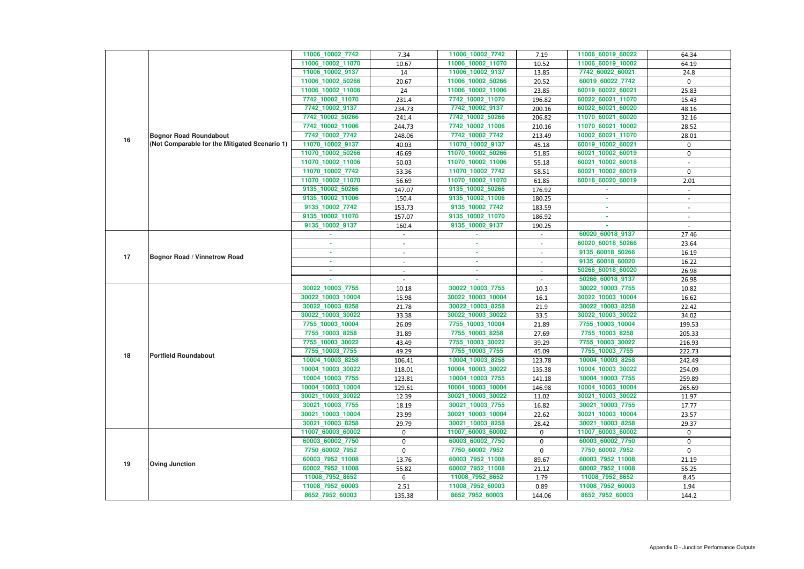|    |                                               | 11006_10002_7742  | 7.34                     | 11006_10002_7742  | 7.19   | 11006_60019_60022 | 64.34            |
|----|-----------------------------------------------|-------------------|--------------------------|-------------------|--------|-------------------|------------------|
|    |                                               | 11006 10002 11070 | 10.67                    | 11006_10002_11070 | 10.52  | 11006_60019_10002 | 64.19            |
|    |                                               | 11006_10002_9137  | 14                       | 11006_10002_9137  | 13.85  | 7742_60022_60021  | 24.8             |
|    |                                               | 11006_10002_50266 | 20.67                    | 11006_10002_50266 | 20.52  | 60019_60022_7742  | $\mathbf 0$      |
|    |                                               | 11006_10002_11006 | 24                       | 11006_10002_11006 | 23.85  | 60019_60022_60021 | 25.83            |
|    |                                               | 7742_10002_11070  | 231.4                    | 7742_10002_11070  | 196.82 | 60022_60021_11070 | 15.43            |
|    |                                               | 7742_10002_9137   | 234.73                   | 7742_10002_9137   | 200.16 | 60022_60021_60020 | 48.16            |
|    |                                               | 7742_10002_50266  | 241.4                    | 7742_10002_50266  | 206.82 | 11070_60021_60020 | 32.16            |
|    | <b>Bognor Road Roundabout</b>                 | 7742_10002_11006  | 244.73                   | 7742_10002_11006  | 210.16 | 11070_60021_10002 | 28.52            |
|    |                                               | 7742 10002 7742   | 248.06                   | 7742_10002_7742   | 213.49 | 10002_60021_11070 | 28.01            |
| 16 | (Not Comparable for the Mitigated Scenario 1) | 11070_10002_9137  | 40.03                    | 11070_10002_9137  | 45.18  | 60019_10002_60021 | $\mathbf{0}$     |
|    |                                               | 11070_10002_50266 | 46.69                    | 11070_10002_50266 | 51.85  | 60021_10002_60019 | $\boldsymbol{0}$ |
|    |                                               | 11070_10002_11006 | 50.03                    | 11070_10002_11006 | 55.18  | 60021_10002_60018 |                  |
|    |                                               | 11070_10002_7742  | 53.36                    | 11070_10002_7742  | 58.51  | 60021_10002_60019 | $\mathbf 0$      |
|    |                                               | 11070_10002_11070 | 56.69                    | 11070_10002_11070 | 61.85  | 60018 60020 60019 | 2.01             |
|    |                                               | 9135_10002_50266  | 147.07                   | 9135_10002_50266  | 176.92 |                   |                  |
|    |                                               | 9135_10002_11006  | 150.4                    | 9135_10002_11006  | 180.25 |                   |                  |
|    |                                               | 9135_10002_7742   | 153.73                   | 9135_10002_7742   | 183.59 |                   |                  |
|    |                                               | 9135_10002_11070  | 157.07                   | 9135_10002_11070  | 186.92 | $\sim$            | $\sim$           |
|    |                                               | 9135_10002_9137   | 160.4                    | 9135_10002_9137   | 190.25 |                   | $\sim$           |
|    |                                               |                   |                          |                   |        | 60020_60018_9137  | 27.46            |
|    |                                               |                   |                          |                   |        | 60020_60018_50266 | 23.64            |
| 17 | <b>Bognor Road / Vinnetrow Road</b>           | ×.                | $\overline{\phantom{a}}$ | ×.                | $\sim$ | 9135_60018_50266  | 16.19            |
|    |                                               | ×.                | $\overline{\phantom{a}}$ | $\sim$            | $\sim$ | 9135_60018_60020  | 16.22            |
|    |                                               | ×.                |                          | ×.                |        | 50266_60018_60020 | 26.98            |
|    |                                               |                   |                          |                   |        | 50266_60018_9137  | 26.98            |
|    |                                               | 30022_10003_7755  | 10.18                    | 30022_10003_7755  | 10.3   | 30022_10003_7755  | 10.82            |
|    |                                               | 30022_10003_10004 | 15.98                    | 30022_10003_10004 | 16.1   | 30022_10003_10004 | 16.62            |
|    |                                               | 30022_10003_8258  | 21.78                    | 30022_10003_8258  | 21.9   | 30022_10003_8258  | 22.42            |
|    |                                               | 30022_10003_30022 | 33.38                    | 30022_10003_30022 | 33.5   | 30022_10003_30022 | 34.02            |
|    |                                               | 7755_10003_10004  | 26.09                    | 7755_10003_10004  | 21.89  | 7755_10003_10004  | 199.53           |
|    |                                               | 7755_10003_8258   | 31.89                    | 7755_10003_8258   | 27.69  | 7755_10003_8258   | 205.33           |
|    |                                               | 7755_10003_30022  | 43.49                    | 7755_10003_30022  | 39.29  | 7755_10003_30022  | 216.93           |
| 18 | <b>Portfield Roundabout</b>                   | 7755_10003_7755   | 49.29                    | 7755_10003_7755   | 45.09  | 7755_10003_7755   | 222.73           |
|    |                                               | 10004_10003_8258  | 106.41                   | 10004_10003_8258  | 123.78 | 10004_10003_8258  | 242.49           |
|    |                                               | 10004_10003_30022 | 118.01                   | 10004 10003 30022 | 135.38 | 10004_10003_30022 | 254.09           |
|    |                                               | 10004_10003_7755  | 123.81                   | 10004_10003_7755  | 141.18 | 10004 10003 7755  | 259.89           |
|    |                                               | 10004_10003_10004 | 129.61                   | 10004_10003_10004 | 146.98 | 10004_10003_10004 | 265.69           |
|    |                                               | 30021_10003_30022 | 12.39                    | 30021_10003_30022 | 11.02  | 30021_10003_30022 | 11.97            |
|    |                                               | 30021_10003_7755  | 18.19                    | 30021_10003_7755  | 16.82  | 30021_10003_7755  | 17.77            |
|    |                                               | 30021_10003_10004 | 23.99                    | 30021_10003_10004 | 22.62  | 30021_10003_10004 | 23.57            |
|    |                                               | 30021_10003_8258  | 29.79                    | 30021_10003_8258  | 28.42  | 30021_10003_8258  | 29.37            |
|    |                                               | 11007_60003_60002 | $\mathbf 0$              | 11007_60003_60002 | 0      | 11007_60003_60002 | $\mathbf 0$      |
|    |                                               | 60003_60002_7750  | 0                        | 60003_60002_7750  | 0      | 60003_60002_7750  | $\mathbf 0$      |
|    |                                               | 7750_60002_7952   | $\mathbf 0$              | 7750_60002_7952   | 0      | 7750_60002_7952   | $\mathbf 0$      |
| 19 | <b>Oving Junction</b>                         | 60003_7952_11008  | 13.76                    | 60003_7952_11008  | 89.67  | 60003_7952_11008  | 21.19            |
|    |                                               | 60002_7952_11008  | 55.82                    | 60002_7952_11008  | 21.12  | 60002_7952_11008  | 55.25            |
|    |                                               | 11008_7952_8652   | 6                        | 11008_7952_8652   | 1.79   | 11008_7952_8652   | 8.45             |
|    |                                               | 11008_7952_60003  | 2.51                     | 11008_7952_60003  | 0.89   | 11008_7952_60003  | 1.94             |
|    |                                               | 8652_7952_60003   | 135.38                   | 8652_7952_60003   | 144.06 | 8652_7952_60003   | 144.2            |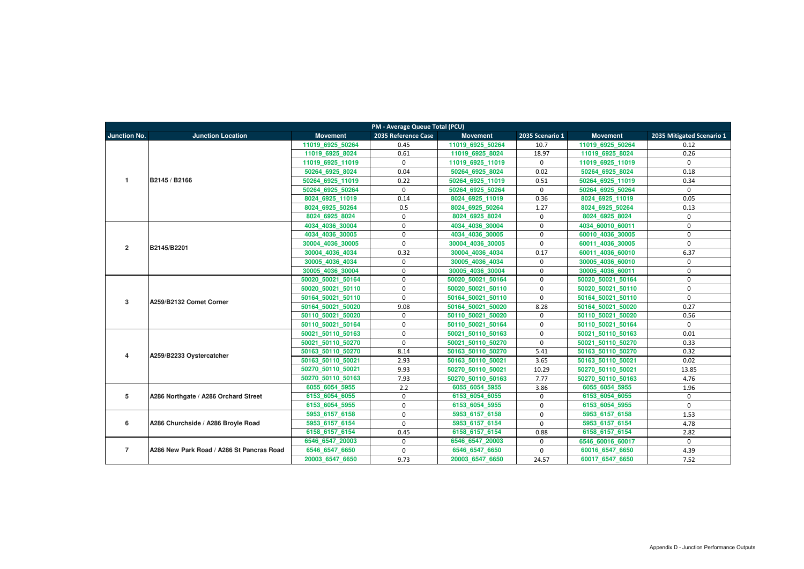|                         | PM - Average Queue Total (PCU)            |                   |                     |                   |                 |                   |                           |  |  |  |  |
|-------------------------|-------------------------------------------|-------------------|---------------------|-------------------|-----------------|-------------------|---------------------------|--|--|--|--|
| <b>Junction No.</b>     | <b>Junction Location</b>                  | <b>Movement</b>   | 2035 Reference Case | <b>Movement</b>   | 2035 Scenario 1 | <b>Movement</b>   | 2035 Mitigated Scenario 1 |  |  |  |  |
|                         |                                           | 11019 6925 50264  | 0.45                | 11019 6925 50264  | 10.7            | 11019 6925 50264  | 0.12                      |  |  |  |  |
|                         |                                           | 11019 6925 8024   | 0.61                | 11019 6925 8024   | 18.97           | 11019 6925 8024   | 0.26                      |  |  |  |  |
|                         |                                           | 11019 6925 11019  | $\mathbf 0$         | 11019 6925 11019  | $\mathbf 0$     | 11019 6925 11019  | $\mathbf 0$               |  |  |  |  |
|                         |                                           | 50264 6925 8024   | 0.04                | 50264 6925 8024   | 0.02            | 50264 6925 8024   | 0.18                      |  |  |  |  |
| $\mathbf{1}$            | B2145 / B2166                             | 50264 6925 11019  | 0.22                | 50264 6925 11019  | 0.51            | 50264 6925 11019  | 0.34                      |  |  |  |  |
|                         |                                           | 50264 6925 50264  | $\mathbf 0$         | 50264 6925 50264  | $\mathbf 0$     | 50264 6925 50264  | $\mathbf 0$               |  |  |  |  |
|                         |                                           | 8024 6925 11019   | 0.14                | 8024 6925 11019   | 0.36            | 8024 6925 11019   | 0.05                      |  |  |  |  |
|                         |                                           | 8024 6925 50264   | 0.5                 | 8024 6925 50264   | 1.27            | 8024 6925 50264   | 0.13                      |  |  |  |  |
|                         |                                           | 8024_6925_8024    | $\mathbf 0$         | 8024 6925 8024    | $\mathbf 0$     | 8024_6925_8024    | $\mathbf 0$               |  |  |  |  |
|                         |                                           | 4034 4036 30004   | $\mathbf 0$         | 4034 4036 30004   | $\mathbf 0$     | 4034 60010 60011  | $\mathbf 0$               |  |  |  |  |
|                         |                                           | 4034 4036 30005   | $\mathbf 0$         | 4034 4036 30005   | $\mathbf 0$     | 60010 4036 30005  | $\Omega$                  |  |  |  |  |
| $\overline{2}$          | B2145/B2201                               | 30004 4036 30005  | $\mathbf 0$         | 30004 4036 30005  | $\mathbf 0$     | 60011 4036 30005  | $\Omega$                  |  |  |  |  |
|                         |                                           | 30004 4036 4034   | 0.32                | 30004 4036 4034   | 0.17            | 60011 4036 60010  | 6.37                      |  |  |  |  |
|                         |                                           | 30005 4036 4034   | $\mathbf 0$         | 30005 4036 4034   | $\mathbf 0$     | 30005 4036 60010  | $\Omega$                  |  |  |  |  |
|                         |                                           | 30005 4036 30004  | $\mathbf 0$         | 30005 4036 30004  | $\mathbf 0$     | 30005 4036 60011  | $\mathbf 0$               |  |  |  |  |
|                         |                                           | 50020 50021 50164 | $\mathbf 0$         | 50020 50021 50164 | $\mathbf 0$     | 50020 50021 50164 | $\mathbf 0$               |  |  |  |  |
|                         |                                           | 50020 50021 50110 | $\mathbf 0$         | 50020 50021 50110 | $\mathbf 0$     | 50020 50021 50110 | $\mathbf{0}$              |  |  |  |  |
| $\mathbf{3}$            | A259/B2132 Comet Corner                   | 50164 50021 50110 | $\mathbf 0$         | 50164 50021 50110 | $\mathbf 0$     | 50164 50021 50110 | $\mathbf{0}$              |  |  |  |  |
|                         |                                           | 50164 50021 50020 | 9.08                | 50164 50021 50020 | 8.28            | 50164 50021 50020 | 0.27                      |  |  |  |  |
|                         |                                           | 50110 50021 50020 | $\mathbf 0$         | 50110 50021 50020 | $\mathbf 0$     | 50110 50021 50020 | 0.56                      |  |  |  |  |
|                         |                                           | 50110 50021 50164 | $\mathbf 0$         | 50110 50021 50164 | $\mathbf 0$     | 50110 50021 50164 | $\mathbf 0$               |  |  |  |  |
|                         |                                           | 50021 50110 50163 | $\mathbf 0$         | 50021 50110 50163 | $\mathbf 0$     | 50021 50110 50163 | 0.01                      |  |  |  |  |
|                         |                                           | 50021 50110 50270 | $\mathbf 0$         | 50021 50110 50270 | $\mathbf 0$     | 50021 50110 50270 | 0.33                      |  |  |  |  |
| $\overline{\mathbf{4}}$ | A259/B2233 Oystercatcher                  | 50163 50110 50270 | 8.14                | 50163 50110 50270 | 5.41            | 50163 50110 50270 | 0.32                      |  |  |  |  |
|                         |                                           | 50163 50110 50021 | 2.93                | 50163 50110 50021 | 3.65            | 50163 50110 50021 | 0.02                      |  |  |  |  |
|                         |                                           | 50270 50110 50021 | 9.93                | 50270 50110 50021 | 10.29           | 50270 50110 50021 | 13.85                     |  |  |  |  |
|                         |                                           | 50270 50110 50163 | 7.93                | 50270 50110 50163 | 7.77            | 50270 50110 50163 | 4.76                      |  |  |  |  |
|                         |                                           | 6055 6054 5955    | 2.2                 | 6055 6054 5955    | 3.86            | 6055 6054 5955    | 1.96                      |  |  |  |  |
| 5                       | A286 Northgate / A286 Orchard Street      | 6153 6054 6055    | $\mathbf 0$         | 6153 6054 6055    | $\mathbf 0$     | 6153 6054 6055    | $\mathbf 0$               |  |  |  |  |
|                         |                                           | 6153 6054 5955    | $\mathbf 0$         | 6153 6054 5955    | $\mathbf 0$     | 6153 6054 5955    | $\mathbf{0}$              |  |  |  |  |
|                         |                                           | 5953 6157 6158    | $\mathbf 0$         | 5953 6157 6158    | $\mathbf{0}$    | 5953 6157 6158    | 1.53                      |  |  |  |  |
| 6                       | A286 Churchside / A286 Broyle Road        | 5953 6157 6154    | $\mathbf 0$         | 5953 6157 6154    | $\mathbf 0$     | 5953 6157 6154    | 4.78                      |  |  |  |  |
|                         |                                           | 6158 6157 6154    | 0.45                | 6158 6157 6154    | 0.88            | 6158 6157 6154    | 2.82                      |  |  |  |  |
|                         |                                           | 6546 6547 20003   | $\mathbf 0$         | 6546 6547 20003   | $\mathbf 0$     | 6546 60016 60017  | $\mathbf 0$               |  |  |  |  |
| $\overline{7}$          | A286 New Park Road / A286 St Pancras Road | 6546_6547_6650    | $\mathbf 0$         | 6546 6547 6650    | $\mathbf 0$     | 60016_6547_6650   | 4.39                      |  |  |  |  |
|                         |                                           | 20003_6547_6650   | 9.73                | 20003 6547 6650   | 24.57           | 60017_6547_6650   | 7.52                      |  |  |  |  |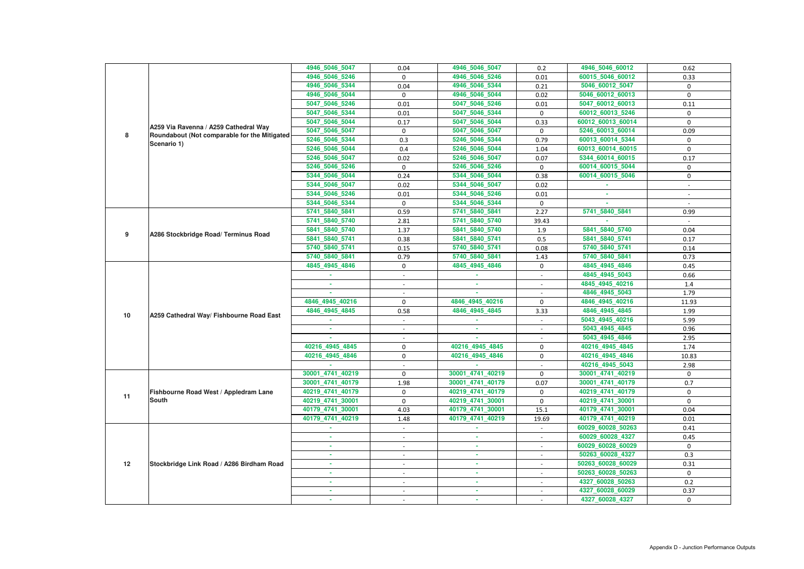|    |                                                             | 4946_5046_5047   | 0.04                     | 4946_5046_5047   | 0.2                      | 4946_5046_60012   | 0.62         |
|----|-------------------------------------------------------------|------------------|--------------------------|------------------|--------------------------|-------------------|--------------|
|    |                                                             | 4946_5046_5246   | $\mathbf{0}$             | 4946_5046_5246   | 0.01                     | 60015_5046_60012  | 0.33         |
|    |                                                             | 4946_5046_5344   | 0.04                     | 4946_5046_5344   | 0.21                     | 5046_60012_5047   | 0            |
|    |                                                             | 4946_5046_5044   | 0                        | 4946_5046_5044   | 0.02                     | 5046_60012_60013  | 0            |
|    |                                                             | 5047_5046_5246   | 0.01                     | 5047_5046_5246   | 0.01                     | 5047_60012_60013  | 0.11         |
|    |                                                             | 5047_5046_5344   | 0.01                     | 5047 5046 5344   | $\mathbf 0$              | 60012 60013 5246  | $\mathbf 0$  |
|    |                                                             | 5047_5046_5044   | 0.17                     | 5047_5046_5044   | 0.33                     | 60012_60013_60014 | $\Omega$     |
|    | A259 Via Ravenna / A259 Cathedral Way                       | 5047 5046 5047   | 0                        | 5047_5046_5047   | 0                        | 5246_60013_60014  | 0.09         |
| 8  | Roundabout (Not comparable for the Mitigated<br>Scenario 1) | 5246_5046_5344   | 0.3                      | 5246_5046_5344   | 0.79                     | 60013_60014_5344  | 0            |
|    |                                                             | 5246_5046_5044   | 0.4                      | 5246_5046_5044   | 1.04                     | 60013_60014_60015 | $\mathbf{0}$ |
|    |                                                             | 5246_5046_5047   | 0.02                     | 5246_5046_5047   | 0.07                     | 5344_60014_60015  | 0.17         |
|    |                                                             | 5246_5046_5246   | $\mathbf 0$              | 5246_5046_5246   | $\mathbf 0$              | 60014_60015_5044  | 0            |
|    |                                                             | 5344_5046_5044   | 0.24                     | 5344_5046_5044   | 0.38                     | 60014_60015_5046  | $\mathbf 0$  |
|    |                                                             | 5344_5046_5047   | 0.02                     | 5344_5046_5047   | 0.02                     | $\sim$            | $\sim$       |
|    |                                                             | 5344_5046_5246   | 0.01                     | 5344_5046_5246   | 0.01                     |                   |              |
|    |                                                             | 5344_5046_5344   | $\mathbf 0$              | 5344_5046_5344   | $\mathbf 0$              |                   |              |
|    |                                                             | 5741_5840_5841   | 0.59                     | 5741_5840_5841   | 2.27                     | 5741_5840_5841    | 0.99         |
|    | 5741_5840_5740                                              | 2.81             | 5741_5840_5740           | 39.43            |                          |                   |              |
| 9  | A286 Stockbridge Road/ Terminus Road                        | 5841_5840_5740   | 1.37                     | 5841 5840 5740   | 1.9                      | 5841_5840_5740    | 0.04         |
|    |                                                             | 5841_5840_5741   | 0.38                     | 5841_5840_5741   | 0.5                      | 5841_5840_5741    | 0.17         |
|    |                                                             | 5740_5840_5741   | 0.15                     | 5740_5840_5741   | 0.08                     | 5740_5840_5741    | 0.14         |
|    |                                                             | 5740_5840_5841   | 0.79                     | 5740_5840_5841   | 1.43                     | 5740_5840_5841    | 0.73         |
|    |                                                             | 4845_4945_4846   | 0                        | 4845_4945_4846   | 0                        | 4845_4945_4846    | 0.45         |
|    |                                                             |                  |                          |                  | $\sim$                   | 4845_4945_5043    | 0.66         |
|    | A259 Cathedral Way/ Fishbourne Road East                    | ×.               | $\overline{\phantom{a}}$ | $\sim$           |                          | 4845 4945 40216   | 1.4          |
|    |                                                             |                  |                          |                  |                          | 4846_4945_5043    | 1.79         |
|    |                                                             | 4846 4945 40216  | 0                        | 4846_4945_40216  | $\mathbf 0$              | 4846_4945_40216   | 11.93        |
| 10 |                                                             | 4846_4945_4845   | 0.58                     | 4846_4945_4845   | 3.33                     | 4846_4945_4845    | 1.99         |
|    |                                                             |                  |                          |                  |                          | 5043_4945_40216   | 5.99         |
|    |                                                             |                  |                          |                  |                          | 5043_4945_4845    | 0.96         |
|    |                                                             |                  | $\overline{\phantom{a}}$ |                  |                          | 5043 4945 4846    | 2.95         |
|    |                                                             | 40216 4945 4845  | 0                        | 40216 4945 4845  | 0                        | 40216 4945 4845   | 1.74         |
|    |                                                             | 40216_4945_4846  | $\mathbf 0$              | 40216_4945_4846  | $\mathbf 0$              | 40216_4945_4846   | 10.83        |
|    |                                                             |                  |                          |                  |                          | 40216_4945_5043   | 2.98         |
|    |                                                             | 30001_4741_40219 | $\mathbf{0}$             | 30001_4741_40219 | $\mathbf 0$              | 30001_4741_40219  | $\Omega$     |
|    |                                                             | 30001 4741 40179 | 1.98                     | 30001_4741_40179 | 0.07                     | 30001_4741_40179  | 0.7          |
| 11 | Fishbourne Road West / Appledram Lane                       | 40219_4741_40179 | 0                        | 40219_4741_40179 | $\mathbf 0$              | 40219_4741_40179  | 0            |
|    | <b>South</b>                                                | 40219_4741_30001 | $\mathbf 0$              | 40219_4741_30001 | $\mathbf 0$              | 40219_4741_30001  | $\mathbf 0$  |
|    |                                                             | 40179_4741_30001 | 4.03                     | 40179_4741_30001 | 15.1                     | 40179_4741_30001  | 0.04         |
|    |                                                             | 40179_4741_40219 | 1.48                     | 40179_4741_40219 | 19.69                    | 40179_4741_40219  | 0.01         |
|    |                                                             | ×.               | $\sim$                   | $\sim$           | $\sim$                   | 60029_60028_50263 | 0.41         |
|    |                                                             | ×.               | $\overline{\phantom{a}}$ | $\sim$           | $\sim$                   | 60029_60028_4327  | 0.45         |
|    |                                                             |                  |                          | ×.               |                          | 60029_60028_60029 | $\mathbf{0}$ |
|    |                                                             | ×.               | $\overline{\phantom{a}}$ | m.               | $\overline{\phantom{a}}$ | 50263_60028_4327  | 0.3          |
| 12 | Stockbridge Link Road / A286 Birdham Road                   | ٠                | $\sim$                   | ×.               | $\sim$                   | 50263_60028_60029 | 0.31         |
|    |                                                             | ٠                | $\sim$                   | ×.               | $\sim$                   | 50263_60028_50263 | 0            |
|    |                                                             | ×.               |                          | ٠                | $\sim$                   | 4327_60028_50263  | 0.2          |
|    |                                                             | ÷.               | $\sim$                   | $\sim$           |                          | 4327_60028_60029  | 0.37         |
|    |                                                             |                  | $\blacksquare$           | ×                | $\overline{\phantom{a}}$ | 4327_60028_4327   | $\bf{0}$     |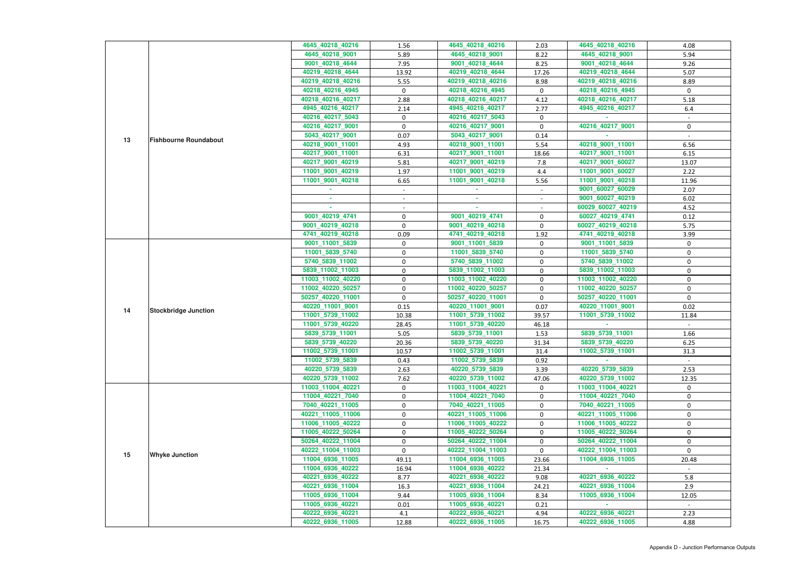|    |                              | 4645 40218 40216  | 1.56             | 4645 40218 40216  | 2.03        | 4645_40218_40216  | 4.08         |
|----|------------------------------|-------------------|------------------|-------------------|-------------|-------------------|--------------|
|    |                              | 4645_40218_9001   | 5.89             | 4645_40218_9001   | 8.22        | 4645_40218_9001   | 5.94         |
|    |                              | 9001_40218_4644   |                  |                   |             |                   |              |
|    |                              |                   | 7.95             | 9001_40218_4644   | 8.25        | 9001_40218_4644   | 9.26         |
|    |                              | 40219_40218_4644  | 13.92            | 40219_40218_4644  | 17.26       | 40219_40218_4644  | 5.07         |
|    |                              | 40219_40218_40216 | 5.55             | 40219_40218_40216 | 8.98        | 40219_40218_40216 | 8.89         |
|    |                              | 40218_40216_4945  | $\mathbf 0$      | 40218_40216_4945  | $\mathbf 0$ | 40218_40216_4945  | $\mathbf 0$  |
|    |                              | 40218_40216_40217 | 2.88             | 40218_40216_40217 | 4.12        | 40218_40216_40217 | 5.18         |
|    |                              | 4945_40216_40217  | 2.14             | 4945_40216_40217  | 2.77        | 4945_40216_40217  | 6.4          |
|    |                              | 40216_40217_5043  | $\mathbf 0$      | 40216_40217_5043  | 0           |                   |              |
|    |                              | 40216_40217_9001  | $\mathbf 0$      | 40216_40217_9001  | 0           | 40216 40217 9001  | 0            |
| 13 | <b>Fishbourne Roundabout</b> | 5043_40217_9001   | 0.07             | 5043_40217_9001   | 0.14        |                   |              |
|    |                              | 40218_9001_11001  | 4.93             | 40218_9001_11001  | 5.54        | 40218_9001_11001  | 6.56         |
|    |                              | 40217_9001_11001  | 6.31             | 40217_9001_11001  | 18.66       | 40217_9001_11001  | 6.15         |
|    |                              | 40217_9001_40219  | 5.81             | 40217_9001_40219  | 7.8         | 40217_9001_60027  | 13.07        |
|    |                              | 11001_9001_40219  | 1.97             | 11001_9001_40219  | 4.4         | 11001_9001_60027  | 2.22         |
|    |                              | 11001_9001_40218  | 6.65             | 11001_9001_40218  | 5.56        | 11001_9001_40218  | 11.96        |
|    |                              |                   | $\sim$           |                   | $\sim$ .    | 9001_60027_60029  | 2.07         |
|    |                              |                   |                  |                   |             | 9001_60027_40219  | 6.02         |
|    |                              | $\sim$            |                  | A.                |             | 60029_60027_40219 | 4.52         |
|    |                              | 9001_40219_4741   | 0                | 9001_40219_4741   | 0           | 60027_40219_4741  | 0.12         |
|    |                              | 9001_40219_40218  | 0                | 9001_40219_40218  | 0           | 60027_40219_40218 | 5.75         |
|    |                              | 4741_40219_40218  | 0.09             | 4741_40219_40218  | 1.92        | 4741_40219_40218  | 3.99         |
|    |                              | 9001_11001_5839   | $\mathbf 0$      | 9001_11001_5839   | 0           | 9001_11001_5839   | 0            |
|    | <b>Stockbridge Junction</b>  | 11001_5839_5740   | 0                | 11001_5839_5740   | 0           | 11001_5839_5740   | $\mathbf 0$  |
|    |                              | 5740_5839_11002   | 0                | 5740_5839_11002   | 0           | 5740_5839_11002   | 0            |
|    |                              | 5839_11002_11003  | 0                | 5839_11002_11003  | 0           | 5839_11002_11003  | 0            |
|    |                              | 11003_11002_40220 | $\mathbf 0$      | 11003_11002_40220 | 0           | 11003_11002_40220 | 0            |
|    |                              | 11002_40220_50257 | $\boldsymbol{0}$ | 11002_40220_50257 | 0           | 11002_40220_50257 | $\mathbf 0$  |
|    |                              | 50257_40220_11001 | $\mathbf 0$      | 50257_40220_11001 | 0           | 50257_40220_11001 | $\mathbf 0$  |
| 14 |                              | 40220_11001_9001  | 0.15             | 40220_11001_9001  | 0.07        | 40220_11001_9001  | 0.02         |
|    |                              | 11001_5739_11002  | 10.38            | 11001_5739_11002  | 39.57       | 11001_5739_11002  | 11.84        |
|    |                              | 11001_5739_40220  | 28.45            | 11001_5739_40220  | 46.18       |                   |              |
|    |                              | 5839_5739_11001   | 5.05             | 5839_5739_11001   | 1.53        | 5839 5739 11001   | 1.66         |
|    |                              | 5839_5739_40220   | 20.36            | 5839_5739_40220   | 31.34       | 5839_5739_40220   | 6.25         |
|    |                              | 11002_5739_11001  | 10.57            | 11002_5739_11001  | 31.4        | 11002 5739 11001  | 31.3         |
|    |                              | 11002_5739_5839   | 0.43             | 11002_5739_5839   | 0.92        |                   |              |
|    |                              | 40220_5739_5839   | 2.63             | 40220_5739_5839   | 3.39        | 40220_5739_5839   | 2.53         |
|    |                              | 40220_5739_11002  | 7.62             | 40220_5739_11002  | 47.06       | 40220_5739_11002  | 12.35        |
|    |                              | 11003_11004_40221 | 0                | 11003_11004_40221 | 0           | 11003_11004_40221 | $\mathbf{0}$ |
|    |                              | 11004_40221_7040  | 0                | 11004_40221_7040  | 0           | 11004_40221_7040  | 0            |
|    |                              | 7040_40221_11005  | $\mathbf 0$      | 7040_40221_11005  | 0           | 7040_40221_11005  | 0            |
|    |                              | 40221_11005_11006 | $\mathbf 0$      | 40221 11005 11006 | 0           | 40221_11005_11006 | $\mathbf 0$  |
|    |                              | 11006_11005_40222 | 0                | 11006_11005_40222 | 0           | 11006_11005_40222 | 0            |
|    |                              | 11005_40222_50264 | 0                | 11005_40222_50264 | 0           | 11005_40222_50264 | 0            |
|    |                              | 50264_40222_11004 | 0                | 50264_40222_11004 | $\mathbf 0$ | 50264_40222_11004 | 0            |
|    |                              | 40222_11004_11003 | $\mathbf{0}$     | 40222_11004_11003 | 0           | 40222_11004_11003 | $\Omega$     |
| 15 | <b>Whyke Junction</b>        | 11004_6936_11005  | 49.11            | 11004_6936_11005  | 23.66       | 11004_6936_11005  | 20.48        |
|    |                              | 11004_6936_40222  | 16.94            | 11004_6936_40222  | 21.34       |                   |              |
|    |                              | 40221_6936_40222  | 8.77             | 40221_6936_40222  | 9.08        | 40221_6936_40222  | 5.8          |
|    |                              | 40221_6936_11004  | 16.3             | 40221_6936_11004  | 24.21       | 40221_6936_11004  | 2.9          |
|    |                              | 11005_6936_11004  | 9.44             | 11005_6936_11004  | 8.34        | 11005_6936_11004  | 12.05        |
|    |                              | 11005_6936_40221  | 0.01             | 11005_6936_40221  | 0.21        |                   |              |
|    |                              | 40222_6936_40221  | 4.1              | 40222_6936_40221  | 4.94        | 40222_6936_40221  | 2.23         |
|    |                              | 40222_6936_11005  | 12.88            | 40222_6936_11005  | 16.75       | 40222_6936_11005  | 4.88         |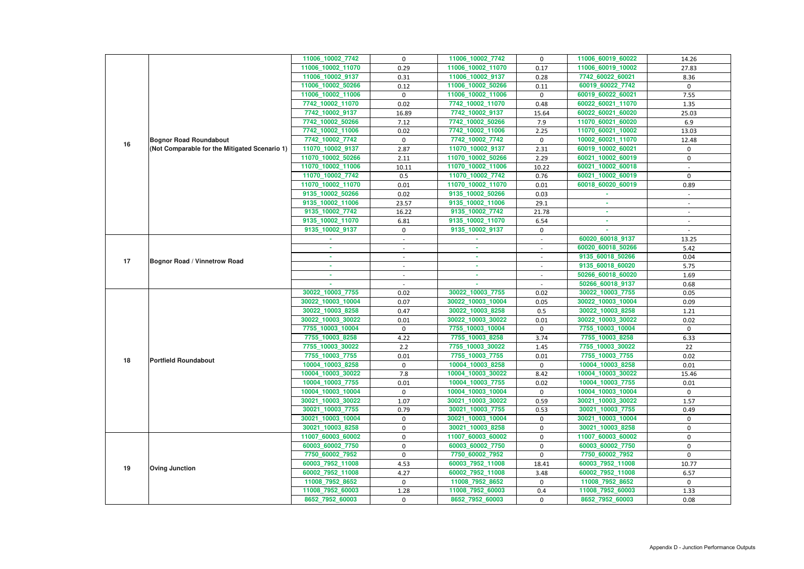|                                                                                                          | 11006_60019_60022<br>14.26                         |
|----------------------------------------------------------------------------------------------------------|----------------------------------------------------|
| 11006_10002_11070<br>11006_10002_11070<br>0.29<br>0.17                                                   | 11006_60019_10002<br>27.83                         |
| 11006_10002_9137<br>11006_10002_9137<br>0.31<br>0.28                                                     | 7742_60022_60021<br>8.36                           |
| 11006_10002_50266<br>11006_10002_50266<br>0.12<br>0.11                                                   | 60019_60022_7742<br>0                              |
| 11006_10002_11006<br>11006_10002_11006<br>0<br>0                                                         | 60019_60022_60021<br>7.55                          |
| 7742_10002_11070<br>0.02<br>7742_10002_11070<br>0.48                                                     | 60022_60021_11070<br>1.35                          |
| 7742_10002_9137<br>7742_10002_9137<br>16.89<br>15.64                                                     | 60022_60021_60020<br>25.03                         |
| 7742_10002_50266<br>7742_10002_50266<br>7.9<br>7.12                                                      | 11070_60021_60020<br>6.9                           |
| 7742 10002 11006<br>7742_10002_11006<br>0.02<br>2.25                                                     | 11070_60021_10002<br>13.03                         |
| 7742_10002_7742<br>7742_10002_7742<br>$\mathbf 0$<br><b>Bognor Road Roundabout</b><br>$\mathbf{0}$<br>16 | 10002_60021_11070<br>12.48                         |
| (Not Comparable for the Mitigated Scenario 1)<br>11070_10002_9137<br>11070_10002_9137<br>2.87<br>2.31    | 60019_10002_60021<br>$\mathbf{0}$                  |
| 11070_10002_50266<br>11070_10002_50266<br>2.11<br>2.29                                                   | 60021_10002_60019<br>0                             |
| 11070_10002_11006<br>11070_10002_11006<br>10.22<br>10.11                                                 | 60021_10002_60018                                  |
| 11070_10002_7742<br>11070_10002_7742<br>0.5<br>0.76                                                      | 60021_10002_60019<br>$\mathbf{0}$                  |
| 11070_10002_11070<br>0.01<br>11070_10002_11070<br>0.01                                                   | 60018_60020_60019<br>0.89                          |
| 9135_10002_50266<br>9135_10002_50266<br>0.02<br>0.03                                                     |                                                    |
| 9135_10002_11006<br>23.57<br>9135_10002_11006<br>29.1                                                    |                                                    |
| 9135_10002_7742<br>9135 10002 7742<br>21.78<br>16.22                                                     | $\overline{\phantom{a}}$                           |
| 9135_10002_11070<br>9135_10002_11070<br>6.54<br>6.81                                                     | ×.<br>$\overline{\phantom{a}}$                     |
| 9135_10002_9137<br>9135_10002_9137<br>0<br>$\mathbf 0$                                                   |                                                    |
| $\sim$                                                                                                   | 60020_60018_9137<br>13.25                          |
| ٠<br>$\overline{\phantom{a}}$                                                                            | 60020_60018_50266<br>5.42                          |
| ×.<br>$\sim$<br>$\sim$<br>$\sim$<br><b>Bognor Road / Vinnetrow Road</b><br>17                            | 9135_60018_50266<br>0.04                           |
| ٠<br>$\sim$                                                                                              | 9135_60018_60020<br>5.75                           |
| $\sim$<br>$\sim$                                                                                         | 50266_60018_60020<br>1.69                          |
|                                                                                                          | 50266_60018_9137<br>0.68                           |
| 30022_10003_7755<br>30022_10003_7755<br>0.02<br>0.02                                                     | 30022_10003_7755<br>0.05                           |
| 30022_10003_10004<br>30022_10003_10004<br>0.07<br>0.05                                                   | 30022_10003_10004<br>0.09                          |
| 30022_10003_8258<br>30022_10003_8258<br>0.47<br>0.5                                                      | 30022_10003_8258<br>1.21                           |
| 30022_10003_30022<br>30022_10003_30022<br>0.01<br>0.01                                                   | 30022_10003_30022<br>0.02                          |
| 7755_10003_10004<br>7755_10003_10004<br>0<br>$\mathbf 0$<br>7755_10003_8258<br>7755_10003_8258           | 7755_10003_10004<br>$\mathbf 0$<br>7755_10003_8258 |
| 4.22<br>3.74<br>7755_10003_30022                                                                         |                                                    |
|                                                                                                          | 6.33                                               |
| 7755_10003_30022<br>$2.2$<br>1.45                                                                        | 7755_10003_30022<br>22                             |
| 7755_10003_7755<br>7755_10003_7755<br>$0.01\,$<br>0.01<br>18<br><b>Portfield Roundabout</b>              | 7755_10003_7755<br>0.02                            |
| 10004_10003_8258<br>10004_10003_8258<br>$\Omega$<br>$\mathbf{0}$                                         | 10004_10003_8258<br>0.01                           |
| 10004_10003_30022<br>10004_10003_30022<br>7.8<br>8.42                                                    | 10004_10003_30022<br>15.46                         |
| 10004_10003_7755<br>0.01<br>10004_10003_7755<br>0.02                                                     | 10004_10003_7755<br>0.01                           |
| 10004_10003_10004<br>10004_10003_10004<br>$\mathbf{0}$<br>$\mathbf{0}$                                   | 10004_10003_10004<br>$\mathbf{0}$                  |
| 30021_10003_30022<br>30021_10003_30022<br>1.07<br>0.59                                                   | 30021_10003_30022<br>1.57                          |
| 30021_10003_7755<br>30021_10003_7755<br>0.79<br>0.53                                                     | 30021_10003_7755<br>0.49                           |
| 30021_10003_10004<br>30021_10003_10004<br>$\mathbf{0}$<br>$\mathbf{0}$<br>$\mathbf{0}$                   | 30021_10003_10004<br>$\mathbf{0}$                  |
| 30021_10003_8258<br>30021_10003_8258<br>0<br>0                                                           | 30021_10003_8258<br>0<br>$\mathbf 0$               |
| 11007_60003_60002<br>11007_60003_60002<br>0<br>60003_60002_7750<br>0                                     | 11007_60003_60002<br>0                             |
| 60003_60002_7750<br>$\mathbf 0$<br>7750_60002_7952<br>7750_60002_7952<br>0<br>$\mathbf{0}$               | 60003_60002_7750<br>7750_60002_7952<br>$\mathbf 0$ |
| 60003_7952_11008<br>60003_7952_11008<br>18.41                                                            | 60003_7952_11008<br>10.77                          |
| 4.53<br>19<br><b>Oving Junction</b><br>60002_7952_11008<br>4.27<br>60002_7952_11008<br>3.48              | 60002_7952_11008<br>6.57                           |
| 11008_7952_8652<br>11008_7952_8652<br>$\mathbf 0$<br>$\mathbf{0}$                                        | 11008_7952_8652<br>$\Omega$                        |
| 11008_7952_60003<br>11008_7952_60003<br>0.4<br>1.28                                                      | 11008_7952_60003<br>1.33                           |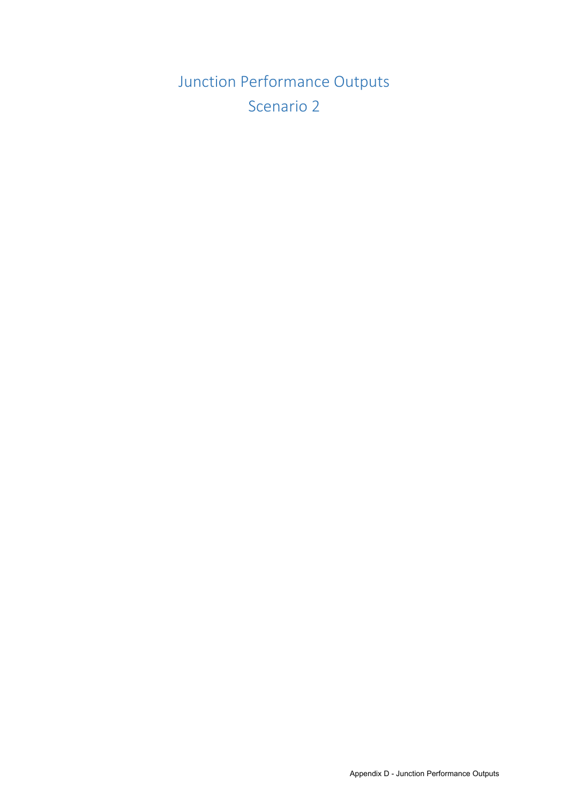Junction Performance Outputs Scenario 2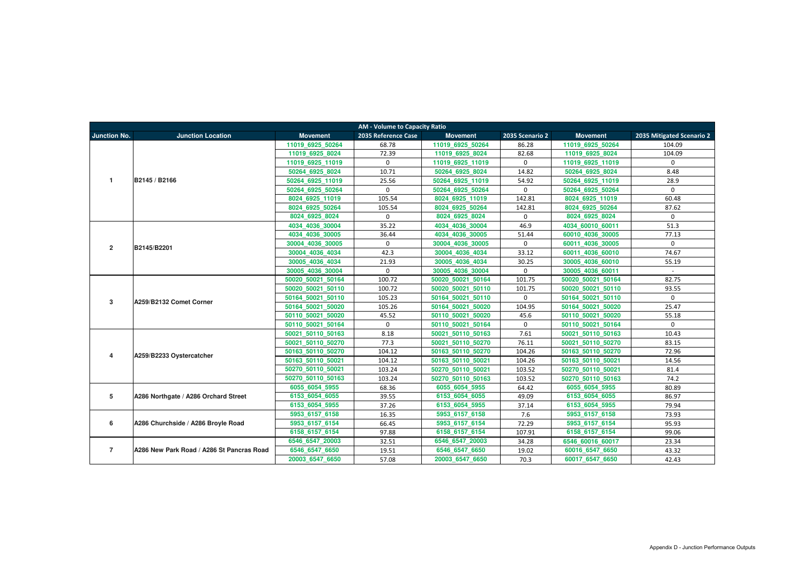| <b>AM - Volume to Capacity Ratio</b> |                                           |                   |                     |                   |                 |                   |                           |  |  |  |
|--------------------------------------|-------------------------------------------|-------------------|---------------------|-------------------|-----------------|-------------------|---------------------------|--|--|--|
| <b>Junction No.</b>                  | <b>Junction Location</b>                  | <b>Movement</b>   | 2035 Reference Case | <b>Movement</b>   | 2035 Scenario 2 | <b>Movement</b>   | 2035 Mitigated Scenario 2 |  |  |  |
|                                      |                                           | 11019 6925 50264  | 68.78               | 11019 6925 50264  | 86.28           | 11019 6925 50264  | 104.09                    |  |  |  |
|                                      |                                           | 11019 6925 8024   | 72.39               | 11019 6925 8024   | 82.68           | 11019 6925 8024   | 104.09                    |  |  |  |
|                                      |                                           | 11019 6925 11019  | $\mathbf{0}$        | 11019 6925 11019  | $\mathbf 0$     | 11019 6925 11019  | $\Omega$                  |  |  |  |
|                                      |                                           | 50264 6925 8024   | 10.71               | 50264 6925 8024   | 14.82           | 50264 6925 8024   | 8.48                      |  |  |  |
| $\overline{1}$                       | B2145 / B2166                             | 50264_6925_11019  | 25.56               | 50264 6925 11019  | 54.92           | 50264 6925 11019  | 28.9                      |  |  |  |
|                                      |                                           | 50264 6925 50264  | $\Omega$            | 50264 6925 50264  | $\mathbf 0$     | 50264 6925 50264  | $\Omega$                  |  |  |  |
|                                      |                                           | 8024 6925 11019   | 105.54              | 8024 6925 11019   | 142.81          | 8024 6925 11019   | 60.48                     |  |  |  |
|                                      |                                           | 8024 6925 50264   | 105.54              | 8024 6925 50264   | 142.81          | 8024 6925 50264   | 87.62                     |  |  |  |
|                                      |                                           | 8024 6925 8024    | $\mathbf{0}$        | 8024 6925 8024    | $\mathbf 0$     | 8024 6925 8024    | $\mathbf{0}$              |  |  |  |
|                                      |                                           | 4034 4036 30004   | 35.22               | 4034_4036_30004   | 46.9            | 4034_60010_60011  | 51.3                      |  |  |  |
|                                      |                                           | 4034 4036 30005   | 36.44               | 4034 4036 30005   | 51.44           | 60010 4036 30005  | 77.13                     |  |  |  |
| $\overline{2}$                       | B2145/B2201                               | 30004 4036 30005  | $\mathbf 0$         | 30004 4036 30005  | $\mathbf 0$     | 60011 4036 30005  | $\mathbf 0$               |  |  |  |
|                                      |                                           | 30004 4036 4034   | 42.3                | 30004 4036 4034   | 33.12           | 60011 4036 60010  | 74.67                     |  |  |  |
|                                      |                                           | 30005 4036 4034   | 21.93               | 30005 4036 4034   | 30.25           | 30005 4036 60010  | 55.19                     |  |  |  |
|                                      |                                           | 30005 4036 30004  | $\mathbf{0}$        | 30005 4036 30004  | $\mathbf 0$     | 30005 4036 60011  | $\sim$                    |  |  |  |
|                                      |                                           | 50020 50021 50164 | 100.72              | 50020 50021 50164 | 101.75          | 50020 50021 50164 | 82.75                     |  |  |  |
|                                      |                                           | 50020 50021 50110 | 100.72              | 50020 50021 50110 | 101.75          | 50020 50021 50110 | 93.55                     |  |  |  |
| 3                                    | A259/B2132 Comet Corner                   | 50164 50021 50110 | 105.23              | 50164 50021 50110 | $\mathbf 0$     | 50164 50021 50110 | $\mathbf 0$               |  |  |  |
|                                      |                                           | 50164 50021 50020 | 105.26              | 50164 50021 50020 | 104.95          | 50164 50021 50020 | 25.47                     |  |  |  |
|                                      |                                           | 50110 50021 50020 | 45.52               | 50110 50021 50020 | 45.6            | 50110 50021 50020 | 55.18                     |  |  |  |
|                                      |                                           | 50110 50021 50164 | $\mathbf 0$         | 50110 50021 50164 | $\mathbf 0$     | 50110 50021 50164 | $\Omega$                  |  |  |  |
|                                      |                                           | 50021 50110 50163 | 8.18                | 50021 50110 50163 | 7.61            | 50021 50110 50163 | 10.43                     |  |  |  |
|                                      |                                           | 50021 50110 50270 | 77.3                | 50021 50110 50270 | 76.11           | 50021 50110 50270 | 83.15                     |  |  |  |
| 4                                    | A259/B2233 Oystercatcher                  | 50163 50110 50270 | 104.12              | 50163 50110 50270 | 104.26          | 50163 50110 50270 | 72.96                     |  |  |  |
|                                      |                                           | 50163 50110 50021 | 104.12              | 50163 50110 50021 | 104.26          | 50163 50110 50021 | 14.56                     |  |  |  |
|                                      |                                           | 50270 50110 50021 | 103.24              | 50270 50110 50021 | 103.52          | 50270 50110 50021 | 81.4                      |  |  |  |
|                                      |                                           | 50270 50110 50163 | 103.24              | 50270 50110 50163 | 103.52          | 50270 50110 50163 | 74.2                      |  |  |  |
|                                      |                                           | 6055 6054 5955    | 68.36               | 6055_6054_5955    | 64.42           | 6055_6054_5955    | 80.89                     |  |  |  |
| 5                                    | A286 Northgate / A286 Orchard Street      | 6153 6054 6055    | 39.55               | 6153_6054_6055    | 49.09           | 6153 6054 6055    | 86.97                     |  |  |  |
|                                      |                                           | 6153 6054 5955    | 37.26               | 6153 6054 5955    | 37.14           | 6153 6054 5955    | 79.94                     |  |  |  |
|                                      |                                           | 5953 6157 6158    | 16.35               | 5953 6157 6158    | 7.6             | 5953 6157 6158    | 73.93                     |  |  |  |
| 6                                    | A286 Churchside / A286 Broyle Road        | 5953 6157 6154    | 66.45               | 5953_6157_6154    | 72.29           | 5953 6157 6154    | 95.93                     |  |  |  |
|                                      |                                           | 6158 6157 6154    | 97.88               | 6158 6157 6154    | 107.91          | 6158 6157 6154    | 99.06                     |  |  |  |
|                                      |                                           | 6546 6547 20003   | 32.51               | 6546 6547 20003   | 34.28           | 6546 60016 60017  | 23.34                     |  |  |  |
| $\overline{7}$                       | A286 New Park Road / A286 St Pancras Road | 6546_6547_6650    | 19.51               | 6546_6547_6650    | 19.02           | 60016_6547_6650   | 43.32                     |  |  |  |
|                                      |                                           | 20003 6547 6650   | 57.08               | 20003 6547 6650   | 70.3            | 60017 6547 6650   | 42.43                     |  |  |  |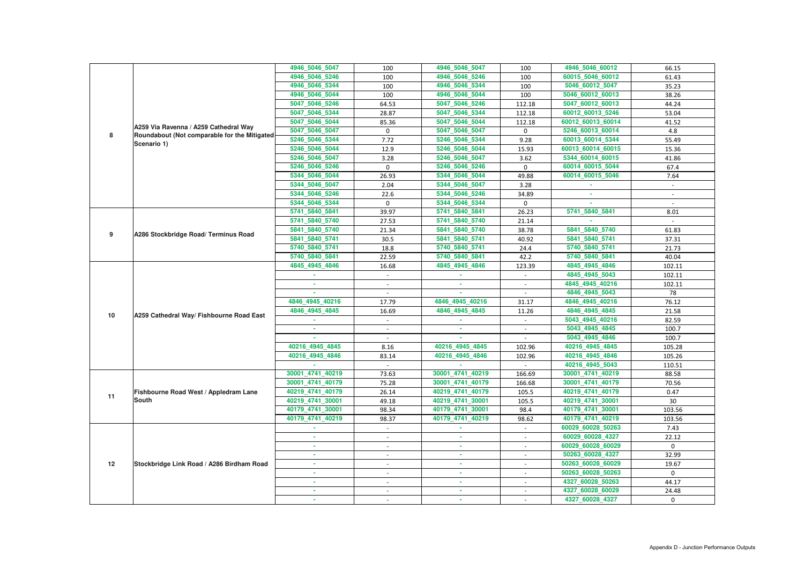|    |                                              | 4946_5046_5047   | 100                      | 4946_5046_5047   | 100         | 4946_5046_60012   | 66.15        |
|----|----------------------------------------------|------------------|--------------------------|------------------|-------------|-------------------|--------------|
|    |                                              | 4946_5046_5246   | 100                      | 4946_5046_5246   | 100         | 60015 5046 60012  | 61.43        |
|    |                                              | 4946 5046 5344   | 100                      | 4946_5046_5344   | 100         | 5046_60012_5047   | 35.23        |
|    |                                              | 4946_5046_5044   | 100                      | 4946_5046_5044   | 100         | 5046_60012_60013  | 38.26        |
|    |                                              | 5047_5046_5246   | 64.53                    | 5047 5046 5246   | 112.18      | 5047 60012 60013  | 44.24        |
|    |                                              | 5047 5046 5344   | 28.87                    | 5047_5046_5344   | 112.18      | 60012_60013_5246  | 53.04        |
|    | A259 Via Ravenna / A259 Cathedral Way        | 5047_5046_5044   | 85.36                    | 5047_5046_5044   | 112.18      | 60012_60013_60014 | 41.52        |
|    |                                              | 5047_5046_5047   | $\mathbf 0$              | 5047_5046_5047   | $\mathbf 0$ | 5246_60013_60014  | 4.8          |
| 8  | Roundabout (Not comparable for the Mitigated | 5246_5046_5344   | 7.72                     | 5246_5046_5344   | 9.28        | 60013_60014_5344  | 55.49        |
|    | Scenario 1)                                  | 5246_5046_5044   | 12.9                     | 5246_5046_5044   | 15.93       | 60013_60014_60015 | 15.36        |
|    |                                              | 5246_5046_5047   | 3.28                     | 5246_5046_5047   | 3.62        | 5344_60014_60015  | 41.86        |
|    |                                              | 5246_5046_5246   | $\mathbf 0$              | 5246_5046_5246   | $\mathbf 0$ | 60014_60015_5044  | 67.4         |
|    |                                              | 5344_5046_5044   | 26.93                    | 5344_5046_5044   | 49.88       | 60014_60015_5046  | 7.64         |
|    |                                              | 5344_5046_5047   | 2.04                     | 5344_5046_5047   | 3.28        |                   | $\sim$       |
|    |                                              | 5344_5046_5246   | 22.6                     | 5344_5046_5246   | 34.89       | ×.                |              |
|    |                                              | 5344_5046_5344   | $\mathbf{0}$             | 5344_5046_5344   | $\mathbf 0$ | ×.                |              |
|    |                                              | 5741_5840_5841   | 39.97                    | 5741_5840_5841   | 26.23       | 5741_5840_5841    | 8.01         |
|    | 5741_5840_5740                               | 27.53            | 5741_5840_5740           | 21.14            |             |                   |              |
|    |                                              | 5841 5840 5740   | 21.34                    | 5841_5840_5740   | 38.78       | 5841_5840_5740    | 61.83        |
| 9  | A286 Stockbridge Road/ Terminus Road         | 5841_5840_5741   | 30.5                     | 5841_5840_5741   | 40.92       | 5841_5840_5741    | 37.31        |
|    |                                              | 5740_5840_5741   | 18.8                     | 5740_5840_5741   | 24.4        | 5740_5840_5741    | 21.73        |
|    |                                              | 5740_5840_5841   | 22.59                    | 5740_5840_5841   | 42.2        | 5740_5840_5841    | 40.04        |
|    |                                              | 4845_4945_4846   | 16.68                    | 4845_4945_4846   | 123.39      | 4845_4945_4846    | 102.11       |
|    |                                              |                  |                          |                  |             | 4845_4945_5043    | 102.11       |
|    |                                              |                  |                          | $\sim$           |             | 4845_4945_40216   | 102.11       |
|    |                                              |                  |                          |                  |             | 4846_4945_5043    | 78           |
|    | A259 Cathedral Way/ Fishbourne Road East     | 4846 4945 40216  | 17.79                    | 4846_4945_40216  | 31.17       | 4846_4945_40216   | 76.12        |
| 10 |                                              | 4846_4945_4845   | 16.69                    | 4846_4945_4845   | 11.26       | 4846_4945_4845    | 21.58        |
|    |                                              |                  |                          |                  |             | 5043_4945_40216   | 82.59        |
|    |                                              |                  |                          |                  |             | 5043_4945_4845    | 100.7        |
|    |                                              |                  |                          |                  |             | 5043_4945_4846    | 100.7        |
|    |                                              | 40216 4945 4845  | 8.16                     | 40216 4945 4845  | 102.96      | 40216 4945 4845   | 105.28       |
|    |                                              | 40216_4945_4846  | 83.14                    | 40216 4945 4846  | 102.96      | 40216_4945_4846   | 105.26       |
|    |                                              |                  |                          |                  |             | 40216_4945_5043   | 110.51       |
|    |                                              | 30001 4741 40219 | 73.63                    | 30001_4741_40219 | 166.69      | 30001_4741_40219  | 88.58        |
|    |                                              | 30001_4741_40179 | 75.28                    | 30001_4741_40179 | 166.68      | 30001_4741_40179  | 70.56        |
| 11 | Fishbourne Road West / Appledram Lane        | 40219_4741_40179 | 26.14                    | 40219_4741_40179 | 105.5       | 40219_4741_40179  | 0.47         |
|    | <b>South</b>                                 | 40219 4741 30001 | 49.18                    | 40219_4741_30001 | 105.5       | 40219_4741_30001  | 30           |
|    |                                              | 40179_4741_30001 | 98.34                    | 40179_4741_30001 | 98.4        | 40179_4741_30001  | 103.56       |
|    |                                              | 40179_4741_40219 | 98.37                    | 40179_4741_40219 | 98.62       | 40179_4741_40219  | 103.56       |
|    |                                              | ×.               | $\sim$                   | m.               | $\sim$      | 60029_60028_50263 | 7.43         |
|    |                                              | ×.               | $\overline{\phantom{a}}$ | ×                | $\sim$      | 60029_60028_4327  | 22.12        |
|    |                                              |                  |                          | ×.               |             | 60029_60028_60029 | $\mathbf{0}$ |
|    |                                              | ×.               | $\overline{\phantom{a}}$ | <b>COL</b>       | $\sim$      | 50263_60028_4327  | 32.99        |
| 12 | Stockbridge Link Road / A286 Birdham Road    |                  | $\overline{\phantom{a}}$ | ٠                | $\sim$      | 50263_60028_60029 | 19.67        |
|    |                                              | ٠                | $\overline{\phantom{a}}$ | ×.               | $\sim$      | 50263_60028_50263 | $\mathbf{0}$ |
|    |                                              | ٠                |                          | ٠                |             | 4327_60028_50263  | 44.17        |
|    |                                              |                  |                          | ×.               |             | 4327_60028_60029  | 24.48        |
|    |                                              |                  | $\overline{\phantom{a}}$ | ٠                |             | 4327_60028_4327   | $\mathbf{0}$ |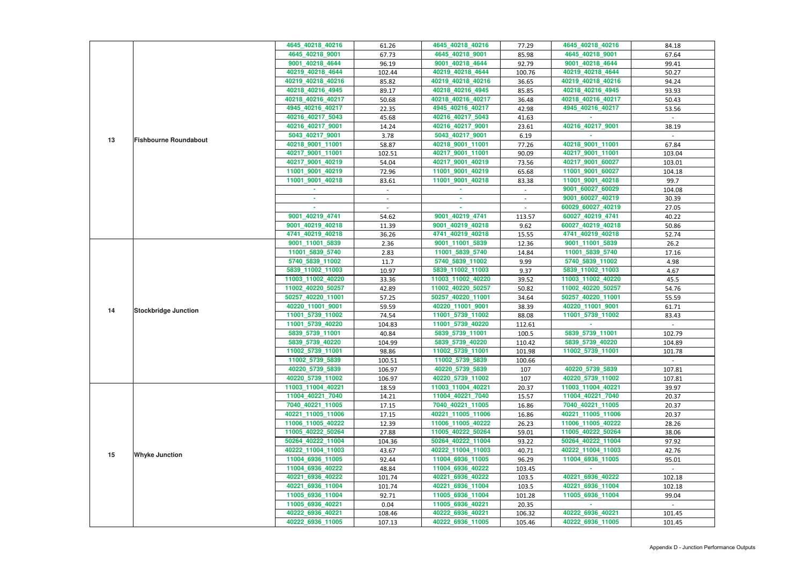|    |                              | 4645 40218 40216                   | 61.26  | 4645_40218_40216                   | 77.29  | 4645_40218_40216                   | 84.18  |
|----|------------------------------|------------------------------------|--------|------------------------------------|--------|------------------------------------|--------|
|    |                              | 4645_40218_9001                    | 67.73  | 4645_40218_9001                    | 85.98  | 4645_40218_9001                    | 67.64  |
|    |                              | 9001 40218 4644                    | 96.19  | 9001_40218_4644                    | 92.79  | 9001_40218_4644                    | 99.41  |
|    |                              | 40219_40218_4644                   | 102.44 | 40219_40218_4644                   | 100.76 | 40219_40218_4644                   | 50.27  |
|    |                              | 40219 40218 40216                  | 85.82  | 40219 40218 40216                  | 36.65  | 40219_40218_40216                  | 94.24  |
|    |                              | 40218_40216_4945                   | 89.17  | 40218_40216_4945                   | 85.85  | 40218_40216_4945                   | 93.93  |
|    |                              | 40218_40216_40217                  | 50.68  | 40218_40216_40217                  | 36.48  | 40218_40216_40217                  | 50.43  |
|    |                              | 4945_40216_40217                   | 22.35  | 4945_40216_40217                   | 42.98  | 4945_40216_40217                   | 53.56  |
|    |                              | 40216_40217_5043                   | 45.68  | 40216_40217_5043                   | 41.63  |                                    |        |
|    |                              | 40216_40217_9001                   | 14.24  | 40216_40217_9001                   | 23.61  | 40216_40217_9001                   | 38.19  |
|    |                              | 5043_40217_9001                    | 3.78   | 5043_40217_9001                    | 6.19   |                                    |        |
| 13 | <b>Fishbourne Roundabout</b> | 40218_9001_11001                   | 58.87  | 40218_9001_11001                   | 77.26  | 40218_9001_11001                   | 67.84  |
|    |                              | 40217_9001_11001                   | 102.51 | 40217_9001_11001                   | 90.09  | 40217_9001_11001                   | 103.04 |
|    |                              | 40217_9001_40219                   | 54.04  | 40217_9001_40219                   | 73.56  | 40217_9001_60027                   | 103.01 |
|    |                              | 11001_9001_40219                   | 72.96  | 11001_9001_40219                   | 65.68  | 11001_9001_60027                   | 104.18 |
|    |                              | 11001_9001_40218                   | 83.61  | 11001 9001 40218                   | 83.38  | 11001_9001_40218                   | 99.7   |
|    |                              |                                    | $\sim$ |                                    | $\sim$ | 9001_60027_60029                   | 104.08 |
|    |                              |                                    |        | ×.                                 |        | 9001_60027_40219                   | 30.39  |
|    |                              |                                    |        |                                    |        | 60029_60027_40219                  | 27.05  |
|    |                              | 9001_40219_4741                    | 54.62  | 9001 40219 4741                    | 113.57 | 60027 40219 4741                   | 40.22  |
|    |                              | 9001 40219 40218                   | 11.39  | 9001_40219_40218                   | 9.62   | 60027 40219 40218                  | 50.86  |
|    |                              | 4741_40219_40218                   | 36.26  | 4741_40219_40218                   | 15.55  | 4741_40219_40218                   | 52.74  |
|    |                              | 9001_11001_5839                    | 2.36   | 9001_11001_5839                    | 12.36  | 9001_11001_5839                    | 26.2   |
|    |                              | 11001_5839_5740                    | 2.83   | 11001_5839_5740                    | 14.84  | 11001_5839_5740                    | 17.16  |
|    | <b>Stockbridge Junction</b>  | 5740_5839_11002                    | 11.7   | 5740_5839_11002                    | 9.99   | 5740_5839_11002                    | 4.98   |
|    |                              | 5839_11002_11003                   | 10.97  | 5839_11002_11003                   | 9.37   | 5839_11002_11003                   | 4.67   |
|    |                              | 11003_11002_40220                  | 33.36  | 11003_11002_40220                  | 39.52  | 11003_11002_40220                  | 45.5   |
|    |                              | 11002_40220_50257                  | 42.89  | 11002_40220_50257                  | 50.82  | 11002_40220_50257                  | 54.76  |
|    |                              | 50257_40220_11001                  | 57.25  | 50257_40220_11001                  | 34.64  | 50257_40220_11001                  | 55.59  |
|    |                              | 40220_11001_9001                   |        | 40220_11001_9001                   |        | 40220 11001 9001                   | 61.71  |
| 14 |                              | 11001_5739_11002                   | 59.59  | 11001_5739_11002                   | 38.39  | 11001_5739_11002                   |        |
|    |                              |                                    | 74.54  | 11001_5739_40220                   | 88.08  |                                    | 83.43  |
|    |                              | 11001_5739_40220                   | 104.83 |                                    | 112.61 |                                    |        |
|    |                              | 5839_5739_11001<br>5839_5739_40220 | 40.84  | 5839_5739_11001<br>5839_5739_40220 | 100.5  | 5839_5739_11001<br>5839_5739_40220 | 102.79 |
|    |                              |                                    | 104.99 |                                    | 110.42 |                                    | 104.89 |
|    |                              | 11002_5739_11001                   | 98.86  | 11002_5739_11001                   | 101.98 | 11002 5739 11001                   | 101.78 |
|    |                              | 11002_5739_5839                    | 100.51 | 11002_5739_5839                    | 100.66 |                                    |        |
|    |                              | 40220_5739_5839                    | 106.97 | 40220_5739_5839                    | 107    | 40220_5739_5839                    | 107.81 |
|    |                              | 40220_5739_11002                   | 106.97 | 40220_5739_11002                   | 107    | 40220_5739_11002                   | 107.81 |
|    |                              | 11003_11004_40221                  | 18.59  | 11003 11004 40221                  | 20.37  | 11003 11004 40221                  | 39.97  |
|    |                              | 11004_40221_7040                   | 14.21  | 11004_40221_7040                   | 15.57  | 11004_40221_7040                   | 20.37  |
|    |                              | 7040_40221_11005                   | 17.15  | 7040_40221_11005                   | 16.86  | 7040_40221_11005                   | 20.37  |
|    |                              | 40221_11005_11006                  | 17.15  | 40221_11005_11006                  | 16.86  | 40221_11005_11006                  | 20.37  |
|    |                              | 11006_11005_40222                  | 12.39  | 11006_11005_40222                  | 26.23  | 11006_11005_40222                  | 28.26  |
|    |                              | 11005_40222_50264                  | 27.88  | 11005_40222_50264                  | 59.01  | 11005_40222_50264                  | 38.06  |
|    |                              | 50264_40222_11004                  | 104.36 | 50264_40222_11004                  | 93.22  | 50264_40222_11004                  | 97.92  |
| 15 | <b>Whyke Junction</b>        | 40222_11004_11003                  | 43.67  | 40222_11004_11003                  | 40.71  | 40222 11004 11003                  | 42.76  |
|    |                              | 11004_6936_11005                   | 92.44  | 11004_6936_11005                   | 96.29  | 11004_6936_11005                   | 95.01  |
|    |                              | 11004_6936_40222                   | 48.84  | 11004_6936_40222                   | 103.45 |                                    |        |
|    |                              | 40221_6936_40222                   | 101.74 | 40221_6936_40222                   | 103.5  | 40221_6936_40222                   | 102.18 |
|    |                              | 40221_6936_11004                   | 101.74 | 40221_6936_11004                   | 103.5  | 40221_6936_11004                   | 102.18 |
|    |                              | 11005_6936_11004                   | 92.71  | 11005_6936_11004                   | 101.28 | 11005 6936 11004                   | 99.04  |
|    |                              | 11005_6936_40221                   | 0.04   | 11005_6936_40221                   | 20.35  |                                    |        |
|    |                              | 40222_6936_40221                   | 108.46 | 40222_6936_40221                   | 106.32 | 40222 6936 40221                   | 101.45 |
|    |                              | 40222_6936_11005                   | 107.13 | 40222_6936_11005                   | 105.46 | 40222_6936_11005                   | 101.45 |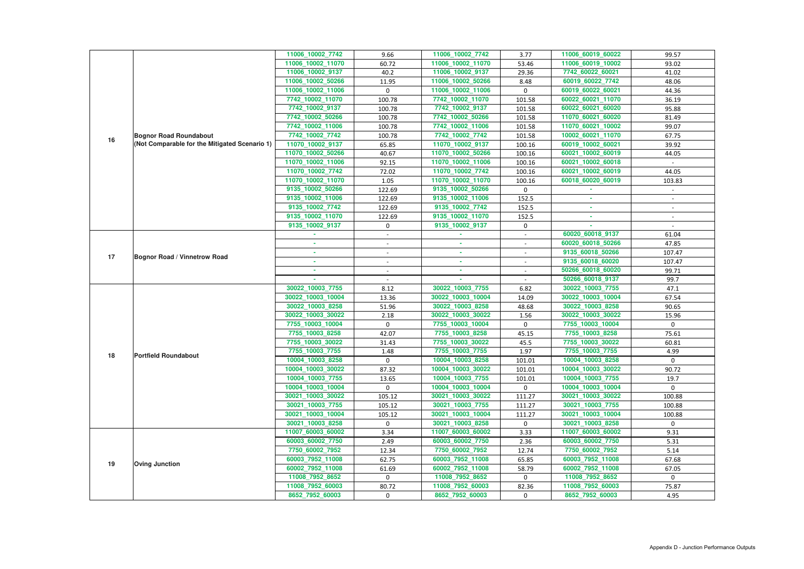|    |                                               | 11006_10002_7742                    | 9.66                     | 11006_10002_7742                    | 3.77                     | 11006_60019_60022                   | 99.57          |
|----|-----------------------------------------------|-------------------------------------|--------------------------|-------------------------------------|--------------------------|-------------------------------------|----------------|
|    |                                               | 11006_10002_11070                   | 60.72                    | 11006_10002_11070                   | 53.46                    | 11006_60019_10002                   | 93.02          |
|    |                                               | 11006_10002_9137                    | 40.2                     | 11006_10002_9137                    | 29.36                    | 7742_60022_60021                    | 41.02          |
|    |                                               | 11006_10002_50266                   | 11.95                    | 11006_10002_50266                   | 8.48                     | 60019_60022_7742                    | 48.06          |
|    |                                               | 11006_10002_11006                   | $\mathbf 0$              | 11006_10002_11006                   | $\mathbf{0}$             | 60019_60022_60021                   | 44.36          |
|    |                                               | 7742_10002_11070                    | 100.78                   | 7742_10002_11070                    | 101.58                   | 60022_60021_11070                   | 36.19          |
|    |                                               | 7742_10002_9137                     | 100.78                   | 7742_10002_9137                     | 101.58                   | 60022_60021_60020                   | 95.88          |
|    |                                               | 7742_10002_50266                    | 100.78                   | 7742_10002_50266                    | 101.58                   | 11070_60021_60020                   | 81.49          |
|    |                                               | 7742_10002_11006                    | 100.78                   | 7742_10002_11006                    | 101.58                   | 11070_60021_10002                   | 99.07          |
| 16 | <b>Bognor Road Roundabout</b>                 | 7742 10002 7742                     | 100.78                   | 7742_10002_7742                     | 101.58                   | 10002_60021_11070                   | 67.75          |
|    | (Not Comparable for the Mitigated Scenario 1) | 11070_10002_9137                    | 65.85                    | 11070_10002_9137                    | 100.16                   | 60019_10002_60021                   | 39.92          |
|    |                                               | 11070_10002_50266                   | 40.67                    | 11070_10002_50266                   | 100.16                   | 60021_10002_60019                   | 44.05          |
|    |                                               | 11070_10002_11006                   | 92.15                    | 11070_10002_11006                   | 100.16                   | 60021_10002_60018                   |                |
|    |                                               | 11070_10002_7742                    | 72.02                    | 11070_10002_7742                    | 100.16                   | 60021_10002_60019                   | 44.05          |
|    |                                               | 11070_10002_11070                   | 1.05                     | 11070_10002_11070                   | 100.16                   | 60018_60020_60019                   | 103.83         |
|    |                                               | 9135_10002_50266                    | 122.69                   | 9135_10002_50266                    | $\mathbf 0$              |                                     |                |
|    |                                               | 9135_10002_11006                    | 122.69                   | 9135_10002_11006                    | 152.5                    |                                     |                |
|    |                                               | 9135_10002_7742                     | 122.69                   | 9135_10002_7742                     | 152.5                    | $\sim$                              | $\sim$         |
|    |                                               | 9135_10002_11070                    | 122.69                   | 9135_10002_11070                    | 152.5                    | ×.                                  |                |
|    |                                               | 9135_10002_9137                     | $\mathbf 0$              | 9135_10002_9137                     | 0                        |                                     |                |
|    |                                               |                                     |                          |                                     | $\overline{\phantom{a}}$ | 60020_60018_9137                    | 61.04          |
|    |                                               | ٠                                   | $\sim$                   | ×.                                  | $\blacksquare$           | 60020_60018_50266                   | 47.85          |
| 17 | <b>Bognor Road / Vinnetrow Road</b>           | ٠                                   | $\overline{\phantom{a}}$ | $\sim$                              | $\sim$                   | 9135_60018_50266                    | 107.47         |
|    |                                               | ٠                                   |                          | $\sim$                              |                          | 9135_60018_60020                    | 107.47         |
|    |                                               |                                     |                          | $\sim$                              |                          | 50266_60018_60020                   | 99.71          |
|    |                                               |                                     |                          |                                     |                          | 50266_60018_9137                    | 99.7           |
|    |                                               | 30022_10003_7755                    | 8.12                     | 30022_10003_7755                    | 6.82                     | 30022_10003_7755                    | 47.1           |
|    |                                               | 30022_10003_10004                   | 13.36                    | 30022_10003_10004                   | 14.09                    | 30022_10003_10004                   | 67.54          |
|    |                                               | 30022_10003_8258                    | 51.96                    | 30022_10003_8258                    | 48.68                    | 30022_10003_8258                    | 90.65          |
|    |                                               | 30022_10003_30022                   | 2.18                     | 30022_10003_30022                   | 1.56                     | 30022_10003_30022                   | 15.96          |
|    |                                               | 7755_10003_10004                    | $\mathbf 0$              | 7755_10003_10004                    | 0                        | 7755 10003 10004                    | $\mathbf{0}$   |
|    |                                               | 7755_10003_8258                     | 42.07                    | 7755 10003 8258                     | 45.15                    | 7755_10003_8258                     | 75.61          |
|    |                                               | 7755_10003_30022                    | 31.43                    | 7755_10003_30022                    | 45.5                     | 7755_10003_30022                    | 60.81          |
|    |                                               | 7755_10003_7755                     | 1.48                     | 7755_10003_7755                     | 1.97                     | 7755_10003_7755                     | 4.99           |
| 18 | <b>Portfield Roundabout</b>                   | 10004_10003_8258                    | $\mathbf 0$              | 10004_10003_8258                    | 101.01                   | 10004_10003_8258                    | $\mathbf{0}$   |
|    |                                               | 10004_10003_30022                   | 87.32                    | 10004_10003_30022                   | 101.01                   | 10004_10003_30022                   | 90.72          |
|    |                                               | 10004_10003_7755                    | 13.65                    | 10004_10003_7755                    | 101.01                   | 10004_10003_7755                    | 19.7           |
|    |                                               | 10004_10003_10004                   | $\mathbf 0$              | 10004_10003_10004                   | $\mathbf{0}$             | 10004_10003_10004                   | $\overline{0}$ |
|    |                                               | 30021_10003_30022                   | 105.12                   | 30021_10003_30022                   | 111.27                   | 30021_10003_30022                   | 100.88         |
|    |                                               | 30021_10003_7755                    | 105.12                   | 30021 10003 7755                    | 111.27                   | 30021_10003_7755                    | 100.88         |
|    |                                               | 30021_10003_10004                   | 105.12                   | 30021_10003_10004                   | 111.27                   | 30021_10003_10004                   | 100.88         |
|    |                                               | 30021_10003_8258                    | $\mathbf{0}$             | 30021_10003_8258                    | $\mathbf{0}$             | 30021_10003_8258                    | $\mathbf 0$    |
|    |                                               | 11007_60003_60002                   | 3.34                     | 11007_60003_60002                   | 3.33                     | 11007_60003_60002                   | 9.31           |
|    |                                               | 60003_60002_7750                    | 2.49                     | 60003_60002_7750                    | 2.36                     | 60003_60002_7750                    | 5.31           |
|    |                                               | 7750_60002_7952                     | 12.34                    | 7750_60002_7952                     | 12.74                    | 7750_60002_7952                     | 5.14           |
|    |                                               | 60003_7952_11008                    | 62.75                    | 60003_7952_11008                    | 65.85                    | 60003_7952_11008                    | 67.68          |
| 19 | <b>Oving Junction</b>                         | 60002_7952_11008                    | 61.69                    | 60002_7952_11008                    | 58.79                    | 60002_7952_11008                    | 67.05          |
|    |                                               |                                     | $\mathbf 0$              | 11008_7952_8652                     | 0                        | 11008_7952_8652                     | $\mathbf{0}$   |
|    |                                               |                                     |                          |                                     |                          |                                     |                |
|    |                                               | 11008_7952_8652                     |                          |                                     |                          |                                     |                |
|    |                                               | 11008_7952_60003<br>8652_7952_60003 | 80.72<br>$\mathbf 0$     | 11008_7952_60003<br>8652_7952_60003 | 82.36<br>0               | 11008_7952_60003<br>8652_7952_60003 | 75.87<br>4.95  |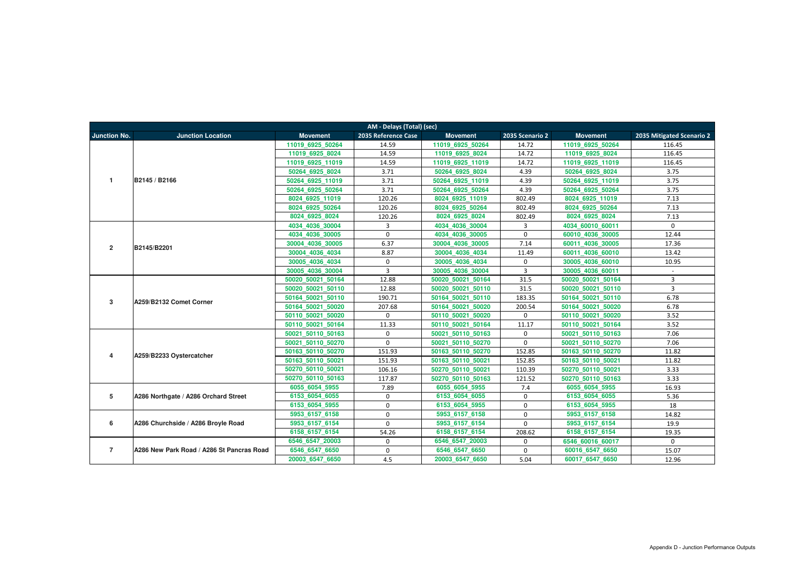|                     | AM - Delays (Total) (sec)                 |                   |                     |                   |                 |                   |                           |  |  |  |  |  |
|---------------------|-------------------------------------------|-------------------|---------------------|-------------------|-----------------|-------------------|---------------------------|--|--|--|--|--|
| <b>Junction No.</b> | <b>Junction Location</b>                  | <b>Movement</b>   | 2035 Reference Case | <b>Movement</b>   | 2035 Scenario 2 | <b>Movement</b>   | 2035 Mitigated Scenario 2 |  |  |  |  |  |
|                     |                                           | 11019 6925 50264  | 14.59               | 11019 6925 50264  | 14.72           | 11019 6925 50264  | 116.45                    |  |  |  |  |  |
|                     |                                           | 11019 6925 8024   | 14.59               | 11019 6925 8024   | 14.72           | 11019 6925 8024   | 116.45                    |  |  |  |  |  |
|                     |                                           | 11019 6925 11019  | 14.59               | 11019 6925 11019  | 14.72           | 11019 6925 11019  | 116.45                    |  |  |  |  |  |
|                     |                                           | 50264 6925 8024   | 3.71                | 50264 6925 8024   | 4.39            | 50264 6925 8024   | 3.75                      |  |  |  |  |  |
| $\mathbf{1}$        | B2145 / B2166                             | 50264 6925 11019  | 3.71                | 50264 6925 11019  | 4.39            | 50264 6925 11019  | 3.75                      |  |  |  |  |  |
|                     |                                           | 50264 6925 50264  | 3.71                | 50264 6925 50264  | 4.39            | 50264 6925 50264  | 3.75                      |  |  |  |  |  |
|                     |                                           | 8024 6925 11019   | 120.26              | 8024 6925 11019   | 802.49          | 8024 6925 11019   | 7.13                      |  |  |  |  |  |
|                     |                                           | 8024 6925 50264   | 120.26              | 8024 6925 50264   | 802.49          | 8024 6925 50264   | 7.13                      |  |  |  |  |  |
|                     |                                           | 8024_6925_8024    | 120.26              | 8024_6925_8024    | 802.49          | 8024_6925_8024    | 7.13                      |  |  |  |  |  |
|                     |                                           | 4034 4036 30004   | 3                   | 4034 4036 30004   | 3               | 4034 60010 60011  | $\mathbf 0$               |  |  |  |  |  |
|                     |                                           | 4034 4036 30005   | $\mathbf 0$         | 4034 4036 30005   | $\mathbf 0$     | 60010 4036 30005  | 12.44                     |  |  |  |  |  |
| $\overline{2}$      | B2145/B2201                               | 30004 4036 30005  | 6.37                | 30004 4036 30005  | 7.14            | 60011 4036 30005  | 17.36                     |  |  |  |  |  |
|                     |                                           | 30004 4036 4034   | 8.87                | 30004 4036 4034   | 11.49           | 60011 4036 60010  | 13.42                     |  |  |  |  |  |
|                     |                                           | 30005 4036 4034   | $\mathbf 0$         | 30005 4036 4034   | $\mathsf 0$     | 30005 4036 60010  | 10.95                     |  |  |  |  |  |
|                     |                                           | 30005 4036 30004  | $\overline{3}$      | 30005 4036 30004  | $\overline{3}$  | 30005 4036 60011  | $\sim$                    |  |  |  |  |  |
|                     |                                           | 50020 50021 50164 | 12.88               | 50020 50021 50164 | 31.5            | 50020 50021 50164 | 3                         |  |  |  |  |  |
|                     |                                           | 50020 50021 50110 | 12.88               | 50020 50021 50110 | 31.5            | 50020 50021 50110 | 3                         |  |  |  |  |  |
| $\mathbf{3}$        | A259/B2132 Comet Corner                   | 50164 50021 50110 | 190.71              | 50164 50021 50110 | 183.35          | 50164 50021 50110 | 6.78                      |  |  |  |  |  |
|                     |                                           | 50164 50021 50020 | 207.68              | 50164 50021 50020 | 200.54          | 50164 50021 50020 | 6.78                      |  |  |  |  |  |
|                     |                                           | 50110 50021 50020 | $\Omega$            | 50110 50021 50020 | $\mathbf 0$     | 50110 50021 50020 | 3.52                      |  |  |  |  |  |
|                     |                                           | 50110 50021 50164 | 11.33               | 50110 50021 50164 | 11.17           | 50110 50021 50164 | 3.52                      |  |  |  |  |  |
|                     |                                           | 50021 50110 50163 | $\mathbf 0$         | 50021 50110 50163 | $\mathbf 0$     | 50021 50110 50163 | 7.06                      |  |  |  |  |  |
|                     |                                           | 50021 50110 50270 | $\mathbf 0$         | 50021 50110 50270 | $\mathbf 0$     | 50021 50110 50270 | 7.06                      |  |  |  |  |  |
| 4                   | A259/B2233 Oystercatcher                  | 50163 50110 50270 | 151.93              | 50163 50110 50270 | 152.85          | 50163 50110 50270 | 11.82                     |  |  |  |  |  |
|                     |                                           | 50163 50110 50021 | 151.93              | 50163 50110 50021 | 152.85          | 50163 50110 50021 | 11.82                     |  |  |  |  |  |
|                     |                                           | 50270 50110 50021 | 106.16              | 50270 50110 50021 | 110.39          | 50270 50110 50021 | 3.33                      |  |  |  |  |  |
|                     |                                           | 50270_50110_50163 | 117.87              | 50270 50110 50163 | 121.52          | 50270 50110 50163 | 3.33                      |  |  |  |  |  |
|                     |                                           | 6055 6054 5955    | 7.89                | 6055 6054 5955    | 7.4             | 6055 6054 5955    | 16.93                     |  |  |  |  |  |
| 5                   | A286 Northgate / A286 Orchard Street      | 6153 6054 6055    | 0                   | 6153 6054 6055    | $\mathbf{0}$    | 6153 6054 6055    | 5.36                      |  |  |  |  |  |
|                     |                                           | 6153 6054 5955    | $\Omega$            | 6153 6054 5955    | $\mathbf 0$     | 6153 6054 5955    | 18                        |  |  |  |  |  |
|                     |                                           | 5953 6157 6158    | $\Omega$            | 5953 6157 6158    | $\mathbf 0$     | 5953 6157 6158    | 14.82                     |  |  |  |  |  |
| 6                   | A286 Churchside / A286 Broyle Road        | 5953 6157 6154    | $\Omega$            | 5953 6157 6154    | $\mathbf{0}$    | 5953 6157 6154    | 19.9                      |  |  |  |  |  |
|                     |                                           | 6158 6157 6154    | 54.26               | 6158 6157 6154    | 208.62          | 6158 6157 6154    | 19.35                     |  |  |  |  |  |
|                     |                                           | 6546 6547 20003   | $\mathbf 0$         | 6546 6547 20003   | $\mathbf 0$     | 6546 60016 60017  | $\mathbf 0$               |  |  |  |  |  |
| $\overline{7}$      | A286 New Park Road / A286 St Pancras Road | 6546_6547_6650    | 0                   | 6546_6547_6650    | $\mathbf 0$     | 60016_6547_6650   | 15.07                     |  |  |  |  |  |
|                     |                                           | 20003_6547_6650   | 4.5                 | 20003_6547_6650   | 5.04            | 60017_6547_6650   | 12.96                     |  |  |  |  |  |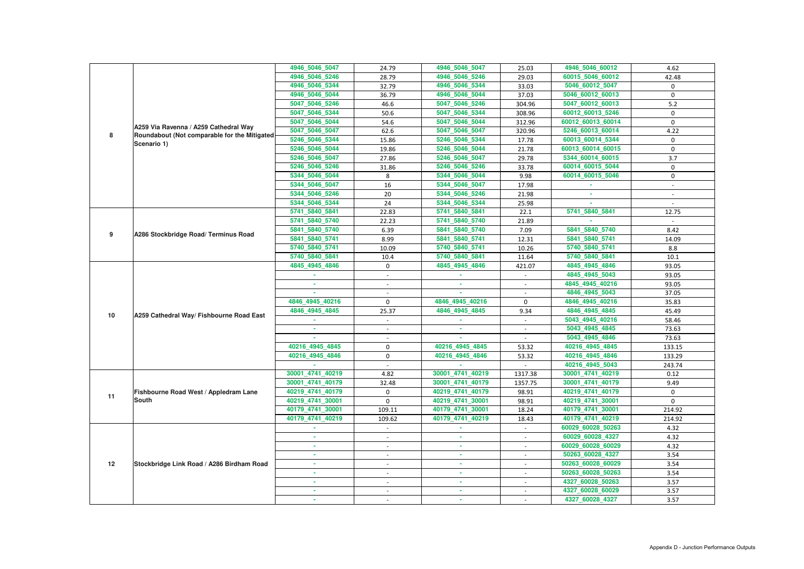|    |                                                                                        | 4946_5046_5047   | 24.79                    | 4946_5046_5047   | 25.03       | 4946_5046_60012   | 4.62        |
|----|----------------------------------------------------------------------------------------|------------------|--------------------------|------------------|-------------|-------------------|-------------|
|    |                                                                                        | 4946_5046_5246   | 28.79                    | 4946_5046_5246   | 29.03       | 60015_5046_60012  | 42.48       |
|    |                                                                                        | 4946 5046 5344   | 32.79                    | 4946_5046_5344   | 33.03       | 5046_60012_5047   | 0           |
|    |                                                                                        | 4946_5046_5044   | 36.79                    | 4946_5046_5044   | 37.03       | 5046_60012_60013  | $\mathbf 0$ |
|    |                                                                                        | 5047_5046_5246   | 46.6                     | 5047 5046 5246   | 304.96      | 5047_60012_60013  | 5.2         |
|    |                                                                                        | 5047 5046 5344   | 50.6                     | 5047_5046_5344   | 308.96      | 60012_60013_5246  | $\mathbf 0$ |
|    |                                                                                        | 5047_5046_5044   | 54.6                     | 5047_5046_5044   | 312.96      | 60012_60013_60014 | $\mathbf 0$ |
|    | A259 Via Ravenna / A259 Cathedral Way<br>Roundabout (Not comparable for the Mitigated) | 5047_5046_5047   | 62.6                     | 5047_5046_5047   | 320.96      | 5246 60013 60014  | 4.22        |
| 8  |                                                                                        | 5246_5046_5344   | 15.86                    | 5246_5046_5344   | 17.78       | 60013_60014_5344  | 0           |
|    | Scenario 1)                                                                            | 5246_5046_5044   | 19.86                    | 5246 5046 5044   | 21.78       | 60013_60014_60015 | $\mathbf 0$ |
|    |                                                                                        | 5246_5046_5047   | 27.86                    | 5246 5046 5047   | 29.78       | 5344_60014_60015  | 3.7         |
|    |                                                                                        | 5246_5046_5246   | 31.86                    | 5246_5046_5246   | 33.78       | 60014_60015_5044  | 0           |
|    |                                                                                        | 5344_5046_5044   | 8                        | 5344_5046_5044   | 9.98        | 60014_60015_5046  | $\mathbf 0$ |
|    |                                                                                        | 5344_5046_5047   | 16                       | 5344_5046_5047   | 17.98       |                   | $\sim$      |
|    |                                                                                        | 5344_5046_5246   | 20                       | 5344_5046_5246   | 21.98       | ×.                |             |
|    |                                                                                        | 5344_5046_5344   | 24                       | 5344_5046_5344   | 25.98       | ×.                |             |
|    |                                                                                        | 5741_5840_5841   | 22.83                    | 5741 5840 5841   | 22.1        | 5741_5840_5841    | 12.75       |
|    | 5741_5840_5740                                                                         | 22.23            | 5741_5840_5740           | 21.89            |             |                   |             |
|    |                                                                                        | 5841_5840_5740   | 6.39                     | 5841_5840_5740   | 7.09        | 5841_5840_5740    | 8.42        |
| 9  | A286 Stockbridge Road/ Terminus Road                                                   | 5841_5840_5741   | 8.99                     | 5841_5840_5741   | 12.31       | 5841_5840_5741    | 14.09       |
|    |                                                                                        | 5740_5840_5741   | 10.09                    | 5740_5840_5741   | 10.26       | 5740_5840_5741    | 8.8         |
|    |                                                                                        | 5740_5840_5841   | 10.4                     | 5740_5840_5841   | 11.64       | 5740_5840_5841    | 10.1        |
|    |                                                                                        | 4845_4945_4846   | $\mathbf 0$              | 4845_4945_4846   | 421.07      | 4845_4945_4846    | 93.05       |
|    |                                                                                        |                  | $\overline{a}$           |                  |             | 4845_4945_5043    | 93.05       |
|    |                                                                                        |                  |                          | $\sim$           |             | 4845_4945_40216   | 93.05       |
|    |                                                                                        |                  |                          |                  |             | 4846_4945_5043    | 37.05       |
|    | A259 Cathedral Way/ Fishbourne Road East                                               | 4846 4945 40216  | $\mathbf 0$              | 4846_4945_40216  | $\mathbf 0$ | 4846_4945_40216   | 35.83       |
| 10 |                                                                                        | 4846_4945_4845   | 25.37                    | 4846_4945_4845   | 9.34        | 4846_4945_4845    | 45.49       |
|    |                                                                                        |                  |                          |                  |             | 5043_4945_40216   | 58.46       |
|    |                                                                                        |                  |                          |                  |             | 5043_4945_4845    | 73.63       |
|    |                                                                                        |                  |                          |                  |             | 5043_4945_4846    | 73.63       |
|    |                                                                                        | 40216 4945 4845  | $\mathbf 0$              | 40216 4945 4845  | 53.32       | 40216 4945 4845   | 133.15      |
|    |                                                                                        | 40216 4945 4846  | $\mathbf 0$              | 40216_4945_4846  | 53.32       | 40216_4945_4846   | 133.29      |
|    |                                                                                        |                  |                          |                  |             | 40216_4945_5043   | 243.74      |
|    |                                                                                        | 30001 4741 40219 | 4.82                     | 30001_4741_40219 | 1317.38     | 30001_4741_40219  | 0.12        |
|    |                                                                                        | 30001 4741 40179 | 32.48                    | 30001_4741_40179 | 1357.75     | 30001_4741_40179  | 9.49        |
| 11 | Fishbourne Road West / Appledram Lane                                                  | 40219_4741_40179 | $\mathbf 0$              | 40219_4741_40179 | 98.91       | 40219_4741_40179  | $\mathbf 0$ |
|    | <b>South</b>                                                                           | 40219 4741 30001 | $\mathbf 0$              | 40219_4741_30001 | 98.91       | 40219_4741_30001  | $\mathbf 0$ |
|    |                                                                                        | 40179_4741_30001 | 109.11                   | 40179_4741_30001 | 18.24       | 40179_4741_30001  | 214.92      |
|    |                                                                                        | 40179_4741_40219 | 109.62                   | 40179_4741_40219 | 18.43       | 40179_4741_40219  | 214.92      |
|    |                                                                                        | ×.               | $\sim$                   | m.               | $\sim$      | 60029_60028_50263 | 4.32        |
|    |                                                                                        | $\sim$           | $\overline{\phantom{a}}$ | ×                | $\sim$      | 60029_60028_4327  | 4.32        |
|    |                                                                                        |                  |                          | ×.               |             | 60029_60028_60029 | 4.32        |
|    |                                                                                        | ×.               | $\overline{\phantom{a}}$ | <b>COL</b>       | $\sim$      | 50263_60028_4327  | 3.54        |
| 12 | Stockbridge Link Road / A286 Birdham Road                                              |                  | $\overline{\phantom{a}}$ | ٠                | $\sim$      | 50263_60028_60029 | 3.54        |
|    |                                                                                        | ٠                | $\overline{\phantom{a}}$ | ×.               | $\sim$      | 50263_60028_50263 | 3.54        |
|    |                                                                                        | ٠                |                          | ٠                |             | 4327_60028_50263  | 3.57        |
|    |                                                                                        |                  |                          | ×.               |             | 4327_60028_60029  | 3.57        |
|    |                                                                                        |                  | $\overline{\phantom{a}}$ | ٠                |             | 4327_60028_4327   | 3.57        |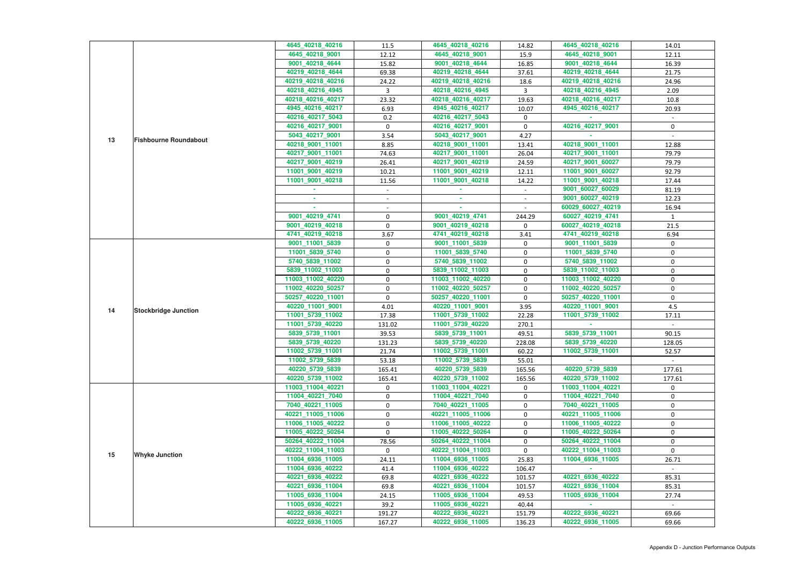|    |                              | 4645_40218_40216  | 11.5             | 4645_40218_40216  | 14.82          | 4645_40218_40216  | 14.01        |
|----|------------------------------|-------------------|------------------|-------------------|----------------|-------------------|--------------|
|    |                              | 4645_40218_9001   | 12.12            | 4645_40218_9001   | 15.9           | 4645_40218_9001   | 12.11        |
|    |                              | 9001_40218_4644   | 15.82            | 9001_40218_4644   | 16.85          | 9001_40218_4644   | 16.39        |
|    |                              | 40219_40218_4644  | 69.38            | 40219_40218_4644  | 37.61          | 40219_40218_4644  | 21.75        |
|    |                              | 40219_40218_40216 | 24.22            | 40219_40218_40216 | 18.6           | 40219_40218_40216 | 24.96        |
|    |                              | 40218_40216_4945  | 3                | 40218_40216_4945  | $\overline{3}$ | 40218_40216_4945  | 2.09         |
|    |                              | 40218_40216_40217 | 23.32            | 40218_40216_40217 | 19.63          | 40218_40216_40217 | 10.8         |
|    |                              | 4945_40216_40217  | 6.93             | 4945_40216_40217  | 10.07          | 4945_40216_40217  | 20.93        |
|    |                              | 40216_40217_5043  | 0.2              | 40216_40217_5043  | 0              |                   |              |
|    |                              | 40216_40217_9001  | $\mathbf 0$      | 40216_40217_9001  | $\mathbf 0$    | 40216_40217_9001  | 0            |
|    |                              | 5043_40217_9001   | 3.54             | 5043_40217_9001   | 4.27           |                   |              |
| 13 | <b>Fishbourne Roundabout</b> | 40218_9001_11001  | 8.85             | 40218_9001_11001  | 13.41          | 40218_9001_11001  | 12.88        |
|    |                              | 40217_9001_11001  | 74.63            | 40217_9001_11001  | 26.04          | 40217_9001_11001  | 79.79        |
|    |                              | 40217_9001_40219  | 26.41            | 40217_9001_40219  | 24.59          | 40217_9001_60027  | 79.79        |
|    |                              | 11001_9001_40219  | 10.21            | 11001_9001_40219  | 12.11          | 11001_9001_60027  | 92.79        |
|    |                              | 11001_9001_40218  | 11.56            | 11001_9001_40218  | 14.22          | 11001_9001_40218  | 17.44        |
|    |                              |                   | $\sim$           |                   | $\sim$         | 9001_60027_60029  | 81.19        |
|    |                              |                   |                  | ×.                |                | 9001_60027_40219  | 12.23        |
|    |                              |                   |                  |                   |                | 60029_60027_40219 | 16.94        |
|    |                              | 9001_40219_4741   | $\pmb{0}$        | 9001 40219 4741   | 244.29         | 60027_40219_4741  | $\mathbf{1}$ |
|    |                              | 9001_40219_40218  | $\boldsymbol{0}$ | 9001_40219_40218  | $\mathbf 0$    | 60027 40219 40218 | 21.5         |
|    |                              | 4741_40219_40218  | 3.67             | 4741_40219_40218  | 3.41           | 4741_40219_40218  | 6.94         |
|    |                              | 9001_11001_5839   | 0                | 9001_11001_5839   | 0              | 9001_11001_5839   | 0            |
|    |                              | 11001_5839_5740   | $\pmb{0}$        | 11001_5839_5740   | $\pmb{0}$      | 11001_5839_5740   | $\mathbf 0$  |
|    |                              | 5740_5839_11002   | 0                | 5740_5839_11002   | 0              | 5740_5839_11002   | 0            |
|    |                              | 5839_11002_11003  | 0                | 5839_11002_11003  | $\pmb{0}$      | 5839_11002_11003  | $\mathbf 0$  |
|    |                              | 11003_11002_40220 | $\pmb{0}$        | 11003_11002_40220 | $\mathbf 0$    | 11003_11002_40220 | $\mathbf 0$  |
|    |                              | 11002_40220_50257 | $\boldsymbol{0}$ | 11002_40220_50257 | $\mathbf 0$    | 11002_40220_50257 | 0            |
|    |                              | 50257_40220_11001 | $\pmb{0}$        | 50257_40220_11001 | $\mathbf 0$    | 50257_40220_11001 | 0            |
|    |                              | 40220_11001_9001  | 4.01             | 40220_11001_9001  | 3.95           | 40220 11001 9001  | 4.5          |
| 14 | <b>Stockbridge Junction</b>  | 11001_5739_11002  | 17.38            | 11001_5739_11002  | 22.28          | 11001_5739_11002  | 17.11        |
|    |                              | 11001_5739_40220  | 131.02           | 11001_5739_40220  | 270.1          |                   |              |
|    |                              | 5839_5739_11001   | 39.53            | 5839_5739_11001   | 49.51          | 5839_5739_11001   | 90.15        |
|    |                              | 5839_5739_40220   | 131.23           | 5839_5739_40220   | 228.08         | 5839_5739_40220   | 128.05       |
|    |                              | 11002_5739_11001  | 21.74            | 11002_5739_11001  | 60.22          | 11002_5739_11001  | 52.57        |
|    |                              | 11002_5739_5839   | 53.18            | 11002_5739_5839   | 55.01          |                   |              |
|    |                              | 40220_5739_5839   | 165.41           | 40220_5739_5839   | 165.56         | 40220_5739_5839   | 177.61       |
|    |                              | 40220_5739_11002  | 165.41           | 40220_5739_11002  | 165.56         | 40220_5739_11002  | 177.61       |
|    |                              | 11003_11004_40221 | 0                | 11003 11004 40221 | $\mathbf{0}$   | 11003_11004_40221 | $\mathbf 0$  |
|    |                              | 11004_40221_7040  | 0                | 11004_40221_7040  | $\mathbf 0$    | 11004_40221_7040  | 0            |
|    |                              | 7040_40221_11005  | 0                | 7040_40221_11005  | 0              | 7040_40221_11005  | 0            |
|    |                              | 40221_11005_11006 | $\boldsymbol{0}$ | 40221_11005_11006 | $\pmb{0}$      | 40221_11005_11006 | 0            |
|    |                              | 11006 11005 40222 | 0                | 11006 11005 40222 | 0              | 11006_11005_40222 | 0            |
|    |                              | 11005_40222_50264 | $\mathbf 0$      | 11005_40222_50264 | 0              | 11005_40222_50264 | $\mathbf{0}$ |
|    |                              | 50264_40222_11004 | 78.56            | 50264_40222_11004 | $\mathbf 0$    | 50264_40222_11004 | 0            |
|    |                              | 40222_11004_11003 | $\mathbf{0}$     | 40222_11004_11003 | $\mathbf 0$    | 40222 11004 11003 | $\Omega$     |
| 15 | <b>Whyke Junction</b>        | 11004_6936_11005  | 24.11            | 11004_6936_11005  | 25.83          | 11004_6936_11005  | 26.71        |
|    |                              | 11004_6936_40222  | 41.4             | 11004_6936_40222  | 106.47         |                   |              |
|    |                              | 40221_6936_40222  | 69.8             | 40221_6936_40222  | 101.57         | 40221_6936_40222  | 85.31        |
|    |                              | 40221_6936_11004  | 69.8             | 40221_6936_11004  | 101.57         | 40221_6936_11004  | 85.31        |
|    |                              | 11005_6936_11004  | 24.15            | 11005_6936_11004  | 49.53          | 11005 6936 11004  | 27.74        |
|    |                              | 11005_6936_40221  | 39.2             | 11005_6936_40221  | 40.44          |                   |              |
|    |                              | 40222_6936_40221  | 191.27           | 40222_6936_40221  | 151.79         | 40222_6936_40221  | 69.66        |
|    |                              | 40222_6936_11005  | 167.27           | 40222_6936_11005  | 136.23         | 40222_6936_11005  | 69.66        |
|    |                              |                   |                  |                   |                |                   |              |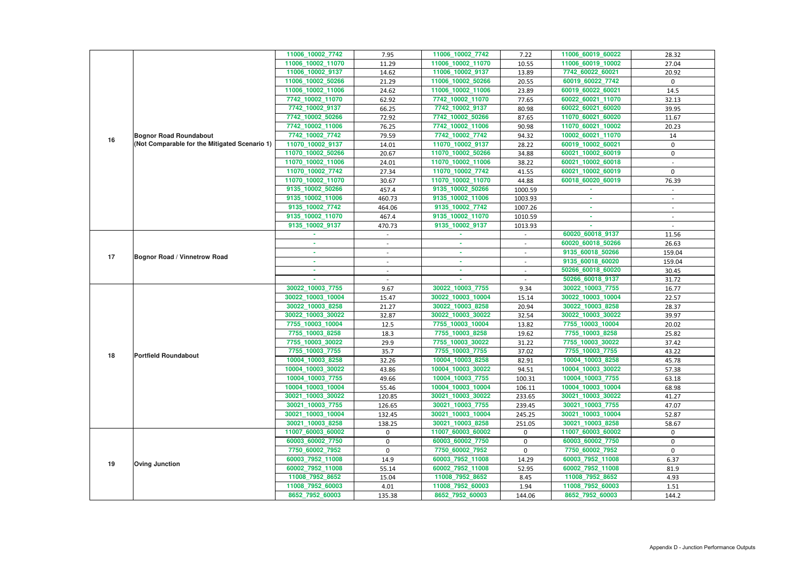| 11006_10002_7742<br>11006_10002_7742<br>11006_60019_60022<br>7.95<br>7.22<br>11006_10002_11070<br>11006_60019_10002<br>11006_10002_11070<br>11.29<br>10.55<br>11006_10002_9137<br>11006_10002_9137<br>7742_60022_60021<br>14.62<br>13.89<br>11006_10002_50266<br>11006_10002_50266<br>60019_60022_7742<br>21.29<br>20.55<br>11006_10002_11006<br>11006_10002_11006<br>60019_60022_60021<br>24.62<br>23.89<br>7742_10002_11070<br>7742_10002_11070<br>60022_60021_11070<br>62.92<br>77.65<br>7742_10002_9137<br>7742_10002_9137<br>60022_60021_60020<br>66.25<br>80.98 | 28.32<br>27.04<br>20.92           |
|-----------------------------------------------------------------------------------------------------------------------------------------------------------------------------------------------------------------------------------------------------------------------------------------------------------------------------------------------------------------------------------------------------------------------------------------------------------------------------------------------------------------------------------------------------------------------|-----------------------------------|
|                                                                                                                                                                                                                                                                                                                                                                                                                                                                                                                                                                       |                                   |
|                                                                                                                                                                                                                                                                                                                                                                                                                                                                                                                                                                       |                                   |
|                                                                                                                                                                                                                                                                                                                                                                                                                                                                                                                                                                       |                                   |
|                                                                                                                                                                                                                                                                                                                                                                                                                                                                                                                                                                       | $\mathbf 0$                       |
|                                                                                                                                                                                                                                                                                                                                                                                                                                                                                                                                                                       | 14.5                              |
|                                                                                                                                                                                                                                                                                                                                                                                                                                                                                                                                                                       | 32.13                             |
|                                                                                                                                                                                                                                                                                                                                                                                                                                                                                                                                                                       | 39.95                             |
| 7742_10002_50266<br>72.92<br>7742_10002_50266<br>11070_60021_60020<br>87.65                                                                                                                                                                                                                                                                                                                                                                                                                                                                                           | 11.67                             |
| 7742_10002_11006<br>11070_60021_10002<br>7742_10002_11006<br>76.25<br>90.98                                                                                                                                                                                                                                                                                                                                                                                                                                                                                           | 20.23                             |
| 7742_10002_7742<br>7742_10002_7742<br>10002_60021_11070<br>79.59<br>94.32<br><b>Bognor Road Roundabout</b><br>16                                                                                                                                                                                                                                                                                                                                                                                                                                                      | 14                                |
| (Not Comparable for the Mitigated Scenario 1)<br>11070_10002_9137<br>11070_10002_9137<br>60019_10002_60021<br>14.01<br>28.22                                                                                                                                                                                                                                                                                                                                                                                                                                          | 0                                 |
| 60021_10002_60019<br>11070_10002_50266<br>20.67<br>11070_10002_50266<br>34.88                                                                                                                                                                                                                                                                                                                                                                                                                                                                                         | $\mathbf 0$                       |
| 11070_10002_11006<br>11070_10002_11006<br>60021_10002_60018<br>24.01<br>38.22                                                                                                                                                                                                                                                                                                                                                                                                                                                                                         |                                   |
| 60021_10002_60019<br>11070_10002_7742<br>11070_10002_7742<br>27.34<br>41.55                                                                                                                                                                                                                                                                                                                                                                                                                                                                                           | $\mathbf{0}$                      |
| 11070_10002_11070<br>11070_10002_11070<br>60018_60020_60019<br>30.67<br>44.88                                                                                                                                                                                                                                                                                                                                                                                                                                                                                         | 76.39                             |
| 9135_10002_50266<br>9135_10002_50266<br>457.4<br>1000.59                                                                                                                                                                                                                                                                                                                                                                                                                                                                                                              |                                   |
| 9135_10002_11006<br>9135_10002_11006<br>460.73<br>1003.93                                                                                                                                                                                                                                                                                                                                                                                                                                                                                                             |                                   |
| 9135_10002_7742<br>9135_10002_7742<br>1007.26<br>464.06<br>$\sim$                                                                                                                                                                                                                                                                                                                                                                                                                                                                                                     | $\sim$                            |
| 9135_10002_11070<br>9135_10002_11070<br>467.4<br>1010.59<br>×.                                                                                                                                                                                                                                                                                                                                                                                                                                                                                                        |                                   |
| 9135_10002_9137<br>9135_10002_9137<br>470.73<br>1013.93                                                                                                                                                                                                                                                                                                                                                                                                                                                                                                               |                                   |
| 60020_60018_9137                                                                                                                                                                                                                                                                                                                                                                                                                                                                                                                                                      | 11.56                             |
| 60020 60018 50266<br>٠<br>×.<br>$\sim$<br>$\sim$                                                                                                                                                                                                                                                                                                                                                                                                                                                                                                                      |                                   |
| 9135_60018_50266<br>٠<br>$\sim$<br>$\sim$<br>$\blacksquare$<br>17<br><b>Bognor Road / Vinnetrow Road</b>                                                                                                                                                                                                                                                                                                                                                                                                                                                              | 159.04                            |
| 9135_60018_60020<br>٠<br>$\sim$                                                                                                                                                                                                                                                                                                                                                                                                                                                                                                                                       | 26.63<br>159.04<br>30.45<br>31.72 |
| 50266_60018_60020<br>$\sim$                                                                                                                                                                                                                                                                                                                                                                                                                                                                                                                                           |                                   |
| 50266_60018_9137                                                                                                                                                                                                                                                                                                                                                                                                                                                                                                                                                      |                                   |
| 30022_10003_7755<br>30022_10003_7755<br>30022_10003_7755<br>9.67<br>9.34                                                                                                                                                                                                                                                                                                                                                                                                                                                                                              | 16.77                             |
| 30022_10003_10004<br>30022_10003_10004<br>30022_10003_10004<br>15.47<br>15.14                                                                                                                                                                                                                                                                                                                                                                                                                                                                                         |                                   |
|                                                                                                                                                                                                                                                                                                                                                                                                                                                                                                                                                                       | 22.57                             |
| 30022_10003_8258<br>30022_10003_8258<br>30022_10003_8258<br>21.27<br>20.94                                                                                                                                                                                                                                                                                                                                                                                                                                                                                            | 28.37                             |
| 30022_10003_30022<br>30022_10003_30022<br>30022_10003_30022<br>32.87<br>32.54                                                                                                                                                                                                                                                                                                                                                                                                                                                                                         | 39.97                             |
| 7755_10003_10004<br>7755 10003 10004<br>7755_10003_10004<br>12.5<br>13.82                                                                                                                                                                                                                                                                                                                                                                                                                                                                                             | 20.02                             |
| 7755_10003_8258<br>7755_10003_8258<br>7755_10003_8258<br>18.3<br>19.62                                                                                                                                                                                                                                                                                                                                                                                                                                                                                                | 25.82                             |
| 7755_10003_30022<br>7755_10003_30022<br>7755_10003_30022<br>29.9<br>31.22                                                                                                                                                                                                                                                                                                                                                                                                                                                                                             | 37.42                             |
| 7755_10003_7755<br>7755_10003_7755<br>7755_10003_7755<br>35.7<br>37.02                                                                                                                                                                                                                                                                                                                                                                                                                                                                                                | 43.22                             |
| 18<br><b>Portfield Roundabout</b><br>10004_10003_8258<br>10004_10003_8258<br>10004_10003_8258<br>32.26<br>82.91                                                                                                                                                                                                                                                                                                                                                                                                                                                       | 45.78                             |
| 10004 10003 30022<br>10004_10003_30022<br>10004_10003_30022<br>43.86<br>94.51                                                                                                                                                                                                                                                                                                                                                                                                                                                                                         | 57.38                             |
| 10004_10003_7755<br>10004_10003_7755<br>10004_10003_7755<br>49.66<br>100.31                                                                                                                                                                                                                                                                                                                                                                                                                                                                                           | 63.18                             |
| 10004_10003_10004<br>10004_10003_10004<br>10004_10003_10004<br>55.46<br>106.11                                                                                                                                                                                                                                                                                                                                                                                                                                                                                        | 68.98                             |
| 30021_10003_30022<br>30021_10003_30022<br>30021_10003_30022<br>120.85<br>233.65                                                                                                                                                                                                                                                                                                                                                                                                                                                                                       | 41.27                             |
| 30021_10003_7755<br>30021_10003_7755<br>239.45<br>30021 10003 7755<br>126.65                                                                                                                                                                                                                                                                                                                                                                                                                                                                                          | 47.07                             |
| 30021_10003_10004<br>30021_10003_10004<br>30021_10003_10004<br>245.25<br>132.45                                                                                                                                                                                                                                                                                                                                                                                                                                                                                       | 52.87                             |
| 30021_10003_8258<br>30021 10003 8258<br>30021_10003_8258<br>138.25<br>251.05                                                                                                                                                                                                                                                                                                                                                                                                                                                                                          | 58.67                             |
| 11007_60003_60002<br>11007_60003_60002<br>11007_60003_60002<br>$\mathbf{0}$<br>0                                                                                                                                                                                                                                                                                                                                                                                                                                                                                      | 0                                 |
| 60003_60002_7750<br>$\mathbf 0$<br>60003_60002_7750<br>0<br>60003_60002_7750                                                                                                                                                                                                                                                                                                                                                                                                                                                                                          | 0                                 |
| 7750_60002_7952<br>7750_60002_7952<br>7750_60002_7952<br>0<br>0                                                                                                                                                                                                                                                                                                                                                                                                                                                                                                       | $\mathbf 0$                       |
| 60003_7952_11008<br>14.9<br>60003_7952_11008<br>60003_7952_11008<br>14.29                                                                                                                                                                                                                                                                                                                                                                                                                                                                                             | 6.37                              |
| 19<br><b>Oving Junction</b><br>60002_7952_11008<br>60002_7952_11008<br>52.95<br>60002_7952_11008<br>55.14                                                                                                                                                                                                                                                                                                                                                                                                                                                             | 81.9                              |
| 11008_7952_8652<br>11008_7952_8652<br>15.04<br>11008_7952_8652<br>8.45                                                                                                                                                                                                                                                                                                                                                                                                                                                                                                | 4.93                              |
| 11008_7952_60003<br>11008_7952_60003<br>11008_7952_60003<br>4.01<br>1.94                                                                                                                                                                                                                                                                                                                                                                                                                                                                                              | 1.51                              |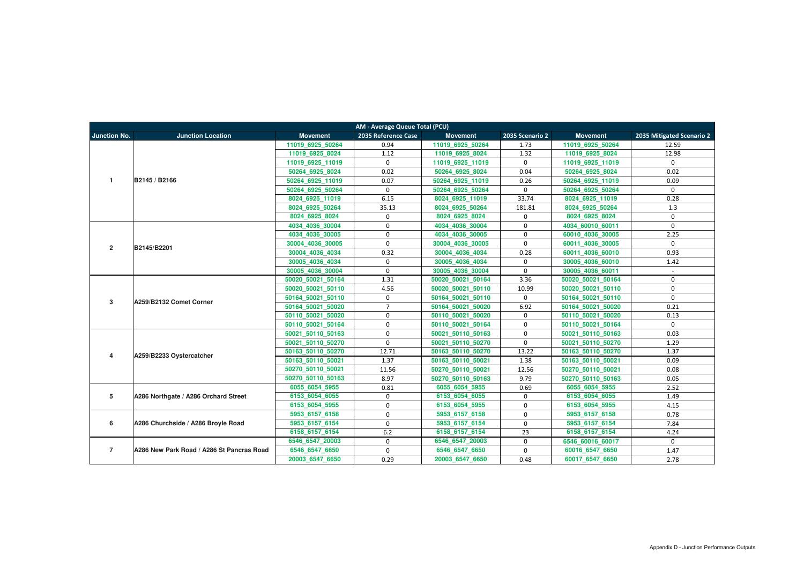| AM - Average Queue Total (PCU) |                                           |                   |                     |                   |                     |                   |                           |  |  |
|--------------------------------|-------------------------------------------|-------------------|---------------------|-------------------|---------------------|-------------------|---------------------------|--|--|
| <b>Junction No.</b>            | <b>Junction Location</b>                  | <b>Movement</b>   | 2035 Reference Case | <b>Movement</b>   | 2035 Scenario 2     | <b>Movement</b>   | 2035 Mitigated Scenario 2 |  |  |
|                                |                                           | 11019 6925 50264  | 0.94                | 11019 6925 50264  | 1.73                | 11019 6925 50264  | 12.59                     |  |  |
|                                |                                           | 11019 6925 8024   | 1.12                | 11019 6925 8024   | 1.32                | 11019 6925 8024   | 12.98                     |  |  |
|                                |                                           | 11019_6925_11019  | $\mathbf{0}$        | 11019 6925 11019  | $\mathbf 0$         | 11019 6925 11019  | $\Omega$                  |  |  |
|                                |                                           | 50264 6925 8024   | 0.02                | 50264 6925 8024   | 0.04                | 50264 6925 8024   | 0.02                      |  |  |
| $\mathbf{1}$                   | B2145 / B2166                             | 50264_6925_11019  | 0.07                | 50264_6925_11019  | 0.26                | 50264 6925 11019  | 0.09                      |  |  |
|                                |                                           | 50264 6925 50264  | $\mathbf{0}$        | 50264 6925 50264  | $\mathbf 0$         | 50264 6925 50264  | $\Omega$                  |  |  |
|                                |                                           | 8024 6925 11019   | 6.15                | 8024 6925 11019   | 33.74               | 8024 6925 11019   | 0.28                      |  |  |
|                                |                                           | 8024 6925 50264   | 35.13               | 8024 6925 50264   | 181.81              | 8024 6925 50264   | 1.3                       |  |  |
|                                |                                           | 8024 6925 8024    | $\Omega$            | 8024 6925 8024    | 0                   | 8024 6925 8024    | $\Omega$                  |  |  |
|                                |                                           | 4034 4036 30004   | $\Omega$            | 4034_4036_30004   | $\mathbf 0$         | 4034 60010 60011  | $\mathbf{0}$              |  |  |
|                                |                                           | 4034 4036 30005   | $\Omega$            | 4034 4036 30005   | $\mathbf 0$         | 60010 4036 30005  | 2.25                      |  |  |
| $\overline{2}$                 | B2145/B2201                               | 30004 4036 30005  | 0                   | 30004 4036 30005  | $\mathbf 0$         | 60011 4036 30005  | $\Omega$                  |  |  |
|                                |                                           | 30004 4036 4034   | 0.32                | 30004 4036 4034   | 0.28                | 60011 4036 60010  | 0.93                      |  |  |
|                                |                                           | 30005 4036 4034   | $\mathbf 0$         | 30005 4036 4034   | $\mathbf 0$         | 30005 4036 60010  | 1.42                      |  |  |
|                                |                                           | 30005 4036 30004  | $\mathbf{0}$        | 30005 4036 30004  | $\mathbf 0$         | 30005 4036 60011  | $\mathbf{r}$              |  |  |
|                                |                                           | 50020 50021 50164 | 1.31                | 50020 50021 50164 | 3.36                | 50020 50021 50164 | $\Omega$                  |  |  |
|                                |                                           | 50020 50021 50110 | 4.56                | 50020 50021 50110 | 10.99               | 50020 50021 50110 | $\Omega$                  |  |  |
| 3                              | A259/B2132 Comet Corner                   | 50164 50021 50110 | $\mathbf 0$         | 50164 50021 50110 | $\mathbf 0$         | 50164 50021 50110 | $\mathbf 0$               |  |  |
|                                |                                           | 50164 50021 50020 | $\overline{7}$      | 50164 50021 50020 | 6.92                | 50164 50021 50020 | 0.21                      |  |  |
|                                |                                           | 50110 50021 50020 | $\mathbf 0$         | 50110 50021 50020 | $\mathbf 0$         | 50110 50021 50020 | 0.13                      |  |  |
|                                |                                           | 50110 50021 50164 | $\mathbf 0$         | 50110 50021 50164 | $\mathbf 0$         | 50110 50021 50164 | $\Omega$                  |  |  |
|                                |                                           | 50021 50110 50163 | $\mathbf{0}$        | 50021 50110 50163 | $\mathbf 0$         | 50021 50110 50163 | 0.03                      |  |  |
|                                |                                           | 50021 50110 50270 | $\mathbf 0$         | 50021 50110 50270 | $\mathsf{O}\xspace$ | 50021 50110 50270 | 1.29                      |  |  |
| 4                              | A259/B2233 Oystercatcher                  | 50163 50110 50270 | 12.71               | 50163 50110 50270 | 13.22               | 50163 50110 50270 | 1.37                      |  |  |
|                                |                                           | 50163 50110 50021 | 1.37                | 50163_50110_50021 | 1.38                | 50163 50110 50021 | 0.09                      |  |  |
|                                |                                           | 50270 50110 50021 | 11.56               | 50270 50110 50021 | 12.56               | 50270 50110 50021 | 0.08                      |  |  |
|                                |                                           | 50270 50110 50163 | 8.97                | 50270 50110 50163 | 9.79                | 50270 50110 50163 | 0.05                      |  |  |
|                                |                                           | 6055_6054_5955    | 0.81                | 6055 6054 5955    | 0.69                | 6055_6054_5955    | 2.52                      |  |  |
| 5                              | A286 Northgate / A286 Orchard Street      | 6153 6054 6055    | $\mathbf 0$         | 6153 6054 6055    | $\mathbf 0$         | 6153 6054 6055    | 1.49                      |  |  |
|                                |                                           | 6153 6054 5955    | $\mathbf 0$         | 6153 6054 5955    | $\mathbf 0$         | 6153 6054 5955    | 4.15                      |  |  |
|                                |                                           | 5953 6157 6158    | $\mathbf{0}$        | 5953 6157 6158    | $\mathbf 0$         | 5953 6157 6158    | 0.78                      |  |  |
| 6                              | A286 Churchside / A286 Broyle Road        | 5953 6157 6154    | $\mathbf{0}$        | 5953 6157 6154    | $\mathbf 0$         | 5953 6157 6154    | 7.84                      |  |  |
|                                |                                           | 6158 6157 6154    | 6.2                 | 6158 6157 6154    | 23                  | 6158 6157 6154    | 4.24                      |  |  |
|                                |                                           | 6546 6547 20003   | $\mathbf 0$         | 6546 6547 20003   | $\mathbf 0$         | 6546 60016 60017  | $\mathbf 0$               |  |  |
| $\overline{7}$                 | A286 New Park Road / A286 St Pancras Road | 6546_6547_6650    | $\mathbf{0}$        | 6546_6547_6650    | $\mathbf 0$         | 60016_6547_6650   | 1.47                      |  |  |
|                                |                                           | 20003_6547_6650   | 0.29                | 20003_6547_6650   | 0.48                | 60017_6547_6650   | 2.78                      |  |  |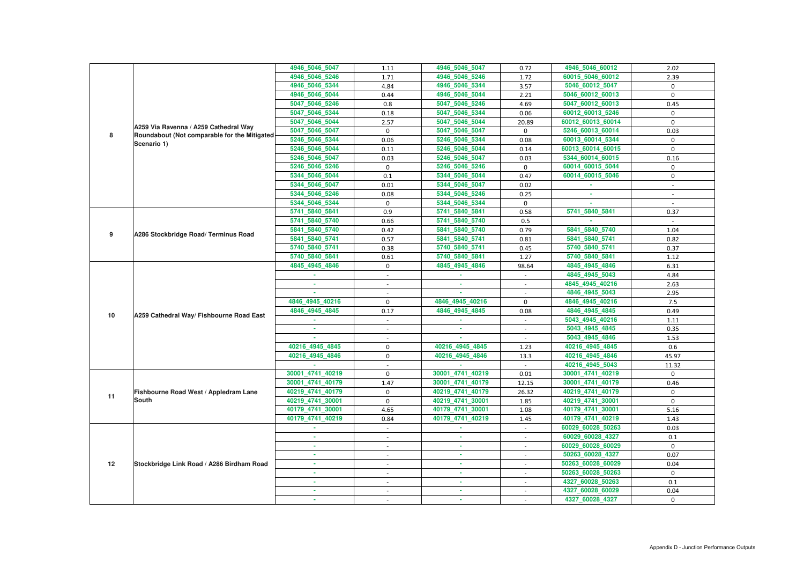|    |                                               | 4946_5046_5047   | 1.11                     | 4946_5046_5047   | 0.72                     | 4946_5046_60012   | 2.02         |
|----|-----------------------------------------------|------------------|--------------------------|------------------|--------------------------|-------------------|--------------|
|    |                                               | 4946_5046_5246   | 1.71                     | 4946_5046_5246   | 1.72                     | 60015_5046_60012  | 2.39         |
|    |                                               | 4946_5046_5344   | 4.84                     | 4946_5046_5344   | 3.57                     | 5046_60012_5047   | 0            |
|    |                                               | 4946_5046_5044   | 0.44                     | 4946_5046_5044   | 2.21                     | 5046_60012_60013  | 0            |
|    |                                               | 5047_5046_5246   | 0.8                      | 5047_5046_5246   | 4.69                     | 5047_60012_60013  | 0.45         |
|    |                                               | 5047_5046_5344   | 0.18                     | 5047_5046_5344   | 0.06                     | 60012_60013_5246  | $\mathbf 0$  |
|    |                                               | 5047_5046_5044   | 2.57                     | 5047_5046_5044   | 20.89                    | 60012_60013_60014 | $\mathbf{0}$ |
|    | A259 Via Ravenna / A259 Cathedral Way         | 5047_5046_5047   | $\mathbf 0$              | 5047_5046_5047   | $\mathbf 0$              | 5246_60013_60014  | 0.03         |
| 8  | Roundabout (Not comparable for the Mitigated) | 5246_5046_5344   | 0.06                     | 5246_5046_5344   | 0.08                     | 60013_60014_5344  | 0            |
|    | Scenario 1)                                   | 5246_5046_5044   | 0.11                     | 5246_5046_5044   | 0.14                     | 60013_60014_60015 | $\mathbf 0$  |
|    |                                               | 5246_5046_5047   | 0.03                     | 5246 5046 5047   | 0.03                     | 5344_60014_60015  | 0.16         |
|    |                                               | 5246_5046_5246   | 0                        | 5246_5046_5246   | $\mathbf 0$              | 60014_60015_5044  | 0            |
|    |                                               | 5344_5046_5044   | 0.1                      | 5344_5046_5044   | 0.47                     | 60014_60015_5046  | $\mathbf 0$  |
|    |                                               | 5344_5046_5047   | 0.01                     | 5344_5046_5047   | 0.02                     |                   | $\sim$       |
|    |                                               | 5344_5046_5246   | 0.08                     | 5344_5046_5246   | 0.25                     | ×.                |              |
|    |                                               | 5344 5046 5344   | $\mathbf 0$              | 5344_5046_5344   | $\mathbf 0$              | ×.                |              |
|    |                                               | 5741_5840_5841   | 0.9                      | 5741 5840 5841   | 0.58                     | 5741_5840_5841    | 0.37         |
|    |                                               | 5741_5840_5740   | 0.66                     | 5741_5840_5740   | 0.5                      |                   |              |
|    |                                               | 5841_5840_5740   | 0.42                     | 5841_5840_5740   | 0.79                     | 5841_5840_5740    | 1.04         |
| 9  | A286 Stockbridge Road/ Terminus Road          | 5841_5840_5741   | 0.57                     | 5841_5840_5741   | 0.81                     | 5841 5840 5741    | 0.82         |
|    |                                               | 5740_5840_5741   | 0.38                     | 5740_5840_5741   | 0.45                     | 5740_5840_5741    | 0.37         |
|    |                                               | 5740_5840_5841   | 0.61                     | 5740_5840_5841   | 1.27                     | 5740_5840_5841    | 1.12         |
|    |                                               | 4845_4945_4846   | $\mathbf 0$              | 4845_4945_4846   | 98.64                    | 4845_4945_4846    | 6.31         |
|    |                                               |                  | $\overline{a}$           |                  | $\blacksquare$           | 4845_4945_5043    | 4.84         |
|    |                                               | ×.               |                          | $\sim$           |                          | 4845_4945_40216   | 2.63         |
|    |                                               |                  |                          |                  |                          | 4846_4945_5043    | 2.95         |
|    |                                               | 4846 4945 40216  | $\mathbf 0$              | 4846_4945_40216  | $\mathbf 0$              | 4846_4945_40216   | 7.5          |
| 10 | A259 Cathedral Way/ Fishbourne Road East      | 4846_4945_4845   | 0.17                     | 4846_4945_4845   | 0.08                     | 4846_4945_4845    | 0.49         |
|    |                                               |                  |                          |                  |                          | 5043_4945_40216   | 1.11         |
|    |                                               |                  |                          |                  |                          | 5043_4945_4845    | 0.35         |
|    |                                               |                  | $\overline{a}$           |                  |                          | 5043_4945_4846    | 1.53         |
|    |                                               | 40216 4945 4845  | $\mathbf 0$              | 40216 4945 4845  | 1.23                     | 40216 4945 4845   | 0.6          |
|    |                                               | 40216_4945_4846  | $\mathbf 0$              | 40216_4945_4846  | 13.3                     | 40216_4945_4846   | 45.97        |
|    |                                               |                  |                          |                  |                          | 40216_4945_5043   | 11.32        |
|    |                                               | 30001_4741_40219 | $\Omega$                 | 30001 4741 40219 | 0.01                     | 30001_4741_40219  | $\Omega$     |
|    |                                               | 30001 4741 40179 | 1.47                     | 30001_4741_40179 | 12.15                    | 30001_4741_40179  | 0.46         |
| 11 | Fishbourne Road West / Appledram Lane         | 40219_4741_40179 | $\mathbf 0$              | 40219_4741_40179 | 26.32                    | 40219_4741_40179  | 0            |
|    | <b>South</b>                                  | 40219_4741_30001 | $\mathbf 0$              | 40219_4741_30001 | 1.85                     | 40219_4741_30001  | 0            |
|    |                                               | 40179_4741_30001 | 4.65                     | 40179_4741_30001 | 1.08                     | 40179_4741_30001  | 5.16         |
|    |                                               | 40179_4741_40219 | 0.84                     | 40179_4741_40219 | 1.45                     | 40179_4741_40219  | 1.43         |
|    |                                               | ×.               | $\sim$                   | m.               | $\sim$                   | 60029_60028_50263 | 0.03         |
|    |                                               | $\sim$           | $\overline{\phantom{a}}$ | <b>COL</b>       | $\sim$                   | 60029_60028_4327  | 0.1          |
|    |                                               | ×.               |                          | m.               |                          | 60029_60028_60029 | $\mathbf{0}$ |
|    |                                               | ×.               | $\overline{\phantom{a}}$ | <b>COL</b>       | $\sim$                   | 50263_60028_4327  | 0.07         |
| 12 | Stockbridge Link Road / A286 Birdham Road     | ٠                | $\sim$                   | $\sim$           | $\sim$                   | 50263_60028_60029 | 0.04         |
|    |                                               | ٠                | $\sim$                   | ×.               | $\sim$                   | 50263_60028_50263 | 0            |
|    |                                               | ٠                |                          | ٠                |                          | 4327_60028_50263  | 0.1          |
|    |                                               |                  |                          | ×.               |                          | 4327_60028_60029  | 0.04         |
|    |                                               |                  | $\overline{\phantom{a}}$ | ٠                | $\overline{\phantom{a}}$ | 4327_60028_4327   | $\mathbf{0}$ |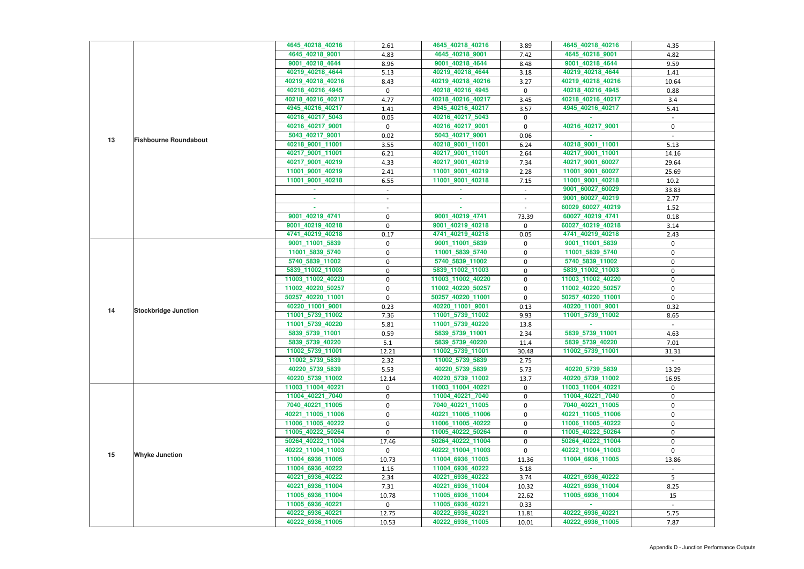|                                    |                             | 4645_40218_40216                      | 2.61             | 4645_40218_40216                      | 3.89         | 4645_40218_40216                      | 4.35        |
|------------------------------------|-----------------------------|---------------------------------------|------------------|---------------------------------------|--------------|---------------------------------------|-------------|
|                                    |                             | 4645_40218_9001                       | 4.83             | 4645_40218_9001                       | 7.42         | 4645_40218_9001                       | 4.82        |
|                                    |                             | 9001_40218_4644                       | 8.96             | 9001_40218_4644                       | 8.48         | 9001_40218_4644                       | 9.59        |
|                                    |                             | 40219_40218_4644                      | 5.13             | 40219_40218_4644                      | 3.18         | 40219_40218_4644                      | 1.41        |
|                                    |                             | 40219_40218_40216                     | 8.43             | 40219_40218_40216                     | 3.27         | 40219_40218_40216                     | 10.64       |
|                                    |                             | 40218_40216_4945                      | $\mathbf 0$      | 40218_40216_4945                      | $\mathbf 0$  | 40218_40216_4945                      | 0.88        |
|                                    |                             | 40218_40216_40217                     | 4.77             | 40218_40216_40217                     | 3.45         | 40218_40216_40217                     | 3.4         |
|                                    |                             | 4945_40216_40217                      | 1.41             | 4945_40216_40217                      | 3.57         | 4945_40216_40217                      | 5.41        |
|                                    |                             | 40216_40217_5043                      | 0.05             | 40216_40217_5043                      | 0            |                                       |             |
|                                    |                             | 40216_40217_9001                      | 0                | 40216_40217_9001                      | $\mathbf 0$  | 40216_40217_9001                      | 0           |
| 13<br><b>Fishbourne Roundabout</b> |                             | 5043_40217_9001                       | 0.02             | 5043_40217_9001                       | 0.06         |                                       |             |
|                                    |                             | 40218_9001_11001                      | 3.55             | 40218_9001_11001                      | 6.24         | 40218_9001_11001                      | 5.13        |
|                                    |                             | 40217_9001_11001                      | 6.21             | 40217_9001_11001                      | 2.64         | 40217_9001_11001                      | 14.16       |
|                                    |                             | 40217_9001_40219                      | 4.33             | 40217_9001_40219                      | 7.34         | 40217_9001_60027                      | 29.64       |
|                                    |                             | 11001_9001_40219                      | 2.41             | 11001_9001_40219                      | 2.28         | 11001_9001_60027                      | 25.69       |
|                                    |                             | 11001_9001_40218                      | 6.55             | 11001_9001_40218                      | 7.15         | 11001_9001_40218                      | 10.2        |
|                                    |                             |                                       | $\sim$           |                                       | $\sim$       | 9001_60027_60029                      | 33.83       |
|                                    |                             |                                       |                  | ×.                                    |              | 9001_60027_40219                      | 2.77        |
|                                    |                             |                                       |                  |                                       |              | 60029_60027_40219                     | 1.52        |
|                                    |                             | 9001_40219_4741                       | $\pmb{0}$        | 9001_40219_4741                       | 73.39        | 60027_40219_4741                      | 0.18        |
|                                    |                             | 9001_40219_40218                      | $\mathbf 0$      | 9001_40219_40218                      | 0            | 60027_40219_40218                     | 3.14        |
|                                    |                             | 4741_40219_40218                      | 0.17             | 4741_40219_40218                      | 0.05         | 4741_40219_40218                      | 2.43        |
|                                    |                             | 9001_11001_5839                       | 0                | 9001_11001_5839                       | 0            | 9001_11001_5839                       | 0           |
|                                    |                             | 11001_5839_5740                       | $\boldsymbol{0}$ | 11001_5839_5740                       | $\pmb{0}$    | 11001_5839_5740                       | $\mathbf 0$ |
|                                    |                             | 5740_5839_11002                       | 0                | 5740_5839_11002                       | 0            | 5740_5839_11002                       | 0           |
|                                    |                             | 5839_11002_11003                      | 0                | 5839_11002_11003                      | $\mathbf 0$  | 5839_11002_11003                      | $\mathbf 0$ |
|                                    |                             | 11003_11002_40220                     | $\pmb{0}$        | 11003_11002_40220                     | $\mathbf 0$  | 11003_11002_40220                     | $\mathbf 0$ |
|                                    |                             | 11002_40220_50257                     | $\boldsymbol{0}$ | 11002_40220_50257                     | $\mathbf 0$  | 11002_40220_50257                     | 0           |
|                                    |                             | 50257_40220_11001                     | $\pmb{0}$        | 50257_40220_11001                     | $\mathbf 0$  | 50257_40220_11001                     | 0           |
|                                    |                             | 40220_11001_9001                      | 0.23             | 40220_11001_9001                      | 0.13         | 40220 11001 9001                      | 0.32        |
| 14                                 | <b>Stockbridge Junction</b> | 11001_5739_11002                      | 7.36             | 11001_5739_11002                      | 9.93         | 11001 5739 11002                      | 8.65        |
|                                    |                             | 11001_5739_40220                      | 5.81             | 11001_5739_40220                      | 13.8         |                                       |             |
|                                    |                             | 5839_5739_11001                       | 0.59             | 5839_5739_11001                       | 2.34         | 5839_5739_11001                       | 4.63        |
|                                    |                             | 5839_5739_40220                       |                  | 5839_5739_40220                       |              | 5839_5739_40220                       |             |
|                                    |                             |                                       | 5.1              | 11002_5739_11001                      | 11.4         | 11002_5739_11001                      | 7.01        |
|                                    |                             | 11002_5739_11001                      | 12.21            |                                       | 30.48        |                                       | 31.31       |
|                                    |                             | 11002_5739_5839                       | 2.32             | 11002_5739_5839                       | 2.75         |                                       |             |
|                                    |                             | 40220_5739_5839                       | 5.53             | 40220_5739_5839                       | 5.73         | 40220_5739_5839                       | 13.29       |
|                                    |                             | 40220_5739_11002<br>11003 11004 40221 | 12.14            | 40220_5739_11002                      | 13.7         | 40220_5739_11002<br>11003 11004 40221 | 16.95       |
|                                    |                             |                                       | $\mathbf{0}$     | 11003_11004_40221<br>11004_40221_7040 | $\mathbf{0}$ | 11004_40221_7040                      | $\mathbf 0$ |
|                                    |                             | 11004_40221_7040                      | 0                |                                       | 0            |                                       | 0           |
|                                    |                             | 7040_40221_11005                      | 0                | 7040_40221_11005                      | 0            | 7040_40221_11005<br>40221_11005_11006 | 0           |
|                                    |                             | 40221_11005_11006                     | $\boldsymbol{0}$ | 40221_11005_11006                     | $\pmb{0}$    |                                       | 0           |
|                                    |                             | 11006_11005_40222                     | 0                | 11006_11005_40222                     | 0            | 11006_11005_40222                     | 0           |
|                                    |                             | 11005_40222_50264                     | $\mathbf 0$      | 11005_40222_50264                     | 0            | 11005_40222_50264                     | 0           |
|                                    |                             | 50264_40222_11004                     | 17.46            | 50264_40222_11004                     | $\mathbf 0$  | 50264_40222_11004                     | 0           |
| 15                                 | <b>Whyke Junction</b>       | 40222_11004_11003                     | $\mathbf{0}$     | 40222_11004_11003                     | $\mathbf 0$  | 40222 11004 11003                     | $\Omega$    |
|                                    |                             | 11004_6936_11005                      | 10.73            | 11004_6936_11005                      | 11.36        | 11004_6936_11005                      | 13.86       |
|                                    |                             | 11004_6936_40222                      | 1.16             | 11004_6936_40222                      | 5.18         |                                       |             |
|                                    |                             | 40221_6936_40222                      | 2.34             | 40221_6936_40222                      | 3.74         | 40221_6936_40222                      | 5           |
|                                    |                             | 40221_6936_11004                      | 7.31             | 40221_6936_11004                      | 10.32        | 40221_6936_11004                      | 8.25        |
|                                    |                             | 11005_6936_11004                      | 10.78            | 11005_6936_11004                      | 22.62        | 11005_6936_11004                      | 15          |
|                                    |                             | 11005_6936_40221                      | $\mathbf 0$      | 11005_6936_40221                      | 0.33         |                                       |             |
|                                    |                             | 40222_6936_40221                      | 12.75            | 40222_6936_40221                      | 11.81        | 40222_6936_40221                      | 5.75        |
|                                    |                             | 40222_6936_11005                      | 10.53            | 40222_6936_11005                      | 10.01        | 40222_6936_11005                      | 7.87        |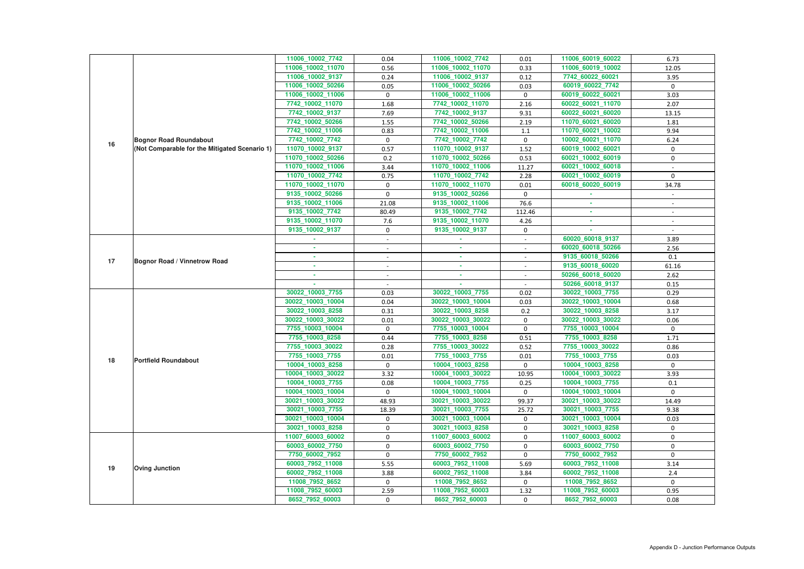|    |                                               | 11006_10002_7742                    | 0.04                     | 11006_10002_7742                      | 0.01                     | 11006_60019_60022                     | 6.73                     |
|----|-----------------------------------------------|-------------------------------------|--------------------------|---------------------------------------|--------------------------|---------------------------------------|--------------------------|
|    |                                               | 11006_10002_11070                   | 0.56                     | 11006_10002_11070                     | 0.33                     | 11006_60019_10002                     | 12.05                    |
|    |                                               | 11006_10002_9137                    | 0.24                     | 11006_10002_9137                      | 0.12                     | 7742_60022_60021                      | 3.95                     |
|    |                                               | 11006_10002_50266                   | 0.05                     | 11006_10002_50266                     |                          | 60019_60022_7742                      | $\mathbf 0$              |
|    |                                               | 11006_10002_11006                   | $\mathbf 0$              | 11006_10002_11006                     | 0.03<br>$\mathbf 0$      | 60019_60022_60021                     | 3.03                     |
|    |                                               | 7742_10002_11070                    | 1.68                     | 7742_10002_11070                      | 2.16                     | 60022_60021_11070                     | 2.07                     |
|    |                                               | 7742_10002_9137                     | 7.69                     | 7742_10002_9137                       | 9.31                     | 60022_60021_60020                     | 13.15                    |
|    |                                               | 7742_10002_50266                    | 1.55                     | 7742_10002_50266                      | 2.19                     | 11070_60021_60020                     | 1.81                     |
|    |                                               | 7742_10002_11006                    | 0.83                     | 7742_10002_11006                      | 1.1                      | 11070 60021 10002                     | 9.94                     |
|    | <b>Bognor Road Roundabout</b>                 | 7742_10002_7742                     | $\mathbf 0$              | 7742_10002_7742                       | $\mathbf 0$              | 10002_60021_11070                     | 6.24                     |
| 16 | (Not Comparable for the Mitigated Scenario 1) | 11070_10002_9137                    | 0.57                     | 11070_10002_9137                      | 1.52                     | 60019_10002_60021                     | $\mathbf 0$              |
|    |                                               | 11070_10002_50266                   | 0.2                      | 11070_10002_50266                     | 0.53                     | 60021_10002_60019                     | $\mathbf 0$              |
|    |                                               | 11070_10002_11006                   | 3.44                     | 11070_10002_11006                     | 11.27                    | 60021_10002_60018                     |                          |
|    |                                               | 11070_10002_7742                    | 0.75                     | 11070_10002_7742                      | 2.28                     | 60021_10002_60019                     | $\mathbf 0$              |
|    |                                               | 11070_10002_11070                   | 0                        | 11070_10002_11070                     | 0.01                     | 60018_60020_60019                     | 34.78                    |
|    |                                               | 9135_10002_50266                    | $\Omega$                 | 9135_10002_50266                      | $\mathbf 0$              |                                       |                          |
|    |                                               | 9135_10002_11006                    | 21.08                    | 9135_10002_11006                      | 76.6                     |                                       |                          |
|    |                                               | 9135_10002_7742                     | 80.49                    | 9135_10002_7742                       | 112.46                   | ٠                                     |                          |
|    |                                               | 9135_10002_11070                    | 7.6                      | 9135_10002_11070                      | 4.26                     | ×.                                    | $\overline{\phantom{a}}$ |
|    |                                               | 9135_10002_9137                     | 0                        | 9135 10002 9137                       | $\mathbf 0$              |                                       |                          |
|    |                                               |                                     |                          |                                       | $\overline{\phantom{a}}$ | 60020_60018_9137                      | 3.89                     |
|    |                                               |                                     | $\blacksquare$           | ٠                                     | $\sim$                   | 60020_60018_50266                     | 2.56                     |
|    |                                               |                                     | $\sim$                   | ٠                                     | $\sim$                   | 9135_60018_50266                      | 0.1                      |
| 17 | <b>Bognor Road / Vinnetrow Road</b>           |                                     |                          | ٠                                     |                          | 9135_60018_60020                      | 61.16                    |
|    |                                               |                                     |                          | ×.                                    | $\blacksquare$           | 50266_60018_60020                     | 2.62                     |
|    |                                               |                                     |                          |                                       | $\overline{\phantom{a}}$ | 50266_60018_9137                      | 0.15                     |
|    |                                               |                                     |                          |                                       |                          |                                       |                          |
|    |                                               |                                     |                          |                                       |                          |                                       |                          |
|    |                                               | 30022_10003_7755                    | 0.03                     | 30022_10003_7755                      | 0.02                     | 30022_10003_7755                      | 0.29                     |
|    |                                               | 30022_10003_10004                   | 0.04                     | 30022_10003_10004                     | 0.03                     | 30022_10003_10004                     | 0.68                     |
|    |                                               | 30022_10003_8258                    | 0.31                     | 30022_10003_8258                      | 0.2                      | 30022_10003_8258                      | 3.17                     |
|    |                                               | 30022_10003_30022                   | 0.01                     | 30022_10003_30022                     | $\mathbf 0$              | 30022_10003_30022                     | 0.06                     |
|    |                                               | 7755_10003_10004<br>7755_10003_8258 | $\mathbf 0$              | 7755_10003_10004                      | 0                        | 7755_10003_10004<br>7755_10003_8258   | $\mathbf 0$              |
|    |                                               |                                     | 0.44                     | 7755_10003_8258                       | 0.51                     |                                       | 1.71                     |
|    |                                               | 7755_10003_30022                    | 0.28                     | 7755_10003_30022                      | 0.52                     | 7755_10003_30022<br>7755_10003_7755   | 0.86                     |
| 18 | <b>Portfield Roundabout</b>                   | 7755_10003_7755<br>10004_10003_8258 | $0.01\,$<br>$\mathbf{0}$ | 7755_10003_7755                       | $0.01\,$<br>0            |                                       | 0.03<br>$\mathbf{0}$     |
|    |                                               | 10004_10003_30022                   | 3.32                     | 10004_10003_8258<br>10004_10003_30022 | 10.95                    | 10004_10003_8258<br>10004_10003_30022 | 3.93                     |
|    |                                               | 10004_10003_7755                    | 0.08                     | 10004_10003_7755                      | 0.25                     | 10004_10003_7755                      | 0.1                      |
|    |                                               | 10004_10003_10004                   | $\mathbf{0}$             | 10004_10003_10004                     | $\mathbf{0}$             | 10004_10003_10004                     | $\mathbf{0}$             |
|    |                                               | 30021_10003_30022                   | 48.93                    | 30021_10003_30022                     | 99.37                    | 30021_10003_30022                     | 14.49                    |
|    |                                               | 30021_10003_7755                    | 18.39                    | 30021_10003_7755                      | 25.72                    | 30021_10003_7755                      | 9.38                     |
|    |                                               | 30021_10003_10004                   | $\mathbf{0}$             | 30021_10003_10004                     | $\mathbf{0}$             | 30021_10003_10004                     | 0.03                     |
|    |                                               | 30021_10003_8258                    | $\mathbf 0$              | 30021_10003_8258                      | 0                        | 30021_10003_8258                      | $\mathbf{0}$             |
|    |                                               | 11007_60003_60002                   | 0                        | 11007_60003_60002                     | 0                        | 11007_60003_60002                     | 0                        |
|    |                                               | 60003_60002_7750                    | 0                        | 60003_60002_7750                      | 0                        | 60003_60002_7750                      | $\mathbf 0$              |
|    |                                               | 7750_60002_7952                     | $\mathbf 0$              | 7750_60002_7952                       | $\mathbf{0}$             | 7750_60002_7952                       | $\mathbf{0}$             |
|    |                                               | 60003_7952_11008                    | 5.55                     | 60003_7952_11008                      | 5.69                     | 60003_7952_11008                      | 3.14                     |
| 19 | <b>Oving Junction</b>                         | 60002_7952_11008                    | 3.88                     | 60002_7952_11008                      | 3.84                     | 60002_7952_11008                      | 2.4                      |
|    |                                               | 11008_7952_8652                     | $\mathbf 0$              | 11008_7952_8652                       | 0                        | 11008_7952_8652                       | $\mathbf{0}$             |
|    |                                               | 11008_7952_60003                    | 2.59                     | 11008_7952_60003                      | 1.32                     | 11008_7952_60003                      | 0.95                     |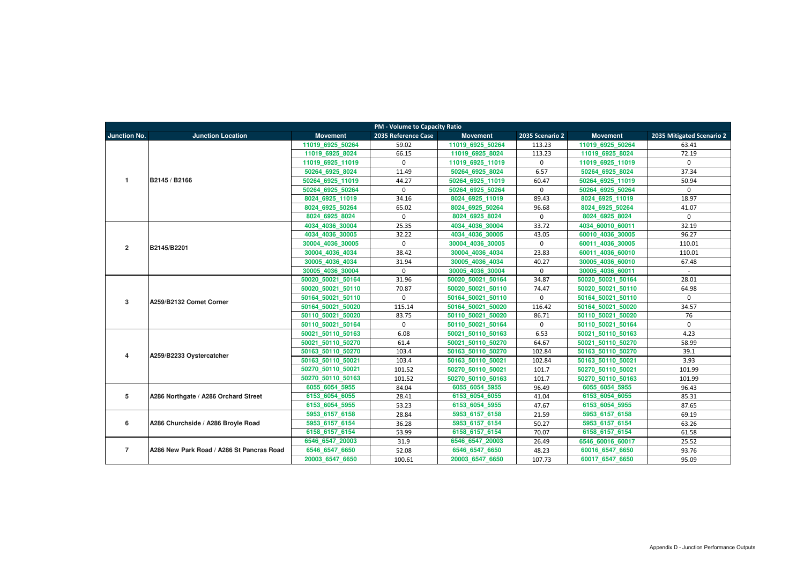|                     | <b>PM - Volume to Capacity Ratio</b>      |                   |                     |                   |                 |                   |                           |  |  |  |
|---------------------|-------------------------------------------|-------------------|---------------------|-------------------|-----------------|-------------------|---------------------------|--|--|--|
| <b>Junction No.</b> | <b>Junction Location</b>                  | <b>Movement</b>   | 2035 Reference Case | <b>Movement</b>   | 2035 Scenario 2 | <b>Movement</b>   | 2035 Mitigated Scenario 2 |  |  |  |
|                     |                                           | 11019 6925 50264  | 59.02               | 11019 6925 50264  | 113.23          | 11019 6925 50264  | 63.41                     |  |  |  |
|                     |                                           | 11019 6925 8024   | 66.15               | 11019 6925 8024   | 113.23          | 11019 6925 8024   | 72.19                     |  |  |  |
|                     |                                           | 11019 6925 11019  | $\mathbf{0}$        | 11019 6925 11019  | $\mathbf 0$     | 11019 6925 11019  | $\Omega$                  |  |  |  |
|                     |                                           | 50264 6925 8024   | 11.49               | 50264 6925 8024   | 6.57            | 50264 6925 8024   | 37.34                     |  |  |  |
| $\mathbf{1}$        | B2145 / B2166                             | 50264 6925 11019  | 44.27               | 50264 6925 11019  | 60.47           | 50264 6925 11019  | 50.94                     |  |  |  |
|                     |                                           | 50264 6925 50264  | $\Omega$            | 50264 6925 50264  | $\mathbf 0$     | 50264 6925 50264  | $\Omega$                  |  |  |  |
|                     |                                           | 8024 6925 11019   | 34.16               | 8024 6925 11019   | 89.43           | 8024 6925 11019   | 18.97                     |  |  |  |
|                     |                                           | 8024_6925_50264   | 65.02               | 8024 6925 50264   | 96.68           | 8024 6925 50264   | 41.07                     |  |  |  |
|                     |                                           | 8024 6925 8024    | $\mathbf{0}$        | 8024 6925 8024    | $\mathbf{0}$    | 8024 6925 8024    | $\mathbf{0}$              |  |  |  |
|                     |                                           | 4034_4036_30004   | 25.35               | 4034_4036_30004   | 33.72           | 4034_60010_60011  | 32.19                     |  |  |  |
|                     |                                           | 4034 4036 30005   | 32.22               | 4034 4036 30005   | 43.05           | 60010 4036 30005  | 96.27                     |  |  |  |
| $\overline{2}$      | B2145/B2201                               | 30004 4036 30005  | $\mathbf 0$         | 30004 4036 30005  | $\mathbf 0$     | 60011 4036 30005  | 110.01                    |  |  |  |
|                     |                                           | 30004 4036 4034   | 38.42               | 30004 4036 4034   | 23.83           | 60011 4036 60010  | 110.01                    |  |  |  |
|                     |                                           | 30005 4036 4034   | 31.94               | 30005 4036 4034   | 40.27           | 30005 4036 60010  | 67.48                     |  |  |  |
|                     |                                           | 30005 4036 30004  | $\mathbf{0}$        | 30005 4036 30004  | $\mathbf 0$     | 30005 4036 60011  | $\sim$                    |  |  |  |
|                     |                                           | 50020 50021 50164 | 31.96               | 50020 50021 50164 | 34.87           | 50020 50021 50164 | 28.01                     |  |  |  |
|                     |                                           | 50020 50021 50110 | 70.87               | 50020 50021 50110 | 74.47           | 50020 50021 50110 | 64.98                     |  |  |  |
| 3                   | A259/B2132 Comet Corner                   | 50164 50021 50110 | $\mathbf 0$         | 50164 50021 50110 | $\mathbf 0$     | 50164 50021 50110 | $\Omega$                  |  |  |  |
|                     |                                           | 50164 50021 50020 | 115.14              | 50164 50021 50020 | 116.42          | 50164 50021 50020 | 34.57                     |  |  |  |
|                     |                                           | 50110 50021 50020 | 83.75               | 50110 50021 50020 | 86.71           | 50110 50021 50020 | 76                        |  |  |  |
|                     |                                           | 50110 50021 50164 | $\mathbf 0$         | 50110 50021 50164 | $\mathbf 0$     | 50110 50021 50164 | $\mathbf{0}$              |  |  |  |
|                     |                                           | 50021 50110 50163 | 6.08                | 50021 50110 50163 | 6.53            | 50021 50110 50163 | 4.23                      |  |  |  |
|                     |                                           | 50021 50110 50270 | 61.4                | 50021 50110 50270 | 64.67           | 50021 50110 50270 | 58.99                     |  |  |  |
| 4                   | A259/B2233 Oystercatcher                  | 50163 50110 50270 | 103.4               | 50163 50110 50270 | 102.84          | 50163 50110 50270 | 39.1                      |  |  |  |
|                     |                                           | 50163 50110 50021 | 103.4               | 50163 50110 50021 | 102.84          | 50163 50110 50021 | 3.93                      |  |  |  |
|                     |                                           | 50270 50110 50021 | 101.52              | 50270 50110 50021 | 101.7           | 50270 50110 50021 | 101.99                    |  |  |  |
|                     |                                           | 50270 50110 50163 | 101.52              | 50270 50110 50163 | 101.7           | 50270 50110 50163 | 101.99                    |  |  |  |
|                     |                                           | 6055 6054 5955    | 84.04               | 6055 6054 5955    | 96.49           | 6055 6054 5955    | 96.43                     |  |  |  |
| $5\phantom{.0}$     | A286 Northgate / A286 Orchard Street      | 6153_6054_6055    | 28.41               | 6153 6054 6055    | 41.04           | 6153 6054 6055    | 85.31                     |  |  |  |
|                     |                                           | 6153 6054 5955    | 53.23               | 6153 6054 5955    | 47.67           | 6153 6054 5955    | 87.65                     |  |  |  |
|                     |                                           | 5953 6157 6158    | 28.84               | 5953 6157 6158    | 21.59           | 5953 6157 6158    | 69.19                     |  |  |  |
| 6                   | A286 Churchside / A286 Broyle Road        | 5953 6157 6154    | 36.28               | 5953 6157 6154    | 50.27           | 5953 6157 6154    | 63.26                     |  |  |  |
|                     |                                           | 6158 6157 6154    | 53.99               | 6158 6157 6154    | 70.07           | 6158 6157 6154    | 61.58                     |  |  |  |
|                     |                                           | 6546 6547 20003   | 31.9                | 6546 6547 20003   | 26.49           | 6546 60016 60017  | 25.52                     |  |  |  |
| $\overline{7}$      | A286 New Park Road / A286 St Pancras Road | 6546_6547_6650    | 52.08               | 6546_6547_6650    | 48.23           | 60016_6547_6650   | 93.76                     |  |  |  |
|                     |                                           | 20003 6547 6650   | 100.61              | 20003 6547 6650   | 107.73          | 60017_6547_6650   | 95.09                     |  |  |  |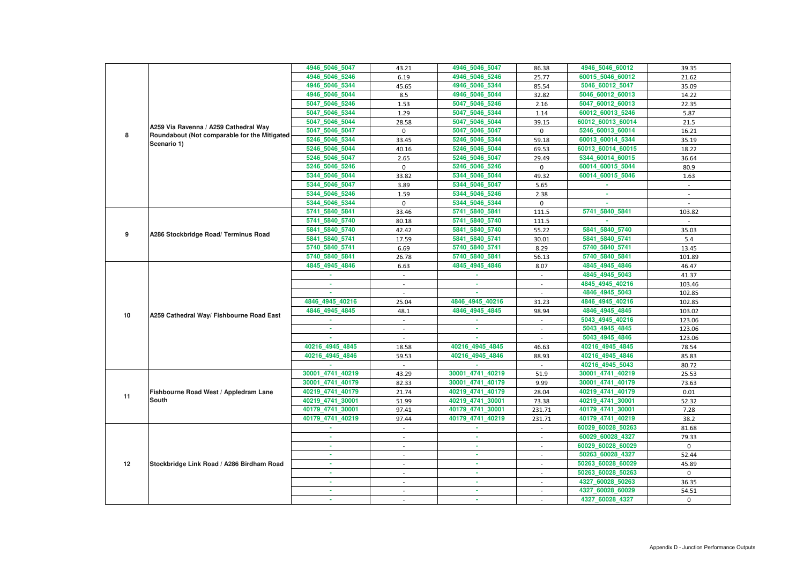|    |                                              | 4946 5046 5047<br>4946_5046_5246 | 43.21                    | 4946_5046_5047<br>4946 5046 5246 | 86.38       | 4946_5046_60012<br>60015_5046_60012 | 39.35        |
|----|----------------------------------------------|----------------------------------|--------------------------|----------------------------------|-------------|-------------------------------------|--------------|
|    |                                              | 4946_5046_5344                   | 6.19                     | 4946_5046_5344                   | 25.77       | 5046_60012_5047                     | 21.62        |
|    |                                              |                                  | 45.65                    |                                  | 85.54       |                                     | 35.09        |
|    |                                              | 4946_5046_5044                   | 8.5                      | 4946_5046_5044                   | 32.82       | 5046_60012_60013                    | 14.22        |
|    |                                              | 5047_5046_5246                   | 1.53                     | 5047_5046_5246                   | 2.16        | 5047_60012_60013                    | 22.35        |
|    |                                              | 5047_5046_5344                   | 1.29                     | 5047_5046_5344                   | 1.14        | 60012_60013_5246                    | 5.87         |
|    | A259 Via Ravenna / A259 Cathedral Way        | 5047_5046_5044                   | 28.58                    | 5047_5046_5044                   | 39.15       | 60012_60013_60014                   | 21.5         |
| 8  | Roundabout (Not comparable for the Mitigated | 5047 5046 5047                   | $\mathbf{0}$             | 5047 5046 5047                   | $\mathbf 0$ | 5246 60013 60014                    | 16.21        |
|    | Scenario 1)                                  | 5246_5046_5344                   | 33.45                    | 5246 5046 5344                   | 59.18       | 60013_60014_5344                    | 35.19        |
|    |                                              | 5246_5046_5044                   | 40.16                    | 5246_5046_5044                   | 69.53       | 60013_60014_60015                   | 18.22        |
|    |                                              | 5246_5046_5047                   | 2.65                     | 5246_5046_5047                   | 29.49       | 5344_60014_60015                    | 36.64        |
|    |                                              | 5246_5046_5246                   | $\mathbf 0$              | 5246_5046_5246                   | $\mathbf 0$ | 60014_60015_5044                    | 80.9         |
|    |                                              | 5344 5046 5044                   | 33.82                    | 5344_5046_5044                   | 49.32       | 60014_60015_5046                    | 1.63         |
|    |                                              | 5344_5046_5047                   | 3.89                     | 5344_5046_5047                   | 5.65        |                                     | $\sim$       |
|    |                                              | 5344_5046_5246                   | 1.59                     | 5344_5046_5246                   | 2.38        |                                     |              |
|    |                                              | 5344_5046_5344                   | $\Omega$                 | 5344 5046 5344                   | $\mathbf 0$ |                                     |              |
|    |                                              | 5741_5840_5841                   | 33.46                    | 5741_5840_5841                   | 111.5       | 5741_5840_5841                      | 103.82       |
|    |                                              | 5741_5840_5740                   | 80.18                    | 5741_5840_5740                   | 111.5       |                                     |              |
| 9  | A286 Stockbridge Road/ Terminus Road         | 5841_5840_5740                   | 42.42                    | 5841_5840_5740                   | 55.22       | 5841_5840_5740                      | 35.03        |
|    |                                              | 5841_5840_5741                   | 17.59                    | 5841_5840_5741                   | 30.01       | 5841_5840_5741                      | 5.4          |
|    |                                              | 5740_5840_5741                   | 6.69                     | 5740 5840 5741                   | 8.29        | 5740_5840_5741                      | 13.45        |
|    |                                              | 5740 5840 5841                   | 26.78                    | 5740_5840_5841                   | 56.13       | 5740_5840_5841                      | 101.89       |
|    |                                              | 4845_4945_4846                   | 6.63                     | 4845_4945_4846                   | 8.07        | 4845_4945_4846                      | 46.47        |
|    |                                              |                                  |                          |                                  |             | 4845 4945 5043                      | 41.37        |
|    |                                              |                                  | $\overline{\phantom{a}}$ | ×.                               |             | 4845 4945 40216                     | 103.46       |
|    |                                              |                                  |                          |                                  |             | 4846 4945 5043                      | 102.85       |
|    |                                              | 4846 4945 40216                  | 25.04                    | 4846 4945 40216                  | 31.23       | 4846 4945 40216                     | 102.85       |
| 10 | A259 Cathedral Way/ Fishbourne Road East     | 4846 4945 4845                   | 48.1                     | 4846_4945_4845                   | 98.94       | 4846_4945_4845                      | 103.02       |
|    |                                              |                                  |                          |                                  |             | 5043_4945_40216                     | 123.06       |
|    |                                              |                                  |                          |                                  |             | 5043 4945 4845                      | 123.06       |
|    |                                              |                                  |                          |                                  |             | 5043_4945_4846                      | 123.06       |
|    |                                              | 40216_4945_4845                  | 18.58                    | 40216_4945_4845                  | 46.63       | 40216 4945 4845                     | 78.54        |
|    |                                              | 40216_4945_4846                  | 59.53                    | 40216 4945 4846                  | 88.93       | 40216_4945_4846                     | 85.83        |
|    |                                              |                                  |                          |                                  |             | 40216_4945_5043                     | 80.72        |
|    |                                              | 30001_4741_40219                 | 43.29                    | 30001_4741_40219                 | 51.9        | 30001_4741_40219                    | 25.53        |
|    |                                              | 30001_4741_40179                 | 82.33                    | 30001_4741_40179                 | 9.99        | 30001_4741_40179                    | 73.63        |
| 11 | Fishbourne Road West / Appledram Lane        | 40219_4741_40179                 | 21.74                    | 40219_4741_40179                 | 28.04       | 40219_4741_40179                    | 0.01         |
|    | <b>South</b>                                 | 40219_4741_30001                 | 51.99                    | 40219_4741_30001                 | 73.38       | 40219_4741_30001                    | 52.32        |
|    |                                              | 40179_4741_30001                 | 97.41                    | 40179_4741_30001                 | 231.71      | 40179_4741_30001                    | 7.28         |
|    |                                              | 40179_4741_40219                 | 97.44                    | 40179_4741_40219                 | 231.71      | 40179_4741_40219                    | 38.2         |
|    |                                              | $\sim$                           | $\sim$                   | <b>ALC</b>                       | $\sim$      | 60029_60028_50263                   | 81.68        |
|    |                                              | ×.                               | $\overline{\phantom{a}}$ | ×.                               | $\sim$      | 60029_60028_4327                    | 79.33        |
|    |                                              |                                  | $\sim$                   | $\sim$                           | $\sim$      | 60029_60028_60029                   | $\mathbf{0}$ |
|    |                                              |                                  | $\overline{\phantom{a}}$ | ×.                               |             | 50263_60028_4327                    | 52.44        |
| 12 | Stockbridge Link Road / A286 Birdham Road    | ٠                                | $\sim$                   | $\sim$                           | $\sim$      | 50263_60028_60029                   | 45.89        |
|    |                                              | ×.                               | $\overline{\phantom{a}}$ | <b>COL</b>                       | $\sim$      | 50263_60028_50263                   | $\mathbf 0$  |
|    |                                              |                                  |                          | $\sim$                           |             | 4327_60028_50263                    | 36.35        |
|    |                                              |                                  |                          |                                  |             | 4327_60028_60029                    | 54.51        |
|    |                                              |                                  |                          | ٠                                |             | 4327_60028_4327                     | $\mathbf 0$  |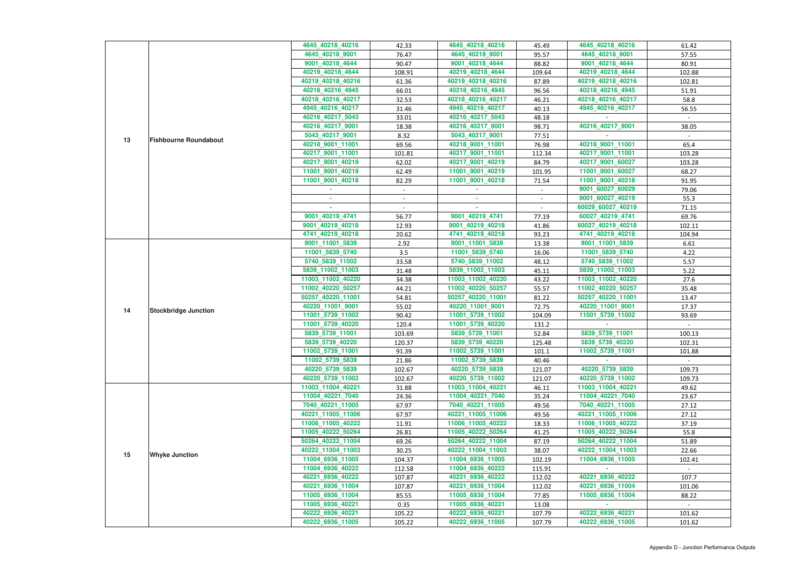|    |                              | 4645_40218_40216                      | 42.33                    | 4645_40218_40216                      | 45.49           | 4645_40218_40216                      | 61.42            |
|----|------------------------------|---------------------------------------|--------------------------|---------------------------------------|-----------------|---------------------------------------|------------------|
|    |                              | 4645_40218_9001                       | 76.47                    | 4645_40218_9001                       | 95.57           | 4645_40218_9001                       | 57.55            |
|    |                              | 9001_40218_4644                       | 90.47                    | 9001_40218_4644                       | 88.82           | 9001_40218_4644                       | 80.91            |
|    |                              | 40219_40218_4644                      | 108.91                   | 40219_40218_4644                      | 109.64          | 40219_40218_4644                      | 102.88           |
|    |                              | 40219_40218_40216                     | 61.36                    | 40219_40218_40216                     | 87.89           | 40219_40218_40216                     | 102.81           |
|    |                              | 40218_40216_4945                      | 66.01                    | 40218_40216_4945                      | 96.56           | 40218_40216_4945                      | 51.91            |
|    |                              | 40218_40216_40217                     | 32.53                    | 40218_40216_40217                     | 46.21           | 40218_40216_40217                     | 58.8             |
|    |                              | 4945_40216_40217                      | 31.46                    | 4945_40216_40217                      | 40.13           | 4945_40216_40217                      | 56.55            |
|    |                              | 40216_40217_5043                      | 33.01                    | 40216_40217_5043                      | 48.18           |                                       |                  |
|    |                              | 40216_40217_9001                      | 18.38                    | 40216_40217_9001                      | 98.71           | 40216_40217_9001                      | 38.05            |
|    |                              | 5043_40217_9001                       | 8.32                     | 5043_40217_9001                       | 77.51           |                                       |                  |
| 13 | <b>Fishbourne Roundabout</b> | 40218_9001_11001                      | 69.56                    | 40218_9001_11001                      | 76.98           | 40218_9001_11001                      | 65.4             |
|    |                              | 40217_9001_11001                      | 101.81                   | 40217_9001_11001                      | 112.34          | 40217_9001_11001                      | 103.28           |
|    |                              | 40217_9001_40219                      | 62.02                    | 40217_9001_40219                      | 84.79           | 40217_9001_60027                      | 103.28           |
|    |                              | 11001_9001_40219                      | 62.49                    | 11001 9001 40219                      | 101.95          | 11001_9001_60027                      | 68.27            |
|    |                              | 11001_9001_40218                      | 82.29                    | 11001_9001_40218                      | 71.54           | 11001 9001 40218                      | 91.95            |
|    |                              |                                       | $\sim$                   |                                       | $\sim$          | 9001_60027_60029                      | 79.06            |
|    |                              |                                       | $\overline{\phantom{a}}$ | $\sim$                                | $\sim$          | 9001_60027_40219                      | 55.3             |
|    |                              | ×.                                    |                          | ×.                                    |                 | 60029_60027_40219                     | 71.15            |
|    |                              | 9001_40219_4741                       | 56.77                    | 9001_40219_4741                       | 77.19           | 60027_40219_4741                      | 69.76            |
|    |                              | 9001_40219_40218                      | 12.93                    | 9001_40219_40218                      | 41.86           | 60027_40219_40218                     | 102.11           |
|    |                              | 4741_40219_40218                      | 20.62                    | 4741_40219_40218                      | 93.23           | 4741_40219_40218                      | 104.94           |
|    |                              | 9001_11001_5839                       | 2.92                     | 9001_11001_5839                       | 13.38           | 9001_11001_5839                       | 6.61             |
|    |                              | 11001_5839_5740                       | 3.5                      | 11001_5839_5740                       | 16.06           | 11001_5839_5740                       | 4.22             |
|    |                              | 5740_5839_11002                       | 33.58                    | 5740_5839_11002                       | 48.12           | 5740_5839_11002                       | 5.57             |
|    |                              | 5839_11002_11003                      | 31.48                    | 5839_11002_11003                      | 45.11           | 5839_11002_11003                      | 5.22             |
|    |                              | 11003_11002_40220                     | 34.38                    | 11003_11002_40220                     | 43.22           | 11003_11002_40220                     | 27.6             |
|    |                              | 11002_40220_50257                     | 44.21                    | 11002_40220_50257                     | 55.57           | 11002_40220_50257                     | 35.48            |
|    |                              | 50257_40220_11001                     | 54.81                    | 50257_40220_11001                     | 81.22           | 50257_40220_11001                     | 13.47            |
|    |                              | 40220_11001_9001                      | 55.02                    | 40220_11001_9001                      | 72.75           | 40220_11001_9001                      | 17.37            |
| 14 | <b>Stockbridge Junction</b>  | 11001_5739_11002                      | 90.42                    | 11001_5739_11002                      | 104.09          | 11001_5739_11002                      | 93.69            |
|    |                              | 11001_5739_40220                      | 120.4                    | 11001_5739_40220                      | 131.2           |                                       |                  |
|    |                              | 5839_5739_11001                       |                          | 5839_5739_11001                       |                 | 5839_5739_11001                       |                  |
|    |                              | 5839_5739_40220                       | 103.69<br>120.37         | 5839_5739_40220                       | 52.84<br>125.48 | 5839_5739_40220                       | 100.13<br>102.31 |
|    |                              |                                       |                          |                                       |                 | 11002_5739_11001                      |                  |
|    |                              | 11002_5739_11001<br>11002_5739_5839   | 91.39                    | 11002_5739_11001                      | 101.1           |                                       | 101.88           |
|    |                              |                                       | 21.86                    | 11002_5739_5839                       | 40.46           |                                       | $\sim$ .         |
|    |                              | 40220_5739_5839                       | 102.67                   | 40220_5739_5839                       | 121.07          | 40220_5739_5839                       | 109.73           |
|    |                              | 40220_5739_11002                      | 102.67                   | 40220_5739_11002                      | 121.07          | 40220_5739_11002                      | 109.73           |
|    |                              | 11003_11004_40221<br>11004_40221_7040 | 31.88                    | 11003_11004_40221<br>11004_40221_7040 | 46.11           | 11003_11004_40221<br>11004_40221_7040 | 49.62            |
|    |                              |                                       | 24.36                    |                                       | 35.24           |                                       | 23.67            |
|    |                              | 7040_40221_11005<br>40221_11005_11006 | 67.97                    | 7040_40221_11005<br>40221_11005_11006 | 49.56           | 7040_40221_11005<br>40221_11005_11006 | 27.12            |
|    |                              |                                       | 67.97                    |                                       | 49.56           |                                       | 27.12            |
|    |                              | 11006_11005_40222                     | 11.91                    | 11006_11005_40222                     | 18.33           | 11006_11005_40222                     | 37.19            |
|    |                              | 11005_40222_50264                     | 26.81                    | 11005_40222_50264                     | 41.25           | 11005_40222_50264                     | 55.8             |
|    |                              | 50264_40222_11004                     | 69.26                    | 50264_40222_11004                     | 87.19           | 50264_40222_11004                     | 51.89            |
| 15 | <b>Whyke Junction</b>        | 40222_11004_11003                     | 30.25                    | 40222_11004_11003                     | 38.07           | 40222_11004_11003                     | 22.66            |
|    |                              | 11004_6936_11005                      | 104.37                   | 11004_6936_11005                      | 102.19          | 11004_6936_11005                      | 102.41           |
|    |                              | 11004_6936_40222                      | 112.58                   | 11004_6936_40222                      | 115.91          |                                       |                  |
|    |                              | 40221_6936_40222                      | 107.87                   | 40221_6936_40222                      | 112.02          | 40221 6936 40222                      | 107.7            |
|    |                              | 40221_6936_11004                      | 107.87                   | 40221_6936_11004                      | 112.02          | 40221_6936_11004                      | 101.06           |
|    |                              | 11005_6936_11004                      | 85.55                    | 11005_6936_11004                      | 77.85           | 11005_6936_11004                      | 88.22            |
|    |                              | 11005_6936_40221                      | 0.35                     | 11005_6936_40221                      | 13.08           |                                       |                  |
|    |                              | 40222_6936_40221                      | 105.22                   | 40222_6936_40221                      | 107.79          | 40222_6936_40221                      | 101.62           |
|    |                              | 40222_6936_11005                      | 105.22                   | 40222_6936_11005                      | 107.79          | 40222_6936_11005                      | 101.62           |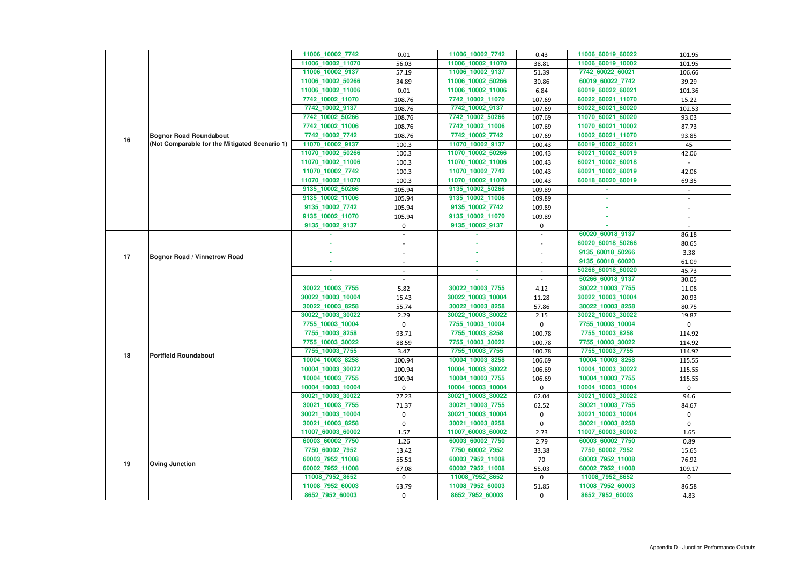|    |                                               | 11006_10002_7742                    | 0.01                     | 11006_10002_7742                    | 0.43              | 11006_60019_60022                   | 101.95                   |
|----|-----------------------------------------------|-------------------------------------|--------------------------|-------------------------------------|-------------------|-------------------------------------|--------------------------|
|    |                                               | 11006_10002_11070                   | 56.03                    | 11006_10002_11070                   | 38.81             | 11006_60019_10002                   | 101.95                   |
|    |                                               | 11006_10002_9137                    | 57.19                    | 11006_10002_9137                    | 51.39             | 7742_60022_60021                    | 106.66                   |
|    |                                               | 11006_10002_50266                   | 34.89                    | 11006_10002_50266                   | 30.86             | 60019_60022_7742                    | 39.29                    |
|    |                                               | 11006_10002_11006                   | 0.01                     | 11006_10002_11006                   | 6.84              | 60019_60022_60021                   | 101.36                   |
|    |                                               | 7742_10002_11070                    | 108.76                   | 7742_10002_11070                    | 107.69            | 60022_60021_11070                   | 15.22                    |
|    |                                               | 7742_10002_9137                     | 108.76                   | 7742_10002_9137                     | 107.69            | 60022_60021_60020                   | 102.53                   |
|    |                                               | 7742_10002_50266                    | 108.76                   | 7742_10002_50266                    | 107.69            | 11070 60021 60020                   | 93.03                    |
|    |                                               | 7742_10002_11006                    | 108.76                   | 7742_10002_11006                    | 107.69            | 11070_60021_10002                   | 87.73                    |
|    | <b>Bognor Road Roundabout</b>                 | 7742_10002_7742                     | 108.76                   | 7742_10002_7742                     | 107.69            | 10002_60021_11070                   | 93.85                    |
| 16 | (Not Comparable for the Mitigated Scenario 1) | 11070_10002_9137                    | 100.3                    | 11070_10002_9137                    | 100.43            | 60019_10002_60021                   | 45                       |
|    |                                               | 11070_10002_50266                   | 100.3                    | 11070_10002_50266                   | 100.43            | 60021_10002_60019                   | 42.06                    |
|    |                                               | 11070_10002_11006                   | 100.3                    | 11070_10002_11006                   | 100.43            | 60021_10002_60018                   |                          |
|    |                                               | 11070_10002_7742                    | 100.3                    | 11070_10002_7742                    | 100.43            | 60021_10002_60019                   | 42.06                    |
|    |                                               | 11070_10002_11070                   | 100.3                    | 11070_10002_11070                   | 100.43            | 60018_60020_60019                   | 69.35                    |
|    |                                               | 9135_10002_50266                    | 105.94                   | 9135_10002_50266                    | 109.89            |                                     |                          |
|    |                                               | 9135_10002_11006                    | 105.94                   | 9135 10002 11006                    | 109.89            |                                     |                          |
|    |                                               | 9135_10002_7742                     | 105.94                   | 9135 10002 7742                     | 109.89            |                                     |                          |
|    |                                               | 9135_10002_11070                    | 105.94                   | 9135_10002_11070                    | 109.89            | ×.                                  | $\overline{\phantom{a}}$ |
|    |                                               | 9135_10002_9137                     | $\mathbf 0$              | 9135_10002_9137                     | 0                 |                                     |                          |
|    |                                               |                                     |                          |                                     |                   | 60020_60018_9137                    | 86.18                    |
|    |                                               |                                     | $\overline{\phantom{a}}$ | ×.                                  |                   | 60020_60018_50266                   | 80.65                    |
| 17 | <b>Bognor Road / Vinnetrow Road</b>           | ٠                                   | $\sim$                   | <b>COL</b>                          | $\sim$            | 9135_60018_50266                    | 3.38                     |
|    |                                               | ×.                                  |                          | $\sim$                              |                   | 9135_60018_60020                    | 61.09                    |
|    |                                               |                                     | $\sim$                   | ×.                                  |                   | 50266_60018_60020                   | 45.73                    |
|    |                                               |                                     |                          |                                     |                   | 50266_60018_9137                    | 30.05                    |
|    |                                               | 30022_10003_7755                    | 5.82                     | 30022_10003_7755                    | 4.12              | 30022_10003_7755                    | 11.08                    |
|    |                                               | 30022_10003_10004                   | 15.43                    | 30022_10003_10004                   | 11.28             | 30022_10003_10004                   | 20.93                    |
|    |                                               | 30022_10003_8258                    | 55.74                    | 30022_10003_8258                    | 57.86             | 30022_10003_8258                    | 80.75                    |
|    |                                               | 30022_10003_30022                   | 2.29                     | 30022_10003_30022                   | 2.15              | 30022_10003_30022                   | 19.87                    |
|    |                                               | 7755_10003_10004                    | $\mathbf 0$              | 7755_10003_10004                    | $\mathbf 0$       | 7755_10003_10004                    | 0                        |
|    |                                               | 7755_10003_8258                     | 93.71                    | 7755_10003_8258                     | 100.78            | 7755 10003_8258                     | 114.92                   |
|    |                                               | 7755_10003_30022                    | 88.59                    | 7755_10003_30022                    | 100.78            | 7755_10003_30022                    | 114.92                   |
| 18 | <b>Portfield Roundabout</b>                   | 7755_10003_7755                     | 3.47                     | 7755_10003_7755                     | 100.78            | 7755_10003_7755                     | 114.92                   |
|    |                                               | 10004_10003_8258                    | 100.94                   | 10004_10003_8258                    | 106.69            | 10004_10003_8258                    | 115.55                   |
|    |                                               | 10004_10003_30022                   | 100.94                   | 10004_10003_30022                   | 106.69            | 10004_10003_30022                   | 115.55                   |
|    |                                               | 10004_10003_7755                    | 100.94                   | 10004_10003_7755                    | 106.69            | 10004_10003_7755                    | 115.55                   |
|    |                                               | 10004_10003_10004                   | $\mathbf 0$              | 10004_10003_10004                   | $\Omega$          | 10004_10003_10004                   | $\mathbf{0}$             |
|    |                                               | 30021_10003_30022                   | 77.23                    | 30021_10003_30022                   | 62.04             | 30021_10003_30022                   | 94.6                     |
|    |                                               | 30021_10003_7755                    | 71.37                    | 30021_10003_7755                    | 62.52             | 30021 10003 7755                    | 84.67                    |
|    |                                               | 30021_10003_10004                   | $\mathbf 0$              | 30021_10003_10004                   | $\mathbf{0}$      | 30021_10003_10004                   | 0                        |
|    |                                               | 30021_10003_8258                    | $\mathbf 0$              | 30021_10003_8258                    | $\mathbf{0}$      | 30021_10003_8258                    | $\mathbf 0$              |
|    |                                               | 11007_60003_60002                   | 1.57                     | 11007_60003_60002                   | 2.73              | 11007_60003_60002                   | 1.65                     |
|    |                                               | 60003_60002_7750                    | 1.26                     | 60003_60002_7750                    | 2.79              | 60003_60002_7750                    | 0.89                     |
|    |                                               | 7750_60002_7952                     | 13.42                    | 7750_60002_7952                     | 33.38             | 7750_60002_7952                     | 15.65                    |
| 19 | <b>Oving Junction</b>                         | 60003_7952_11008                    | 55.51                    | 60003_7952_11008                    | 70                | 60003_7952_11008                    | 76.92                    |
|    |                                               | 60002_7952_11008                    | 67.08                    | 60002_7952_11008                    | 55.03             | 60002_7952_11008                    | 109.17                   |
|    |                                               | 11008_7952_8652                     | $\mathbf{0}$             | 11008_7952_8652<br>11008_7952_60003 | $\Omega$<br>51.85 | 11008_7952_8652<br>11008_7952_60003 | $\mathbf{0}$<br>86.58    |
|    |                                               |                                     |                          |                                     |                   |                                     |                          |
|    |                                               | 11008_7952_60003<br>8652_7952_60003 | 63.79<br>$\mathbf{0}$    | 8652_7952_60003                     | 0                 | 8652_7952_60003                     | 4.83                     |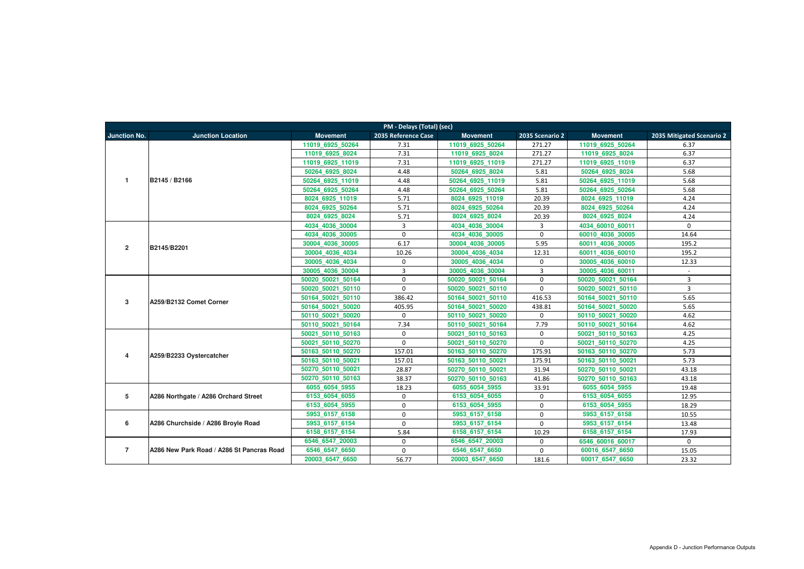|                     | PM - Delays (Total) (sec)                 |                   |                     |                   |                 |                   |                           |  |  |  |
|---------------------|-------------------------------------------|-------------------|---------------------|-------------------|-----------------|-------------------|---------------------------|--|--|--|
| <b>Junction No.</b> | <b>Junction Location</b>                  | <b>Movement</b>   | 2035 Reference Case | <b>Movement</b>   | 2035 Scenario 2 | <b>Movement</b>   | 2035 Mitigated Scenario 2 |  |  |  |
|                     |                                           | 11019 6925 50264  | 7.31                | 11019 6925 50264  | 271.27          | 11019 6925 50264  | 6.37                      |  |  |  |
|                     |                                           | 11019 6925 8024   | 7.31                | 11019 6925 8024   | 271.27          | 11019 6925 8024   | 6.37                      |  |  |  |
|                     |                                           | 11019 6925 11019  | 7.31                | 11019 6925 11019  | 271.27          | 11019 6925 11019  | 6.37                      |  |  |  |
|                     |                                           | 50264 6925 8024   | 4.48                | 50264 6925 8024   | 5.81            | 50264 6925 8024   | 5.68                      |  |  |  |
| $\overline{1}$      | B2145 / B2166                             | 50264_6925_11019  | 4.48                | 50264 6925 11019  | 5.81            | 50264 6925 11019  | 5.68                      |  |  |  |
|                     |                                           | 50264 6925 50264  | 4.48                | 50264 6925 50264  | 5.81            | 50264 6925 50264  | 5.68                      |  |  |  |
|                     |                                           | 8024 6925 11019   | 5.71                | 8024 6925 11019   | 20.39           | 8024 6925 11019   | 4.24                      |  |  |  |
|                     |                                           | 8024 6925 50264   | 5.71                | 8024 6925 50264   | 20.39           | 8024 6925 50264   | 4.24                      |  |  |  |
|                     |                                           | 8024 6925 8024    | 5.71                | 8024 6925 8024    | 20.39           | 8024 6925 8024    | 4.24                      |  |  |  |
|                     |                                           | 4034_4036_30004   | $\overline{3}$      | 4034_4036_30004   | $\overline{3}$  | 4034_60010_60011  | $\mathbf 0$               |  |  |  |
|                     |                                           | 4034 4036 30005   | $\mathbf{0}$        | 4034 4036 30005   | $\mathbf 0$     | 60010 4036 30005  | 14.64                     |  |  |  |
| $\overline{2}$      | B2145/B2201                               | 30004 4036 30005  | 6.17                | 30004 4036 30005  | 5.95            | 60011 4036 30005  | 195.2                     |  |  |  |
|                     |                                           | 30004 4036 4034   | 10.26               | 30004 4036 4034   | 12.31           | 60011 4036 60010  | 195.2                     |  |  |  |
|                     |                                           | 30005 4036 4034   | $\mathbf 0$         | 30005 4036 4034   | $\mathbf 0$     | 30005 4036 60010  | 12.33                     |  |  |  |
|                     |                                           | 30005 4036 30004  | 3                   | 30005 4036 30004  | $\overline{3}$  | 30005 4036 60011  | $\mathbf{r}$              |  |  |  |
|                     |                                           | 50020 50021 50164 | $\mathbf 0$         | 50020 50021 50164 | $\mathbf 0$     | 50020 50021 50164 | $\overline{3}$            |  |  |  |
|                     |                                           | 50020 50021 50110 | $\mathbf{0}$        | 50020 50021 50110 | $\mathbf 0$     | 50020 50021 50110 | $\overline{3}$            |  |  |  |
| 3                   | A259/B2132 Comet Corner                   | 50164 50021 50110 | 386.42              | 50164 50021 50110 | 416.53          | 50164 50021 50110 | 5.65                      |  |  |  |
|                     |                                           | 50164 50021 50020 | 405.95              | 50164 50021 50020 | 438.81          | 50164 50021 50020 | 5.65                      |  |  |  |
|                     |                                           | 50110 50021 50020 | $\mathbf 0$         | 50110 50021 50020 | $\mathbf 0$     | 50110 50021 50020 | 4.62                      |  |  |  |
|                     |                                           | 50110 50021 50164 | 7.34                | 50110 50021 50164 | 7.79            | 50110 50021 50164 | 4.62                      |  |  |  |
|                     |                                           | 50021 50110 50163 | 0                   | 50021 50110 50163 | $\mathbf 0$     | 50021 50110 50163 | 4.25                      |  |  |  |
|                     |                                           | 50021 50110 50270 | $\mathbf 0$         | 50021 50110 50270 | $\mathbf 0$     | 50021 50110 50270 | 4.25                      |  |  |  |
| 4                   | A259/B2233 Oystercatcher                  | 50163 50110 50270 | 157.01              | 50163 50110 50270 | 175.91          | 50163 50110 50270 | 5.73                      |  |  |  |
|                     |                                           | 50163 50110 50021 | 157.01              | 50163 50110 50021 | 175.91          | 50163 50110 50021 | 5.73                      |  |  |  |
|                     |                                           | 50270 50110 50021 | 28.87               | 50270 50110 50021 | 31.94           | 50270 50110 50021 | 43.18                     |  |  |  |
|                     |                                           | 50270 50110 50163 | 38.37               | 50270 50110 50163 | 41.86           | 50270 50110 50163 | 43.18                     |  |  |  |
|                     |                                           | 6055 6054 5955    | 18.23               | 6055 6054 5955    | 33.91           | 6055_6054_5955    | 19.48                     |  |  |  |
| 5                   | A286 Northgate / A286 Orchard Street      | 6153 6054 6055    | $\mathbf 0$         | 6153_6054_6055    | $\mathbf 0$     | 6153_6054_6055    | 12.95                     |  |  |  |
|                     |                                           | 6153 6054 5955    | $\mathbf 0$         | 6153 6054 5955    | $\mathbf 0$     | 6153 6054 5955    | 18.29                     |  |  |  |
|                     |                                           | 5953 6157 6158    | $\mathbf{0}$        | 5953 6157 6158    | $\mathbf 0$     | 5953 6157 6158    | 10.55                     |  |  |  |
| 6                   | A286 Churchside / A286 Broyle Road        | 5953 6157 6154    | $\mathbf{0}$        | 5953 6157 6154    | $\mathbf 0$     | 5953 6157 6154    | 13.48                     |  |  |  |
|                     |                                           | 6158 6157 6154    | 5.84                | 6158 6157 6154    | 10.29           | 6158 6157 6154    | 17.93                     |  |  |  |
|                     |                                           | 6546 6547 20003   | $\Omega$            | 6546 6547 20003   | $\mathbf 0$     | 6546 60016 60017  | $\mathbf 0$               |  |  |  |
| $\overline{7}$      | A286 New Park Road / A286 St Pancras Road | 6546_6547_6650    | $\mathbf 0$         | 6546_6547_6650    | $\mathbf 0$     | 60016_6547_6650   | 15.05                     |  |  |  |
|                     |                                           | 20003 6547 6650   | 56.77               | 20003_6547_6650   | 181.6           | 60017_6547_6650   | 23.32                     |  |  |  |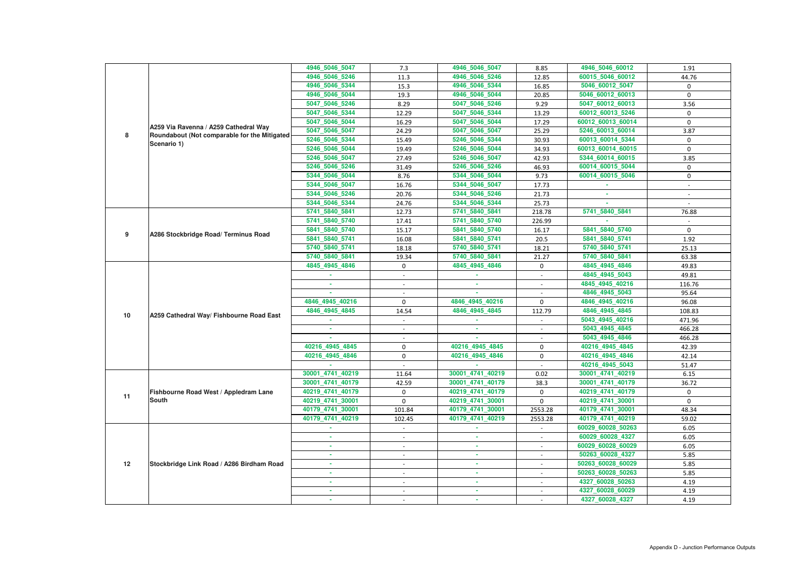|    |                                              | 4946 5046 5047   | 7.3                      | 4946_5046_5047   | 8.85        | 4946_5046_60012   | 1.91                     |
|----|----------------------------------------------|------------------|--------------------------|------------------|-------------|-------------------|--------------------------|
|    |                                              | 4946_5046_5246   | 11.3                     | 4946 5046 5246   | 12.85       | 60015_5046_60012  | 44.76                    |
|    |                                              | 4946_5046_5344   | 15.3                     | 4946_5046_5344   | 16.85       | 5046_60012_5047   | 0                        |
|    |                                              | 4946_5046_5044   | 19.3                     | 4946_5046_5044   | 20.85       | 5046_60012_60013  | $\mathbf 0$              |
|    |                                              | 5047_5046_5246   | 8.29                     | 5047_5046_5246   | 9.29        | 5047_60012_60013  | 3.56                     |
|    |                                              | 5047_5046_5344   | 12.29                    | 5047_5046_5344   | 13.29       | 60012_60013_5246  | $\mathbf 0$              |
|    |                                              | 5047_5046_5044   | 16.29                    | 5047_5046_5044   | 17.29       | 60012_60013_60014 | $\Omega$                 |
|    | A259 Via Ravenna / A259 Cathedral Way        | 5047 5046 5047   | 24.29                    | 5047 5046 5047   | 25.29       | 5246 60013 60014  | 3.87                     |
| 8  | Roundabout (Not comparable for the Mitigated | 5246_5046_5344   | 15.49                    | 5246_5046_5344   | 30.93       | 60013_60014_5344  | 0                        |
|    | Scenario 1)                                  | 5246_5046_5044   | 19.49                    | 5246_5046_5044   | 34.93       | 60013_60014_60015 | $\mathbf 0$              |
|    |                                              | 5246_5046_5047   | 27.49                    | 5246_5046_5047   | 42.93       | 5344_60014_60015  | 3.85                     |
|    |                                              | 5246_5046_5246   | 31.49                    | 5246_5046_5246   | 46.93       | 60014_60015_5044  | 0                        |
|    |                                              | 5344 5046 5044   | 8.76                     | 5344_5046_5044   | 9.73        | 60014_60015_5046  | 0                        |
|    |                                              | 5344_5046_5047   | 16.76                    | 5344_5046_5047   | 17.73       |                   | $\overline{\phantom{a}}$ |
|    |                                              | 5344_5046_5246   | 20.76                    | 5344_5046_5246   | 21.73       |                   |                          |
|    |                                              | 5344_5046_5344   | 24.76                    | 5344 5046 5344   | 25.73       |                   |                          |
|    |                                              | 5741_5840_5841   | 12.73                    | 5741_5840_5841   | 218.78      | 5741_5840_5841    | 76.88                    |
|    |                                              | 5741_5840_5740   | 17.41                    | 5741_5840_5740   | 226.99      |                   |                          |
|    |                                              | 5841_5840_5740   | 15.17                    | 5841_5840_5740   | 16.17       | 5841_5840_5740    | $\mathbf 0$              |
| 9  | A286 Stockbridge Road/ Terminus Road         | 5841_5840_5741   | 16.08                    | 5841_5840_5741   | 20.5        | 5841_5840_5741    | 1.92                     |
|    |                                              | 5740_5840_5741   | 18.18                    | 5740_5840_5741   | 18.21       | 5740_5840_5741    | 25.13                    |
|    |                                              | 5740_5840_5841   | 19.34                    | 5740_5840_5841   | 21.27       | 5740_5840_5841    | 63.38                    |
|    |                                              | 4845_4945_4846   | $\mathbf 0$              | 4845_4945_4846   | 0           | 4845_4945_4846    | 49.83                    |
|    |                                              |                  |                          |                  |             | 4845 4945 5043    | 49.81                    |
|    |                                              |                  | $\overline{\phantom{a}}$ | ×.               |             | 4845 4945 40216   | 116.76                   |
|    |                                              |                  |                          |                  |             | 4846 4945 5043    | 95.64                    |
|    |                                              | 4846 4945 40216  | $\mathbf 0$              | 4846 4945 40216  | $\mathbf 0$ | 4846 4945 40216   | 96.08                    |
|    |                                              | 4846 4945 4845   | 14.54                    | 4846_4945_4845   | 112.79      | 4846_4945_4845    | 108.83                   |
| 10 | A259 Cathedral Way/ Fishbourne Road East     |                  |                          |                  |             | 5043_4945_40216   | 471.96                   |
|    |                                              |                  |                          |                  |             | 5043 4945 4845    | 466.28                   |
|    |                                              |                  |                          |                  |             | 5043_4945_4846    | 466.28                   |
|    |                                              | 40216_4945_4845  | $\mathbf 0$              | 40216_4945_4845  | 0           | 40216_4945_4845   | 42.39                    |
|    |                                              | 40216_4945_4846  | $\mathbf 0$              | 40216 4945 4846  | $\mathbf 0$ | 40216_4945_4846   | 42.14                    |
|    |                                              |                  |                          |                  |             | 40216_4945_5043   | 51.47                    |
|    |                                              | 30001_4741_40219 | 11.64                    | 30001 4741 40219 | 0.02        | 30001_4741_40219  | 6.15                     |
|    |                                              | 30001_4741_40179 | 42.59                    | 30001_4741_40179 | 38.3        | 30001_4741_40179  | 36.72                    |
|    | Fishbourne Road West / Appledram Lane        | 40219_4741_40179 | $\mathbf 0$              | 40219_4741_40179 | 0           | 40219_4741_40179  | $\mathbf 0$              |
| 11 | <b>South</b>                                 | 40219_4741_30001 | $\mathbf 0$              | 40219_4741_30001 | $\mathbf 0$ | 40219_4741_30001  | $\mathbf{0}$             |
|    |                                              | 40179_4741_30001 | 101.84                   | 40179_4741_30001 | 2553.28     | 40179_4741_30001  | 48.34                    |
|    |                                              | 40179_4741_40219 | 102.45                   | 40179_4741_40219 | 2553.28     | 40179_4741_40219  | 59.02                    |
|    |                                              | $\sim$           | $\sim$                   | <b>ALC</b>       | $\sim$      | 60029_60028_50263 | 6.05                     |
|    |                                              | ×.               | $\overline{\phantom{a}}$ | ×.               | $\sim$      | 60029_60028_4327  | 6.05                     |
|    |                                              |                  | $\sim$                   | $\sim$           | $\sim$      | 60029_60028_60029 | 6.05                     |
|    |                                              |                  | $\overline{\phantom{a}}$ | ×.               |             | 50263_60028_4327  | 5.85                     |
| 12 | Stockbridge Link Road / A286 Birdham Road    | ٠                | $\sim$                   | $\sim$           | $\sim$      | 50263_60028_60029 | 5.85                     |
|    |                                              | ×.               | $\sim$                   | <b>COL</b>       | $\sim$      | 50263_60028_50263 | 5.85                     |
|    |                                              |                  |                          | $\sim$           |             | 4327_60028_50263  | 4.19                     |
|    |                                              |                  |                          |                  |             | 4327_60028_60029  | 4.19                     |
|    |                                              |                  |                          |                  |             | 4327_60028_4327   | 4.19                     |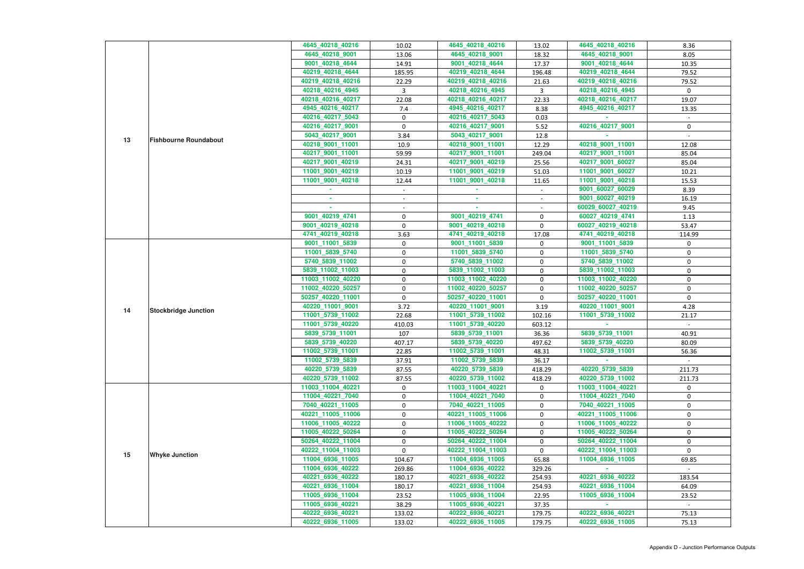|    |                              | 4645 40218 40216  | 10.02       | 4645_40218_40216  | 13.02        | 4645_40218_40216  | 8.36         |
|----|------------------------------|-------------------|-------------|-------------------|--------------|-------------------|--------------|
|    |                              | 4645_40218_9001   | 13.06       | 4645_40218_9001   | 18.32        | 4645_40218_9001   | 8.05         |
|    |                              | 9001_40218_4644   | 14.91       | 9001_40218_4644   | 17.37        | 9001_40218_4644   | 10.35        |
|    |                              | 40219_40218_4644  | 185.95      | 40219_40218_4644  | 196.48       | 40219_40218_4644  | 79.52        |
|    |                              | 40219_40218_40216 | 22.29       | 40219_40218_40216 | 21.63        | 40219_40218_40216 | 79.52        |
|    |                              | 40218_40216_4945  | 3           | 40218_40216_4945  | $\mathbf{3}$ | 40218_40216_4945  | $\mathbf{0}$ |
|    |                              | 40218_40216_40217 | 22.08       | 40218_40216_40217 | 22.33        | 40218_40216_40217 | 19.07        |
|    |                              | 4945_40216_40217  | 7.4         | 4945_40216_40217  | 8.38         | 4945 40216 40217  | 13.35        |
|    |                              | 40216_40217_5043  | $\mathbf 0$ | 40216_40217_5043  | 0.03         |                   |              |
|    |                              | 40216_40217_9001  | $\mathbf 0$ | 40216_40217_9001  | 5.52         | 40216_40217_9001  | $\mathbf 0$  |
|    |                              | 5043_40217_9001   | 3.84        | 5043_40217_9001   | 12.8         |                   |              |
| 13 | <b>Fishbourne Roundabout</b> | 40218_9001_11001  | 10.9        | 40218_9001_11001  | 12.29        | 40218_9001_11001  | 12.08        |
|    |                              | 40217_9001_11001  | 59.99       | 40217_9001_11001  | 249.04       | 40217_9001_11001  | 85.04        |
|    |                              | 40217_9001_40219  | 24.31       | 40217_9001_40219  | 25.56        | 40217_9001_60027  | 85.04        |
|    |                              | 11001_9001_40219  | 10.19       | 11001_9001_40219  | 51.03        | 11001_9001_60027  | 10.21        |
|    |                              | 11001_9001_40218  | 12.44       | 11001_9001_40218  | 11.65        | 11001_9001_40218  | 15.53        |
|    |                              |                   |             |                   |              | 9001_60027_60029  | 8.39         |
|    |                              |                   | $\sim$      |                   | $\sim$       | 9001 60027 40219  |              |
|    |                              | a.                |             |                   |              |                   | 16.19        |
|    |                              |                   |             |                   |              | 60029_60027_40219 | 9.45         |
|    |                              | 9001_40219_4741   | $\pmb{0}$   | 9001_40219_4741   | 0            | 60027_40219_4741  | 1.13         |
|    |                              | 9001_40219_40218  | 0           | 9001_40219_40218  | 0            | 60027_40219_40218 | 53.47        |
|    |                              | 4741_40219_40218  | 3.63        | 4741_40219_40218  | 17.08        | 4741_40219_40218  | 114.99       |
|    |                              | 9001_11001_5839   | $\mathbf 0$ | 9001_11001_5839   | 0            | 9001_11001_5839   | 0            |
|    |                              | 11001_5839_5740   | $\mathbf 0$ | 11001_5839_5740   | 0            | 11001_5839_5740   | $\mathbf 0$  |
|    |                              | 5740_5839_11002   | 0           | 5740_5839_11002   | 0            | 5740_5839_11002   | 0            |
|    | <b>Stockbridge Junction</b>  | 5839_11002_11003  | 0           | 5839_11002_11003  | 0            | 5839_11002_11003  | 0            |
|    |                              | 11003_11002_40220 | $\mathbf 0$ | 11003_11002_40220 | 0            | 11003_11002_40220 | 0            |
|    |                              | 11002_40220_50257 | 0           | 11002_40220_50257 | 0            | 11002_40220_50257 | $\mathbf 0$  |
|    |                              | 50257_40220_11001 | $\pmb{0}$   | 50257_40220_11001 | 0            | 50257_40220_11001 | $\mathbf 0$  |
| 14 |                              | 40220_11001_9001  | 3.72        | 40220_11001_9001  | 3.19         | 40220_11001_9001  | 4.28         |
|    |                              | 11001_5739_11002  | 22.68       | 11001_5739_11002  | 102.16       | 11001_5739_11002  | 21.17        |
|    |                              | 11001_5739_40220  | 410.03      | 11001_5739_40220  | 603.12       |                   |              |
|    |                              | 5839 5739 11001   | 107         | 5839_5739_11001   | 36.36        | 5839_5739_11001   | 40.91        |
|    |                              | 5839_5739_40220   | 407.17      | 5839_5739_40220   | 497.62       | 5839_5739_40220   | 80.09        |
|    |                              | 11002_5739_11001  | 22.85       | 11002_5739_11001  | 48.31        | 11002_5739_11001  | 56.36        |
|    |                              | 11002_5739_5839   | 37.91       | 11002_5739_5839   | 36.17        |                   |              |
|    |                              | 40220_5739_5839   | 87.55       | 40220_5739_5839   | 418.29       | 40220_5739_5839   | 211.73       |
|    |                              | 40220_5739_11002  | 87.55       | 40220_5739_11002  | 418.29       | 40220_5739_11002  | 211.73       |
|    |                              | 11003 11004 40221 | 0           | 11003_11004_40221 | 0            | 11003 11004 40221 | 0            |
|    |                              | 11004_40221_7040  | 0           | 11004_40221_7040  | 0            | 11004_40221_7040  | 0            |
|    |                              | 7040 40221 11005  | $\mathbf 0$ | 7040_40221_11005  | 0            | 7040_40221_11005  | $\mathbf 0$  |
|    |                              | 40221_11005_11006 | $\mathbf 0$ | 40221_11005_11006 | 0            | 40221_11005_11006 | $\mathbf 0$  |
|    |                              | 11006_11005_40222 | 0           | 11006_11005_40222 | 0            | 11006_11005_40222 | 0            |
|    |                              | 11005_40222_50264 | 0           | 11005_40222_50264 | 0            | 11005_40222_50264 | 0            |
|    |                              | 50264_40222_11004 | $\mathbf 0$ | 50264_40222_11004 | 0            | 50264_40222_11004 | 0            |
|    |                              | 40222_11004_11003 | $\Omega$    | 40222_11004_11003 | 0            | 40222_11004_11003 | $\Omega$     |
| 15 | <b>Whyke Junction</b>        | 11004_6936_11005  | 104.67      | 11004_6936_11005  | 65.88        | 11004_6936_11005  | 69.85        |
|    |                              | 11004_6936_40222  | 269.86      | 11004_6936_40222  | 329.26       |                   |              |
|    |                              | 40221_6936_40222  | 180.17      | 40221_6936_40222  | 254.93       | 40221_6936_40222  | 183.54       |
|    |                              | 40221_6936_11004  | 180.17      | 40221_6936_11004  | 254.93       | 40221_6936_11004  | 64.09        |
|    |                              | 11005_6936_11004  | 23.52       | 11005_6936_11004  | 22.95        | 11005_6936_11004  | 23.52        |
|    |                              | 11005_6936_40221  | 38.29       | 11005_6936_40221  | 37.35        |                   |              |
|    |                              | 40222_6936_40221  | 133.02      | 40222_6936_40221  | 179.75       | 40222_6936_40221  | 75.13        |
|    |                              | 40222_6936_11005  | 133.02      | 40222_6936_11005  | 179.75       | 40222_6936_11005  | 75.13        |
|    |                              |                   |             |                   |              |                   |              |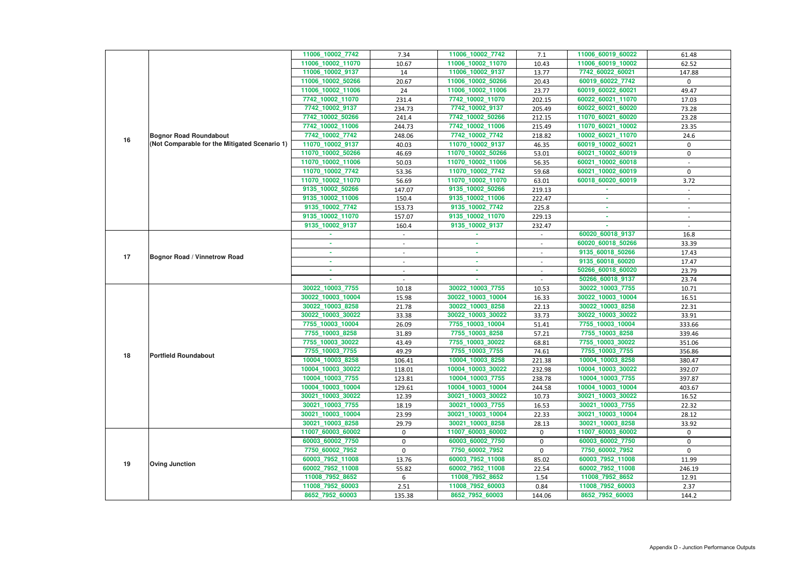|    |                                               | 11006_10002_7742                       | 7.34                     | 11006_10002_7742                       | 7.1            | 11006_60019_60022                      | 61.48                    |
|----|-----------------------------------------------|----------------------------------------|--------------------------|----------------------------------------|----------------|----------------------------------------|--------------------------|
|    |                                               | 11006_10002_11070                      | 10.67                    | 11006_10002_11070                      | 10.43          | 11006_60019_10002                      | 62.52                    |
|    |                                               | 11006_10002_9137                       | 14                       | 11006_10002_9137                       | 13.77          | 7742_60022_60021                       | 147.88                   |
|    |                                               | 11006_10002_50266                      | 20.67                    | 11006_10002_50266                      | 20.43          | 60019_60022_7742                       | $\mathbf{0}$             |
|    |                                               | 11006_10002_11006                      | 24                       | 11006_10002_11006                      | 23.77          | 60019_60022_60021                      | 49.47                    |
|    |                                               | 7742_10002_11070                       | 231.4                    | 7742_10002_11070                       | 202.15         | 60022_60021_11070                      | 17.03                    |
|    |                                               | 7742_10002_9137                        | 234.73                   | 7742_10002_9137                        | 205.49         | 60022_60021_60020                      | 73.28                    |
|    |                                               | 7742_10002_50266                       | 241.4                    | 7742_10002_50266                       | 212.15         | 11070_60021_60020                      | 23.28                    |
|    |                                               | 7742_10002_11006                       | 244.73                   | 7742_10002_11006                       | 215.49         | 11070_60021_10002                      | 23.35                    |
|    | <b>Bognor Road Roundabout</b>                 | 7742_10002_7742                        | 248.06                   | 7742_10002_7742                        | 218.82         | 10002_60021_11070                      | 24.6                     |
| 16 | (Not Comparable for the Mitigated Scenario 1) | 11070_10002_9137                       | 40.03                    | 11070_10002_9137                       | 46.35          | 60019_10002_60021                      | $\mathbf 0$              |
|    |                                               | 11070_10002_50266                      | 46.69                    | 11070_10002_50266                      | 53.01          | 60021_10002_60019                      | $\boldsymbol{0}$         |
|    |                                               | 11070_10002_11006                      | 50.03                    | 11070_10002_11006                      | 56.35          | 60021_10002_60018                      |                          |
|    |                                               | 11070_10002_7742                       | 53.36                    | 11070_10002_7742                       | 59.68          | 60021_10002_60019                      | $\mathbf 0$              |
|    |                                               | 11070_10002_11070                      | 56.69                    | 11070_10002_11070                      | 63.01          | 60018_60020_60019                      | 3.72                     |
|    |                                               | 9135_10002_50266                       | 147.07                   | 9135_10002_50266                       | 219.13         |                                        |                          |
|    |                                               | 9135_10002_11006                       | 150.4                    | 9135_10002_11006                       | 222.47         |                                        |                          |
|    |                                               | 9135 10002 7742                        | 153.73                   | 9135_10002_7742                        | 225.8          |                                        | $\sim$                   |
|    |                                               | 9135_10002_11070                       | 157.07                   | 9135_10002_11070                       | 229.13         | ×.                                     | $\overline{\phantom{a}}$ |
|    |                                               | 9135_10002_9137                        | 160.4                    | 9135_10002_9137                        | 232.47         |                                        |                          |
|    |                                               |                                        |                          |                                        |                | 60020_60018_9137                       | 16.8                     |
|    |                                               |                                        | $\overline{\phantom{a}}$ | ×.                                     |                | 60020_60018_50266                      | 33.39                    |
| 17 | <b>Bognor Road / Vinnetrow Road</b>           | $\sim$                                 | $\sim$                   | <b>COL</b>                             | $\sim$         | 9135_60018_50266                       | 17.43                    |
|    |                                               | ×.                                     |                          | $\sim$                                 |                | 9135_60018_60020                       | 17.47                    |
|    |                                               |                                        | $\sim$                   | ×.                                     |                | 50266_60018_60020                      | 23.79                    |
|    |                                               |                                        |                          |                                        |                | 50266_60018_9137                       | 23.74                    |
|    |                                               | 30022_10003_7755                       | 10.18                    | 30022_10003_7755                       | 10.53          | 30022_10003_7755                       | 10.71                    |
|    |                                               | 30022_10003_10004                      | 15.98                    | 30022_10003_10004                      | 16.33          | 30022_10003_10004                      | 16.51                    |
|    |                                               | 30022_10003_8258                       | 21.78                    | 30022_10003_8258                       | 22.13          | 30022_10003_8258                       | 22.31                    |
|    |                                               | 30022_10003_30022                      | 33.38                    | 30022_10003_30022                      | 33.73          | 30022_10003_30022                      | 33.91                    |
|    |                                               | 7755_10003_10004                       | 26.09                    | 7755_10003_10004                       | 51.41          | 7755_10003_10004                       | 333.66                   |
|    |                                               | 7755_10003_8258                        | 31.89                    | 7755_10003_8258                        | 57.21          | 7755 10003 8258                        | 339.46                   |
|    |                                               | 7755_10003_30022                       | 43.49                    | 7755_10003_30022                       | 68.81          | 7755_10003_30022                       | 351.06                   |
| 18 | <b>Portfield Roundabout</b>                   | 7755_10003_7755                        | 49.29                    | 7755_10003_7755                        | 74.61          | 7755_10003_7755                        | 356.86                   |
|    |                                               | 10004_10003_8258                       | 106.41                   | 10004_10003_8258                       | 221.38         | 10004_10003_8258                       | 380.47                   |
|    |                                               | 10004_10003_30022                      | 118.01                   | 10004_10003_30022                      | 232.98         | 10004_10003_30022                      | 392.07                   |
|    |                                               | 10004_10003_7755                       | 123.81                   | 10004_10003_7755                       | 238.78         | 10004_10003_7755                       | 397.87                   |
|    |                                               | 10004_10003_10004<br>30021_10003_30022 | 129.61                   | 10004_10003_10004<br>30021_10003_30022 | 244.58         | 10004_10003_10004<br>30021_10003_30022 | 403.67                   |
|    |                                               | 30021_10003_7755                       | 12.39<br>18.19           | 30021_10003_7755                       | 10.73          | 30021 10003 7755                       | 16.52<br>22.32           |
|    |                                               | 30021_10003_10004                      | 23.99                    | 30021_10003_10004                      | 16.53<br>22.33 | 30021_10003_10004                      | 28.12                    |
|    |                                               | 30021_10003_8258                       | 29.79                    | 30021_10003_8258                       | 28.13          | 30021_10003_8258                       | 33.92                    |
|    |                                               | 11007_60003_60002                      | $\mathbf{0}$             | 11007_60003_60002                      | $\mathbf 0$    | 11007_60003_60002                      | $\mathbf 0$              |
|    |                                               | 60003_60002_7750                       | $\mathbf 0$              | 60003_60002_7750                       | 0              | 60003_60002_7750                       | 0                        |
|    |                                               | 7750_60002_7952                        | $\mathbf 0$              | 7750_60002_7952                        | 0              | 7750_60002_7952                        | $\mathbf 0$              |
|    |                                               | 60003_7952_11008                       | 13.76                    | 60003_7952_11008                       | 85.02          | 60003_7952_11008                       | 11.99                    |
| 19 | <b>Oving Junction</b>                         | 60002_7952_11008                       | 55.82                    | 60002_7952_11008                       | 22.54          | 60002_7952_11008                       | 246.19                   |
|    |                                               | 11008_7952_8652                        | 6                        | 11008_7952_8652                        | 1.54           | 11008_7952_8652                        | 12.91                    |
|    |                                               | 11008_7952_60003                       | 2.51                     | 11008_7952_60003                       | 0.84           | 11008_7952_60003                       | 2.37                     |
|    |                                               | 8652_7952_60003                        | 135.38                   | 8652_7952_60003                        | 144.06         | 8652_7952_60003                        | 144.2                    |
|    |                                               |                                        |                          |                                        |                |                                        |                          |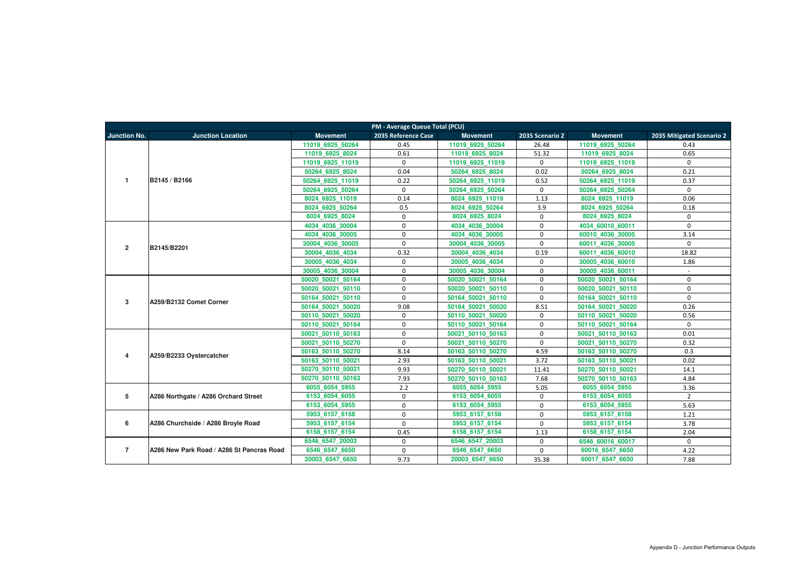|                     | <b>PM - Average Queue Total (PCU)</b>     |                   |                     |                   |                 |                   |                           |  |  |  |  |  |  |
|---------------------|-------------------------------------------|-------------------|---------------------|-------------------|-----------------|-------------------|---------------------------|--|--|--|--|--|--|
| <b>Junction No.</b> | <b>Junction Location</b>                  | <b>Movement</b>   | 2035 Reference Case | <b>Movement</b>   | 2035 Scenario 2 | <b>Movement</b>   | 2035 Mitigated Scenario 2 |  |  |  |  |  |  |
|                     |                                           | 11019 6925 50264  | 0.45                | 11019 6925 50264  | 26.48           | 11019 6925 50264  | 0.43                      |  |  |  |  |  |  |
|                     |                                           | 11019 6925 8024   | 0.61                | 11019 6925 8024   | 51.32           | 11019 6925 8024   | 0.65                      |  |  |  |  |  |  |
|                     |                                           | 11019 6925 11019  | $\mathbf 0$         | 11019 6925 11019  | $\mathbf 0$     | 11019 6925 11019  | $\mathbf 0$               |  |  |  |  |  |  |
|                     |                                           | 50264 6925 8024   | 0.04                | 50264 6925 8024   | 0.02            | 50264 6925 8024   | 0.21                      |  |  |  |  |  |  |
| $\overline{1}$      | B2145 / B2166                             | 50264 6925 11019  | 0.22                | 50264 6925 11019  | 0.52            | 50264 6925 11019  | 0.37                      |  |  |  |  |  |  |
|                     |                                           | 50264 6925 50264  | $\mathbf{0}$        | 50264 6925 50264  | $\mathbf 0$     | 50264 6925 50264  | $\mathbf{0}$              |  |  |  |  |  |  |
|                     |                                           | 8024 6925 11019   | 0.14                | 8024 6925 11019   | 1.13            | 8024 6925 11019   | 0.06                      |  |  |  |  |  |  |
|                     |                                           | 8024 6925 50264   | 0.5                 | 8024 6925 50264   | 3.9             | 8024 6925 50264   | 0.18                      |  |  |  |  |  |  |
|                     |                                           | 8024 6925 8024    | $\mathbf 0$         | 8024 6925 8024    | $\mathbf 0$     | 8024 6925 8024    | $\mathbf{0}$              |  |  |  |  |  |  |
|                     |                                           | 4034 4036 30004   | $\mathbf 0$         | 4034 4036 30004   | $\mathbf 0$     | 4034 60010 60011  | $\Omega$                  |  |  |  |  |  |  |
|                     |                                           | 4034 4036 30005   | $\mathbf 0$         | 4034 4036 30005   | $\mathbf 0$     | 60010 4036 30005  | 3.14                      |  |  |  |  |  |  |
| $\overline{2}$      | B2145/B2201                               | 30004 4036 30005  | $\mathbf 0$         | 30004 4036 30005  | $\mathbf 0$     | 60011 4036 30005  | $\mathbf 0$               |  |  |  |  |  |  |
|                     |                                           | 30004 4036 4034   | 0.32                | 30004 4036 4034   | 0.19            | 60011 4036 60010  | 18.82                     |  |  |  |  |  |  |
|                     |                                           | 30005 4036 4034   | $\mathbf 0$         | 30005 4036 4034   | $\mathbf 0$     | 30005 4036 60010  | 1.86                      |  |  |  |  |  |  |
|                     |                                           | 30005 4036 30004  | $\mathbf 0$         | 30005 4036 30004  | $\mathbf 0$     | 30005 4036 60011  |                           |  |  |  |  |  |  |
|                     | A259/B2132 Comet Corner                   | 50020 50021 50164 | $\mathbf 0$         | 50020 50021 50164 | $\mathbf 0$     | 50020 50021 50164 | $\mathbf 0$               |  |  |  |  |  |  |
|                     |                                           | 50020 50021 50110 | $\mathbf 0$         | 50020 50021 50110 | $\mathbf 0$     | 50020 50021 50110 | $\mathbf{0}$              |  |  |  |  |  |  |
| $\mathbf{3}$        |                                           | 50164 50021 50110 | $\mathbf 0$         | 50164 50021 50110 | $\mathbf 0$     | 50164 50021 50110 | $\mathbf 0$               |  |  |  |  |  |  |
|                     |                                           | 50164 50021 50020 | 9.08                | 50164 50021 50020 | 8.51            | 50164 50021 50020 | 0.26                      |  |  |  |  |  |  |
|                     |                                           | 50110 50021 50020 | 0                   | 50110 50021 50020 | $\mathbf 0$     | 50110 50021 50020 | 0.56                      |  |  |  |  |  |  |
|                     |                                           | 50110 50021 50164 | $\mathbf 0$         | 50110 50021 50164 | $\mathbf 0$     | 50110 50021 50164 | $\mathbf 0$               |  |  |  |  |  |  |
|                     |                                           | 50021 50110 50163 | $\mathbf 0$         | 50021 50110 50163 | $\mathbf 0$     | 50021 50110 50163 | 0.01                      |  |  |  |  |  |  |
|                     |                                           | 50021 50110 50270 | $\mathbf 0$         | 50021 50110 50270 | $\mathbf 0$     | 50021 50110 50270 | 0.32                      |  |  |  |  |  |  |
| $\overline{4}$      | A259/B2233 Oystercatcher                  | 50163 50110 50270 | 8.14                | 50163 50110 50270 | 4.59            | 50163 50110 50270 | 0.3                       |  |  |  |  |  |  |
|                     |                                           | 50163 50110 50021 | 2.93                | 50163 50110 50021 | 3.72            | 50163 50110 50021 | 0.02                      |  |  |  |  |  |  |
|                     |                                           | 50270 50110 50021 | 9.93                | 50270 50110 50021 | 11.41           | 50270 50110 50021 | 14.1                      |  |  |  |  |  |  |
|                     |                                           | 50270 50110 50163 | 7.93                | 50270 50110 50163 | 7.68            | 50270 50110 50163 | 4.84                      |  |  |  |  |  |  |
|                     |                                           | 6055 6054 5955    | 2.2                 | 6055 6054 5955    | 5.05            | 6055 6054 5955    | 3.36                      |  |  |  |  |  |  |
| $5\phantom{.0}$     | A286 Northgate / A286 Orchard Street      | 6153 6054 6055    | $\mathbf 0$         | 6153 6054 6055    | $\mathbf 0$     | 6153 6054 6055    | $\overline{2}$            |  |  |  |  |  |  |
|                     |                                           | 6153 6054 5955    | $\mathbf 0$         | 6153 6054 5955    | $\mathbf 0$     | 6153 6054 5955    | 5.63                      |  |  |  |  |  |  |
|                     |                                           | 5953 6157 6158    | $\mathbf 0$         | 5953 6157 6158    | $\mathbf{0}$    | 5953 6157 6158    | 1.21                      |  |  |  |  |  |  |
| 6                   | A286 Churchside / A286 Broyle Road        | 5953 6157 6154    | $\mathbf 0$         | 5953 6157 6154    | $\mathbf{0}$    | 5953 6157 6154    | 3.78                      |  |  |  |  |  |  |
|                     |                                           | 6158_6157_6154    | 0.45                | 6158 6157 6154    | 1.13            | 6158_6157_6154    | 2.04                      |  |  |  |  |  |  |
|                     |                                           | 6546 6547 20003   | $\mathbf 0$         | 6546 6547 20003   | $\mathbf 0$     | 6546 60016 60017  | $\mathbf 0$               |  |  |  |  |  |  |
| $\overline{7}$      | A286 New Park Road / A286 St Pancras Road | 6546_6547_6650    | $\mathbf 0$         | 6546 6547 6650    | $\mathbf 0$     | 60016_6547_6650   | 4.22                      |  |  |  |  |  |  |
|                     |                                           | 20003_6547_6650   | 9.73                | 20003 6547 6650   | 35.38           | 60017_6547_6650   | 7.88                      |  |  |  |  |  |  |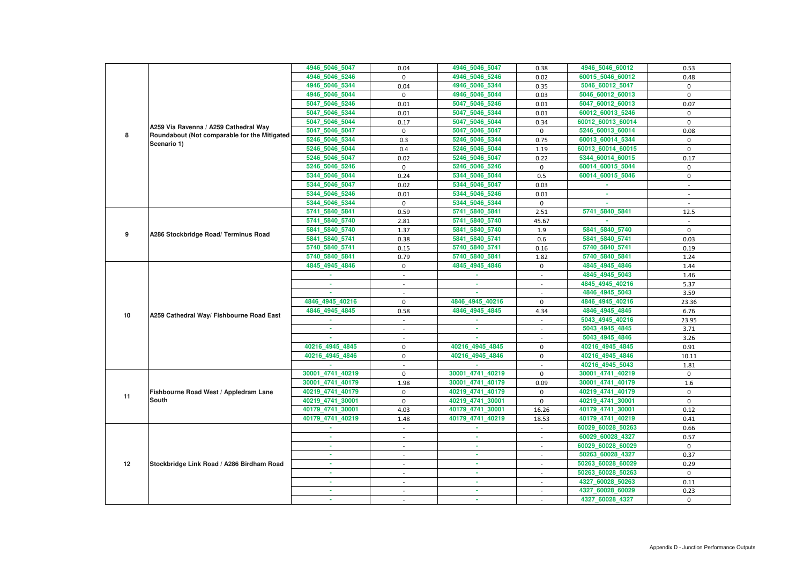|    |                                                             | 4946_5046_5047   | 0.04                     | 4946_5046_5047   | 0.38                     | 4946_5046_60012   | 0.53         |
|----|-------------------------------------------------------------|------------------|--------------------------|------------------|--------------------------|-------------------|--------------|
|    |                                                             | 4946_5046_5246   | $\mathbf{0}$             | 4946_5046_5246   | 0.02                     | 60015_5046_60012  | 0.48         |
|    |                                                             | 4946_5046_5344   | 0.04                     | 4946_5046_5344   | 0.35                     | 5046_60012_5047   | 0            |
|    |                                                             | 4946_5046_5044   | 0                        | 4946_5046_5044   | 0.03                     | 5046_60012_60013  | 0            |
|    |                                                             | 5047_5046_5246   | 0.01                     | 5047_5046_5246   | 0.01                     | 5047_60012_60013  | 0.07         |
|    |                                                             | 5047_5046_5344   | 0.01                     | 5047_5046_5344   | 0.01                     | 60012 60013 5246  | $\mathbf 0$  |
|    |                                                             | 5047_5046_5044   | 0.17                     | 5047_5046_5044   | 0.34                     | 60012_60013_60014 | $\Omega$     |
|    | A259 Via Ravenna / A259 Cathedral Way                       | 5047 5046 5047   | 0                        | 5047_5046_5047   | 0                        | 5246_60013_60014  | 0.08         |
| 8  | Roundabout (Not comparable for the Mitigated<br>Scenario 1) | 5246_5046_5344   | 0.3                      | 5246_5046_5344   | 0.75                     | 60013_60014_5344  | 0            |
|    |                                                             | 5246_5046_5044   | 0.4                      | 5246_5046_5044   | 1.19                     | 60013 60014 60015 | $\mathbf{0}$ |
|    |                                                             | 5246_5046_5047   | 0.02                     | 5246_5046_5047   | 0.22                     | 5344_60014_60015  | 0.17         |
|    |                                                             | 5246_5046_5246   | $\mathbf 0$              | 5246_5046_5246   | $\mathbf 0$              | 60014_60015_5044  | 0            |
|    |                                                             | 5344_5046_5044   | 0.24                     | 5344_5046_5044   | 0.5                      | 60014_60015_5046  | $\mathbf 0$  |
|    |                                                             | 5344_5046_5047   | 0.02                     | 5344_5046_5047   | 0.03                     | $\sim$            | $\sim$       |
|    |                                                             | 5344_5046_5246   | 0.01                     | 5344_5046_5246   | 0.01                     |                   |              |
|    |                                                             | 5344_5046_5344   | $\mathbf 0$              | 5344_5046_5344   | $\mathbf 0$              |                   |              |
|    |                                                             | 5741_5840_5841   | 0.59                     | 5741_5840_5841   | 2.51                     | 5741_5840_5841    | 12.5         |
|    |                                                             | 5741_5840_5740   | 2.81                     | 5741_5840_5740   | 45.67                    |                   | $\sim$       |
|    |                                                             | 5841_5840_5740   | 1.37                     | 5841 5840 5740   | 1.9                      | 5841_5840_5740    | $\mathbf 0$  |
|    | 9<br>A286 Stockbridge Road/ Terminus Road                   | 5841_5840_5741   | 0.38                     | 5841_5840_5741   | 0.6                      | 5841_5840_5741    | 0.03         |
|    |                                                             | 5740_5840_5741   | 0.15                     | 5740_5840_5741   | 0.16                     | 5740 5840 5741    | 0.19         |
|    |                                                             | 5740_5840_5841   | 0.79                     | 5740_5840_5841   | 1.82                     | 5740_5840_5841    | 1.24         |
|    |                                                             | 4845_4945_4846   | 0                        | 4845_4945_4846   | 0                        | 4845_4945_4846    | 1.44         |
|    |                                                             |                  |                          |                  | $\sim$                   | 4845_4945_5043    | 1.46         |
|    |                                                             | ×.               | $\overline{\phantom{a}}$ | $\sim$           |                          | 4845 4945 40216   | 5.37         |
|    | A259 Cathedral Way/ Fishbourne Road East                    |                  |                          |                  |                          | 4846_4945_5043    | 3.59         |
|    |                                                             | 4846 4945 40216  | 0                        | 4846_4945_40216  | $\mathbf 0$              | 4846_4945_40216   | 23.36        |
| 10 |                                                             | 4846_4945_4845   | 0.58                     | 4846_4945_4845   | 4.34                     | 4846_4945_4845    | 6.76         |
|    |                                                             |                  |                          |                  |                          | 5043_4945_40216   | 23.95        |
|    |                                                             |                  |                          |                  |                          | 5043 4945 4845    | 3.71         |
|    |                                                             |                  | $\overline{\phantom{a}}$ |                  |                          | 5043 4945 4846    | 3.26         |
|    |                                                             | 40216 4945 4845  | 0                        | 40216 4945 4845  | 0                        | 40216 4945 4845   | 0.91         |
|    |                                                             | 40216_4945_4846  | $\mathbf 0$              | 40216_4945_4846  | $\mathbf 0$              | 40216_4945_4846   | 10.11        |
|    |                                                             |                  |                          |                  |                          | 40216_4945_5043   | 1.81         |
|    |                                                             | 30001_4741_40219 | $\mathbf{0}$             | 30001_4741_40219 | $\mathbf 0$              | 30001_4741_40219  | $\Omega$     |
|    |                                                             | 30001 4741 40179 | 1.98                     | 30001_4741_40179 | 0.09                     | 30001_4741_40179  | 1.6          |
| 11 | Fishbourne Road West / Appledram Lane                       | 40219_4741_40179 | 0                        | 40219_4741_40179 | $\mathbf 0$              | 40219_4741_40179  | 0            |
|    | <b>South</b>                                                | 40219_4741_30001 | $\mathbf 0$              | 40219_4741_30001 | $\mathbf 0$              | 40219_4741_30001  | $\mathbf 0$  |
|    |                                                             | 40179_4741_30001 | 4.03                     | 40179_4741_30001 | 16.26                    | 40179_4741_30001  | 0.12         |
|    |                                                             | 40179_4741_40219 | 1.48                     | 40179_4741_40219 | 18.53                    | 40179_4741_40219  | 0.41         |
|    |                                                             | ×.               | $\sim$                   | $\sim$           | $\sim$                   | 60029_60028_50263 | 0.66         |
|    |                                                             | ×.               | $\overline{\phantom{a}}$ | $\sim$           | $\sim$                   | 60029_60028_4327  | 0.57         |
|    |                                                             |                  |                          | ×.               |                          | 60029_60028_60029 | $\mathbf{0}$ |
|    |                                                             | ×.               | $\overline{\phantom{a}}$ | m.               | $\overline{\phantom{a}}$ | 50263_60028_4327  | 0.37         |
| 12 | Stockbridge Link Road / A286 Birdham Road                   | ٠                | $\sim$                   | ×.               | $\sim$                   | 50263_60028_60029 | 0.29         |
|    |                                                             | ٠                | $\sim$                   | ×.               | $\sim$                   | 50263_60028_50263 | 0            |
|    |                                                             | ٠                |                          | ٠                | $\sim$                   | 4327_60028_50263  | 0.11         |
|    |                                                             | ×.               | $\sim$                   | $\sim$           |                          | 4327_60028_60029  | 0.23         |
|    |                                                             |                  | $\blacksquare$           | ×                | $\overline{\phantom{a}}$ | 4327_60028_4327   | $\bf{0}$     |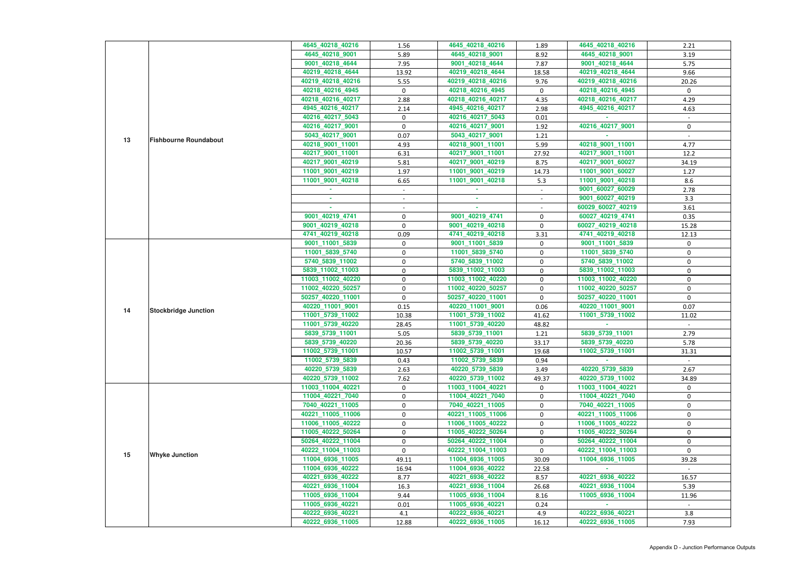|    |                              | 4645_40218_40216  | 1.56        | 4645_40218_40216  | 1.89   | 4645 40218 40216  | 2.21         |
|----|------------------------------|-------------------|-------------|-------------------|--------|-------------------|--------------|
|    |                              | 4645_40218_9001   | 5.89        | 4645_40218_9001   | 8.92   | 4645_40218_9001   | 3.19         |
|    |                              | 9001_40218_4644   | 7.95        | 9001_40218_4644   | 7.87   | 9001_40218_4644   | 5.75         |
|    |                              | 40219_40218_4644  | 13.92       | 40219_40218_4644  | 18.58  | 40219_40218_4644  | 9.66         |
|    |                              | 40219_40218_40216 | 5.55        | 40219_40218_40216 | 9.76   | 40219_40218_40216 | 20.26        |
|    |                              | 40218_40216_4945  | $\mathbf 0$ | 40218_40216_4945  | 0      | 40218_40216_4945  | $\mathbf{0}$ |
|    |                              | 40218_40216_40217 | 2.88        | 40218_40216_40217 | 4.35   | 40218_40216_40217 | 4.29         |
|    |                              | 4945_40216_40217  | 2.14        | 4945_40216_40217  | 2.98   | 4945_40216_40217  | 4.63         |
|    |                              | 40216_40217_5043  | $\mathbf 0$ | 40216_40217_5043  | 0.01   |                   |              |
|    |                              | 40216_40217_9001  | $\mathbf 0$ | 40216_40217_9001  | 1.92   | 40216 40217 9001  | 0            |
|    |                              | 5043_40217_9001   | 0.07        | 5043_40217_9001   | 1.21   |                   |              |
| 13 | <b>Fishbourne Roundabout</b> | 40218_9001_11001  | 4.93        | 40218_9001_11001  | 5.99   | 40218_9001_11001  | 4.77         |
|    |                              | 40217_9001_11001  | 6.31        | 40217_9001_11001  | 27.92  | 40217_9001_11001  | 12.2         |
|    |                              | 40217_9001_40219  | 5.81        | 40217_9001_40219  | 8.75   | 40217_9001_60027  | 34.19        |
|    |                              | 11001_9001_40219  | 1.97        | 11001_9001_40219  | 14.73  | 11001_9001_60027  | 1.27         |
|    |                              | 11001_9001_40218  | 6.65        | 11001_9001_40218  | 5.3    | 11001_9001_40218  | 8.6          |
|    |                              |                   | $\sim$      |                   | $\sim$ | 9001_60027_60029  | 2.78         |
|    |                              |                   |             |                   |        | 9001_60027_40219  | 3.3          |
|    |                              | a.                |             |                   |        | 60029_60027_40219 | 3.61         |
|    |                              | 9001_40219_4741   | $\pmb{0}$   | 9001_40219_4741   | 0      | 60027_40219_4741  | 0.35         |
|    |                              | 9001_40219_40218  | 0           | 9001_40219_40218  | 0      | 60027_40219_40218 | 15.28        |
|    |                              | 4741_40219_40218  | 0.09        | 4741_40219_40218  | 3.31   | 4741_40219_40218  | 12.13        |
|    |                              | 9001_11001_5839   | $\mathbf 0$ | 9001_11001_5839   | 0      | 9001_11001_5839   | 0            |
|    |                              | 11001_5839_5740   | $\mathbf 0$ | 11001_5839_5740   | 0      | 11001_5839_5740   | $\mathbf 0$  |
|    |                              | 5740_5839_11002   | 0           | 5740_5839_11002   | 0      | 5740_5839_11002   | 0            |
|    | <b>Stockbridge Junction</b>  | 5839_11002_11003  | 0           | 5839_11002_11003  | 0      | 5839_11002_11003  | 0            |
|    |                              | 11003_11002_40220 | $\mathbf 0$ | 11003_11002_40220 | 0      | 11003_11002_40220 | 0            |
|    |                              | 11002_40220_50257 | 0           | 11002_40220_50257 | 0      | 11002_40220_50257 | $\mathbf 0$  |
|    |                              | 50257_40220_11001 | $\pmb{0}$   | 50257_40220_11001 | 0      | 50257_40220_11001 |              |
|    |                              | 40220_11001_9001  |             | 40220_11001_9001  | 0.06   | 40220 11001 9001  | 0<br>0.07    |
| 14 |                              |                   | 0.15        |                   |        | 11001_5739_11002  |              |
|    |                              | 11001_5739_11002  | 10.38       | 11001_5739_11002  | 41.62  |                   | 11.02        |
|    |                              | 11001_5739_40220  | 28.45       | 11001_5739_40220  | 48.82  | 5839 5739 11001   |              |
|    |                              | 5839_5739_11001   | 5.05        | 5839_5739_11001   | 1.21   | 5839_5739_40220   | 2.79<br>5.78 |
|    |                              | 5839_5739_40220   | 20.36       | 5839_5739_40220   | 33.17  |                   |              |
|    |                              | 11002_5739_11001  | 10.57       | 11002_5739_11001  | 19.68  | 11002_5739_11001  | 31.31        |
|    |                              | 11002_5739_5839   | 0.43        | 11002_5739_5839   | 0.94   |                   |              |
|    |                              | 40220_5739_5839   | 2.63        | 40220_5739_5839   | 3.49   | 40220_5739_5839   | 2.67         |
|    |                              | 40220_5739_11002  | 7.62        | 40220_5739_11002  | 49.37  | 40220_5739_11002  | 34.89        |
|    |                              | 11003 11004 40221 | 0           | 11003_11004_40221 | 0      | 11003 11004 40221 | 0            |
|    |                              | 11004_40221_7040  | 0           | 11004_40221_7040  | 0      | 11004_40221_7040  | 0            |
|    |                              | 7040_40221_11005  | $\mathbf 0$ | 7040_40221_11005  | 0      | 7040_40221_11005  | 0            |
|    |                              | 40221_11005_11006 | $\mathbf 0$ | 40221 11005 11006 | 0      | 40221_11005_11006 | $\mathbf 0$  |
|    |                              | 11006_11005_40222 | 0           | 11006_11005_40222 | 0      | 11006_11005_40222 | 0            |
|    |                              | 11005_40222_50264 | 0           | 11005_40222_50264 | 0      | 11005_40222_50264 | 0            |
|    |                              | 50264_40222_11004 | 0           | 50264_40222_11004 | 0      | 50264_40222_11004 | 0            |
| 15 | <b>Whyke Junction</b>        | 40222_11004_11003 | $\Omega$    | 40222_11004_11003 | 0      | 40222_11004_11003 | $\Omega$     |
|    |                              | 11004_6936_11005  | 49.11       | 11004_6936_11005  | 30.09  | 11004_6936_11005  | 39.28        |
|    |                              | 11004_6936_40222  | 16.94       | 11004_6936_40222  | 22.58  |                   |              |
|    |                              | 40221_6936_40222  | 8.77        | 40221_6936_40222  | 8.57   | 40221_6936_40222  | 16.57        |
|    |                              | 40221_6936_11004  | 16.3        | 40221_6936_11004  | 26.68  | 40221_6936_11004  | 5.39         |
|    |                              | 11005_6936_11004  | 9.44        | 11005_6936_11004  | 8.16   | 11005_6936_11004  | 11.96        |
|    |                              | 11005_6936_40221  | 0.01        | 11005_6936_40221  | 0.24   |                   |              |
|    |                              | 40222_6936_40221  | 4.1         | 40222_6936_40221  | 4.9    | 40222_6936_40221  | 3.8          |
|    |                              | 40222_6936_11005  | 12.88       | 40222_6936_11005  | 16.12  | 40222_6936_11005  | 7.93         |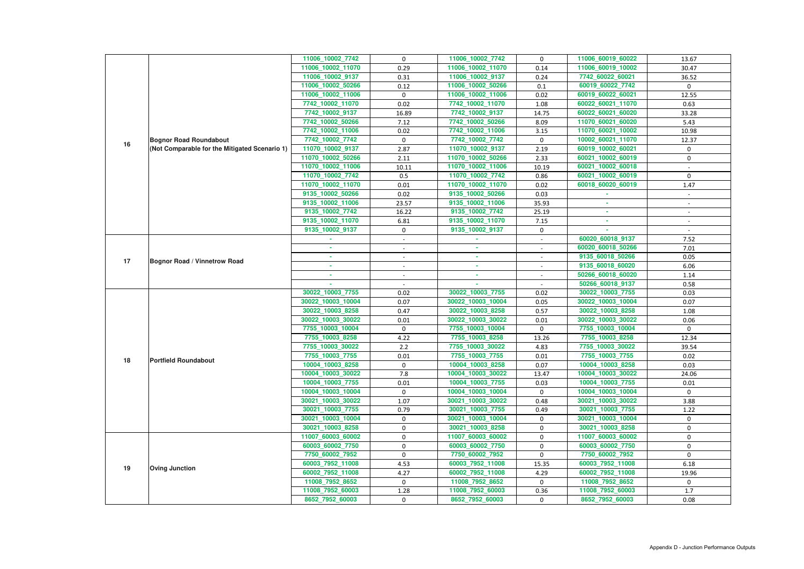|    |                                                                                | 11006_10002_7742                    | $\mathbf 0$                  | 11006_10002_7742                      | 0                        | 11006_60019_60022                   | 13.67                    |
|----|--------------------------------------------------------------------------------|-------------------------------------|------------------------------|---------------------------------------|--------------------------|-------------------------------------|--------------------------|
|    |                                                                                | 11006_10002_11070                   | 0.29                         | 11006_10002_11070                     | 0.14                     | 11006_60019_10002                   | 30.47                    |
|    |                                                                                | 11006_10002_9137                    | 0.31                         | 11006_10002_9137                      | 0.24                     | 7742_60022_60021                    | 36.52                    |
|    |                                                                                | 11006_10002_50266                   | 0.12                         | 11006_10002_50266                     | 0.1                      | 60019_60022_7742                    | $\mathbf 0$              |
|    |                                                                                | 11006_10002_11006                   | 0                            | 11006_10002_11006                     | 0.02                     | 60019_60022_60021                   | 12.55                    |
|    |                                                                                | 7742_10002_11070                    | 0.02                         | 7742_10002_11070                      | 1.08                     | 60022_60021_11070                   | 0.63                     |
|    |                                                                                | 7742_10002_9137                     | 16.89                        | 7742_10002_9137                       | 14.75                    | 60022_60021_60020                   | 33.28                    |
|    |                                                                                | 7742_10002_50266                    | 7.12                         | 7742_10002_50266                      | 8.09                     | 11070_60021_60020                   | 5.43                     |
|    |                                                                                | 7742_10002_11006                    | 0.02                         | 7742 10002 11006                      | 3.15                     | 11070_60021_10002                   | 10.98                    |
| 16 | <b>Bognor Road Roundabout</b><br>(Not Comparable for the Mitigated Scenario 1) | 7742_10002_7742                     | $\mathbf{0}$                 | 7742_10002_7742                       | $\mathbf 0$              | 10002_60021_11070                   | 12.37                    |
|    |                                                                                | 11070_10002_9137                    | 2.87                         | 11070_10002_9137                      | 2.19                     | 60019_10002_60021                   | $\mathbf 0$              |
|    |                                                                                | 11070_10002_50266                   | 2.11                         | 11070_10002_50266                     | 2.33                     | 60021_10002_60019                   | 0                        |
|    |                                                                                | 11070_10002_11006                   | 10.11                        | 11070_10002_11006                     | 10.19                    | 60021_10002_60018                   |                          |
|    |                                                                                | 11070_10002_7742                    | 0.5                          | 11070_10002_7742                      | 0.86                     | 60021_10002_60019                   | $\mathbf{0}$             |
|    |                                                                                | 11070_10002_11070                   | 0.01                         | 11070_10002_11070                     | 0.02                     | 60018_60020_60019                   | 1.47                     |
|    |                                                                                | 9135_10002_50266                    | 0.02                         | 9135 10002 50266                      | 0.03                     |                                     |                          |
|    |                                                                                | 9135_10002_11006                    | 23.57                        | 9135_10002_11006                      | 35.93                    |                                     |                          |
|    |                                                                                | 9135_10002_7742                     | 16.22                        | 9135_10002_7742                       | 25.19                    |                                     | $\overline{\phantom{a}}$ |
|    |                                                                                | 9135_10002_11070                    | 6.81                         | 9135_10002_11070                      | 7.15                     | ×.                                  | $\overline{\phantom{a}}$ |
|    |                                                                                | 9135_10002_9137                     | 0                            | 9135_10002_9137                       | $\mathbf 0$              |                                     |                          |
|    |                                                                                |                                     |                              |                                       | $\sim$                   | 60020_60018_9137                    | 7.52                     |
|    |                                                                                |                                     |                              | ٠                                     | $\overline{\phantom{a}}$ | 60020_60018_50266                   | 7.01                     |
| 17 | <b>Bognor Road / Vinnetrow Road</b>                                            | ×.                                  | $\sim$                       | $\sim$                                | $\sim$                   | 9135_60018_50266                    | 0.05                     |
|    |                                                                                |                                     |                              | ٠                                     | $\blacksquare$           | 9135_60018_60020                    | 6.06                     |
|    |                                                                                |                                     |                              | $\sim$                                | $\sim$                   | 50266_60018_60020                   | 1.14                     |
|    |                                                                                |                                     |                              |                                       |                          | 50266_60018_9137                    | 0.58                     |
|    |                                                                                | 30022_10003_7755                    | 0.02                         | 30022_10003_7755                      | 0.02                     | 30022_10003_7755                    | 0.03                     |
|    |                                                                                | 30022_10003_10004                   | 0.07                         | 30022_10003_10004                     | 0.05                     | 30022_10003_10004                   | 0.07                     |
|    |                                                                                | 30022_10003_8258                    | 0.47                         | 30022_10003_8258                      | 0.57                     | 30022_10003_8258                    | 1.08                     |
|    |                                                                                | 30022_10003_30022                   | 0.01                         | 30022_10003_30022                     | 0.01                     | 30022_10003_30022                   | 0.06                     |
|    |                                                                                | 7755_10003_10004                    | 0                            | 7755_10003_10004                      | 0                        | 7755_10003_10004                    | $\mathbf 0$              |
|    |                                                                                | 7755_10003_8258                     | 4.22                         | 7755_10003_8258                       | 13.26                    | 7755_10003_8258                     | 12.34                    |
|    |                                                                                | 7755_10003_30022<br>7755_10003_7755 | $2.2$                        | 7755_10003_30022<br>7755_10003_7755   | 4.83                     | 7755_10003_30022<br>7755_10003_7755 | 39.54                    |
| 18 | <b>Portfield Roundabout</b>                                                    | 10004_10003_8258                    | $0.01\,$<br>$\mathbf{0}$     | 10004_10003_8258                      | 0.01<br>0.07             | 10004_10003_8258                    | 0.02<br>0.03             |
|    |                                                                                | 10004_10003_30022                   |                              |                                       |                          |                                     |                          |
|    |                                                                                |                                     |                              |                                       |                          |                                     |                          |
|    |                                                                                |                                     | 7.8                          | 10004_10003_30022                     | 13.47                    | 10004_10003_30022                   | 24.06                    |
|    |                                                                                | 10004_10003_7755                    | 0.01                         | 10004_10003_7755                      | 0.03                     | 10004_10003_7755                    | 0.01                     |
|    |                                                                                | 10004_10003_10004                   | $\mathbf{0}$                 | 10004_10003_10004                     | $\mathbf{0}$             | 10004_10003_10004                   | $\mathbf{0}$             |
|    |                                                                                | 30021_10003_30022                   | 1.07                         | 30021_10003_30022                     | 0.48                     | 30021_10003_30022                   | 3.88                     |
|    |                                                                                | 30021_10003_7755                    | 0.79                         | 30021_10003_7755                      | 0.49                     | 30021_10003_7755                    | 1.22                     |
|    |                                                                                | 30021_10003_10004                   | $\mathbf{0}$<br>$\mathbf{0}$ | 30021 10003 10004                     | $\mathbf{0}$             | 30021_10003_10004                   | $\mathbf{0}$             |
|    |                                                                                | 30021_10003_8258                    | 0                            | 30021_10003_8258                      | 0                        | 30021_10003_8258                    | 0<br>$\mathbf 0$         |
|    |                                                                                | 11007_60003_60002                   | 0                            | 11007_60003_60002<br>60003_60002_7750 | 0                        | 11007_60003_60002                   | 0                        |
|    |                                                                                | 60003_60002_7750<br>7750_60002_7952 | $\mathbf{0}$                 | 7750_60002_7952                       | $\mathbf 0$<br>0         | 60003_60002_7750<br>7750_60002_7952 | $\mathbf 0$              |
|    |                                                                                | 60003_7952_11008                    | 4.53                         | 60003_7952_11008                      | 15.35                    | 60003_7952_11008                    | 6.18                     |
| 19 | <b>Oving Junction</b>                                                          | 60002_7952_11008                    | 4.27                         | 60002_7952_11008                      | 4.29                     | 60002_7952_11008                    | 19.96                    |
|    |                                                                                | 11008_7952_8652                     | $\mathbf{0}$                 | 11008_7952_8652                       | $\mathbf{0}$             | 11008_7952_8652                     | $\mathbf{0}$             |
|    |                                                                                | 11008_7952_60003                    | 1.28                         | 11008_7952_60003                      | 0.36                     | 11008_7952_60003                    | 1.7                      |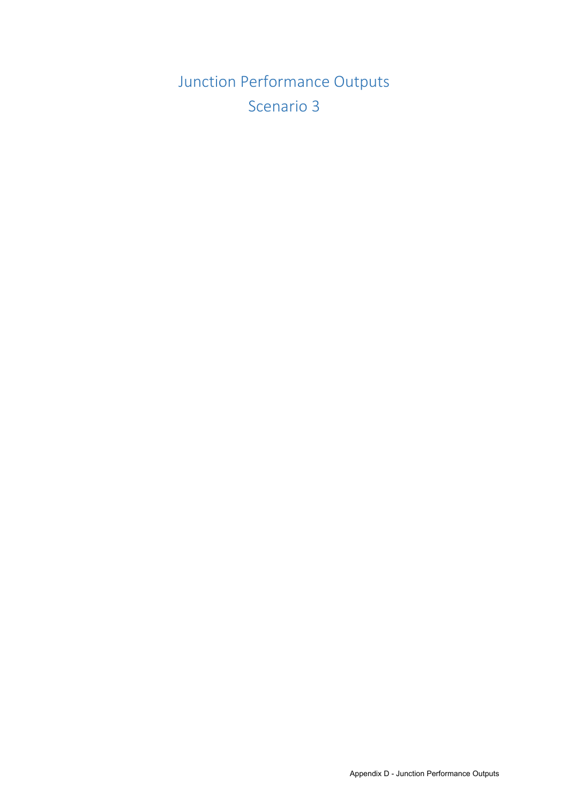Junction Performance Outputs Scenario 3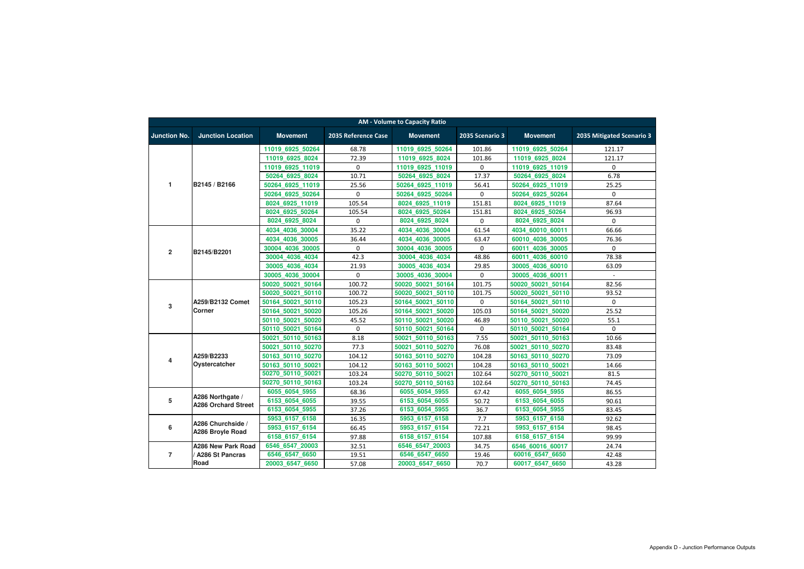|                     |                                                |                   |                     | <b>AM - Volume to Capacity Ratio</b> |                 |                   |                           |  |  |  |  |  |  |  |
|---------------------|------------------------------------------------|-------------------|---------------------|--------------------------------------|-----------------|-------------------|---------------------------|--|--|--|--|--|--|--|
| <b>Junction No.</b> | <b>Junction Location</b>                       | <b>Movement</b>   | 2035 Reference Case | <b>Movement</b>                      | 2035 Scenario 3 | <b>Movement</b>   | 2035 Mitigated Scenario 3 |  |  |  |  |  |  |  |
|                     |                                                | 11019 6925 50264  | 68.78               | 11019 6925 50264                     | 101.86          | 11019 6925 50264  | 121.17                    |  |  |  |  |  |  |  |
|                     |                                                | 11019 6925 8024   | 72.39               | 11019 6925 8024                      | 101.86          | 11019 6925 8024   | 121.17                    |  |  |  |  |  |  |  |
|                     |                                                | 11019 6925 11019  | 0                   | 11019 6925 11019                     | $\mathbf 0$     | 11019 6925 11019  | 0                         |  |  |  |  |  |  |  |
|                     |                                                | 50264 6925 8024   | 10.71               | 50264 6925 8024                      | 17.37           | 50264 6925 8024   | 6.78                      |  |  |  |  |  |  |  |
| 1                   | B2145 / B2166                                  | 50264 6925 11019  | 25.56               | 50264 6925 11019                     | 56.41           | 50264 6925 11019  | 25.25                     |  |  |  |  |  |  |  |
|                     |                                                | 50264 6925 50264  | 0                   | 50264 6925 50264                     | $\mathbf 0$     | 50264 6925 50264  | $\mathbf 0$               |  |  |  |  |  |  |  |
|                     |                                                | 8024 6925 11019   | 105.54              | 8024 6925 11019                      | 151.81          | 8024 6925 11019   | 87.64                     |  |  |  |  |  |  |  |
|                     |                                                | 8024 6925 50264   | 105.54              | 8024 6925 50264                      | 151.81          | 8024 6925 50264   | 96.93                     |  |  |  |  |  |  |  |
|                     |                                                | 8024_6925_8024    | 0                   | 8024_6925_8024                       | 0               | 8024_6925_8024    | 0                         |  |  |  |  |  |  |  |
|                     |                                                | 4034 4036 30004   | 35.22               | 4034 4036 30004                      | 61.54           | 4034 60010 60011  | 66.66                     |  |  |  |  |  |  |  |
|                     |                                                | 4034 4036 30005   | 36.44               | 4034 4036 30005                      | 63.47           | 60010 4036 30005  | 76.36                     |  |  |  |  |  |  |  |
|                     |                                                | 30004 4036 30005  | 0                   | 30004 4036 30005                     | $\mathbf 0$     | 60011 4036 30005  | $\Omega$                  |  |  |  |  |  |  |  |
| $\overline{2}$      | B2145/B2201                                    | 30004 4036 4034   | 42.3                | 30004 4036 4034                      | 48.86           | 60011 4036 60010  | 78.38                     |  |  |  |  |  |  |  |
|                     |                                                | 30005 4036 4034   | 21.93               | 30005 4036 4034                      | 29.85           | 30005 4036 60010  | 63.09                     |  |  |  |  |  |  |  |
|                     |                                                | 30005 4036 30004  | 0                   | 30005 4036 30004                     | $\mathbf 0$     | 30005 4036 60011  | $\sim$                    |  |  |  |  |  |  |  |
|                     |                                                | 50020 50021 50164 | 100.72              | 50020 50021 50164                    | 101.75          | 50020 50021 50164 | 82.56                     |  |  |  |  |  |  |  |
|                     |                                                | 50020 50021 50110 | 100.72              | 50020 50021 50110                    | 101.75          | 50020 50021 50110 | 93.52                     |  |  |  |  |  |  |  |
|                     | A259/B2132 Comet<br><b>Corner</b>              | 50164 50021 50110 | 105.23              | 50164 50021 50110                    | $\pmb{0}$       | 50164 50021 50110 | 0                         |  |  |  |  |  |  |  |
| 3                   |                                                | 50164 50021 50020 | 105.26              | 50164 50021 50020                    | 105.03          | 50164 50021 50020 | 25.52                     |  |  |  |  |  |  |  |
|                     |                                                | 50110 50021 50020 | 45.52               | 50110 50021 50020                    | 46.89           | 50110 50021 50020 | 55.1                      |  |  |  |  |  |  |  |
|                     |                                                | 50110 50021 50164 | 0                   | 50110 50021 50164                    | $\mathbf 0$     | 50110 50021 50164 | $\Omega$                  |  |  |  |  |  |  |  |
|                     |                                                | 50021 50110 50163 | 8.18                | 50021 50110 50163                    | 7.55            | 50021 50110 50163 | 10.66                     |  |  |  |  |  |  |  |
|                     |                                                | 50021 50110 50270 | 77.3                | 50021 50110 50270                    | 76.08           | 50021 50110 50270 | 83.48                     |  |  |  |  |  |  |  |
|                     | A259/B2233                                     | 50163 50110 50270 | 104.12              | 50163 50110 50270                    | 104.28          | 50163 50110 50270 | 73.09                     |  |  |  |  |  |  |  |
| 4                   | Oystercatcher                                  | 50163 50110 50021 | 104.12              | 50163 50110 50021                    | 104.28          | 50163 50110 50021 | 14.66                     |  |  |  |  |  |  |  |
|                     |                                                | 50270_50110_50021 | 103.24              | 50270 50110 50021                    | 102.64          | 50270 50110 50021 | 81.5                      |  |  |  |  |  |  |  |
|                     |                                                | 50270 50110 50163 | 103.24              | 50270 50110 50163                    | 102.64          | 50270 50110 50163 | 74.45                     |  |  |  |  |  |  |  |
|                     |                                                | 6055 6054 5955    | 68.36               | 6055_6054_5955                       | 67.42           | 6055 6054 5955    | 86.55                     |  |  |  |  |  |  |  |
| 5                   | A286 Northgate /<br><b>A286 Orchard Street</b> | 6153 6054 6055    | 39.55               | 6153 6054 6055                       | 50.72           | 6153 6054 6055    | 90.61                     |  |  |  |  |  |  |  |
|                     |                                                | 6153_6054_5955    | 37.26               | 6153_6054_5955                       | 36.7            | 6153_6054_5955    | 83.45                     |  |  |  |  |  |  |  |
|                     |                                                | 5953_6157_6158    | 16.35               | 5953_6157_6158                       | 7.7             | 5953_6157_6158    | 92.62                     |  |  |  |  |  |  |  |
| 6                   | A286 Churchside /                              | 5953 6157 6154    | 66.45               | 5953_6157_6154                       | 72.21           | 5953_6157_6154    | 98.45                     |  |  |  |  |  |  |  |
|                     | A286 Broyle Road                               | 6158_6157_6154    | 97.88               | 6158_6157_6154                       | 107.88          | 6158_6157_6154    | 99.99                     |  |  |  |  |  |  |  |
|                     | A286 New Park Road                             | 6546_6547_20003   | 32.51               | 6546_6547_20003                      | 34.75           | 6546_60016_60017  | 24.74                     |  |  |  |  |  |  |  |
| $\overline{7}$      | A286 St Pancras                                | 6546_6547_6650    | 19.51               | 6546_6547_6650                       | 19.46           | 60016_6547_6650   | 42.48                     |  |  |  |  |  |  |  |
|                     | Road                                           | 20003_6547_6650   | 57.08               | 20003_6547_6650                      | 70.7            | 60017_6547_6650   | 43.28                     |  |  |  |  |  |  |  |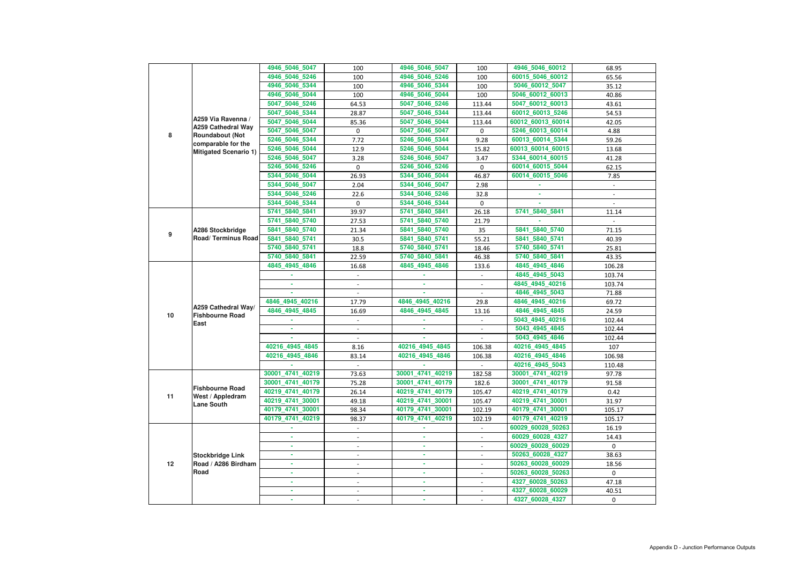|    |                                                    | 4946 5046 5047   | 100                      | 4946_5046_5047   | 100                      | 4946_5046_60012   | 68.95          |
|----|----------------------------------------------------|------------------|--------------------------|------------------|--------------------------|-------------------|----------------|
|    |                                                    | 4946 5046 5246   | 100                      | 4946_5046_5246   | 100                      | 60015_5046_60012  | 65.56          |
|    |                                                    | 4946_5046_5344   | 100                      | 4946_5046_5344   | 100                      | 5046_60012_5047   | 35.12          |
|    |                                                    | 4946_5046_5044   | 100                      | 4946_5046_5044   | 100                      | 5046_60012_60013  | 40.86          |
|    |                                                    | 5047 5046 5246   | 64.53                    | 5047_5046_5246   | 113.44                   | 5047_60012_60013  | 43.61          |
|    |                                                    | 5047_5046_5344   | 28.87                    | 5047_5046_5344   | 113.44                   | 60012_60013_5246  | 54.53          |
|    | A259 Via Ravenna /                                 | 5047_5046_5044   | 85.36                    | 5047_5046_5044   | 113.44                   | 60012_60013_60014 | 42.05          |
|    | <b>A259 Cathedral Way</b>                          | 5047_5046_5047   | 0                        | 5047_5046_5047   | 0                        | 5246_60013_60014  | 4.88           |
| 8  | <b>Roundabout (Not</b>                             | 5246_5046_5344   | 7.72                     | 5246 5046 5344   | 9.28                     | 60013_60014_5344  | 59.26          |
|    | comparable for the<br><b>Mitigated Scenario 1)</b> | 5246 5046 5044   | 12.9                     | 5246 5046 5044   | 15.82                    | 60013_60014_60015 | 13.68          |
|    |                                                    | 5246_5046_5047   | 3.28                     | 5246 5046 5047   | 3.47                     | 5344_60014_60015  | 41.28          |
|    |                                                    | 5246_5046_5246   | 0                        | 5246_5046_5246   | 0                        | 60014_60015_5044  | 62.15          |
|    |                                                    | 5344_5046_5044   | 26.93                    | 5344_5046_5044   | 46.87                    | 60014_60015_5046  | 7.85           |
|    |                                                    | 5344_5046_5047   | 2.04                     | 5344_5046_5047   | 2.98                     |                   | $\blacksquare$ |
|    |                                                    | 5344_5046_5246   | 22.6                     | 5344_5046_5246   | 32.8                     |                   |                |
|    |                                                    | 5344 5046 5344   | 0                        | 5344_5046_5344   | 0                        |                   |                |
|    |                                                    | 5741_5840_5841   | 39.97                    | 5741_5840_5841   | 26.18                    | 5741_5840_5841    | 11.14          |
|    |                                                    | 5741 5840 5740   | 27.53                    | 5741_5840_5740   | 21.79                    |                   | $\sim$         |
|    | A286 Stockbridge                                   | 5841_5840_5740   | 21.34                    | 5841_5840_5740   | 35                       | 5841 5840 5740    | 71.15          |
| 9  | <b>Road/Terminus Road</b>                          | 5841_5840_5741   | 30.5                     | 5841_5840_5741   | 55.21                    | 5841_5840_5741    | 40.39          |
|    |                                                    | 5740_5840_5741   | 18.8                     | 5740_5840_5741   | 18.46                    | 5740 5840 5741    | 25.81          |
|    |                                                    | 5740_5840_5841   | 22.59                    | 5740_5840_5841   | 46.38                    | 5740_5840_5841    | 43.35          |
|    |                                                    | 4845_4945_4846   | 16.68                    | 4845_4945_4846   | 133.6                    | 4845_4945_4846    | 106.28         |
|    |                                                    |                  |                          |                  | $\overline{\phantom{a}}$ | 4845_4945_5043    | 103.74         |
|    | A259 Cathedral Way/                                |                  |                          |                  | $\overline{\phantom{a}}$ | 4845_4945_40216   | 103.74         |
|    |                                                    |                  |                          |                  | $\overline{a}$           | 4846_4945_5043    | 71.88          |
|    |                                                    | 4846 4945 40216  | 17.79                    | 4846 4945 40216  | 29.8                     | 4846_4945_40216   | 69.72          |
|    |                                                    | 4846_4945_4845   | 16.69                    | 4846_4945_4845   | 13.16                    | 4846_4945_4845    | 24.59          |
| 10 | <b>Fishbourne Road</b>                             |                  |                          |                  |                          | 5043_4945_40216   | 102.44         |
|    | East                                               |                  |                          |                  |                          | 5043_4945_4845    | 102.44         |
|    |                                                    |                  | $\blacksquare$           | ٠                |                          | 5043_4945_4846    | 102.44         |
|    |                                                    | 40216_4945_4845  | 8.16                     | 40216_4945_4845  | 106.38                   | 40216_4945_4845   | 107            |
|    |                                                    | 40216_4945_4846  | 83.14                    | 40216_4945_4846  | 106.38                   | 40216_4945_4846   | 106.98         |
|    |                                                    |                  |                          |                  |                          | 40216_4945_5043   | 110.48         |
|    |                                                    | 30001_4741_40219 | 73.63                    | 30001_4741_40219 | 182.58                   | 30001_4741_40219  | 97.78          |
|    |                                                    | 30001 4741 40179 | 75.28                    | 30001 4741 40179 | 182.6                    | 30001_4741_40179  | 91.58          |
|    | <b>Fishbourne Road</b>                             | 40219_4741_40179 | 26.14                    | 40219_4741_40179 | 105.47                   | 40219_4741_40179  | 0.42           |
| 11 | West / Appledram                                   | 40219_4741_30001 | 49.18                    | 40219_4741_30001 | 105.47                   | 40219_4741_30001  | 31.97          |
|    | <b>Lane South</b>                                  | 40179_4741_30001 | 98.34                    | 40179_4741_30001 | 102.19                   | 40179_4741_30001  | 105.17         |
|    |                                                    | 40179_4741_40219 | 98.37                    | 40179_4741_40219 | 102.19                   | 40179_4741_40219  | 105.17         |
|    |                                                    |                  | $\sim$                   |                  | $\blacksquare$           | 60029_60028_50263 | 16.19          |
|    |                                                    | ×.               |                          | $\sim$           | $\overline{\phantom{0}}$ | 60029_60028_4327  | 14.43          |
|    |                                                    |                  | $\overline{\phantom{a}}$ | ×.               | $\overline{\phantom{0}}$ | 60029_60028_60029 | $\mathbf 0$    |
|    | <b>Stockbridge Link</b>                            |                  | $\overline{\phantom{a}}$ | ٠                | $\overline{\phantom{a}}$ | 50263_60028_4327  | 38.63          |
| 12 | Road / A286 Birdham                                | ٠                | $\overline{\phantom{a}}$ | ٠                | $\sim$                   | 50263_60028_60029 | 18.56          |
|    | Road                                               | ٠                | $\blacksquare$           | ٠                | $\overline{\phantom{a}}$ | 50263_60028_50263 | $\mathbf 0$    |
|    |                                                    |                  |                          | ٠                |                          | 4327_60028_50263  | 47.18          |
|    |                                                    |                  |                          |                  |                          | 4327_60028_60029  | 40.51          |
|    |                                                    |                  |                          |                  |                          | 4327_60028_4327   |                |
|    |                                                    |                  |                          |                  | $\overline{\phantom{a}}$ |                   | 0              |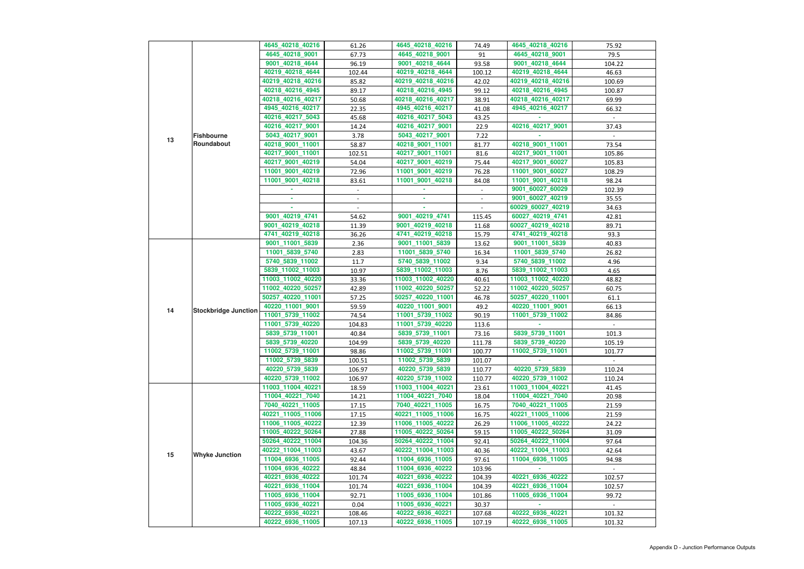|    |                             | 4645_40218_40216  | 61.26  | 4645_40218_40216  | 74.49          | 4645_40218_40216  | 75.92          |
|----|-----------------------------|-------------------|--------|-------------------|----------------|-------------------|----------------|
|    |                             | 4645_40218_9001   | 67.73  | 4645_40218_9001   | 91             | 4645_40218_9001   | 79.5           |
|    |                             | 9001_40218_4644   | 96.19  | 9001_40218_4644   | 93.58          | 9001_40218_4644   | 104.22         |
|    |                             | 40219_40218_4644  | 102.44 | 40219_40218_4644  | 100.12         | 40219_40218_4644  | 46.63          |
|    |                             |                   |        |                   |                | 40219_40218_40216 | 100.69         |
|    |                             | 40219_40218_40216 | 85.82  | 40219_40218_40216 | 42.02          |                   |                |
|    |                             | 40218_40216_4945  | 89.17  | 40218_40216_4945  | 99.12          | 40218_40216_4945  | 100.87         |
|    |                             | 40218_40216_40217 | 50.68  | 40218_40216_40217 | 38.91          | 40218_40216_40217 | 69.99          |
|    |                             | 4945_40216_40217  | 22.35  | 4945_40216_40217  | 41.08          | 4945_40216_40217  | 66.32          |
|    |                             | 40216_40217_5043  | 45.68  | 40216_40217_5043  | 43.25          |                   |                |
|    |                             | 40216_40217_9001  | 14.24  | 40216_40217_9001  | 22.9           | 40216_40217_9001  | 37.43          |
| 13 | <b>Fishbourne</b>           | 5043_40217_9001   | 3.78   | 5043_40217_9001   | 7.22           |                   |                |
|    | Roundabout                  | 40218_9001_11001  | 58.87  | 40218_9001_11001  | 81.77          | 40218_9001_11001  | 73.54          |
|    |                             | 40217_9001_11001  | 102.51 | 40217_9001_11001  | 81.6           | 40217_9001_11001  | 105.86         |
|    |                             | 40217_9001_40219  | 54.04  | 40217_9001_40219  | 75.44          | 40217_9001_60027  | 105.83         |
|    |                             | 11001_9001_40219  | 72.96  | 11001_9001_40219  | 76.28          | 11001_9001_60027  | 108.29         |
|    |                             | 11001_9001_40218  | 83.61  | 11001 9001 40218  | 84.08          | 11001_9001_40218  | 98.24          |
|    |                             |                   | $\sim$ |                   | $\blacksquare$ | 9001_60027_60029  | 102.39         |
|    |                             |                   |        |                   | $\blacksquare$ | 9001_60027_40219  | 35.55          |
|    |                             |                   |        |                   |                | 60029_60027_40219 | 34.63          |
|    |                             | 9001_40219_4741   | 54.62  | 9001_40219_4741   | 115.45         | 60027_40219_4741  | 42.81          |
|    |                             | 9001_40219_40218  | 11.39  | 9001_40219_40218  | 11.68          | 60027_40219_40218 | 89.71          |
|    |                             | 4741_40219_40218  | 36.26  | 4741_40219_40218  | 15.79          | 4741_40219_40218  | 93.3           |
|    |                             | 9001_11001_5839   | 2.36   | 9001_11001_5839   | 13.62          | 9001_11001_5839   | 40.83          |
|    |                             | 11001_5839_5740   | 2.83   | 11001_5839_5740   | 16.34          | 11001_5839_5740   | 26.82          |
|    | <b>Stockbridge Junction</b> | 5740_5839_11002   | 11.7   | 5740_5839_11002   | 9.34           | 5740_5839_11002   | 4.96           |
|    |                             | 5839_11002_11003  | 10.97  | 5839_11002_11003  | 8.76           | 5839_11002_11003  | 4.65           |
|    |                             | 11003_11002_40220 | 33.36  | 11003_11002_40220 | 40.61          | 11003_11002_40220 | 48.82          |
|    |                             | 11002_40220_50257 | 42.89  | 11002_40220_50257 | 52.22          | 11002_40220_50257 | 60.75          |
|    |                             | 50257_40220_11001 | 57.25  | 50257_40220_11001 | 46.78          | 50257_40220_11001 | 61.1           |
|    |                             | 40220 11001 9001  | 59.59  | 40220_11001_9001  | 49.2           | 40220_11001_9001  | 66.13          |
| 14 |                             | 11001_5739_11002  | 74.54  | 11001_5739_11002  | 90.19          | 11001_5739_11002  | 84.86          |
|    |                             | 11001_5739_40220  | 104.83 | 11001_5739_40220  | 113.6          |                   |                |
|    |                             | 5839_5739_11001   | 40.84  | 5839_5739_11001   | 73.16          | 5839_5739_11001   | 101.3          |
|    |                             | 5839_5739_40220   | 104.99 | 5839_5739_40220   | 111.78         | 5839_5739_40220   | 105.19         |
|    |                             | 11002_5739_11001  | 98.86  | 11002_5739_11001  | 100.77         | 11002_5739_11001  | 101.77         |
|    |                             | 11002_5739_5839   | 100.51 | 11002_5739_5839   | 101.07         |                   | $\sim$         |
|    |                             | 40220_5739_5839   | 106.97 | 40220_5739_5839   | 110.77         | 40220_5739_5839   | 110.24         |
|    |                             | 40220_5739_11002  | 106.97 | 40220_5739_11002  | 110.77         | 40220_5739_11002  | 110.24         |
|    |                             | 11003_11004_40221 | 18.59  | 11003_11004_40221 | 23.61          | 11003_11004_40221 | 41.45          |
|    |                             | 11004_40221_7040  | 14.21  | 11004_40221_7040  | 18.04          | 11004_40221_7040  | 20.98          |
|    |                             | 7040_40221_11005  | 17.15  | 7040_40221_11005  | 16.75          | 7040_40221_11005  | 21.59          |
|    |                             | 40221_11005_11006 | 17.15  | 40221_11005_11006 | 16.75          | 40221_11005_11006 |                |
|    |                             | 11006_11005_40222 |        | 11006_11005_40222 |                |                   | 21.59<br>24.22 |
|    |                             |                   | 12.39  |                   | 26.29          | 11006_11005_40222 |                |
|    |                             | 11005_40222_50264 | 27.88  | 11005_40222_50264 | 59.15          | 11005_40222_50264 | 31.09          |
|    |                             | 50264_40222_11004 | 104.36 | 50264_40222_11004 | 92.41          | 50264_40222_11004 | 97.64          |
| 15 | <b>Whyke Junction</b>       | 40222_11004_11003 | 43.67  | 40222_11004_11003 | 40.36          | 40222_11004_11003 | 42.64          |
|    |                             | 11004_6936_11005  | 92.44  | 11004_6936_11005  | 97.61          | 11004_6936_11005  | 94.98          |
|    |                             | 11004_6936_40222  | 48.84  | 11004_6936_40222  | 103.96         |                   | $\sim$         |
|    |                             | 40221_6936_40222  | 101.74 | 40221_6936_40222  | 104.39         | 40221_6936_40222  | 102.57         |
|    |                             | 40221_6936_11004  | 101.74 | 40221_6936_11004  | 104.39         | 40221_6936_11004  | 102.57         |
|    |                             | 11005_6936_11004  | 92.71  | 11005_6936_11004  | 101.86         | 11005_6936_11004  | 99.72          |
|    |                             | 11005_6936_40221  | 0.04   | 11005_6936_40221  | 30.37          |                   |                |
|    |                             | 40222_6936_40221  | 108.46 | 40222_6936_40221  | 107.68         | 40222_6936_40221  | 101.32         |
|    |                             | 40222_6936_11005  | 107.13 | 40222_6936_11005  | 107.19         | 40222_6936_11005  | 101.32         |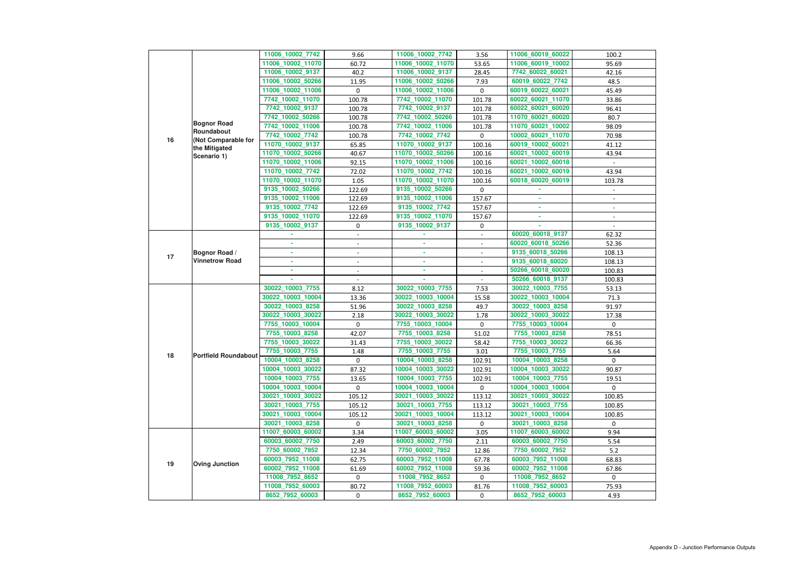|    |                              | 11006_10002_7742  | 9.66                     | 11006_10002_7742  | 3.56                     | 11006_60019_60022 | 100.2          |
|----|------------------------------|-------------------|--------------------------|-------------------|--------------------------|-------------------|----------------|
|    |                              | 11006_10002_11070 | 60.72                    | 11006_10002_11070 | 53.65                    | 11006_60019_10002 | 95.69          |
|    |                              | 11006_10002_9137  | 40.2                     | 11006_10002_9137  | 28.45                    | 7742_60022_60021  | 42.16          |
|    |                              | 11006_10002_50266 | 11.95                    | 11006_10002_50266 | 7.93                     | 60019_60022_7742  | 48.5           |
|    |                              | 11006_10002_11006 | 0                        | 11006_10002_11006 | 0                        | 60019_60022_60021 | 45.49          |
|    |                              | 7742_10002_11070  | 100.78                   | 7742_10002_11070  | 101.78                   | 60022_60021_11070 | 33.86          |
|    |                              | 7742_10002_9137   | 100.78                   | 7742_10002_9137   | 101.78                   | 60022_60021_60020 | 96.41          |
|    |                              | 7742_10002_50266  | 100.78                   | 7742_10002_50266  | 101.78                   | 11070_60021_60020 | 80.7           |
|    | <b>Bognor Road</b>           | 7742_10002_11006  | 100.78                   | 7742_10002_11006  | 101.78                   | 11070_60021_10002 | 98.09          |
|    | Roundabout                   | 7742_10002_7742   | 100.78                   | 7742_10002_7742   | $\mathbf 0$              | 10002_60021_11070 | 70.98          |
| 16 | (Not Comparable for          | 11070_10002_9137  | 65.85                    | 11070_10002_9137  | 100.16                   | 60019_10002_60021 | 41.12          |
|    | the Mitigated<br>Scenario 1) | 11070_10002_50266 | 40.67                    | 11070_10002_50266 | 100.16                   | 60021_10002_60019 | 43.94          |
|    |                              | 11070_10002_11006 | 92.15                    | 11070_10002_11006 | 100.16                   | 60021_10002_60018 |                |
|    |                              | 11070_10002_7742  | 72.02                    | 11070_10002_7742  | 100.16                   | 60021_10002_60019 | 43.94          |
|    |                              | 11070_10002_11070 | 1.05                     | 11070_10002_11070 | 100.16                   | 60018_60020_60019 | 103.78         |
|    |                              | 9135_10002_50266  | 122.69                   | 9135_10002_50266  | $\mathbf 0$              |                   |                |
|    |                              | 9135_10002_11006  | 122.69                   | 9135_10002_11006  | 157.67                   |                   |                |
|    |                              | 9135_10002_7742   | 122.69                   | 9135_10002_7742   | 157.67                   |                   | $\blacksquare$ |
|    |                              | 9135_10002_11070  | 122.69                   | 9135_10002_11070  | 157.67                   | ٠                 |                |
|    |                              | 9135_10002_9137   | 0                        | 9135_10002_9137   | 0                        |                   |                |
|    |                              |                   |                          |                   | $\overline{\phantom{a}}$ | 60020_60018_9137  | 62.32          |
|    |                              |                   |                          |                   |                          | 60020_60018_50266 | 52.36          |
|    | Bognor Road /                | ٠                 | $\overline{\phantom{a}}$ | ٠                 | $\blacksquare$           | 9135_60018_50266  | 108.13         |
| 17 | <b>Vinnetrow Road</b>        | ٠                 |                          | ٠                 |                          | 9135_60018_60020  | 108.13         |
|    |                              | ×.                |                          | ×.                | $\overline{\phantom{a}}$ | 50266_60018_60020 | 100.83         |
|    |                              |                   |                          |                   |                          | 50266_60018_9137  | 100.83         |
|    |                              | 30022_10003_7755  | 8.12                     | 30022_10003_7755  | 7.53                     | 30022_10003_7755  | 53.13          |
|    |                              | 30022_10003_10004 | 13.36                    | 30022_10003_10004 | 15.58                    | 30022_10003_10004 | 71.3           |
|    |                              | 30022_10003_8258  | 51.96                    | 30022_10003_8258  | 49.7                     | 30022_10003_8258  | 91.97          |
|    |                              | 30022_10003_30022 | 2.18                     | 30022_10003_30022 | 1.78                     | 30022_10003_30022 | 17.38          |
|    |                              | 7755_10003_10004  | 0                        | 7755_10003_10004  | 0                        | 7755_10003_10004  | 0              |
|    |                              | 7755_10003_8258   | 42.07                    | 7755_10003_8258   | 51.02                    | 7755_10003_8258   | 78.51          |
|    |                              | 7755_10003_30022  | 31.43                    | 7755_10003_30022  | 58.42                    | 7755_10003_30022  | 66.36          |
| 18 | <b>Portfield Roundabout</b>  | 7755_10003_7755   | 1.48                     | 7755_10003_7755   | 3.01                     | 7755_10003_7755   | 5.64           |
|    |                              | 10004_10003_8258  | 0                        | 10004_10003_8258  | 102.91                   | 10004_10003_8258  | $\Omega$       |
|    |                              | 10004_10003_30022 | 87.32                    | 10004_10003_30022 | 102.91                   | 10004_10003_30022 | 90.87          |
|    |                              | 10004_10003_7755  | 13.65                    | 10004_10003_7755  | 102.91                   | 10004_10003_7755  | 19.51          |
|    |                              | 10004_10003_10004 | 0                        | 10004_10003_10004 | 0                        | 10004_10003_10004 | $\mathbf{0}$   |
|    |                              | 30021_10003_30022 | 105.12                   | 30021_10003_30022 | 113.12                   | 30021_10003_30022 | 100.85         |
|    |                              | 30021_10003_7755  | 105.12                   | 30021_10003_7755  | 113.12                   | 30021_10003_7755  | 100.85         |
|    |                              | 30021_10003_10004 | 105.12                   | 30021_10003_10004 | 113.12                   | 30021_10003_10004 | 100.85         |
|    |                              | 30021_10003_8258  | 0                        | 30021_10003_8258  | $\mathbf{0}$             | 30021_10003_8258  | $\mathbf{0}$   |
|    |                              | 11007_60003_60002 | 3.34                     | 11007_60003_60002 | 3.05                     | 11007_60003_60002 | 9.94           |
|    |                              | 60003_60002_7750  | 2.49                     | 60003_60002_7750  | 2.11                     | 60003_60002_7750  | 5.54           |
|    |                              | 7750_60002_7952   | 12.34                    | 7750_60002_7952   | 12.86                    | 7750_60002_7952   | 5.2            |
| 19 | <b>Oving Junction</b>        | 60003_7952_11008  | 62.75                    | 60003_7952_11008  | 67.78                    | 60003_7952_11008  | 68.83          |
|    |                              | 60002_7952_11008  | 61.69                    | 60002_7952_11008  | 59.36                    | 60002_7952_11008  | 67.86          |
|    |                              | 11008_7952_8652   | 0                        | 11008_7952_8652   | 0                        | 11008_7952_8652   | $\mathbf{0}$   |
|    |                              | 11008_7952_60003  | 80.72                    | 11008_7952_60003  | 81.76                    | 11008_7952_60003  | 75.93          |
|    |                              | 8652_7952_60003   | 0                        | 8652_7952_60003   | $\mathbf{0}$             | 8652_7952_60003   | 4.93           |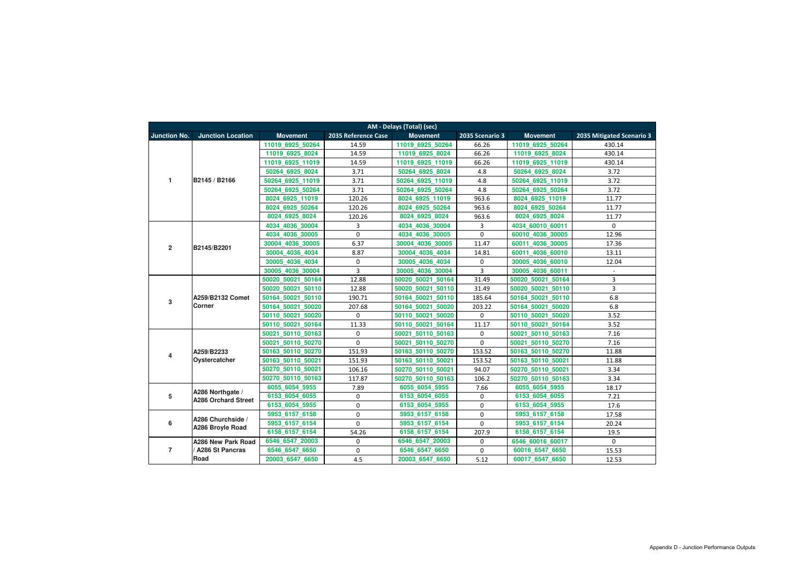|                         | AM - Delays (Total) (sec)         |                   |                     |                      |                  |                     |                           |  |  |  |  |
|-------------------------|-----------------------------------|-------------------|---------------------|----------------------|------------------|---------------------|---------------------------|--|--|--|--|
| <b>Junction No.</b>     | <b>Junction Location</b>          | <b>Movement</b>   | 2035 Reference Case | <b>Movement</b>      | 2035 Scenario 3  | <b>Movement</b>     | 2035 Mitigated Scenario 3 |  |  |  |  |
|                         |                                   | 11019 6925 50264  | 14.59               | 11019 6925 50264     | 66.26            | 11019 6925 50264    | 430.14                    |  |  |  |  |
|                         |                                   | 11019 6925 8024   | 14.59               | 11019 6925 8024      | 66.26            | 11019_6925_8024     | 430.14                    |  |  |  |  |
|                         |                                   | 11019 6925 11019  | 14.59               | 11019 6925 11019     | 66.26            | 11019 6925 11019    | 430.14                    |  |  |  |  |
|                         |                                   | 50264 6925 8024   | 3.71                | 50264 6925 8024      | 4.8              | 50264 6925 8024     | 3.72                      |  |  |  |  |
| $\mathbf{1}$            | B2145 / B2166                     | 50264 6925 11019  | 3.71                | 50264 6925 11019     | 4.8              | 50264 6925 11019    | 3.72                      |  |  |  |  |
|                         |                                   | 50264 6925 50264  | 3.71                | 50264 6925 50264     | 4.8              | 50264 6925 50264    | 3.72                      |  |  |  |  |
|                         |                                   | 8024 6925 11019   | 120.26              | 8024 6925 11019      | 963.6            | 8024 6925 11019     | 11.77                     |  |  |  |  |
|                         |                                   | 8024 6925 50264   | 120.26              | 8024 6925 50264      | 963.6            | 8024 6925 50264     | 11.77                     |  |  |  |  |
|                         |                                   | 8024 6925 8024    | 120.26              | 8024 6925 8024       | 963.6            | 8024 6925 8024      | 11.77                     |  |  |  |  |
|                         |                                   | 4034 4036 30004   | 3                   | 4034_4036_30004      | 3                | 4034 60010 60011    | $\Omega$                  |  |  |  |  |
|                         |                                   | 4034 4036 30005   | 0                   | 4034 4036 30005      | $\mathbf 0$      | 60010 4036 30005    | 12.96                     |  |  |  |  |
| $\overline{\mathbf{2}}$ | B2145/B2201                       | 30004 4036 30005  | 6.37                | 30004<br>4036 30005  | 11.47            | 4036 30005<br>60011 | 17.36                     |  |  |  |  |
|                         |                                   | 30004 4036 4034   | 8.87                | 30004 4036 4034      | 14.81            | 4036 60010<br>60011 | 13.11                     |  |  |  |  |
|                         |                                   | 30005 4036 4034   | 0                   | 30005 4036 4034      | $\boldsymbol{0}$ | 30005 4036 60010    | 12.04                     |  |  |  |  |
|                         |                                   | 30005 4036 30004  | 3                   | 30005 4036 30004     | $\overline{3}$   | 30005 4036 60011    | $\blacksquare$            |  |  |  |  |
|                         | A259/B2132 Comet<br><b>Corner</b> | 50020 50021 50164 | 12.88               | 50020 50021 50164    | 31.49            | 50020 50021 50164   | 3                         |  |  |  |  |
|                         |                                   | 50020 50021 50110 | 12.88               | 50020 50021 50110    | 31.49            | 50020 50021 50110   | 3                         |  |  |  |  |
| 3                       |                                   | 50164 50021 50110 | 190.71              | 50164 50021 50110    | 185.64           | 50164 50021 50110   | 6.8                       |  |  |  |  |
|                         |                                   | 50164 50021 50020 | 207.68              | 50164 50021 50020    | 203.22           | 50164_50021_50020   | 6.8                       |  |  |  |  |
|                         |                                   | 50110 50021 50020 | 0                   | 50110 50021 50020    | 0                | 50110 50021 50020   | 3.52                      |  |  |  |  |
|                         |                                   | 50110 50021 50164 | 11.33               | 50110 50021 50164    | 11.17            | 50110 50021 50164   | 3.52                      |  |  |  |  |
|                         |                                   | 50021 50110 50163 | 0                   | 50021 50110 50163    | 0                | 50021 50110 50163   | 7.16                      |  |  |  |  |
|                         |                                   | 50021 50110 50270 | $\mathbf 0$         | 50021<br>50110 50270 | $\mathbf 0$      | 50021 50110 50270   | 7.16                      |  |  |  |  |
| $\overline{\mathbf{4}}$ | A259/B2233                        | 50163 50110 50270 | 151.93              | 50163_50110_50270    | 153.52           | 50163_50110_50270   | 11.88                     |  |  |  |  |
|                         | Oystercatcher                     | 50163 50110 50021 | 151.93              | 50163_50110_50021    | 153.52           | 50163_50110_50021   | 11.88                     |  |  |  |  |
|                         |                                   | 50270_50110_50021 | 106.16              | 50270 50110 50021    | 94.07            | 50270 50110 50021   | 3.34                      |  |  |  |  |
|                         |                                   | 50270 50110 50163 | 117.87              | 50270 50110 50163    | 106.2            | 50270 50110 50163   | 3.34                      |  |  |  |  |
|                         | A286 Northgate /                  | 6055 6054 5955    | 7.89                | 6055 6054 5955       | 7.66             | 6055 6054 5955      | 18.17                     |  |  |  |  |
| $5\phantom{.0}$         | <b>A286 Orchard Street</b>        | 6153 6054 6055    | 0                   | 6153_6054_6055       | 0                | 6153 6054 6055      | 7.21                      |  |  |  |  |
|                         |                                   | 6153 6054 5955    | $\mathbf 0$         | 6153 6054 5955       | $\mathbf 0$      | 6153 6054 5955      | 17.6                      |  |  |  |  |
|                         | A286 Churchside /                 | 5953 6157 6158    | $\overline{0}$      | 5953 6157 6158       | $\mathbf 0$      | 5953 6157 6158      | 17.58                     |  |  |  |  |
| 6                       | A286 Broyle Road                  | 5953 6157 6154    | $\mathbf 0$         | 5953 6157 6154       | $\overline{0}$   | 5953 6157 6154      | 20.24                     |  |  |  |  |
|                         |                                   | 6158_6157_6154    | 54.26               | 6158_6157_6154       | 207.9            | 6158_6157_6154      | 19.5                      |  |  |  |  |
|                         | <b>A286 New Park Road</b>         | 6546 6547 20003   | 0                   | 6546 6547 20003      | 0                | 6546 60016 60017    | $\mathbf 0$               |  |  |  |  |
| $\overline{7}$          | <b>A286 St Pancras</b>            | 6546_6547_6650    | $\mathbf 0$         | 6546_6547_6650       | $\mathbf 0$      | 60016_6547_6650     | 15.53                     |  |  |  |  |
|                         | Road                              | 20003 6547 6650   | 4.5                 | 20003_6547_6650      | 5.12             | 60017_6547_6650     | 12.53                     |  |  |  |  |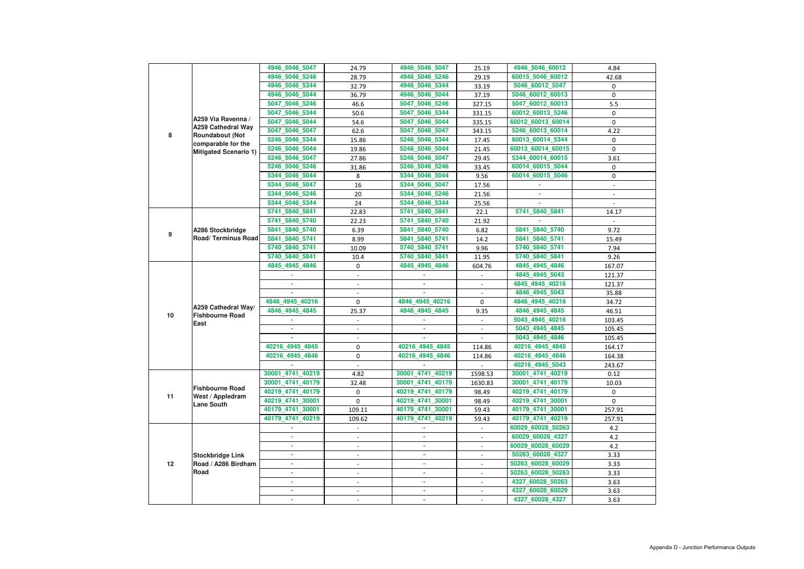|    |                                                                 | 4946 5046 5047   | 24.79                    | 4946_5046_5047   | 25.19                    | 4946_5046_60012   | 4.84                     |
|----|-----------------------------------------------------------------|------------------|--------------------------|------------------|--------------------------|-------------------|--------------------------|
|    |                                                                 | 4946 5046 5246   | 28.79                    | 4946_5046_5246   | 29.19                    | 60015_5046_60012  | 42.68                    |
|    |                                                                 | 4946_5046_5344   | 32.79                    | 4946_5046_5344   | 33.19                    | 5046_60012_5047   | 0                        |
|    |                                                                 | 4946_5046_5044   | 36.79                    | 4946_5046_5044   | 37.19                    | 5046_60012_60013  | 0                        |
|    |                                                                 | 5047_5046_5246   | 46.6                     | 5047_5046_5246   | 327.15                   | 5047_60012_60013  | 5.5                      |
|    |                                                                 | 5047_5046_5344   | 50.6                     | 5047_5046_5344   | 331.15                   | 60012_60013_5246  | 0                        |
|    | A259 Via Ravenna /                                              | 5047_5046_5044   | 54.6                     | 5047_5046_5044   | 335.15                   | 60012_60013_60014 | 0                        |
|    | A259 Cathedral Way                                              | 5047 5046 5047   | 62.6                     | 5047_5046_5047   | 343.15                   | 5246 60013 60014  | 4.22                     |
| 8  | <b>Roundabout (Not</b>                                          | 5246_5046_5344   | 15.86                    | 5246_5046_5344   | 17.45                    | 60013_60014_5344  | 0                        |
|    | comparable for the<br><b>Mitigated Scenario 1)</b>              | 5246_5046_5044   | 19.86                    | 5246_5046_5044   | 21.45                    | 60013_60014_60015 | $\mathbf 0$              |
|    |                                                                 | 5246_5046_5047   | 27.86                    | 5246_5046_5047   | 29.45                    | 5344 60014 60015  | 3.61                     |
|    |                                                                 | 5246_5046_5246   | 31.86                    | 5246_5046_5246   | 33.45                    | 60014_60015_5044  | 0                        |
|    |                                                                 | 5344_5046_5044   | 8                        | 5344_5046_5044   | 9.56                     | 60014_60015_5046  | $\pmb{0}$                |
|    |                                                                 | 5344_5046_5047   | 16                       | 5344_5046_5047   | 17.56                    |                   | $\overline{\phantom{a}}$ |
|    |                                                                 | 5344_5046_5246   | 20                       | 5344_5046_5246   | 21.56                    |                   |                          |
|    |                                                                 | 5344 5046 5344   | 24                       | 5344_5046_5344   | 25.56                    |                   |                          |
|    |                                                                 | 5741_5840_5841   | 22.83                    | 5741_5840_5841   | 22.1                     | 5741_5840_5841    | 14.17                    |
|    |                                                                 | 5741 5840 5740   | 22.23                    | 5741_5840_5740   | 21.92                    |                   | $\sim$                   |
|    | A286 Stockbridge                                                | 5841 5840 5740   | 6.39                     | 5841_5840_5740   | 6.82                     | 5841_5840_5740    | 9.72                     |
| 9  | Road/Terminus Road                                              | 5841 5840 5741   | 8.99                     | 5841_5840_5741   | 14.2                     | 5841_5840_5741    | 15.49                    |
|    |                                                                 | 5740 5840 5741   | 10.09                    | 5740_5840_5741   | 9.96                     | 5740_5840_5741    | 7.94                     |
|    | 5740 5840 5841                                                  | 10.4             | 5740_5840_5841           | 11.95            | 5740_5840_5841           | 9.26              |                          |
|    |                                                                 | 4845_4945_4846   | 0                        | 4845_4945_4846   | 604.76                   | 4845_4945_4846    | 167.07                   |
|    |                                                                 |                  |                          |                  |                          | 4845_4945_5043    | 121.37                   |
|    |                                                                 |                  |                          |                  | $\overline{a}$           | 4845_4945_40216   | 121.37                   |
|    |                                                                 |                  |                          |                  | $\overline{a}$           | 4846_4945_5043    | 35.88                    |
|    |                                                                 | 4846 4945 40216  | 0                        | 4846 4945 40216  | 0                        | 4846_4945_40216   | 34.72                    |
|    | A259 Cathedral Way/                                             | 4846_4945_4845   | 25.37                    | 4846_4945_4845   | 9.35                     | 4846_4945_4845    | 46.51                    |
| 10 | <b>Fishbourne Road</b>                                          |                  |                          |                  |                          | 5043_4945_40216   | 103.45                   |
|    | East                                                            |                  |                          |                  |                          | 5043_4945_4845    | 105.45                   |
|    |                                                                 |                  | $\overline{\phantom{a}}$ | ٠                |                          | 5043_4945_4846    | 105.45                   |
|    |                                                                 | 40216_4945_4845  | 0                        | 40216_4945_4845  | 114.86                   | 40216_4945_4845   | 164.17                   |
|    |                                                                 | 40216_4945_4846  | 0                        | 40216_4945_4846  | 114.86                   | 40216_4945_4846   | 164.38                   |
|    |                                                                 |                  |                          |                  |                          | 40216_4945_5043   | 243.67                   |
|    |                                                                 | 30001 4741 40219 | 4.82                     | 30001_4741_40219 | 1598.53                  | 30001_4741_40219  | 0.12                     |
|    | <b>Fishbourne Road</b><br>West / Appledram<br><b>Lane South</b> | 30001_4741_40179 | 32.48                    | 30001_4741_40179 | 1630.83                  | 30001_4741_40179  | 10.03                    |
|    |                                                                 | 40219_4741_40179 | $\mathbf 0$              | 40219_4741_40179 | 98.49                    | 40219_4741_40179  | 0                        |
| 11 |                                                                 | 40219_4741_30001 | 0                        | 40219_4741_30001 | 98.49                    | 40219_4741_30001  | $\mathbf 0$              |
|    |                                                                 | 40179_4741_30001 | 109.11                   | 40179_4741_30001 | 59.43                    | 40179_4741_30001  | 257.91                   |
|    |                                                                 | 40179_4741_40219 | 109.62                   | 40179_4741_40219 | 59.43                    | 40179_4741_40219  | 257.91                   |
|    |                                                                 |                  | $\blacksquare$           |                  | $\blacksquare$           | 60029_60028_50263 | 4.2                      |
|    |                                                                 | ×.               |                          | ٠                | $\overline{\phantom{a}}$ | 60029_60028_4327  | 4.2                      |
|    |                                                                 |                  |                          | ×.               | $\blacksquare$           | 60029_60028_60029 | 4.2                      |
|    | <b>Stockbridge Link</b>                                         |                  | $\overline{\phantom{a}}$ | ٠                | $\overline{\phantom{a}}$ | 50263_60028_4327  | 3.33                     |
| 12 | Road / A286 Birdham                                             | ٠                | $\blacksquare$           | ٠                | $\blacksquare$           | 50263_60028_60029 | 3.33                     |
|    | Road                                                            | ٠                |                          | ٠                | $\overline{\phantom{a}}$ | 50263_60028_50263 | 3.33                     |
|    |                                                                 |                  |                          | ٠                |                          | 4327_60028_50263  | 3.63                     |
|    |                                                                 |                  |                          |                  |                          | 4327_60028_60029  | 3.63                     |
|    |                                                                 |                  | $\blacksquare$           | ٠                | $\blacksquare$           | 4327_60028_4327   | 3.63                     |
|    |                                                                 |                  |                          |                  |                          |                   |                          |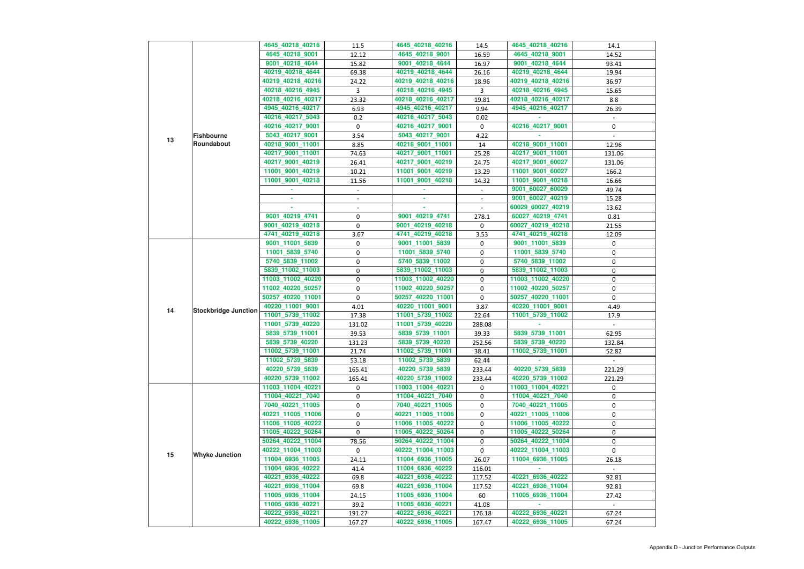|    |                             | 4645_40218_40216                     | 11.5   | 4645_40218_40216  | 14.5           | 4645_40218_40216                     | 14.1       |
|----|-----------------------------|--------------------------------------|--------|-------------------|----------------|--------------------------------------|------------|
|    |                             | 4645_40218_9001                      | 12.12  | 4645_40218_9001   | 16.59          | 4645_40218_9001                      | 14.52      |
|    |                             | 9001_40218_4644                      | 15.82  | 9001_40218_4644   | 16.97          | 9001_40218_4644                      | 93.41      |
|    |                             | 40219_40218_4644                     | 69.38  | 40219_40218_4644  | 26.16          | 40219_40218_4644                     | 19.94      |
|    |                             | 40219_40218_40216                    | 24.22  | 40219_40218_40216 | 18.96          | 40219_40218_40216                    | 36.97      |
|    |                             | 40218_40216_4945                     | 3      | 40218_40216_4945  | 3              | 40218_40216_4945                     | 15.65      |
|    |                             | 40218_40216_40217                    | 23.32  | 40218_40216_40217 | 19.81          | 40218_40216_40217                    | 8.8        |
|    |                             | 4945_40216_40217                     | 6.93   | 4945_40216_40217  | 9.94           | 4945_40216_40217                     | 26.39      |
|    |                             | 40216_40217_5043                     | 0.2    | 40216_40217_5043  | 0.02           |                                      |            |
|    |                             | 40216_40217_9001                     | 0      | 40216_40217_9001  | $\mathbf 0$    | 40216_40217_9001                     | 0          |
| 13 | <b>Fishbourne</b>           | 5043_40217_9001                      | 3.54   | 5043_40217_9001   | 4.22           |                                      |            |
|    | Roundabout                  | 40218_9001_11001                     | 8.85   | 40218_9001_11001  | 14             | 40218_9001_11001                     | 12.96      |
|    |                             | 40217 9001 11001                     | 74.63  | 40217_9001_11001  | 25.28          | 40217_9001_11001                     | 131.06     |
|    |                             | 40217_9001_40219                     | 26.41  | 40217_9001_40219  | 24.75          | 40217_9001_60027                     | 131.06     |
|    |                             | 11001 9001 40219                     | 10.21  | 11001_9001_40219  | 13.29          | 11001_9001_60027                     | 166.2      |
|    |                             | 11001_9001_40218                     | 11.56  | 11001_9001_40218  | 14.32          | 11001_9001_40218                     | 16.66      |
|    |                             |                                      |        |                   |                | 9001_60027_60029                     | 49.74      |
|    |                             |                                      |        | ×.                | $\blacksquare$ | 9001_60027_40219                     | 15.28      |
|    |                             |                                      |        |                   |                | 60029_60027_40219                    | 13.62      |
|    |                             | 9001_40219_4741                      | 0      | 9001_40219_4741   | 278.1          | 60027_40219_4741                     | 0.81       |
|    |                             | 9001_40219_40218                     | 0      | 9001_40219_40218  | 0              | 60027_40219_40218                    | 21.55      |
|    |                             | 4741_40219_40218                     | 3.67   | 4741 40219 40218  | 3.53           | 4741_40219_40218                     | 12.09      |
|    |                             | 9001_11001_5839                      | 0      | 9001_11001_5839   | 0              | 9001_11001_5839                      | 0          |
|    |                             | 11001_5839_5740                      | 0      | 11001_5839_5740   | 0              | 11001_5839_5740                      | 0          |
|    |                             | 5740_5839_11002                      | 0      | 5740_5839_11002   | 0              | 5740_5839_11002                      | $\pmb{0}$  |
|    |                             | 5839_11002_11003                     | 0      | 5839_11002_11003  | 0              | 5839_11002_11003                     | 0          |
|    |                             | 11003_11002_40220                    | 0      | 11003_11002_40220 | 0              | 11003_11002_40220                    | 0          |
|    |                             | 11002_40220_50257                    | 0      | 11002_40220_50257 | 0              | 11002_40220_50257                    | 0          |
|    |                             | 50257_40220_11001                    | 0      | 50257_40220_11001 | 0              | 50257_40220_11001                    | 0          |
|    |                             | 40220_11001_9001                     | 4.01   | 40220_11001_9001  | 3.87           | 40220 11001 9001                     | 4.49       |
| 14 | <b>Stockbridge Junction</b> | 11001_5739_11002                     | 17.38  | 11001_5739_11002  | 22.64          | 11001_5739_11002                     | 17.9       |
|    |                             | 11001_5739_40220                     | 131.02 | 11001_5739_40220  | 288.08         |                                      | $\sim$     |
|    |                             | 5839_5739_11001                      | 39.53  | 5839_5739_11001   | 39.33          | 5839_5739_11001                      | 62.95      |
|    |                             | 5839_5739_40220                      | 131.23 | 5839_5739_40220   | 252.56         | 5839_5739_40220                      | 132.84     |
|    |                             | 11002_5739_11001                     | 21.74  | 11002_5739_11001  | 38.41          | 11002_5739_11001                     | 52.82      |
|    |                             | 11002_5739_5839                      | 53.18  | 11002_5739_5839   | 62.44          |                                      | $\sim$ $-$ |
|    |                             | 40220_5739_5839                      | 165.41 | 40220_5739_5839   | 233.44         | 40220_5739_5839                      | 221.29     |
|    |                             | 40220 5739 11002                     | 165.41 | 40220_5739_11002  | 233.44         | 40220_5739_11002                     | 221.29     |
|    |                             | 11003_11004_40221                    | 0      | 11003_11004_40221 | $\mathbf{0}$   | 11003_11004_40221                    | 0          |
|    |                             | 11004_40221_7040                     | 0      | 11004_40221_7040  | 0              | 11004_40221_7040                     | 0          |
|    |                             | 7040_40221_11005                     | 0      | 7040_40221_11005  | 0              | 7040_40221_11005                     | 0          |
|    |                             | 40221_11005_11006                    | 0      | 40221_11005_11006 | 0              | 40221_11005_11006                    | 0          |
|    |                             | 11006_11005_40222                    | 0      | 11006_11005_40222 | 0              | 11006_11005_40222                    | 0          |
|    |                             | 11005_40222_50264                    | 0      | 11005_40222_50264 | 0              | 11005_40222_50264                    | 0          |
|    |                             | 50264_40222_11004                    | 78.56  | 50264_40222_11004 | 0              | 50264_40222_11004                    | 0          |
|    |                             | 40222_11004_11003                    | 0      | 40222_11004_11003 | $\mathbf{0}$   | 40222_11004_11003                    | 0          |
| 15 | <b>Whyke Junction</b>       | 11004_6936_11005                     | 24.11  | 11004_6936_11005  | 26.07          | 11004_6936_11005                     | 26.18      |
|    |                             | 11004_6936_40222                     | 41.4   | 11004_6936_40222  | 116.01         |                                      |            |
|    |                             | 40221_6936_40222                     |        | 40221_6936_40222  |                |                                      |            |
|    |                             |                                      | 69.8   | 40221_6936_11004  | 117.52         | 40221_6936_40222                     | 92.81      |
|    |                             | 40221_6936_11004<br>11005_6936_11004 | 69.8   | 11005_6936_11004  | 117.52         | 40221_6936_11004<br>11005_6936_11004 | 92.81      |
|    |                             |                                      | 24.15  |                   | 60             |                                      | 27.42      |
|    |                             | 11005_6936_40221                     | 39.2   | 11005_6936_40221  | 41.08          |                                      |            |
|    |                             | 40222_6936_40221                     | 191.27 | 40222_6936_40221  | 176.18         | 40222_6936_40221                     | 67.24      |
|    |                             | 40222_6936_11005                     | 167.27 | 40222_6936_11005  | 167.47         | 40222_6936_11005                     | 67.24      |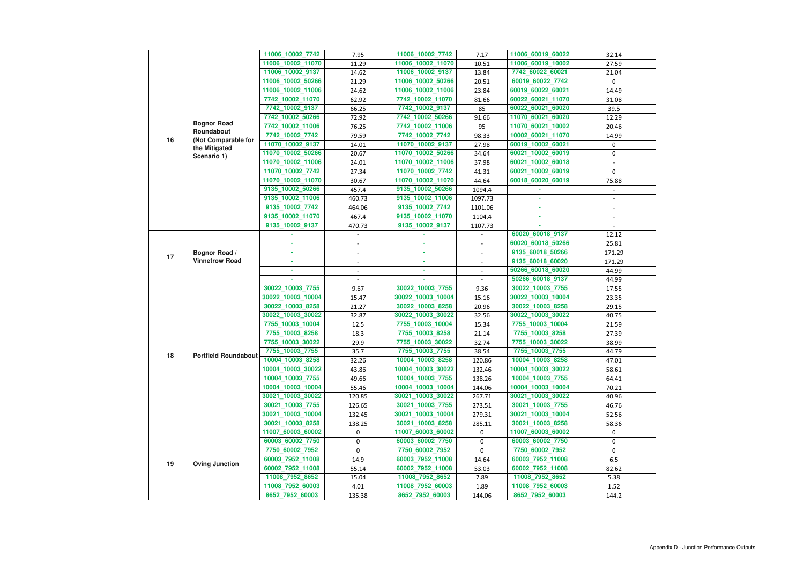|    |                             | 11006_10002_7742  | 7.95                     | 11006_10002_7742  | 7.17                     | 11006_60019_60022 | 32.14          |
|----|-----------------------------|-------------------|--------------------------|-------------------|--------------------------|-------------------|----------------|
|    |                             | 11006_10002_11070 | 11.29                    | 11006_10002_11070 | 10.51                    | 11006_60019_10002 | 27.59          |
|    |                             | 11006_10002_9137  | 14.62                    | 11006_10002_9137  | 13.84                    | 7742_60022_60021  | 21.04          |
|    |                             | 11006_10002_50266 | 21.29                    | 11006_10002_50266 | 20.51                    | 60019_60022_7742  | 0              |
|    |                             | 11006_10002_11006 | 24.62                    | 11006_10002_11006 | 23.84                    | 60019_60022_60021 | 14.49          |
|    |                             | 7742_10002_11070  | 62.92                    | 7742_10002_11070  | 81.66                    | 60022_60021_11070 | 31.08          |
|    |                             | 7742_10002_9137   | 66.25                    | 7742_10002_9137   | 85                       | 60022_60021_60020 | 39.5           |
|    |                             | 7742_10002_50266  | 72.92                    | 7742_10002_50266  | 91.66                    | 11070_60021_60020 | 12.29          |
|    | <b>Bognor Road</b>          | 7742_10002_11006  | 76.25                    | 7742_10002_11006  | 95                       | 11070_60021_10002 | 20.46          |
|    | Roundabout                  | 7742_10002_7742   | 79.59                    | 7742_10002_7742   | 98.33                    | 10002_60021_11070 | 14.99          |
| 16 | (Not Comparable for         | 11070_10002_9137  | 14.01                    | 11070_10002_9137  | 27.98                    | 60019_10002_60021 | 0              |
|    | the Mitigated               | 11070_10002_50266 | 20.67                    | 11070_10002_50266 | 34.64                    | 60021_10002_60019 | $\pmb{0}$      |
|    | Scenario 1)                 | 11070_10002_11006 | 24.01                    | 11070_10002_11006 | 37.98                    | 60021_10002_60018 |                |
|    |                             | 11070_10002_7742  | 27.34                    | 11070_10002_7742  | 41.31                    | 60021_10002_60019 | 0              |
|    |                             | 11070_10002_11070 | 30.67                    | 11070_10002_11070 | 44.64                    | 60018_60020_60019 | 75.88          |
|    |                             | 9135_10002_50266  | 457.4                    | 9135_10002_50266  | 1094.4                   |                   |                |
|    |                             | 9135_10002_11006  | 460.73                   | 9135_10002_11006  | 1097.73                  |                   |                |
|    |                             | 9135_10002_7742   | 464.06                   | 9135_10002_7742   | 1101.06                  |                   | $\blacksquare$ |
|    |                             | 9135_10002_11070  | 467.4                    | 9135_10002_11070  | 1104.4                   |                   |                |
|    |                             | 9135_10002_9137   | 470.73                   | 9135_10002_9137   | 1107.73                  |                   |                |
|    |                             |                   |                          |                   | $\overline{\phantom{a}}$ | 60020_60018_9137  | 12.12          |
| 17 | Bognor Road /               |                   | $\overline{\phantom{a}}$ |                   |                          | 60020_60018_50266 | 25.81          |
|    |                             | ×.                | $\blacksquare$           | ٠                 | $\blacksquare$           | 9135_60018_50266  | 171.29         |
|    | <b>Vinnetrow Road</b>       |                   |                          | ٠                 |                          | 9135_60018_60020  | 171.29         |
|    |                             | ×.                |                          | ×.                | $\overline{\phantom{a}}$ | 50266_60018_60020 | 44.99          |
|    |                             |                   |                          |                   |                          | 50266_60018_9137  | 44.99          |
|    | <b>Portfield Roundabout</b> | 30022_10003_7755  | 9.67                     | 30022_10003_7755  | 9.36                     | 30022_10003_7755  | 17.55          |
|    |                             | 30022_10003_10004 | 15.47                    | 30022_10003_10004 | 15.16                    | 30022_10003_10004 | 23.35          |
|    |                             | 30022_10003_8258  | 21.27                    | 30022_10003_8258  | 20.96                    | 30022_10003_8258  | 29.15          |
|    |                             | 30022_10003_30022 | 32.87                    | 30022_10003_30022 | 32.56                    | 30022_10003_30022 | 40.75          |
|    |                             | 7755_10003_10004  | 12.5                     | 7755_10003_10004  | 15.34                    | 7755_10003_10004  | 21.59          |
|    |                             | 7755_10003_8258   | 18.3                     | 7755_10003_8258   | 21.14                    | 7755_10003_8258   | 27.39          |
|    |                             | 7755_10003_30022  | 29.9                     | 7755_10003_30022  | 32.74                    | 7755_10003_30022  | 38.99          |
|    |                             | 7755_10003_7755   | 35.7                     | 7755_10003_7755   | 38.54                    | 7755_10003_7755   | 44.79          |
| 18 |                             | 10004_10003_8258  | 32.26                    | 10004_10003_8258  | 120.86                   | 10004_10003_8258  | 47.01          |
|    |                             | 10004_10003_30022 | 43.86                    | 10004_10003_30022 | 132.46                   | 10004_10003_30022 | 58.61          |
|    |                             | 10004_10003_7755  | 49.66                    | 10004_10003_7755  | 138.26                   | 10004_10003_7755  | 64.41          |
|    |                             | 10004_10003_10004 | 55.46                    | 10004_10003_10004 | 144.06                   | 10004_10003_10004 | 70.21          |
|    |                             | 30021_10003_30022 | 120.85                   | 30021_10003_30022 | 267.71                   | 30021_10003_30022 | 40.96          |
|    |                             | 30021_10003_7755  | 126.65                   | 30021_10003_7755  | 273.51                   | 30021_10003_7755  | 46.76          |
|    |                             | 30021_10003_10004 | 132.45                   | 30021_10003_10004 | 279.31                   | 30021_10003_10004 | 52.56          |
|    |                             | 30021_10003_8258  | 138.25                   | 30021_10003_8258  | 285.11                   | 30021_10003_8258  | 58.36          |
|    |                             | 11007_60003_60002 | 0                        | 11007_60003_60002 | 0                        | 11007_60003_60002 | 0              |
|    |                             | 60003_60002_7750  | 0                        | 60003_60002_7750  | 0                        | 60003_60002_7750  | 0              |
|    |                             | 7750_60002_7952   | 0                        | 7750_60002_7952   | 0                        | 7750_60002_7952   | 0              |
| 19 |                             | 60003_7952_11008  | 14.9                     | 60003_7952_11008  | 14.64                    | 60003_7952_11008  | 6.5            |
|    | <b>Oving Junction</b>       | 60002_7952_11008  | 55.14                    | 60002_7952_11008  | 53.03                    | 60002_7952_11008  | 82.62          |
|    |                             | 11008_7952_8652   | 15.04                    | 11008_7952_8652   | 7.89                     | 11008_7952_8652   | 5.38           |
|    |                             | 11008_7952_60003  | 4.01                     | 11008_7952_60003  | 1.89                     | 11008_7952_60003  | 1.52           |
|    |                             | 8652_7952_60003   | 135.38                   | 8652_7952_60003   | 144.06                   | 8652_7952_60003   | 144.2          |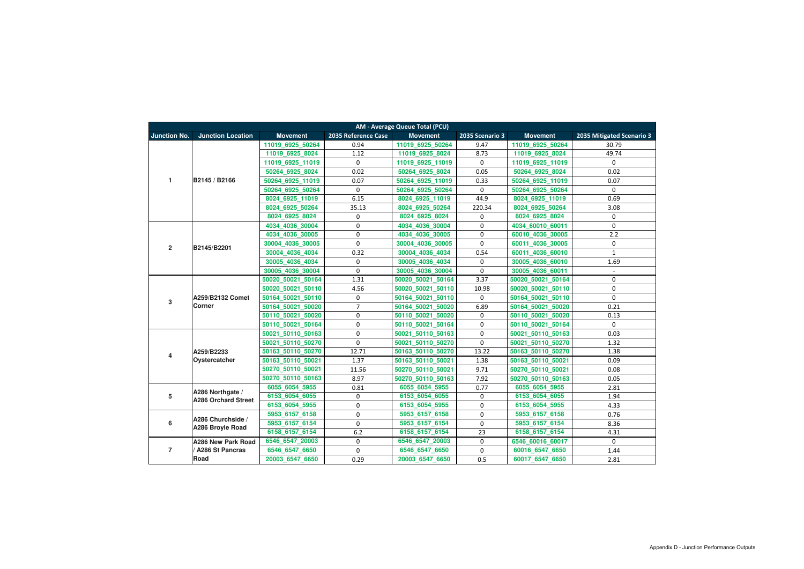| <b>AM - Average Queue Total (PCU)</b> |                                                |                   |                     |                   |                 |                     |                           |  |  |
|---------------------------------------|------------------------------------------------|-------------------|---------------------|-------------------|-----------------|---------------------|---------------------------|--|--|
| <b>Junction No.</b>                   | <b>Junction Location</b>                       | <b>Movement</b>   | 2035 Reference Case | <b>Movement</b>   | 2035 Scenario 3 | <b>Movement</b>     | 2035 Mitigated Scenario 3 |  |  |
|                                       |                                                | 11019 6925 50264  | 0.94                | 11019 6925 50264  | 9.47            | 11019 6925 50264    | 30.79                     |  |  |
|                                       |                                                | 11019 6925 8024   | 1.12                | 11019 6925 8024   | 8.73            | 11019 6925 8024     | 49.74                     |  |  |
|                                       |                                                | 11019 6925 11019  | $\mathbf 0$         | 11019 6925 11019  | 0               | 11019 6925 11019    | 0                         |  |  |
|                                       |                                                | 50264 6925 8024   | 0.02                | 50264 6925 8024   | 0.05            | 50264 6925 8024     | 0.02                      |  |  |
| 1                                     | B2145 / B2166                                  | 50264 6925 11019  | 0.07                | 50264 6925 11019  | 0.33            | 50264 6925 11019    | 0.07                      |  |  |
|                                       |                                                | 50264 6925 50264  | 0                   | 50264 6925 50264  | 0               | 50264 6925 50264    | $\mathbf 0$               |  |  |
|                                       |                                                | 8024 6925 11019   | 6.15                | 8024 6925 11019   | 44.9            | 8024 6925 11019     | 0.69                      |  |  |
|                                       |                                                | 8024 6925 50264   | 35.13               | 8024 6925 50264   | 220.34          | 8024 6925 50264     | 3.08                      |  |  |
|                                       |                                                | 8024 6925 8024    | 0                   | 8024 6925 8024    | 0               | 8024 6925 8024      | 0                         |  |  |
|                                       |                                                | 4034 4036 30004   | $\mathbf 0$         | 4034 4036 30004   | 0               | 4034 60010 60011    | $\mathbf 0$               |  |  |
|                                       |                                                | 4034 4036 30005   | $\mathbf 0$         | 4034 4036 30005   | $\mathbf 0$     | 60010 4036 30005    | 2.2                       |  |  |
|                                       | B2145/B2201                                    | 30004 4036 30005  | 0                   | 30004 4036 30005  | 0               | 4036 30005<br>60011 | 0                         |  |  |
| $\overline{2}$                        |                                                | 30004 4036 4034   | 0.32                | 30004 4036 4034   | 0.54            | 4036 60010<br>60011 | $\mathbf 1$               |  |  |
|                                       |                                                | 30005 4036 4034   | 0                   | 30005 4036 4034   | 0               | 30005 4036 60010    | 1.69                      |  |  |
|                                       |                                                | 30005 4036 30004  | $\mathbf 0$         | 30005 4036 30004  | 0               | 30005 4036 60011    | $\blacksquare$            |  |  |
| $\mathbf{3}$                          |                                                | 50020 50021 50164 | 1.31                | 50020 50021 50164 | 3.37            | 50020 50021 50164   | $\mathbf 0$               |  |  |
|                                       |                                                | 50020 50021 50110 | 4.56                | 50020 50021 50110 | 10.98           | 50020 50021 50110   | $\mathbf 0$               |  |  |
|                                       | A259/B2132 Comet                               | 50164 50021 50110 | 0                   | 50164 50021 50110 | 0               | 50164 50021 50110   | 0                         |  |  |
|                                       | Corner                                         | 50164 50021 50020 | $\overline{7}$      | 50164 50021 50020 | 6.89            | 50164_50021_50020   | 0.21                      |  |  |
|                                       |                                                | 50110 50021 50020 | 0                   | 50110 50021 50020 | $\mathbf 0$     | 50110_50021_50020   | 0.13                      |  |  |
|                                       |                                                | 50110 50021 50164 | 0                   | 50110 50021 50164 | 0               | 50110 50021 50164   | $\mathbf 0$               |  |  |
|                                       | A259/B2233<br>Oystercatcher                    | 50021 50110 50163 | 0                   | 50021 50110 50163 | 0               | 50021 50110 50163   | 0.03                      |  |  |
|                                       |                                                | 50021 50110 50270 | 0                   | 50021 50110 50270 | $\mathbf 0$     | 50021 50110 50270   | 1.32                      |  |  |
| 4                                     |                                                | 50163 50110 50270 | 12.71               | 50163_50110_50270 | 13.22           | 50163_50110_50270   | 1.38                      |  |  |
|                                       |                                                | 50163 50110 50021 | 1.37                | 50163_50110_50021 | 1.38            | 50163_50110_50021   | 0.09                      |  |  |
|                                       |                                                | 50270 50110 50021 | 11.56               | 50270 50110 50021 | 9.71            | 50270 50110 50021   | 0.08                      |  |  |
|                                       |                                                | 50270 50110 50163 | 8.97                | 50270 50110 50163 | 7.92            | 50270 50110 50163   | 0.05                      |  |  |
|                                       | A286 Northgate /<br><b>A286 Orchard Street</b> | 6055 6054 5955    | 0.81                | 6055_6054_5955    | 0.77            | 6055_6054_5955      | 2.81                      |  |  |
| 5                                     |                                                | 6153_6054_6055    | 0                   | 6153_6054_6055    | 0               | 6153_6054_6055      | 1.94                      |  |  |
|                                       |                                                | 6153 6054 5955    | 0                   | 6153_6054_5955    | $\mathbf 0$     | 6153_6054_5955      | 4.33                      |  |  |
|                                       | A286 Churchside /                              | 5953_6157_6158    | 0                   | 5953_6157_6158    | $\mathbf 0$     | 5953_6157_6158      | 0.76                      |  |  |
| $\boldsymbol{6}$                      | A286 Broyle Road                               | 5953 6157 6154    | 0                   | 5953 6157 6154    | $\mathbf 0$     | 5953 6157 6154      | 8.36                      |  |  |
|                                       |                                                | 6158_6157_6154    | 6.2                 | 6158_6157_6154    | 23              | 6158_6157_6154      | 4.31                      |  |  |
|                                       | A286 New Park Road                             | 6546 6547 20003   | $\mathbf 0$         | 6546 6547 20003   | $\mathbf 0$     | 6546 60016 60017    | $\mathbf 0$               |  |  |
| $\overline{7}$                        | <b>A286 St Pancras</b>                         | 6546_6547_6650    | 0                   | 6546_6547_6650    | 0               | 60016_6547_6650     | 1.44                      |  |  |
|                                       | Road                                           | 20003 6547 6650   | 0.29                | 20003_6547_6650   | 0.5             | 60017_6547_6650     | 2.81                      |  |  |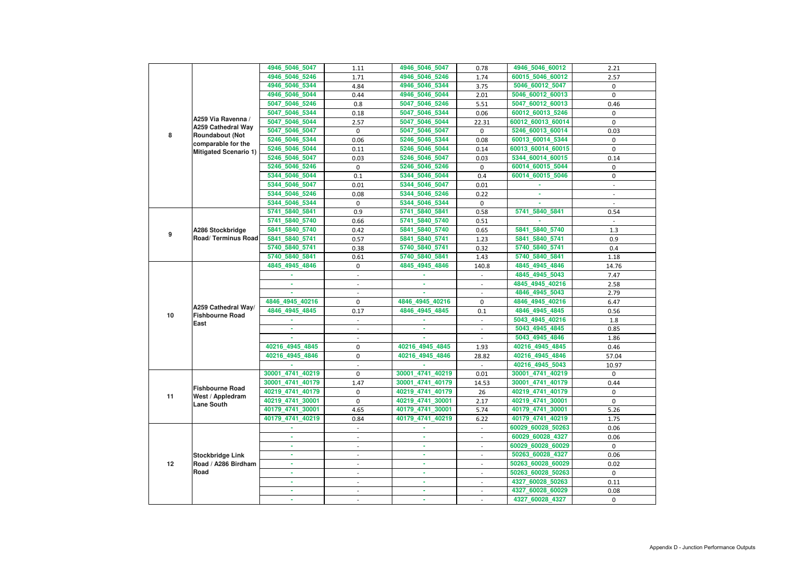|    |                                                                 | 4946_5046_5047   | 1.11                     | 4946_5046_5047   | 0.78                        | 4946_5046_60012   | 2.21                     |
|----|-----------------------------------------------------------------|------------------|--------------------------|------------------|-----------------------------|-------------------|--------------------------|
|    |                                                                 | 4946_5046_5246   | 1.71                     | 4946_5046_5246   | 1.74                        | 60015_5046_60012  | 2.57                     |
|    |                                                                 | 4946_5046_5344   | 4.84                     | 4946 5046 5344   | 3.75                        | 5046_60012_5047   | 0                        |
|    |                                                                 | 4946_5046_5044   | 0.44                     | 4946_5046_5044   | 2.01                        | 5046_60012_60013  | 0                        |
|    |                                                                 | 5047 5046 5246   | 0.8                      | 5047_5046_5246   | 5.51                        | 5047_60012_60013  | 0.46                     |
|    |                                                                 | 5047_5046_5344   | 0.18                     | 5047_5046_5344   | 0.06                        | 60012_60013_5246  | $\mathbf 0$              |
|    | A259 Via Ravenna /                                              | 5047_5046_5044   | 2.57                     | 5047_5046_5044   | 22.31                       | 60012_60013_60014 | 0                        |
|    | <b>A259 Cathedral Way</b>                                       | 5047_5046_5047   | 0                        | 5047 5046 5047   | 0                           | 5246_60013_60014  | 0.03                     |
| 8  | <b>Roundabout (Not</b><br>comparable for the                    | 5246_5046_5344   | 0.06                     | 5246_5046_5344   | 0.08                        | 60013_60014_5344  | 0                        |
|    | <b>Mitigated Scenario 1)</b>                                    | 5246 5046 5044   | 0.11                     | 5246_5046_5044   | 0.14                        | 60013_60014_60015 | 0                        |
|    |                                                                 | 5246_5046_5047   | 0.03                     | 5246 5046 5047   | 0.03                        | 5344_60014_60015  | 0.14                     |
|    |                                                                 | 5246_5046_5246   | 0                        | 5246_5046_5246   | 0                           | 60014_60015_5044  | 0                        |
|    |                                                                 | 5344_5046_5044   | 0.1                      | 5344_5046_5044   | 0.4                         | 60014_60015_5046  | 0                        |
|    |                                                                 | 5344_5046_5047   | 0.01                     | 5344_5046_5047   | 0.01                        |                   | $\overline{\phantom{a}}$ |
|    |                                                                 | 5344_5046_5246   | 0.08                     | 5344_5046_5246   | 0.22                        |                   |                          |
|    |                                                                 | 5344_5046_5344   | 0                        | 5344_5046_5344   | 0                           |                   |                          |
|    |                                                                 | 5741_5840_5841   | 0.9                      | 5741_5840_5841   | 0.58                        | 5741_5840_5841    | 0.54                     |
|    |                                                                 | 5741 5840 5740   | 0.66                     | 5741_5840_5740   | 0.51                        |                   | $\sim$                   |
|    | A286 Stockbridge                                                | 5841 5840 5740   | 0.42                     | 5841 5840 5740   | 0.65                        | 5841 5840 5740    | 1.3                      |
| 9  | <b>Road/ Terminus Road</b>                                      | 5841_5840_5741   | 0.57                     | 5841_5840_5741   | 1.23                        | 5841_5840_5741    | 0.9                      |
|    |                                                                 | 5740 5840 5741   | 0.38                     | 5740_5840_5741   | 0.32                        | 5740_5840_5741    | 0.4                      |
|    |                                                                 | 5740_5840_5841   | 0.61                     | 5740_5840_5841   | 1.43                        | 5740_5840_5841    | 1.18                     |
|    |                                                                 | 4845_4945_4846   | 0                        | 4845_4945_4846   | 140.8                       | 4845_4945_4846    | 14.76                    |
|    |                                                                 |                  |                          |                  | $\overline{\phantom{a}}$    | 4845_4945_5043    | 7.47                     |
|    |                                                                 |                  |                          |                  | $\overline{\phantom{a}}$    | 4845_4945_40216   | 2.58                     |
|    |                                                                 |                  |                          |                  |                             | 4846_4945_5043    | 2.79                     |
|    |                                                                 | 4846 4945 40216  | $\mathbf 0$              | 4846 4945 40216  | 0                           | 4846_4945_40216   | 6.47                     |
|    | A259 Cathedral Way/                                             | 4846_4945_4845   | 0.17                     | 4846_4945_4845   | 0.1                         | 4846_4945_4845    | 0.56                     |
| 10 | <b>Fishbourne Road</b><br>East                                  |                  |                          |                  | $\blacksquare$              | 5043_4945_40216   | 1.8                      |
|    |                                                                 |                  |                          |                  |                             | 5043_4945_4845    | 0.85                     |
|    |                                                                 |                  | $\overline{\phantom{a}}$ | ٠                | $\blacksquare$              | 5043 4945 4846    | 1.86                     |
|    |                                                                 | 40216_4945_4845  | 0                        | 40216_4945_4845  | 1.93                        | 40216_4945_4845   | 0.46                     |
|    |                                                                 | 40216_4945_4846  | 0                        | 40216_4945_4846  | 28.82                       | 40216_4945_4846   | 57.04                    |
|    |                                                                 |                  |                          |                  |                             | 40216_4945_5043   | 10.97                    |
|    |                                                                 | 30001_4741_40219 | 0                        | 30001_4741_40219 | 0.01                        | 30001_4741_40219  | 0                        |
|    | <b>Fishbourne Road</b><br>West / Appledram<br><b>Lane South</b> | 30001_4741_40179 | 1.47                     | 30001_4741_40179 | 14.53                       | 30001_4741_40179  | 0.44                     |
|    |                                                                 | 40219_4741_40179 | $\mathbf 0$              | 40219_4741_40179 | 26                          | 40219_4741_40179  | 0                        |
| 11 |                                                                 | 40219_4741_30001 | 0                        | 40219_4741_30001 | 2.17                        | 40219_4741_30001  | $\Omega$                 |
|    |                                                                 | 40179_4741_30001 | 4.65                     | 40179_4741_30001 | 5.74                        | 40179_4741_30001  | 5.26                     |
|    |                                                                 | 40179_4741_40219 | 0.84                     | 40179_4741_40219 | 6.22                        | 40179_4741_40219  | 1.75                     |
|    |                                                                 |                  | $\blacksquare$           |                  | $\mathcal{L}_{\mathcal{A}}$ | 60029_60028_50263 | 0.06                     |
|    |                                                                 | ×.               |                          | $\sim$           | $\overline{\phantom{0}}$    | 60029_60028_4327  | 0.06                     |
|    |                                                                 |                  | $\overline{\phantom{a}}$ | ×.               | $\overline{\phantom{0}}$    | 60029_60028_60029 | 0                        |
|    | <b>Stockbridge Link</b>                                         |                  | $\overline{\phantom{a}}$ | ٠                | $\overline{\phantom{a}}$    | 50263_60028_4327  | 0.06                     |
| 12 | Road / A286 Birdham                                             | ٠                | $\blacksquare$           | ٠                | $\sim$                      | 50263_60028_60029 | 0.02                     |
|    | Road                                                            | ٠                | $\blacksquare$           | ٠                | $\overline{\phantom{a}}$    | 50263_60028_50263 | 0                        |
|    |                                                                 |                  |                          | ٠                |                             | 4327_60028_50263  | 0.11                     |
|    |                                                                 |                  |                          |                  |                             | 4327_60028_60029  | 0.08                     |
|    |                                                                 |                  | $\overline{\phantom{a}}$ |                  | $\blacksquare$              | 4327_60028_4327   | 0                        |
|    |                                                                 |                  |                          |                  |                             |                   |                          |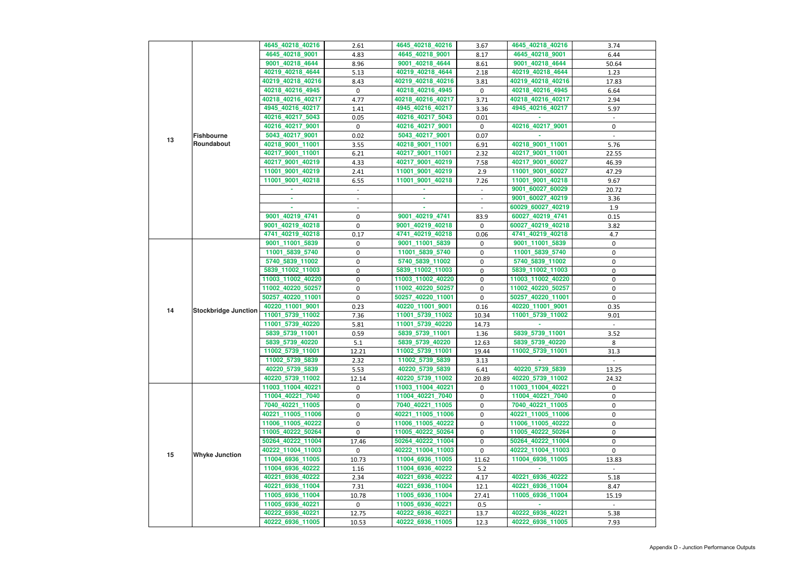|    |                             | 4645_40218_40216  | 2.61     | 4645_40218_40216  | 3.67                     | 4645_40218_40216  | 3.74   |
|----|-----------------------------|-------------------|----------|-------------------|--------------------------|-------------------|--------|
|    |                             | 4645_40218_9001   | 4.83     | 4645_40218_9001   | 8.17                     | 4645_40218_9001   | 6.44   |
|    |                             | 9001_40218_4644   | 8.96     | 9001_40218_4644   | 8.61                     | 9001_40218_4644   | 50.64  |
|    |                             | 40219_40218_4644  | 5.13     | 40219_40218_4644  | 2.18                     | 40219_40218_4644  | 1.23   |
|    |                             | 40219_40218_40216 | 8.43     | 40219_40218_40216 | 3.81                     | 40219_40218_40216 | 17.83  |
|    |                             | 40218_40216_4945  | 0        | 40218_40216_4945  | $\mathbf 0$              | 40218_40216_4945  | 6.64   |
|    |                             | 40218_40216_40217 | 4.77     | 40218_40216_40217 | 3.71                     | 40218_40216_40217 | 2.94   |
|    |                             | 4945_40216_40217  | 1.41     | 4945_40216_40217  | 3.36                     | 4945_40216_40217  | 5.97   |
|    |                             | 40216_40217_5043  | 0.05     | 40216_40217_5043  | 0.01                     |                   |        |
|    |                             | 40216_40217_9001  | 0        | 40216_40217_9001  | $\mathbf 0$              | 40216_40217_9001  | 0      |
|    | <b>Fishbourne</b>           | 5043_40217_9001   | 0.02     | 5043_40217_9001   | 0.07                     |                   |        |
| 13 | Roundabout                  | 40218_9001_11001  | 3.55     | 40218_9001_11001  | 6.91                     | 40218_9001_11001  | 5.76   |
|    |                             | 40217_9001_11001  | 6.21     | 40217_9001_11001  | 2.32                     | 40217_9001_11001  | 22.55  |
|    |                             | 40217_9001_40219  | 4.33     | 40217_9001_40219  | 7.58                     | 40217_9001_60027  | 46.39  |
|    |                             |                   |          |                   |                          |                   |        |
|    |                             | 11001_9001_40219  | 2.41     | 11001_9001_40219  | 2.9                      | 11001_9001_60027  | 47.29  |
|    |                             | 11001_9001_40218  | 6.55     | 11001_9001_40218  | 7.26                     | 11001_9001_40218  | 9.67   |
|    |                             |                   | $\equiv$ |                   | $\blacksquare$           | 9001_60027_60029  | 20.72  |
|    |                             |                   |          |                   | $\overline{\phantom{a}}$ | 9001_60027_40219  | 3.36   |
|    |                             | ×.                |          |                   |                          | 60029_60027_40219 | 1.9    |
|    |                             | 9001_40219_4741   | 0        | 9001_40219_4741   | 83.9                     | 60027_40219_4741  | 0.15   |
|    |                             | 9001_40219_40218  | 0        | 9001_40219_40218  | 0                        | 60027_40219_40218 | 3.82   |
|    |                             | 4741_40219_40218  | 0.17     | 4741_40219_40218  | 0.06                     | 4741_40219_40218  | 4.7    |
|    |                             | 9001_11001_5839   | 0        | 9001_11001_5839   | 0                        | 9001_11001_5839   | 0      |
|    |                             | 11001_5839_5740   | 0        | 11001_5839_5740   | 0                        | 11001_5839_5740   | 0      |
|    |                             | 5740_5839_11002   | 0        | 5740_5839_11002   | 0                        | 5740_5839_11002   | 0      |
|    |                             | 5839_11002_11003  | 0        | 5839_11002_11003  | 0                        | 5839_11002_11003  | 0      |
|    |                             | 11003_11002_40220 | 0        | 11003_11002_40220 | 0                        | 11003_11002_40220 | 0      |
|    |                             | 11002_40220_50257 | 0        | 11002_40220_50257 | 0                        | 11002_40220_50257 | 0      |
|    |                             | 50257_40220_11001 | 0        | 50257_40220_11001 | 0                        | 50257_40220_11001 | 0      |
|    |                             | 40220_11001_9001  | 0.23     | 40220_11001_9001  | 0.16                     | 40220_11001_9001  | 0.35   |
| 14 | <b>Stockbridge Junction</b> | 11001_5739_11002  | 7.36     | 11001_5739_11002  | 10.34                    | 11001_5739_11002  | 9.01   |
|    |                             | 11001_5739_40220  | 5.81     | 11001_5739_40220  | 14.73                    |                   | $\sim$ |
|    |                             | 5839_5739_11001   | 0.59     | 5839_5739_11001   | 1.36                     | 5839_5739_11001   | 3.52   |
|    |                             | 5839_5739_40220   | 5.1      | 5839_5739_40220   | 12.63                    | 5839_5739_40220   | 8      |
|    |                             |                   |          |                   |                          |                   |        |
|    |                             | 11002_5739_11001  | 12.21    | 11002_5739_11001  | 19.44                    | 11002_5739_11001  | 31.3   |
|    |                             | 11002_5739_5839   | 2.32     | 11002_5739_5839   | 3.13                     |                   | $\sim$ |
|    |                             | 40220_5739_5839   | 5.53     | 40220_5739_5839   | 6.41                     | 40220_5739_5839   | 13.25  |
|    |                             | 40220_5739_11002  | 12.14    | 40220_5739_11002  | 20.89                    | 40220_5739_11002  | 24.32  |
|    |                             | 11003_11004_40221 | 0        | 11003_11004_40221 | 0                        | 11003_11004_40221 | 0      |
|    |                             | 11004_40221_7040  | 0        | 11004_40221_7040  | 0                        | 11004_40221_7040  | 0      |
|    |                             | 7040_40221_11005  | 0        | 7040_40221_11005  | 0                        | 7040_40221_11005  | 0      |
|    |                             | 40221_11005_11006 | 0        | 40221_11005_11006 | 0                        | 40221_11005_11006 | 0      |
|    |                             | 11006_11005_40222 | 0        | 11006_11005_40222 | 0                        | 11006_11005_40222 | 0      |
|    |                             | 11005_40222_50264 | 0        | 11005_40222_50264 | 0                        | 11005_40222_50264 | 0      |
|    |                             | 50264_40222_11004 | 17.46    | 50264_40222_11004 | 0                        | 50264_40222_11004 | 0      |
| 15 | <b>Whyke Junction</b>       | 40222_11004_11003 | 0        | 40222_11004_11003 | 0                        | 40222_11004_11003 | 0      |
|    |                             | 11004_6936_11005  | 10.73    | 11004_6936_11005  | 11.62                    | 11004_6936_11005  | 13.83  |
|    |                             | 11004_6936_40222  | 1.16     | 11004_6936_40222  | 5.2                      |                   |        |
|    |                             | 40221_6936_40222  | 2.34     | 40221_6936_40222  | 4.17                     | 40221_6936_40222  | 5.18   |
|    |                             | 40221_6936_11004  | 7.31     | 40221_6936_11004  | 12.1                     | 40221_6936_11004  | 8.47   |
|    |                             | 11005_6936_11004  | 10.78    | 11005_6936_11004  | 27.41                    | 11005_6936_11004  | 15.19  |
|    |                             | 11005_6936_40221  | 0        | 11005_6936_40221  | 0.5                      |                   |        |
|    |                             | 40222_6936_40221  | 12.75    | 40222_6936_40221  | 13.7                     | 40222_6936_40221  | 5.38   |
|    |                             | 40222_6936_11005  | 10.53    | 40222_6936_11005  | 12.3                     | 40222_6936_11005  | 7.93   |
|    |                             |                   |          |                   |                          |                   |        |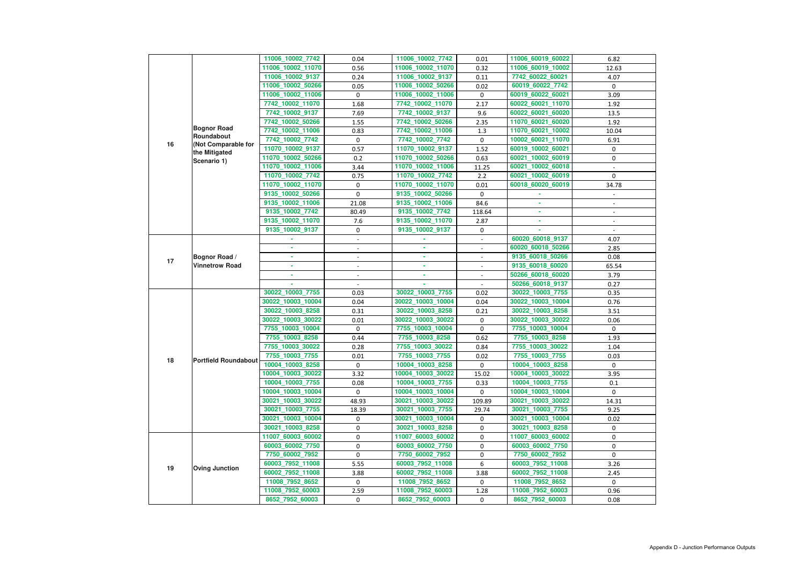| 11006_10002_7742<br>11006_60019_60022<br>0.04<br>11006_10002_7742<br>6.82<br>0.01<br>11006_10002_11070<br>11006_10002_11070<br>11006_60019_10002<br>0.56<br>0.32<br>12.63<br>11006_10002_9137<br>0.24<br>11006_10002_9137<br>7742_60022_60021<br>0.11<br>4.07<br>11006_10002_50266<br>11006_10002_50266<br>60019_60022_7742<br>0.05<br>0.02<br>0<br>11006_10002_11006<br>11006_10002_11006<br>60019_60022_60021<br>0<br>$\mathbf 0$<br>3.09<br>7742_10002_11070<br>7742_10002_11070<br>60022_60021_11070<br>1.68<br>2.17<br>1.92<br>7742_10002_9137<br>60022_60021_60020<br>7.69<br>7742_10002_9137<br>9.6<br>13.5<br>7742_10002_50266<br>11070_60021_60020<br>1.55<br>7742_10002_50266<br>1.92<br>2.35<br><b>Bognor Road</b><br>7742_10002_11006<br>11070_60021_10002<br>0.83<br>7742_10002_11006<br>1.3<br>10.04<br>Roundabout<br>7742_10002_7742<br>7742_10002_7742<br>$\mathbf 0$<br>10002_60021_11070<br>0<br>6.91<br>16<br>(Not Comparable for<br>11070_10002_9137<br>0.57<br>11070_10002_9137<br>1.52<br>60019_10002_60021<br>0<br>the Mitigated<br>60021_10002_60019<br>11070_10002_50266<br>0.2<br>11070_10002_50266<br>0.63<br>$\pmb{0}$<br>Scenario 1)<br>11070_10002_11006<br>60021_10002_60018<br>11070_10002_11006<br>3.44<br>11.25<br>11070_10002_7742<br>11070_10002_7742<br>60021_10002_60019<br>2.2<br>0<br>0.75<br>11070_10002_11070<br>11070_10002_11070<br>60018_60020_60019<br>0<br>0.01<br>34.78<br>0<br>9135_10002_50266<br>9135_10002_50266<br>0<br>9135_10002_11006<br>21.08<br>9135_10002_11006<br>84.6<br>9135_10002_7742<br>9135_10002_7742<br>80.49<br>118.64<br>$\overline{\phantom{a}}$<br>9135_10002_11070<br>9135_10002_11070<br>7.6<br>2.87<br>×.<br>9135_10002_9137<br>9135_10002_9137<br>0<br>0<br>60020_60018_9137<br>4.07<br>$\blacksquare$<br>60020_60018_50266<br>2.85<br>9135_60018_50266<br><b>Bognor Road /</b><br>0.08<br>٠<br>٠<br>$\blacksquare$<br>$\blacksquare$<br>17<br><b>Vinnetrow Road</b><br>9135_60018_60020<br>65.54<br>٠<br>٠<br>$\blacksquare$<br>50266_60018_60020<br>3.79<br>$\overline{\phantom{a}}$<br>0.27<br>50266_60018_9137<br>30022_10003_7755<br>30022_10003_7755<br>30022_10003_7755<br>0.03<br>0.02<br>0.35<br>30022_10003_10004<br>0.04<br>30022_10003_10004<br>0.04<br>30022_10003_10004<br>0.76<br>30022_10003_8258<br>30022_10003_8258<br>0.31<br>0.21<br>30022_10003_8258<br>3.51<br>30022_10003_30022<br>0.01<br>30022_10003_30022<br>0<br>30022_10003_30022<br>0.06<br>$\mathbf 0$<br>7755_10003_10004<br>0<br>7755_10003_10004<br>7755_10003_10004<br>0<br>7755_10003_8258<br>7755_10003_8258<br>0.62<br>7755_10003_8258<br>0.44<br>1.93<br>7755_10003_30022<br>7755_10003_30022<br>0.28<br>0.84<br>7755_10003_30022<br>1.04<br>7755_10003_7755<br>7755_10003_7755<br>7755_10003_7755<br>0.02<br>0.03<br>0.01<br>18<br><b>Portfield Roundabout</b><br>10004_10003_8258<br>0<br>10004_10003_8258<br>10004_10003_8258<br>0<br>$\Omega$<br>10004_10003_30022<br>10004_10003_30022<br>10004_10003_30022<br>3.95<br>3.32<br>15.02<br>10004_10003_7755<br>10004_10003_7755<br>0.08<br>0.33<br>10004_10003_7755<br>0.1<br>10004_10003_10004<br>10004_10003_10004<br>$\mathbf 0$<br>0<br>10004_10003_10004<br>$\mathbf{0}$<br>30021_10003_30022<br>30021_10003_30022<br>30021_10003_30022<br>48.93<br>109.89<br>14.31 |
|----------------------------------------------------------------------------------------------------------------------------------------------------------------------------------------------------------------------------------------------------------------------------------------------------------------------------------------------------------------------------------------------------------------------------------------------------------------------------------------------------------------------------------------------------------------------------------------------------------------------------------------------------------------------------------------------------------------------------------------------------------------------------------------------------------------------------------------------------------------------------------------------------------------------------------------------------------------------------------------------------------------------------------------------------------------------------------------------------------------------------------------------------------------------------------------------------------------------------------------------------------------------------------------------------------------------------------------------------------------------------------------------------------------------------------------------------------------------------------------------------------------------------------------------------------------------------------------------------------------------------------------------------------------------------------------------------------------------------------------------------------------------------------------------------------------------------------------------------------------------------------------------------------------------------------------------------------------------------------------------------------------------------------------------------------------------------------------------------------------------------------------------------------------------------------------------------------------------------------------------------------------------------------------------------------------------------------------------------------------------------------------------------------------------------------------------------------------------------------------------------------------------------------------------------------------------------------------------------------------------------------------------------------------------------------------------------------------------------------------------------------------------------------------------------------------------------------------------------------------------------------------------------------------------------------------------------------------------------------------------------------------------------------------------------------------------------------------------------------------------------------------------------------------------------------------------------------------------------------------------------------------------------------------------|
|                                                                                                                                                                                                                                                                                                                                                                                                                                                                                                                                                                                                                                                                                                                                                                                                                                                                                                                                                                                                                                                                                                                                                                                                                                                                                                                                                                                                                                                                                                                                                                                                                                                                                                                                                                                                                                                                                                                                                                                                                                                                                                                                                                                                                                                                                                                                                                                                                                                                                                                                                                                                                                                                                                                                                                                                                                                                                                                                                                                                                                                                                                                                                                                                                                                                                              |
|                                                                                                                                                                                                                                                                                                                                                                                                                                                                                                                                                                                                                                                                                                                                                                                                                                                                                                                                                                                                                                                                                                                                                                                                                                                                                                                                                                                                                                                                                                                                                                                                                                                                                                                                                                                                                                                                                                                                                                                                                                                                                                                                                                                                                                                                                                                                                                                                                                                                                                                                                                                                                                                                                                                                                                                                                                                                                                                                                                                                                                                                                                                                                                                                                                                                                              |
|                                                                                                                                                                                                                                                                                                                                                                                                                                                                                                                                                                                                                                                                                                                                                                                                                                                                                                                                                                                                                                                                                                                                                                                                                                                                                                                                                                                                                                                                                                                                                                                                                                                                                                                                                                                                                                                                                                                                                                                                                                                                                                                                                                                                                                                                                                                                                                                                                                                                                                                                                                                                                                                                                                                                                                                                                                                                                                                                                                                                                                                                                                                                                                                                                                                                                              |
|                                                                                                                                                                                                                                                                                                                                                                                                                                                                                                                                                                                                                                                                                                                                                                                                                                                                                                                                                                                                                                                                                                                                                                                                                                                                                                                                                                                                                                                                                                                                                                                                                                                                                                                                                                                                                                                                                                                                                                                                                                                                                                                                                                                                                                                                                                                                                                                                                                                                                                                                                                                                                                                                                                                                                                                                                                                                                                                                                                                                                                                                                                                                                                                                                                                                                              |
|                                                                                                                                                                                                                                                                                                                                                                                                                                                                                                                                                                                                                                                                                                                                                                                                                                                                                                                                                                                                                                                                                                                                                                                                                                                                                                                                                                                                                                                                                                                                                                                                                                                                                                                                                                                                                                                                                                                                                                                                                                                                                                                                                                                                                                                                                                                                                                                                                                                                                                                                                                                                                                                                                                                                                                                                                                                                                                                                                                                                                                                                                                                                                                                                                                                                                              |
|                                                                                                                                                                                                                                                                                                                                                                                                                                                                                                                                                                                                                                                                                                                                                                                                                                                                                                                                                                                                                                                                                                                                                                                                                                                                                                                                                                                                                                                                                                                                                                                                                                                                                                                                                                                                                                                                                                                                                                                                                                                                                                                                                                                                                                                                                                                                                                                                                                                                                                                                                                                                                                                                                                                                                                                                                                                                                                                                                                                                                                                                                                                                                                                                                                                                                              |
|                                                                                                                                                                                                                                                                                                                                                                                                                                                                                                                                                                                                                                                                                                                                                                                                                                                                                                                                                                                                                                                                                                                                                                                                                                                                                                                                                                                                                                                                                                                                                                                                                                                                                                                                                                                                                                                                                                                                                                                                                                                                                                                                                                                                                                                                                                                                                                                                                                                                                                                                                                                                                                                                                                                                                                                                                                                                                                                                                                                                                                                                                                                                                                                                                                                                                              |
|                                                                                                                                                                                                                                                                                                                                                                                                                                                                                                                                                                                                                                                                                                                                                                                                                                                                                                                                                                                                                                                                                                                                                                                                                                                                                                                                                                                                                                                                                                                                                                                                                                                                                                                                                                                                                                                                                                                                                                                                                                                                                                                                                                                                                                                                                                                                                                                                                                                                                                                                                                                                                                                                                                                                                                                                                                                                                                                                                                                                                                                                                                                                                                                                                                                                                              |
|                                                                                                                                                                                                                                                                                                                                                                                                                                                                                                                                                                                                                                                                                                                                                                                                                                                                                                                                                                                                                                                                                                                                                                                                                                                                                                                                                                                                                                                                                                                                                                                                                                                                                                                                                                                                                                                                                                                                                                                                                                                                                                                                                                                                                                                                                                                                                                                                                                                                                                                                                                                                                                                                                                                                                                                                                                                                                                                                                                                                                                                                                                                                                                                                                                                                                              |
|                                                                                                                                                                                                                                                                                                                                                                                                                                                                                                                                                                                                                                                                                                                                                                                                                                                                                                                                                                                                                                                                                                                                                                                                                                                                                                                                                                                                                                                                                                                                                                                                                                                                                                                                                                                                                                                                                                                                                                                                                                                                                                                                                                                                                                                                                                                                                                                                                                                                                                                                                                                                                                                                                                                                                                                                                                                                                                                                                                                                                                                                                                                                                                                                                                                                                              |
|                                                                                                                                                                                                                                                                                                                                                                                                                                                                                                                                                                                                                                                                                                                                                                                                                                                                                                                                                                                                                                                                                                                                                                                                                                                                                                                                                                                                                                                                                                                                                                                                                                                                                                                                                                                                                                                                                                                                                                                                                                                                                                                                                                                                                                                                                                                                                                                                                                                                                                                                                                                                                                                                                                                                                                                                                                                                                                                                                                                                                                                                                                                                                                                                                                                                                              |
|                                                                                                                                                                                                                                                                                                                                                                                                                                                                                                                                                                                                                                                                                                                                                                                                                                                                                                                                                                                                                                                                                                                                                                                                                                                                                                                                                                                                                                                                                                                                                                                                                                                                                                                                                                                                                                                                                                                                                                                                                                                                                                                                                                                                                                                                                                                                                                                                                                                                                                                                                                                                                                                                                                                                                                                                                                                                                                                                                                                                                                                                                                                                                                                                                                                                                              |
|                                                                                                                                                                                                                                                                                                                                                                                                                                                                                                                                                                                                                                                                                                                                                                                                                                                                                                                                                                                                                                                                                                                                                                                                                                                                                                                                                                                                                                                                                                                                                                                                                                                                                                                                                                                                                                                                                                                                                                                                                                                                                                                                                                                                                                                                                                                                                                                                                                                                                                                                                                                                                                                                                                                                                                                                                                                                                                                                                                                                                                                                                                                                                                                                                                                                                              |
|                                                                                                                                                                                                                                                                                                                                                                                                                                                                                                                                                                                                                                                                                                                                                                                                                                                                                                                                                                                                                                                                                                                                                                                                                                                                                                                                                                                                                                                                                                                                                                                                                                                                                                                                                                                                                                                                                                                                                                                                                                                                                                                                                                                                                                                                                                                                                                                                                                                                                                                                                                                                                                                                                                                                                                                                                                                                                                                                                                                                                                                                                                                                                                                                                                                                                              |
|                                                                                                                                                                                                                                                                                                                                                                                                                                                                                                                                                                                                                                                                                                                                                                                                                                                                                                                                                                                                                                                                                                                                                                                                                                                                                                                                                                                                                                                                                                                                                                                                                                                                                                                                                                                                                                                                                                                                                                                                                                                                                                                                                                                                                                                                                                                                                                                                                                                                                                                                                                                                                                                                                                                                                                                                                                                                                                                                                                                                                                                                                                                                                                                                                                                                                              |
|                                                                                                                                                                                                                                                                                                                                                                                                                                                                                                                                                                                                                                                                                                                                                                                                                                                                                                                                                                                                                                                                                                                                                                                                                                                                                                                                                                                                                                                                                                                                                                                                                                                                                                                                                                                                                                                                                                                                                                                                                                                                                                                                                                                                                                                                                                                                                                                                                                                                                                                                                                                                                                                                                                                                                                                                                                                                                                                                                                                                                                                                                                                                                                                                                                                                                              |
|                                                                                                                                                                                                                                                                                                                                                                                                                                                                                                                                                                                                                                                                                                                                                                                                                                                                                                                                                                                                                                                                                                                                                                                                                                                                                                                                                                                                                                                                                                                                                                                                                                                                                                                                                                                                                                                                                                                                                                                                                                                                                                                                                                                                                                                                                                                                                                                                                                                                                                                                                                                                                                                                                                                                                                                                                                                                                                                                                                                                                                                                                                                                                                                                                                                                                              |
|                                                                                                                                                                                                                                                                                                                                                                                                                                                                                                                                                                                                                                                                                                                                                                                                                                                                                                                                                                                                                                                                                                                                                                                                                                                                                                                                                                                                                                                                                                                                                                                                                                                                                                                                                                                                                                                                                                                                                                                                                                                                                                                                                                                                                                                                                                                                                                                                                                                                                                                                                                                                                                                                                                                                                                                                                                                                                                                                                                                                                                                                                                                                                                                                                                                                                              |
|                                                                                                                                                                                                                                                                                                                                                                                                                                                                                                                                                                                                                                                                                                                                                                                                                                                                                                                                                                                                                                                                                                                                                                                                                                                                                                                                                                                                                                                                                                                                                                                                                                                                                                                                                                                                                                                                                                                                                                                                                                                                                                                                                                                                                                                                                                                                                                                                                                                                                                                                                                                                                                                                                                                                                                                                                                                                                                                                                                                                                                                                                                                                                                                                                                                                                              |
|                                                                                                                                                                                                                                                                                                                                                                                                                                                                                                                                                                                                                                                                                                                                                                                                                                                                                                                                                                                                                                                                                                                                                                                                                                                                                                                                                                                                                                                                                                                                                                                                                                                                                                                                                                                                                                                                                                                                                                                                                                                                                                                                                                                                                                                                                                                                                                                                                                                                                                                                                                                                                                                                                                                                                                                                                                                                                                                                                                                                                                                                                                                                                                                                                                                                                              |
|                                                                                                                                                                                                                                                                                                                                                                                                                                                                                                                                                                                                                                                                                                                                                                                                                                                                                                                                                                                                                                                                                                                                                                                                                                                                                                                                                                                                                                                                                                                                                                                                                                                                                                                                                                                                                                                                                                                                                                                                                                                                                                                                                                                                                                                                                                                                                                                                                                                                                                                                                                                                                                                                                                                                                                                                                                                                                                                                                                                                                                                                                                                                                                                                                                                                                              |
|                                                                                                                                                                                                                                                                                                                                                                                                                                                                                                                                                                                                                                                                                                                                                                                                                                                                                                                                                                                                                                                                                                                                                                                                                                                                                                                                                                                                                                                                                                                                                                                                                                                                                                                                                                                                                                                                                                                                                                                                                                                                                                                                                                                                                                                                                                                                                                                                                                                                                                                                                                                                                                                                                                                                                                                                                                                                                                                                                                                                                                                                                                                                                                                                                                                                                              |
|                                                                                                                                                                                                                                                                                                                                                                                                                                                                                                                                                                                                                                                                                                                                                                                                                                                                                                                                                                                                                                                                                                                                                                                                                                                                                                                                                                                                                                                                                                                                                                                                                                                                                                                                                                                                                                                                                                                                                                                                                                                                                                                                                                                                                                                                                                                                                                                                                                                                                                                                                                                                                                                                                                                                                                                                                                                                                                                                                                                                                                                                                                                                                                                                                                                                                              |
|                                                                                                                                                                                                                                                                                                                                                                                                                                                                                                                                                                                                                                                                                                                                                                                                                                                                                                                                                                                                                                                                                                                                                                                                                                                                                                                                                                                                                                                                                                                                                                                                                                                                                                                                                                                                                                                                                                                                                                                                                                                                                                                                                                                                                                                                                                                                                                                                                                                                                                                                                                                                                                                                                                                                                                                                                                                                                                                                                                                                                                                                                                                                                                                                                                                                                              |
|                                                                                                                                                                                                                                                                                                                                                                                                                                                                                                                                                                                                                                                                                                                                                                                                                                                                                                                                                                                                                                                                                                                                                                                                                                                                                                                                                                                                                                                                                                                                                                                                                                                                                                                                                                                                                                                                                                                                                                                                                                                                                                                                                                                                                                                                                                                                                                                                                                                                                                                                                                                                                                                                                                                                                                                                                                                                                                                                                                                                                                                                                                                                                                                                                                                                                              |
|                                                                                                                                                                                                                                                                                                                                                                                                                                                                                                                                                                                                                                                                                                                                                                                                                                                                                                                                                                                                                                                                                                                                                                                                                                                                                                                                                                                                                                                                                                                                                                                                                                                                                                                                                                                                                                                                                                                                                                                                                                                                                                                                                                                                                                                                                                                                                                                                                                                                                                                                                                                                                                                                                                                                                                                                                                                                                                                                                                                                                                                                                                                                                                                                                                                                                              |
|                                                                                                                                                                                                                                                                                                                                                                                                                                                                                                                                                                                                                                                                                                                                                                                                                                                                                                                                                                                                                                                                                                                                                                                                                                                                                                                                                                                                                                                                                                                                                                                                                                                                                                                                                                                                                                                                                                                                                                                                                                                                                                                                                                                                                                                                                                                                                                                                                                                                                                                                                                                                                                                                                                                                                                                                                                                                                                                                                                                                                                                                                                                                                                                                                                                                                              |
|                                                                                                                                                                                                                                                                                                                                                                                                                                                                                                                                                                                                                                                                                                                                                                                                                                                                                                                                                                                                                                                                                                                                                                                                                                                                                                                                                                                                                                                                                                                                                                                                                                                                                                                                                                                                                                                                                                                                                                                                                                                                                                                                                                                                                                                                                                                                                                                                                                                                                                                                                                                                                                                                                                                                                                                                                                                                                                                                                                                                                                                                                                                                                                                                                                                                                              |
|                                                                                                                                                                                                                                                                                                                                                                                                                                                                                                                                                                                                                                                                                                                                                                                                                                                                                                                                                                                                                                                                                                                                                                                                                                                                                                                                                                                                                                                                                                                                                                                                                                                                                                                                                                                                                                                                                                                                                                                                                                                                                                                                                                                                                                                                                                                                                                                                                                                                                                                                                                                                                                                                                                                                                                                                                                                                                                                                                                                                                                                                                                                                                                                                                                                                                              |
|                                                                                                                                                                                                                                                                                                                                                                                                                                                                                                                                                                                                                                                                                                                                                                                                                                                                                                                                                                                                                                                                                                                                                                                                                                                                                                                                                                                                                                                                                                                                                                                                                                                                                                                                                                                                                                                                                                                                                                                                                                                                                                                                                                                                                                                                                                                                                                                                                                                                                                                                                                                                                                                                                                                                                                                                                                                                                                                                                                                                                                                                                                                                                                                                                                                                                              |
|                                                                                                                                                                                                                                                                                                                                                                                                                                                                                                                                                                                                                                                                                                                                                                                                                                                                                                                                                                                                                                                                                                                                                                                                                                                                                                                                                                                                                                                                                                                                                                                                                                                                                                                                                                                                                                                                                                                                                                                                                                                                                                                                                                                                                                                                                                                                                                                                                                                                                                                                                                                                                                                                                                                                                                                                                                                                                                                                                                                                                                                                                                                                                                                                                                                                                              |
|                                                                                                                                                                                                                                                                                                                                                                                                                                                                                                                                                                                                                                                                                                                                                                                                                                                                                                                                                                                                                                                                                                                                                                                                                                                                                                                                                                                                                                                                                                                                                                                                                                                                                                                                                                                                                                                                                                                                                                                                                                                                                                                                                                                                                                                                                                                                                                                                                                                                                                                                                                                                                                                                                                                                                                                                                                                                                                                                                                                                                                                                                                                                                                                                                                                                                              |
|                                                                                                                                                                                                                                                                                                                                                                                                                                                                                                                                                                                                                                                                                                                                                                                                                                                                                                                                                                                                                                                                                                                                                                                                                                                                                                                                                                                                                                                                                                                                                                                                                                                                                                                                                                                                                                                                                                                                                                                                                                                                                                                                                                                                                                                                                                                                                                                                                                                                                                                                                                                                                                                                                                                                                                                                                                                                                                                                                                                                                                                                                                                                                                                                                                                                                              |
|                                                                                                                                                                                                                                                                                                                                                                                                                                                                                                                                                                                                                                                                                                                                                                                                                                                                                                                                                                                                                                                                                                                                                                                                                                                                                                                                                                                                                                                                                                                                                                                                                                                                                                                                                                                                                                                                                                                                                                                                                                                                                                                                                                                                                                                                                                                                                                                                                                                                                                                                                                                                                                                                                                                                                                                                                                                                                                                                                                                                                                                                                                                                                                                                                                                                                              |
|                                                                                                                                                                                                                                                                                                                                                                                                                                                                                                                                                                                                                                                                                                                                                                                                                                                                                                                                                                                                                                                                                                                                                                                                                                                                                                                                                                                                                                                                                                                                                                                                                                                                                                                                                                                                                                                                                                                                                                                                                                                                                                                                                                                                                                                                                                                                                                                                                                                                                                                                                                                                                                                                                                                                                                                                                                                                                                                                                                                                                                                                                                                                                                                                                                                                                              |
|                                                                                                                                                                                                                                                                                                                                                                                                                                                                                                                                                                                                                                                                                                                                                                                                                                                                                                                                                                                                                                                                                                                                                                                                                                                                                                                                                                                                                                                                                                                                                                                                                                                                                                                                                                                                                                                                                                                                                                                                                                                                                                                                                                                                                                                                                                                                                                                                                                                                                                                                                                                                                                                                                                                                                                                                                                                                                                                                                                                                                                                                                                                                                                                                                                                                                              |
|                                                                                                                                                                                                                                                                                                                                                                                                                                                                                                                                                                                                                                                                                                                                                                                                                                                                                                                                                                                                                                                                                                                                                                                                                                                                                                                                                                                                                                                                                                                                                                                                                                                                                                                                                                                                                                                                                                                                                                                                                                                                                                                                                                                                                                                                                                                                                                                                                                                                                                                                                                                                                                                                                                                                                                                                                                                                                                                                                                                                                                                                                                                                                                                                                                                                                              |
|                                                                                                                                                                                                                                                                                                                                                                                                                                                                                                                                                                                                                                                                                                                                                                                                                                                                                                                                                                                                                                                                                                                                                                                                                                                                                                                                                                                                                                                                                                                                                                                                                                                                                                                                                                                                                                                                                                                                                                                                                                                                                                                                                                                                                                                                                                                                                                                                                                                                                                                                                                                                                                                                                                                                                                                                                                                                                                                                                                                                                                                                                                                                                                                                                                                                                              |
| 30021_10003_7755<br>30021_10003_7755<br>30021_10003_7755<br>18.39<br>29.74<br>9.25                                                                                                                                                                                                                                                                                                                                                                                                                                                                                                                                                                                                                                                                                                                                                                                                                                                                                                                                                                                                                                                                                                                                                                                                                                                                                                                                                                                                                                                                                                                                                                                                                                                                                                                                                                                                                                                                                                                                                                                                                                                                                                                                                                                                                                                                                                                                                                                                                                                                                                                                                                                                                                                                                                                                                                                                                                                                                                                                                                                                                                                                                                                                                                                                           |
| 30021_10003_10004<br>30021_10003_10004<br>$\mathbf 0$<br>30021_10003_10004<br>0.02<br>0                                                                                                                                                                                                                                                                                                                                                                                                                                                                                                                                                                                                                                                                                                                                                                                                                                                                                                                                                                                                                                                                                                                                                                                                                                                                                                                                                                                                                                                                                                                                                                                                                                                                                                                                                                                                                                                                                                                                                                                                                                                                                                                                                                                                                                                                                                                                                                                                                                                                                                                                                                                                                                                                                                                                                                                                                                                                                                                                                                                                                                                                                                                                                                                                      |
| 30021_10003_8258<br>30021_10003_8258<br>30021_10003_8258<br>0<br>0<br>0                                                                                                                                                                                                                                                                                                                                                                                                                                                                                                                                                                                                                                                                                                                                                                                                                                                                                                                                                                                                                                                                                                                                                                                                                                                                                                                                                                                                                                                                                                                                                                                                                                                                                                                                                                                                                                                                                                                                                                                                                                                                                                                                                                                                                                                                                                                                                                                                                                                                                                                                                                                                                                                                                                                                                                                                                                                                                                                                                                                                                                                                                                                                                                                                                      |
| 11007_60003_60002<br>0<br>11007_60003_60002<br>0<br>11007_60003_60002<br>0                                                                                                                                                                                                                                                                                                                                                                                                                                                                                                                                                                                                                                                                                                                                                                                                                                                                                                                                                                                                                                                                                                                                                                                                                                                                                                                                                                                                                                                                                                                                                                                                                                                                                                                                                                                                                                                                                                                                                                                                                                                                                                                                                                                                                                                                                                                                                                                                                                                                                                                                                                                                                                                                                                                                                                                                                                                                                                                                                                                                                                                                                                                                                                                                                   |
| 0<br>60003_60002_7750<br>60003_60002_7750<br>0<br>60003_60002_7750<br>0                                                                                                                                                                                                                                                                                                                                                                                                                                                                                                                                                                                                                                                                                                                                                                                                                                                                                                                                                                                                                                                                                                                                                                                                                                                                                                                                                                                                                                                                                                                                                                                                                                                                                                                                                                                                                                                                                                                                                                                                                                                                                                                                                                                                                                                                                                                                                                                                                                                                                                                                                                                                                                                                                                                                                                                                                                                                                                                                                                                                                                                                                                                                                                                                                      |
| 7750_60002_7952<br>0<br>7750_60002_7952<br>7750_60002_7952<br>0<br>0                                                                                                                                                                                                                                                                                                                                                                                                                                                                                                                                                                                                                                                                                                                                                                                                                                                                                                                                                                                                                                                                                                                                                                                                                                                                                                                                                                                                                                                                                                                                                                                                                                                                                                                                                                                                                                                                                                                                                                                                                                                                                                                                                                                                                                                                                                                                                                                                                                                                                                                                                                                                                                                                                                                                                                                                                                                                                                                                                                                                                                                                                                                                                                                                                         |
| 60003_7952_11008<br>6<br>60003_7952_11008<br>60003_7952_11008<br>5.55<br>3.26                                                                                                                                                                                                                                                                                                                                                                                                                                                                                                                                                                                                                                                                                                                                                                                                                                                                                                                                                                                                                                                                                                                                                                                                                                                                                                                                                                                                                                                                                                                                                                                                                                                                                                                                                                                                                                                                                                                                                                                                                                                                                                                                                                                                                                                                                                                                                                                                                                                                                                                                                                                                                                                                                                                                                                                                                                                                                                                                                                                                                                                                                                                                                                                                                |
| 19<br><b>Oving Junction</b><br>60002_7952_11008<br>3.88<br>60002_7952_11008<br>3.88<br>60002_7952_11008<br>2.45                                                                                                                                                                                                                                                                                                                                                                                                                                                                                                                                                                                                                                                                                                                                                                                                                                                                                                                                                                                                                                                                                                                                                                                                                                                                                                                                                                                                                                                                                                                                                                                                                                                                                                                                                                                                                                                                                                                                                                                                                                                                                                                                                                                                                                                                                                                                                                                                                                                                                                                                                                                                                                                                                                                                                                                                                                                                                                                                                                                                                                                                                                                                                                              |
| 11008_7952_8652<br>11008_7952_8652<br>0<br>11008_7952_8652<br>0<br>$\Omega$                                                                                                                                                                                                                                                                                                                                                                                                                                                                                                                                                                                                                                                                                                                                                                                                                                                                                                                                                                                                                                                                                                                                                                                                                                                                                                                                                                                                                                                                                                                                                                                                                                                                                                                                                                                                                                                                                                                                                                                                                                                                                                                                                                                                                                                                                                                                                                                                                                                                                                                                                                                                                                                                                                                                                                                                                                                                                                                                                                                                                                                                                                                                                                                                                  |
| 11008_7952_60003<br>2.59<br>11008_7952_60003<br>1.28<br>11008_7952_60003<br>0.96                                                                                                                                                                                                                                                                                                                                                                                                                                                                                                                                                                                                                                                                                                                                                                                                                                                                                                                                                                                                                                                                                                                                                                                                                                                                                                                                                                                                                                                                                                                                                                                                                                                                                                                                                                                                                                                                                                                                                                                                                                                                                                                                                                                                                                                                                                                                                                                                                                                                                                                                                                                                                                                                                                                                                                                                                                                                                                                                                                                                                                                                                                                                                                                                             |
|                                                                                                                                                                                                                                                                                                                                                                                                                                                                                                                                                                                                                                                                                                                                                                                                                                                                                                                                                                                                                                                                                                                                                                                                                                                                                                                                                                                                                                                                                                                                                                                                                                                                                                                                                                                                                                                                                                                                                                                                                                                                                                                                                                                                                                                                                                                                                                                                                                                                                                                                                                                                                                                                                                                                                                                                                                                                                                                                                                                                                                                                                                                                                                                                                                                                                              |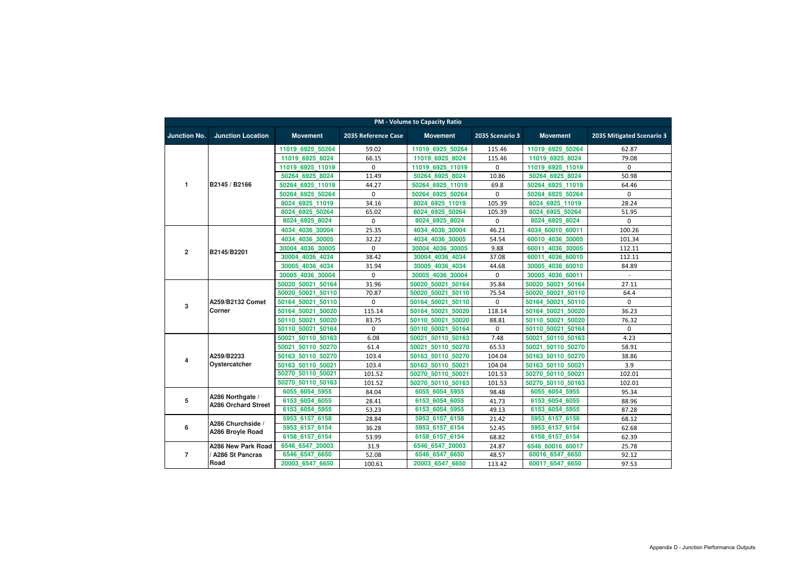|                     | <b>PM - Volume to Capacity Ratio</b>           |                   |                     |                   |                  |                     |                           |  |  |  |
|---------------------|------------------------------------------------|-------------------|---------------------|-------------------|------------------|---------------------|---------------------------|--|--|--|
| <b>Junction No.</b> | <b>Junction Location</b>                       | <b>Movement</b>   | 2035 Reference Case | <b>Movement</b>   | 2035 Scenario 3  | <b>Movement</b>     | 2035 Mitigated Scenario 3 |  |  |  |
|                     |                                                | 11019 6925 50264  | 59.02               | 11019 6925 50264  | 115.46           | 11019 6925 50264    | 62.87                     |  |  |  |
|                     |                                                | 11019 6925 8024   | 66.15               | 11019 6925 8024   | 115.46           | 11019 6925 8024     | 79.08                     |  |  |  |
|                     |                                                | 11019 6925 11019  | 0                   | 11019 6925 11019  | 0                | 11019 6925 11019    | $\mathbf{0}$              |  |  |  |
|                     |                                                | 50264 6925 8024   | 11.49               | 50264 6925 8024   | 10.86            | 50264 6925 8024     | 50.98                     |  |  |  |
| $\mathbf{1}$        | B2145 / B2166                                  | 50264 6925 11019  | 44.27               | 50264 6925 11019  | 69.8             | 50264 6925 11019    | 64.46                     |  |  |  |
|                     |                                                | 50264 6925 50264  | 0                   | 50264 6925 50264  | $\boldsymbol{0}$ | 50264 6925 50264    | $\mathbf 0$               |  |  |  |
|                     |                                                | 8024 6925 11019   | 34.16               | 8024 6925 11019   | 105.39           | 8024 6925 11019     | 28.24                     |  |  |  |
|                     |                                                | 8024 6925 50264   | 65.02               | 8024 6925 50264   | 105.39           | 8024 6925 50264     | 51.95                     |  |  |  |
|                     |                                                | 8024 6925 8024    | 0                   | 8024 6925 8024    | $\pmb{0}$        | 8024 6925 8024      | 0                         |  |  |  |
|                     |                                                | 4034_4036_30004   | 25.35               | 4034_4036_30004   | 46.21            | 4034 60010 60011    | 100.26                    |  |  |  |
|                     |                                                | 4034 4036 30005   | 32.22               | 4034 4036 30005   | 54.54            | 60010 4036 30005    | 101.34                    |  |  |  |
|                     |                                                | 30004 4036 30005  | 0                   | 30004 4036 30005  | 9.88             | 60011 4036 30005    | 112.11                    |  |  |  |
| $\overline{2}$      | B2145/B2201                                    | 30004 4036 4034   | 38.42               | 30004 4036 4034   | 37.08            | 4036 60010<br>60011 | 112.11                    |  |  |  |
|                     |                                                | 30005 4036 4034   | 31.94               | 30005 4036 4034   | 44.68            | 30005 4036 60010    | 84.89                     |  |  |  |
|                     |                                                | 30005 4036 30004  | $\Omega$            | 30005 4036 30004  | 0                | 30005 4036 60011    | $\sim$                    |  |  |  |
|                     |                                                | 50020 50021 50164 | 31.96               | 50020 50021 50164 | 35.84            | 50020 50021 50164   | 27.11                     |  |  |  |
|                     |                                                | 50020 50021 50110 | 70.87               | 50020 50021 50110 | 75.54            | 50020 50021 50110   | 64.4                      |  |  |  |
| $\mathbf{3}$        | A259/B2132 Comet                               | 50164 50021 50110 | 0                   | 50164 50021 50110 | $\pmb{0}$        | 50164 50021 50110   | $\Omega$                  |  |  |  |
|                     | Corner                                         | 50164 50021 50020 | 115.14              | 50164 50021 50020 | 118.14           | 50164 50021 50020   | 36.23                     |  |  |  |
|                     |                                                | 50110 50021 50020 | 83.75               | 50110 50021 50020 | 88.81            | 50110 50021 50020   | 76.32                     |  |  |  |
|                     |                                                | 50110 50021 50164 | $\mathbf 0$         | 50110 50021 50164 | $\mathbf 0$      | 50110 50021 50164   | 0                         |  |  |  |
|                     |                                                | 50021 50110 50163 | 6.08                | 50021 50110 50163 | 7.48             | 50021 50110 50163   | 4.23                      |  |  |  |
|                     | A259/B2233<br>Oystercatcher                    | 50021 50110 50270 | 61.4                | 50021 50110 50270 | 65.53            | 50021 50110 50270   | 58.91                     |  |  |  |
|                     |                                                | 50163 50110 50270 | 103.4               | 50163 50110 50270 | 104.04           | 50163 50110 50270   | 38.86                     |  |  |  |
| 4                   |                                                | 50163 50110 50021 | 103.4               | 50163 50110 50021 | 104.04           | 50163 50110 50021   | 3.9                       |  |  |  |
|                     |                                                | 50270 50110 50021 | 101.52              | 50270 50110 50021 | 101.53           | 50270 50110 50021   | 102.01                    |  |  |  |
|                     |                                                | 50270 50110 50163 | 101.52              | 50270 50110 50163 | 101.53           | 50270 50110 50163   | 102.01                    |  |  |  |
|                     |                                                | 6055 6054 5955    | 84.04               | 6055 6054 5955    | 98.48            | 6055 6054 5955      | 95.34                     |  |  |  |
| 5                   | A286 Northgate /<br><b>A286 Orchard Street</b> | 6153 6054 6055    | 28.41               | 6153_6054_6055    | 41.73            | 6153 6054 6055      | 88.96                     |  |  |  |
|                     |                                                | 6153 6054 5955    | 53.23               | 6153 6054 5955    | 49.13            | 6153 6054 5955      | 87.28                     |  |  |  |
|                     |                                                | 5953 6157 6158    | 28.84               | 5953 6157 6158    | 21.42            | 5953 6157 6158      | 68.12                     |  |  |  |
| $\bf 6$             | A286 Churchside /                              | 5953 6157 6154    | 36.28               | 5953 6157 6154    | 52.45            | 5953 6157 6154      | 62.68                     |  |  |  |
|                     | A286 Broyle Road                               | 6158 6157 6154    | 53.99               | 6158 6157 6154    | 68.82            | 6158 6157 6154      | 62.39                     |  |  |  |
|                     | A286 New Park Road                             | 6546_6547_20003   | 31.9                | 6546_6547_20003   | 24.87            | 6546 60016 60017    | 25.78                     |  |  |  |
| $\overline{7}$      | <b>A286 St Pancras</b>                         | 6546 6547 6650    | 52.08               | 6546_6547_6650    | 48.57            | 60016 6547 6650     | 92.12                     |  |  |  |
|                     | Road                                           | 20003_6547_6650   | 100.61              | 20003_6547_6650   | 113.42           | 60017_6547_6650     | 97.53                     |  |  |  |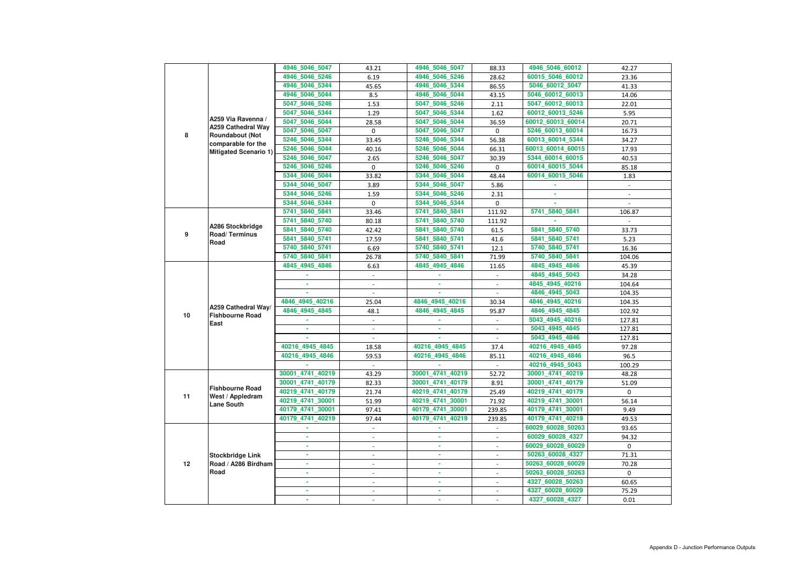|    |                                                                 | 4946_5046_5047   | 43.21                    | 4946_5046_5047   | 88.33                    | 4946_5046_60012   | 42.27          |
|----|-----------------------------------------------------------------|------------------|--------------------------|------------------|--------------------------|-------------------|----------------|
|    |                                                                 | 4946 5046 5246   | 6.19                     | 4946 5046 5246   | 28.62                    | 60015 5046 60012  | 23.36          |
|    |                                                                 | 4946_5046_5344   | 45.65                    | 4946 5046 5344   | 86.55                    | 5046_60012_5047   | 41.33          |
|    |                                                                 | 4946 5046 5044   | 8.5                      | 4946_5046_5044   | 43.15                    | 5046_60012_60013  | 14.06          |
|    |                                                                 | 5047_5046_5246   | 1.53                     | 5047_5046_5246   | 2.11                     | 5047_60012_60013  | 22.01          |
|    |                                                                 | 5047 5046 5344   | 1.29                     | 5047_5046_5344   | 1.62                     | 60012 60013 5246  | 5.95           |
|    | A259 Via Ravenna /                                              | 5047_5046_5044   | 28.58                    | 5047_5046_5044   | 36.59                    | 60012_60013_60014 | 20.71          |
| 8  | <b>A259 Cathedral Way</b>                                       | 5047_5046_5047   | 0                        | 5047_5046_5047   | $\mathbf 0$              | 5246 60013 60014  | 16.73          |
|    | <b>Roundabout (Not</b><br>comparable for the                    | 5246_5046_5344   | 33.45                    | 5246 5046 5344   | 56.38                    | 60013_60014_5344  | 34.27          |
|    | Mitigated Scenario 1)                                           | 5246_5046_5044   | 40.16                    | 5246_5046_5044   | 66.31                    | 60013_60014_60015 | 17.93          |
|    |                                                                 | 5246_5046_5047   | 2.65                     | 5246_5046_5047   | 30.39                    | 5344_60014_60015  | 40.53          |
|    |                                                                 | 5246_5046_5246   | 0                        | 5246_5046_5246   | $\mathbf 0$              | 60014_60015_5044  | 85.18          |
|    |                                                                 | 5344 5046 5044   | 33.82                    | 5344_5046_5044   | 48.44                    | 60014_60015_5046  | 1.83           |
|    |                                                                 | 5344_5046_5047   | 3.89                     | 5344_5046_5047   | 5.86                     |                   | $\blacksquare$ |
|    |                                                                 | 5344_5046_5246   | 1.59                     | 5344_5046_5246   | 2.31                     |                   |                |
|    |                                                                 | 5344 5046 5344   | 0                        | 5344_5046_5344   | $\mathbf 0$              |                   |                |
|    |                                                                 | 5741 5840 5841   | 33.46                    | 5741_5840_5841   | 111.92                   | 5741_5840_5841    | 106.87         |
|    | A286 Stockbridge<br>Road/Terminus                               | 5741 5840 5740   | 80.18                    | 5741_5840_5740   | 111.92                   |                   |                |
|    |                                                                 | 5841 5840 5740   | 42.42                    | 5841_5840_5740   | 61.5                     | 5841 5840 5740    | 33.73          |
| 9  |                                                                 | 5841_5840_5741   | 17.59                    | 5841_5840_5741   | 41.6                     | 5841 5840 5741    | 5.23           |
|    | Road                                                            | 5740 5840 5741   | 6.69                     | 5740_5840_5741   |                          | 5740_5840_5741    |                |
|    |                                                                 |                  |                          |                  | 12.1                     |                   | 16.36          |
|    |                                                                 | 5740_5840_5841   | 26.78                    | 5740_5840_5841   | 71.99                    | 5740_5840_5841    | 104.06         |
|    |                                                                 | 4845_4945_4846   | 6.63                     | 4845_4945_4846   | 11.65                    | 4845_4945_4846    | 45.39          |
|    |                                                                 |                  | $\blacksquare$           |                  | $\blacksquare$           | 4845_4945_5043    | 34.28          |
|    |                                                                 | ä,               |                          | ×.               |                          | 4845_4945_40216   | 104.64         |
|    |                                                                 |                  |                          |                  |                          | 4846_4945_5043    | 104.35         |
|    | A259 Cathedral Way/                                             | 4846_4945_40216  | 25.04                    | 4846_4945_40216  | 30.34                    | 4846_4945_40216   | 104.35         |
| 10 | <b>Fishbourne Road</b>                                          | 4846_4945_4845   | 48.1                     | 4846_4945_4845   | 95.87                    | 4846_4945_4845    | 102.92         |
|    | East                                                            |                  | $\blacksquare$           |                  | $\omega$                 | 5043_4945_40216   | 127.81         |
|    |                                                                 |                  | $\overline{\phantom{a}}$ |                  |                          | 5043 4945 4845    | 127.81         |
|    |                                                                 |                  | $\blacksquare$           |                  |                          | 5043_4945_4846    | 127.81         |
|    |                                                                 | 40216 4945 4845  | 18.58                    | 40216 4945 4845  | 37.4                     | 40216 4945 4845   | 97.28          |
|    |                                                                 | 40216_4945_4846  | 59.53                    | 40216_4945_4846  | 85.11                    | 40216_4945_4846   | 96.5           |
|    |                                                                 |                  |                          |                  |                          | 40216_4945_5043   | 100.29         |
|    | <b>Fishbourne Road</b><br>West / Appledram<br><b>Lane South</b> | 30001_4741_40219 | 43.29                    | 30001_4741_40219 | 52.72                    | 30001_4741_40219  | 48.28          |
|    |                                                                 | 30001_4741_40179 | 82.33                    | 30001_4741_40179 | 8.91                     | 30001_4741_40179  | 51.09          |
|    |                                                                 | 40219 4741 40179 | 21.74                    | 40219_4741_40179 | 25.49                    | 40219_4741_40179  | $\mathbf{0}$   |
| 11 |                                                                 | 40219_4741_30001 | 51.99                    | 40219_4741_30001 | 71.92                    | 40219_4741_30001  | 56.14          |
|    |                                                                 | 40179_4741_30001 | 97.41                    | 40179_4741_30001 | 239.85                   | 40179_4741_30001  | 9.49           |
|    |                                                                 | 40179_4741_40219 | 97.44                    | 40179_4741_40219 | 239.85                   | 40179_4741_40219  | 49.53          |
|    |                                                                 |                  | $\blacksquare$           |                  | $\blacksquare$           | 60029_60028_50263 | 93.65          |
|    |                                                                 | ٠                | $\overline{\phantom{a}}$ | ٠                | $\blacksquare$           | 60029_60028_4327  | 94.32          |
|    |                                                                 |                  |                          | ٠                |                          | 60029_60028_60029 | $\mathbf 0$    |
|    | <b>Stockbridge Link</b>                                         |                  | $\overline{\phantom{a}}$ |                  |                          | 50263_60028_4327  | 71.31          |
| 12 | Road / A286 Birdham                                             | ä,               |                          |                  |                          | 50263_60028_60029 | 70.28          |
|    | Road                                                            | ٠                | $\blacksquare$           | ٠                | $\blacksquare$           | 50263_60028_50263 | $\mathbf{0}$   |
|    |                                                                 | ä,               | $\blacksquare$           | ٠                | $\blacksquare$           | 4327_60028_50263  | 60.65          |
|    |                                                                 |                  |                          |                  | $\overline{\phantom{a}}$ | 4327_60028_60029  | 75.29          |
|    |                                                                 |                  |                          |                  |                          |                   |                |
|    |                                                                 |                  |                          |                  |                          | 4327_60028_4327   | 0.01           |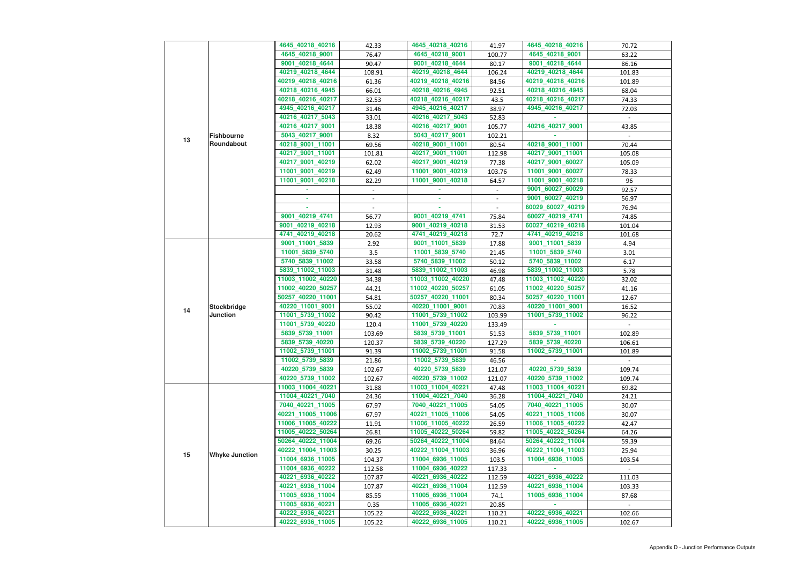|    |                       | 4645_40218_40216  | 42.33          | 4645_40218_40216  | 41.97          | 4645_40218_40216  | 70.72  |
|----|-----------------------|-------------------|----------------|-------------------|----------------|-------------------|--------|
|    |                       | 4645_40218_9001   | 76.47          | 4645_40218_9001   | 100.77         | 4645_40218_9001   | 63.22  |
|    |                       | 9001_40218_4644   | 90.47          | 9001_40218_4644   | 80.17          | 9001_40218_4644   | 86.16  |
|    |                       |                   |                |                   |                |                   |        |
|    |                       | 40219_40218_4644  | 108.91         | 40219_40218_4644  | 106.24         | 40219_40218_4644  | 101.83 |
|    |                       | 40219_40218_40216 | 61.36          | 40219_40218_40216 | 84.56          | 40219_40218_40216 | 101.89 |
|    |                       | 40218_40216_4945  | 66.01          | 40218_40216_4945  | 92.51          | 40218_40216_4945  | 68.04  |
|    |                       | 40218_40216_40217 | 32.53          | 40218_40216_40217 | 43.5           | 40218_40216_40217 | 74.33  |
|    |                       | 4945_40216_40217  | 31.46          | 4945_40216_40217  | 38.97          | 4945_40216_40217  | 72.03  |
|    |                       | 40216_40217_5043  | 33.01          | 40216_40217_5043  | 52.83          |                   | $\sim$ |
|    |                       | 40216_40217_9001  | 18.38          | 40216_40217_9001  | 105.77         | 40216 40217 9001  | 43.85  |
|    | <b>Fishbourne</b>     | 5043_40217_9001   | 8.32           | 5043_40217_9001   | 102.21         |                   |        |
| 13 | Roundabout            | 40218_9001_11001  | 69.56          | 40218_9001_11001  | 80.54          | 40218_9001_11001  | 70.44  |
|    |                       | 40217_9001_11001  | 101.81         | 40217_9001_11001  | 112.98         | 40217_9001_11001  | 105.08 |
|    |                       | 40217_9001_40219  | 62.02          | 40217_9001_40219  | 77.38          | 40217_9001_60027  | 105.09 |
|    |                       | 11001_9001_40219  | 62.49          | 11001_9001_40219  | 103.76         | 11001_9001_60027  | 78.33  |
|    |                       | 11001_9001_40218  | 82.29          | 11001_9001_40218  | 64.57          | 11001_9001_40218  | 96     |
|    |                       |                   |                |                   |                | 9001_60027_60029  | 92.57  |
|    |                       | ٠                 |                | $\blacksquare$    | $\blacksquare$ | 9001_60027_40219  | 56.97  |
|    |                       |                   | $\sim$         |                   |                | 60029_60027_40219 |        |
|    |                       |                   | $\blacksquare$ |                   |                |                   | 76.94  |
|    |                       | 9001_40219_4741   | 56.77          | 9001_40219_4741   | 75.84          | 60027_40219_4741  | 74.85  |
|    |                       | 9001_40219_40218  | 12.93          | 9001_40219_40218  | 31.53          | 60027_40219_40218 | 101.04 |
|    |                       | 4741_40219_40218  | 20.62          | 4741_40219_40218  | 72.7           | 4741_40219_40218  | 101.68 |
|    |                       | 9001_11001_5839   | 2.92           | 9001_11001_5839   | 17.88          | 9001_11001_5839   | 4.94   |
|    |                       | 11001_5839_5740   | 3.5            | 11001_5839_5740   | 21.45          | 11001_5839_5740   | 3.01   |
|    |                       | 5740_5839_11002   | 33.58          | 5740_5839_11002   | 50.12          | 5740_5839_11002   | 6.17   |
|    |                       | 5839_11002_11003  | 31.48          | 5839_11002_11003  | 46.98          | 5839_11002_11003  | 5.78   |
|    |                       | 11003_11002_40220 | 34.38          | 11003_11002_40220 | 47.48          | 11003_11002_40220 | 32.02  |
|    |                       | 11002_40220_50257 | 44.21          | 11002_40220_50257 | 61.05          | 11002_40220_50257 | 41.16  |
|    |                       | 50257_40220_11001 | 54.81          | 50257_40220_11001 | 80.34          | 50257_40220_11001 | 12.67  |
|    | <b>Stockbridge</b>    | 40220_11001_9001  | 55.02          | 40220_11001_9001  | 70.83          | 40220_11001_9001  | 16.52  |
| 14 | <b>Junction</b>       | 11001_5739_11002  | 90.42          | 11001_5739_11002  | 103.99         | 11001_5739_11002  | 96.22  |
|    |                       | 11001_5739_40220  | 120.4          | 11001_5739_40220  | 133.49         |                   | $\sim$ |
|    |                       | 5839_5739_11001   | 103.69         | 5839_5739_11001   | 51.53          | 5839_5739_11001   | 102.89 |
|    |                       | 5839_5739_40220   | 120.37         | 5839_5739_40220   | 127.29         | 5839_5739_40220   | 106.61 |
|    |                       | 11002_5739_11001  | 91.39          | 11002_5739_11001  | 91.58          | 11002_5739_11001  | 101.89 |
|    |                       | 11002_5739_5839   | 21.86          | 11002_5739_5839   | 46.56          |                   |        |
|    |                       | 40220_5739_5839   | 102.67         | 40220_5739_5839   | 121.07         | 40220_5739_5839   | 109.74 |
|    |                       | 40220_5739_11002  | 102.67         | 40220_5739_11002  | 121.07         | 40220_5739_11002  | 109.74 |
|    |                       |                   |                |                   |                |                   |        |
|    |                       | 11003_11004_40221 | 31.88          | 11003_11004_40221 | 47.48          | 11003_11004_40221 | 69.82  |
|    |                       | 11004_40221_7040  | 24.36          | 11004_40221_7040  | 36.28          | 11004_40221_7040  | 24.21  |
|    |                       | 7040_40221_11005  | 67.97          | 7040_40221_11005  | 54.05          | 7040_40221_11005  | 30.07  |
|    |                       | 40221_11005_11006 | 67.97          | 40221_11005_11006 | 54.05          | 40221_11005_11006 | 30.07  |
|    |                       | 11006_11005_40222 | 11.91          | 11006_11005_40222 | 26.59          | 11006_11005_40222 | 42.47  |
|    |                       | 11005_40222_50264 | 26.81          | 11005_40222_50264 | 59.82          | 11005_40222_50264 | 64.26  |
|    |                       | 50264_40222_11004 | 69.26          | 50264_40222_11004 | 84.64          | 50264_40222_11004 | 59.39  |
| 15 | <b>Whyke Junction</b> | 40222_11004_11003 | 30.25          | 40222_11004_11003 | 36.96          | 40222_11004_11003 | 25.94  |
|    |                       | 11004_6936_11005  | 104.37         | 11004_6936_11005  | 103.5          | 11004_6936_11005  | 103.54 |
|    |                       | 11004_6936_40222  | 112.58         | 11004_6936_40222  | 117.33         |                   |        |
|    |                       | 40221_6936_40222  | 107.87         | 40221_6936_40222  | 112.59         | 40221_6936_40222  | 111.03 |
|    |                       | 40221_6936_11004  | 107.87         | 40221_6936_11004  | 112.59         | 40221_6936_11004  | 103.33 |
|    |                       | 11005_6936_11004  | 85.55          | 11005_6936_11004  | 74.1           | 11005_6936_11004  | 87.68  |
|    |                       | 11005_6936_40221  | 0.35           | 11005_6936_40221  | 20.85          |                   |        |
|    |                       | 40222_6936_40221  | 105.22         | 40222_6936_40221  | 110.21         | 40222_6936_40221  | 102.66 |
|    |                       | 40222_6936_11005  | 105.22         | 40222_6936_11005  | 110.21         | 40222_6936_11005  | 102.67 |
|    |                       |                   |                |                   |                |                   |        |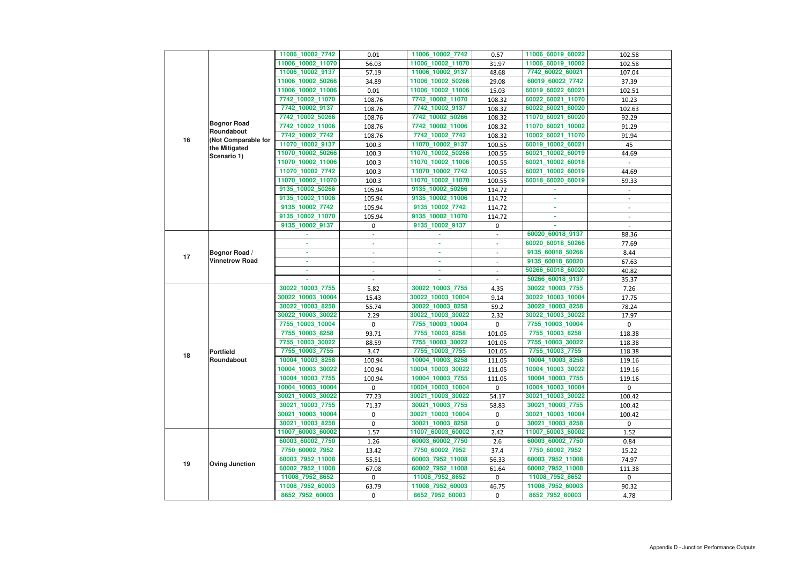| $\overline{2}$  | 102.58         |
|-----------------|----------------|
| $\overline{2}$  | 102.58         |
| 1               | 107.04         |
| 2               | 37.39          |
| 21              | 102.51         |
| 70              | 10.23          |
| 20              | 102.63         |
| 20              | 92.29          |
| $\overline{2}$  | 91.29          |
| 70              | 91.94          |
| $\overline{21}$ | 45             |
| 19              | 44.69          |
| 18              |                |
| 19              | 44.69          |
| 19              | 59.33          |
|                 | $\overline{a}$ |
|                 | $\overline{a}$ |
|                 |                |
|                 |                |
|                 |                |
| 7               | 88.36          |
| 6               | 77.69          |
| 6               | 8.44           |
| 0               | 67.63          |
|                 | 40.82          |
| 20<br>7         | 35.37          |
| 5               | 7.26           |
| )4              | 17.75          |
| 8               | 78.24          |
| $\overline{2}$  | 17.97          |
| 4               | 0              |
|                 | 118.38         |
| $\frac{3}{2}$   | 118.38         |
| 5               | 118.38         |
| 8               | 119.16         |
| $\overline{2}$  | 119.16         |
| 5<br>)4         | 119.16         |
|                 | 0              |
| 22              | 100.42         |
| 5               | 100.42         |
| )4              | 100.42         |
| 8               | 0              |
| $\overline{2}$  | 1.52           |
| 0               | 0.84           |
|                 | 15.22          |
| $\frac{2}{8}$   | 74.97          |
| 8               | 111.38         |
|                 | 0              |
| $\frac{2}{3}$   | 90.32          |
| 3               | 4.78           |
|                 |                |

|    |                                      | 11006_10002_7742  | 0.01                     | 11006_10002_7742  | 0.57                     | 11006 60019 60022 | 102.58                 |
|----|--------------------------------------|-------------------|--------------------------|-------------------|--------------------------|-------------------|------------------------|
|    |                                      | 11006_10002_11070 | 56.03                    | 11006_10002_11070 | 31.97                    | 11006_60019_10002 | 102.58                 |
|    |                                      | 11006_10002_9137  | 57.19                    | 11006_10002_9137  | 48.68                    | 7742_60022_60021  | 107.04                 |
|    |                                      | 11006_10002_50266 | 34.89                    | 11006_10002_50266 | 29.08                    | 60019_60022_7742  | 37.39                  |
|    |                                      | 11006_10002_11006 | 0.01                     | 11006_10002_11006 | 15.03                    | 60019_60022_60021 | 102.51                 |
|    |                                      | 7742 10002 11070  | 108.76                   | 7742_10002_11070  | 108.32                   | 60022_60021_11070 | 10.23                  |
|    |                                      | 7742_10002_9137   | 108.76                   | 7742_10002_9137   | 108.32                   | 60022_60021_60020 | 102.63                 |
|    |                                      | 7742 10002 50266  | 108.76                   | 7742_10002_50266  | 108.32                   | 11070_60021_60020 | 92.29                  |
|    | <b>Bognor Road</b>                   | 7742_10002_11006  | 108.76                   | 7742_10002_11006  | 108.32                   | 11070_60021_10002 | 91.29                  |
|    | Roundabout                           | 7742_10002_7742   | 108.76                   | 7742_10002_7742   | 108.32                   | 10002_60021_11070 | 91.94                  |
| 16 | (Not Comparable for<br>the Mitigated | 11070_10002_9137  | 100.3                    | 11070_10002_9137  | 100.55                   | 60019_10002_60021 | 45                     |
|    | Scenario 1)                          | 11070_10002_50266 | 100.3                    | 11070_10002_50266 | 100.55                   | 60021_10002_60019 | 44.69                  |
|    |                                      | 11070_10002_11006 | 100.3                    | 11070_10002_11006 | 100.55                   | 60021_10002_60018 |                        |
|    |                                      | 11070_10002_7742  | 100.3                    | 11070_10002_7742  | 100.55                   | 60021_10002_60019 | 44.69                  |
|    |                                      | 11070_10002_11070 | 100.3                    | 11070_10002_11070 | 100.55                   | 60018_60020_60019 | 59.33                  |
|    |                                      | 9135_10002_50266  | 105.94                   | 9135_10002_50266  | 114.72                   |                   |                        |
|    |                                      | 9135_10002_11006  | 105.94                   | 9135_10002_11006  | 114.72                   |                   |                        |
|    |                                      | 9135 10002 7742   | 105.94                   | 9135_10002_7742   | 114.72                   |                   |                        |
|    |                                      | 9135_10002_11070  | 105.94                   | 9135_10002_11070  | 114.72                   | ٠                 | $\sim$                 |
|    |                                      | 9135_10002_9137   | 0                        | 9135_10002_9137   | 0                        |                   |                        |
|    |                                      |                   |                          |                   |                          | 60020_60018_9137  | 88.36                  |
|    |                                      |                   |                          |                   |                          | 60020_60018_50266 | 77.69                  |
|    | Bognor Road /                        |                   |                          |                   | $\overline{\phantom{a}}$ | 9135_60018_50266  | 8.44                   |
| 17 | <b>Vinnetrow Road</b>                |                   | $\overline{\phantom{a}}$ | ٠                 | $\blacksquare$           | 9135_60018_60020  | 67.63                  |
|    |                                      |                   |                          | ٠                 |                          | 50266_60018_60020 | 40.82                  |
|    |                                      |                   | $\blacksquare$           | ×.                |                          | 50266_60018_9137  | 35.37                  |
|    |                                      | 30022_10003_7755  | 5.82                     | 30022_10003_7755  | 4.35                     | 30022_10003_7755  | 7.26                   |
|    |                                      | 30022_10003_10004 | 15.43                    | 30022_10003_10004 | 9.14                     | 30022_10003_10004 | 17.75                  |
|    |                                      | 30022_10003_8258  | 55.74                    | 30022_10003_8258  | 59.2                     | 30022_10003_8258  | 78.24                  |
|    |                                      | 30022_10003_30022 | 2.29                     | 30022_10003_30022 | 2.32                     | 30022_10003_30022 | 17.97                  |
|    |                                      | 7755_10003_10004  | $\pmb{0}$                | 7755_10003_10004  | 0                        | 7755_10003_10004  | $\overline{0}$         |
|    |                                      | 7755_10003_8258   | 93.71                    | 7755 10003 8258   | 101.05                   | 7755_10003_8258   | 118.38                 |
|    |                                      | 7755_10003_30022  | 88.59                    | 7755_10003_30022  | 101.05                   | 7755_10003_30022  | 118.38                 |
|    | <b>Portfield</b>                     | 7755_10003_7755   | 3.47                     | 7755_10003_7755   | 101.05                   | 7755_10003_7755   | 118.38                 |
| 18 | Roundabout                           | 10004_10003_8258  | 100.94                   | 10004_10003_8258  | 111.05                   | 10004_10003_8258  | 119.16                 |
|    |                                      | 10004_10003_30022 | 100.94                   | 10004_10003_30022 | 111.05                   | 10004_10003_30022 | 119.16                 |
|    |                                      | 10004_10003_7755  | 100.94                   | 10004_10003_7755  | 111.05                   | 10004_10003_7755  | 119.16                 |
|    |                                      | 10004_10003_10004 | 0                        | 10004_10003_10004 | $\overline{0}$           | 10004_10003_10004 | $\overline{0}$         |
|    |                                      | 30021_10003_30022 | 77.23                    | 30021_10003_30022 | 54.17                    | 30021_10003_30022 | 100.42                 |
|    |                                      | 30021_10003_7755  | 71.37                    | 30021_10003_7755  | 58.83                    | 30021_10003_7755  | 100.42                 |
|    |                                      | 30021_10003_10004 | 0                        | 30021_10003_10004 | $\mathbf{0}$             | 30021_10003_10004 | 100.42                 |
|    |                                      | 30021_10003_8258  | 0                        | 30021_10003_8258  | 0                        | 30021_10003_8258  | $\mathbf{0}$           |
|    |                                      | 11007_60003_60002 | 1.57                     | 11007_60003_60002 | 2.42                     | 11007_60003_60002 | 1.52                   |
|    |                                      | 60003_60002_7750  | 1.26                     | 60003_60002_7750  | 2.6                      | 60003_60002_7750  | 0.84                   |
|    |                                      | 7750_60002_7952   | 13.42                    | 7750_60002_7952   | 37.4                     | 7750_60002_7952   | 15.22                  |
|    |                                      | 60003_7952_11008  | 55.51                    | 60003_7952_11008  | 56.33                    | 60003_7952_11008  | 74.97                  |
| 19 | <b>Oving Junction</b>                | 60002_7952_11008  | 67.08                    | 60002_7952_11008  |                          | 60002_7952_11008  |                        |
|    |                                      | 11008_7952_8652   | $\mathbf 0$              | 11008_7952_8652   | 61.64<br>$\mathbf{0}$    | 11008_7952_8652   | 111.38<br>$\mathbf{0}$ |
|    |                                      |                   |                          |                   |                          |                   |                        |
|    |                                      | 11008_7952_60003  | 63.79                    | 11008_7952_60003  | 46.75                    | 11008_7952_60003  | 90.32                  |
|    |                                      | 8652_7952_60003   | 0                        | 8652_7952_60003   | $\overline{0}$           | 8652_7952_60003   | 4.78                   |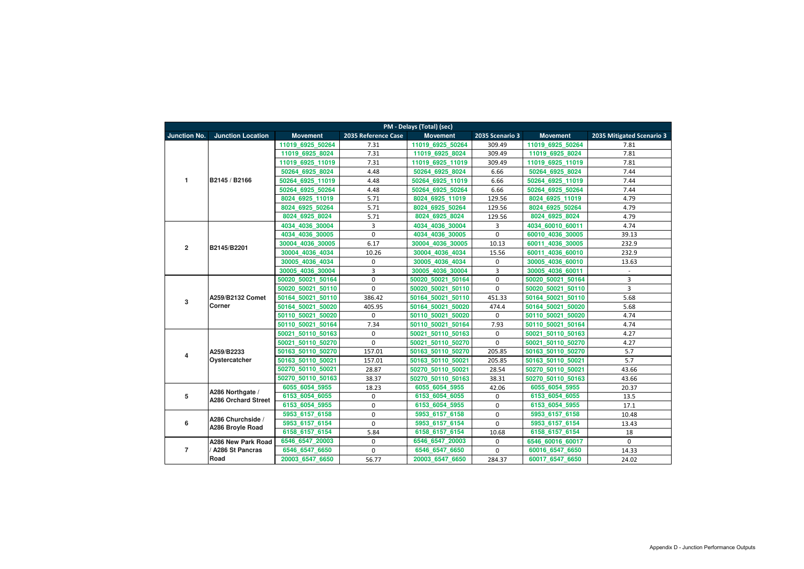| PM - Delays (Total) (sec) |                                   |                   |                     |                    |                 |                     |                           |  |  |
|---------------------------|-----------------------------------|-------------------|---------------------|--------------------|-----------------|---------------------|---------------------------|--|--|
| <b>Junction No.</b>       | <b>Junction Location</b>          | <b>Movement</b>   | 2035 Reference Case | <b>Movement</b>    | 2035 Scenario 3 | <b>Movement</b>     | 2035 Mitigated Scenario 3 |  |  |
|                           |                                   | 11019 6925 50264  | 7.31                | 11019 6925 50264   | 309.49          | 11019 6925 50264    | 7.81                      |  |  |
|                           |                                   | 11019 6925 8024   | 7.31                | 11019 6925 8024    | 309.49          | 11019 6925 8024     | 7.81                      |  |  |
|                           |                                   | 11019 6925 11019  | 7.31                | 11019 6925 11019   | 309.49          | 11019 6925 11019    | 7.81                      |  |  |
|                           |                                   | 50264 6925 8024   | 4.48                | 50264 6925 8024    | 6.66            | 50264 6925 8024     | 7.44                      |  |  |
| $\mathbf{1}$              | B2145 / B2166                     | 50264 6925 11019  | 4.48                | 50264 6925 11019   | 6.66            | 50264 6925 11019    | 7.44                      |  |  |
|                           |                                   | 50264 6925 50264  | 4.48                | 50264 6925 50264   | 6.66            | 50264 6925 50264    | 7.44                      |  |  |
|                           |                                   | 8024 6925 11019   | 5.71                | 8024 6925 11019    | 129.56          | 8024 6925 11019     | 4.79                      |  |  |
|                           |                                   | 8024 6925 50264   | 5.71                | 8024 6925 50264    | 129.56          | 8024 6925 50264     | 4.79                      |  |  |
|                           |                                   | 8024 6925 8024    | 5.71                | 8024 6925 8024     | 129.56          | 8024 6925 8024      | 4.79                      |  |  |
|                           |                                   | 4034 4036 30004   | 3                   | 4034 4036 30004    | 3               | 4034 60010 60011    | 4.74                      |  |  |
|                           |                                   | 4034 4036 30005   | 0                   | 4036 30005<br>4034 | 0               | 60010 4036 30005    | 39.13                     |  |  |
| $\overline{2}$            | B2145/B2201                       | 30004 4036 30005  | 6.17                | 30004 4036 30005   | 10.13           | 4036 30005<br>60011 | 232.9                     |  |  |
|                           |                                   | 30004 4036 4034   | 10.26               | 30004 4036 4034    | 15.56           | 4036 60010<br>60011 | 232.9                     |  |  |
|                           |                                   | 30005 4036 4034   | 0                   | 30005 4036 4034    | $\pmb{0}$       | 30005 4036 60010    | 13.63                     |  |  |
|                           |                                   | 30005 4036 30004  | 3                   | 30005 4036 30004   | 3               | 30005 4036 60011    | $\overline{\phantom{a}}$  |  |  |
|                           | A259/B2132 Comet<br><b>Corner</b> | 50020 50021 50164 | 0                   | 50020 50021 50164  | $\pmb{0}$       | 50020 50021 50164   | 3                         |  |  |
|                           |                                   | 50020 50021 50110 | 0                   | 50020 50021 50110  | $\mathbf 0$     | 50020 50021 50110   | 3                         |  |  |
| $\overline{3}$            |                                   | 50164 50021 50110 | 386.42              | 50164 50021 50110  | 451.33          | 50164 50021 50110   | 5.68                      |  |  |
|                           |                                   | 50164 50021 50020 | 405.95              | 50164_50021_50020  | 474.4           | 50164_50021_50020   | 5.68                      |  |  |
|                           |                                   | 50110_50021_50020 | 0                   | 50110 50021 50020  | 0               | 50110_50021_50020   | 4.74                      |  |  |
|                           |                                   | 50110 50021 50164 | 7.34                | 50110 50021 50164  | 7.93            | 50110 50021 50164   | 4.74                      |  |  |
|                           |                                   | 50021 50110 50163 | 0                   | 50021 50110 50163  | $\pmb{0}$       | 50021 50110 50163   | 4.27                      |  |  |
|                           |                                   | 50021 50110 50270 | 0                   | 50021 50110 50270  | 0               | 50021 50110 50270   | 4.27                      |  |  |
| 4                         | A259/B2233                        | 50163 50110 50270 | 157.01              | 50163_50110_50270  | 205.85          | 50163_50110_50270   | 5.7                       |  |  |
|                           | Oystercatcher                     | 50163 50110 50021 | 157.01              | 50163_50110_50021  | 205.85          | 50163_50110_50021   | 5.7                       |  |  |
|                           |                                   | 50270_50110_50021 | 28.87               | 50270 50110 50021  | 28.54           | 50270 50110 50021   | 43.66                     |  |  |
|                           |                                   | 50270 50110 50163 | 38.37               | 50270 50110 50163  | 38.31           | 50270 50110 50163   | 43.66                     |  |  |
|                           | A286 Northgate /                  | 6055_6054_5955    | 18.23               | 6055_6054_5955     | 42.06           | 6055_6054_5955      | 20.37                     |  |  |
| ${\bf 5}$                 | <b>A286 Orchard Street</b>        | 6153_6054_6055    | 0                   | 6153_6054_6055     | 0               | 6153_6054_6055      | 13.5                      |  |  |
|                           |                                   | 6153 6054 5955    | 0                   | 6153 6054 5955     | $\mathbf 0$     | 6153 6054 5955      | 17.1                      |  |  |
|                           | A286 Churchside /                 | 5953_6157_6158    | 0                   | 5953_6157_6158     | $\mathbf 0$     | 5953_6157_6158      | 10.48                     |  |  |
| $\bf 6$                   | A286 Broyle Road                  | 5953 6157 6154    | 0                   | 5953 6157 6154     | 0               | 5953 6157 6154      | 13.43                     |  |  |
|                           |                                   | 6158_6157_6154    | 5.84                | 6158_6157_6154     | 10.68           | 6158_6157_6154      | 18                        |  |  |
|                           | A286 New Park Road                | 6546 6547 20003   | 0                   | 6546 6547 20003    | 0               | 6546 60016 60017    | $\mathbf 0$               |  |  |
| $\overline{7}$            | <b>A286 St Pancras</b>            | 6546_6547_6650    | 0                   | 6546_6547_6650     | 0               | 60016_6547_6650     | 14.33                     |  |  |
|                           | Road                              | 20003 6547 6650   | 56.77               | 20003_6547_6650    | 284.37          | 60017_6547_6650     | 24.02                     |  |  |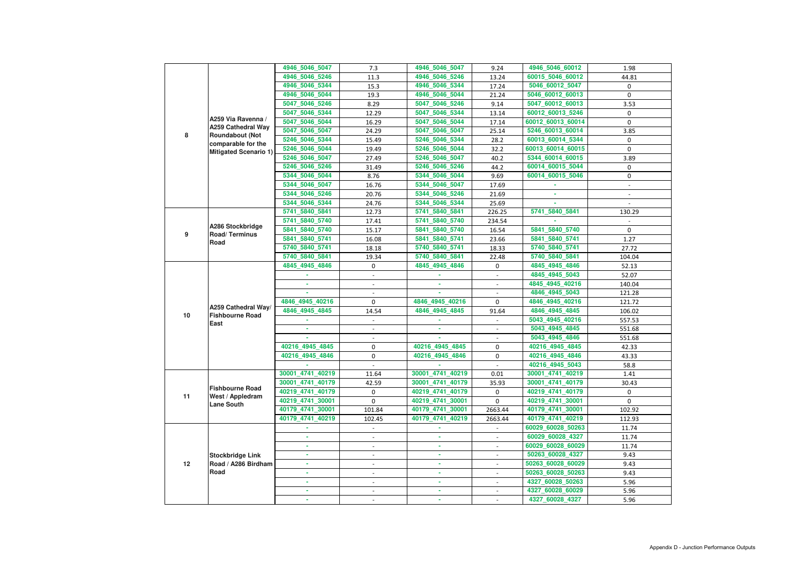|    |                                                     | 4946_5046_5047   | 7.3                      | 4946_5046_5047   | 9.24                     | 4946_5046_60012   | 1.98             |
|----|-----------------------------------------------------|------------------|--------------------------|------------------|--------------------------|-------------------|------------------|
|    |                                                     | 4946_5046_5246   | 11.3                     | 4946_5046_5246   | 13.24                    | 60015_5046_60012  | 44.81            |
|    |                                                     | 4946 5046 5344   | 15.3                     | 4946_5046_5344   | 17.24                    | 5046_60012_5047   | 0                |
|    |                                                     | 4946 5046 5044   | 19.3                     | 4946_5046_5044   | 21.24                    | 5046_60012_60013  | $\mathbf 0$      |
|    |                                                     | 5047_5046_5246   | 8.29                     | 5047_5046_5246   | 9.14                     | 5047_60012_60013  | 3.53             |
|    |                                                     | 5047_5046_5344   | 12.29                    | 5047 5046 5344   | 13.14                    | 60012_60013_5246  | 0                |
|    | A259 Via Ravenna /                                  | 5047_5046_5044   | 16.29                    | 5047_5046_5044   | 17.14                    | 60012_60013_60014 | 0                |
| 8  | <b>A259 Cathedral Way</b><br><b>Roundabout (Not</b> | 5047_5046_5047   | 24.29                    | 5047_5046_5047   | 25.14                    | 5246_60013_60014  | 3.85             |
|    | comparable for the                                  | 5246_5046_5344   | 15.49                    | 5246_5046_5344   | 28.2                     | 60013_60014_5344  | 0                |
|    | <b>Mitigated Scenario 1)</b>                        | 5246_5046_5044   | 19.49                    | 5246_5046_5044   | 32.2                     | 60013_60014_60015 | 0                |
|    |                                                     | 5246_5046_5047   | 27.49                    | 5246_5046_5047   | 40.2                     | 5344_60014_60015  | 3.89             |
|    |                                                     | 5246_5046_5246   | 31.49                    | 5246_5046_5246   | 44.2                     | 60014_60015_5044  | 0                |
|    |                                                     | 5344_5046_5044   | 8.76                     | 5344_5046_5044   | 9.69                     | 60014_60015_5046  | 0                |
|    |                                                     | 5344_5046_5047   | 16.76                    | 5344_5046_5047   | 17.69                    |                   | $\blacksquare$   |
|    |                                                     | 5344_5046_5246   | 20.76                    | 5344_5046_5246   | 21.69                    |                   |                  |
|    |                                                     | 5344_5046_5344   | 24.76                    | 5344_5046_5344   | 25.69                    |                   |                  |
|    |                                                     | 5741_5840_5841   | 12.73                    | 5741_5840_5841   | 226.25                   | 5741_5840_5841    | 130.29           |
|    |                                                     | 5741 5840 5740   | 17.41                    | 5741 5840 5740   | 234.54                   |                   |                  |
|    | A286 Stockbridge                                    | 5841 5840 5740   | 15.17                    | 5841_5840_5740   | 16.54                    | 5841 5840 5740    | $\mathbf 0$      |
| 9  | Road/Terminus                                       | 5841_5840_5741   | 16.08                    | 5841_5840_5741   | 23.66                    | 5841_5840_5741    | 1.27             |
|    | Road                                                | 5740_5840_5741   | 18.18                    | 5740_5840_5741   | 18.33                    | 5740_5840_5741    | 27.72            |
|    |                                                     | 5740_5840_5841   | 19.34                    | 5740_5840_5841   | 22.48                    | 5740_5840_5841    | 104.04           |
|    |                                                     | 4845_4945_4846   | 0                        | 4845_4945_4846   | 0                        | 4845_4945_4846    | 52.13            |
|    |                                                     |                  | $\blacksquare$           |                  | $\blacksquare$           | 4845_4945_5043    | 52.07            |
|    |                                                     | ×.               |                          |                  |                          | 4845_4945_40216   | 140.04           |
|    |                                                     |                  |                          |                  |                          | 4846_4945_5043    | 121.28           |
|    |                                                     | 4846_4945_40216  | 0                        | 4846_4945_40216  | 0                        | 4846_4945_40216   | 121.72           |
|    | A259 Cathedral Way/                                 | 4846_4945_4845   | 14.54                    | 4846_4945_4845   | 91.64                    | 4846_4945_4845    | 106.02           |
| 10 | <b>Fishbourne Road</b>                              |                  |                          |                  |                          | 5043_4945_40216   | 557.53           |
|    | East                                                |                  |                          |                  |                          | 5043_4945_4845    | 551.68           |
|    |                                                     |                  |                          |                  | $\blacksquare$           | 5043_4945_4846    | 551.68           |
|    |                                                     | 40216 4945 4845  | 0                        | 40216_4945_4845  | 0                        | 40216_4945_4845   | 42.33            |
|    |                                                     | 40216_4945_4846  | 0                        | 40216_4945_4846  | 0                        | 40216_4945_4846   | 43.33            |
|    |                                                     |                  |                          |                  |                          | 40216_4945_5043   | 58.8             |
|    |                                                     | 30001_4741_40219 | 11.64                    | 30001_4741_40219 |                          | 30001_4741_40219  |                  |
|    |                                                     | 30001 4741 40179 |                          | 30001_4741_40179 | 0.01                     | 30001_4741_40179  | 1.41             |
|    | <b>Fishbourne Road</b>                              | 40219_4741_40179 | 42.59                    | 40219_4741_40179 | 35.93                    | 40219_4741_40179  | 30.43            |
| 11 | West / Appledram                                    | 40219_4741_30001 | 0<br>$\overline{0}$      |                  | $\mathbf 0$              |                   | 0<br>$\mathbf 0$ |
|    | <b>Lane South</b>                                   |                  |                          | 40219_4741_30001 | $\mathbf 0$              | 40219_4741_30001  |                  |
|    |                                                     | 40179_4741_30001 | 101.84                   | 40179_4741_30001 | 2663.44                  | 40179_4741_30001  | 102.92           |
|    |                                                     | 40179_4741_40219 | 102.45                   | 40179_4741_40219 | 2663.44                  | 40179_4741_40219  | 112.93           |
|    |                                                     |                  | $\blacksquare$           |                  |                          | 60029_60028_50263 | 11.74            |
|    |                                                     | ٠                | $\overline{\phantom{a}}$ | ×.               | $\blacksquare$           | 60029_60028_4327  | 11.74            |
|    |                                                     |                  |                          |                  |                          | 60029_60028_60029 | 11.74            |
|    | <b>Stockbridge Link</b>                             | ٠                |                          |                  | $\blacksquare$           | 50263_60028_4327  | 9.43             |
| 12 | Road / A286 Birdham<br><b>Road</b>                  | ٠                |                          |                  |                          | 50263_60028_60029 | 9.43             |
|    |                                                     | ٠                | $\blacksquare$           | ×.               | $\blacksquare$           | 50263_60028_50263 | 9.43             |
|    |                                                     | ä,               |                          | ٠                | $\overline{\phantom{a}}$ | 4327_60028_50263  | 5.96             |
|    |                                                     |                  |                          |                  | $\blacksquare$           | 4327_60028_60029  | 5.96             |
|    |                                                     |                  |                          |                  |                          | 4327_60028_4327   | 5.96             |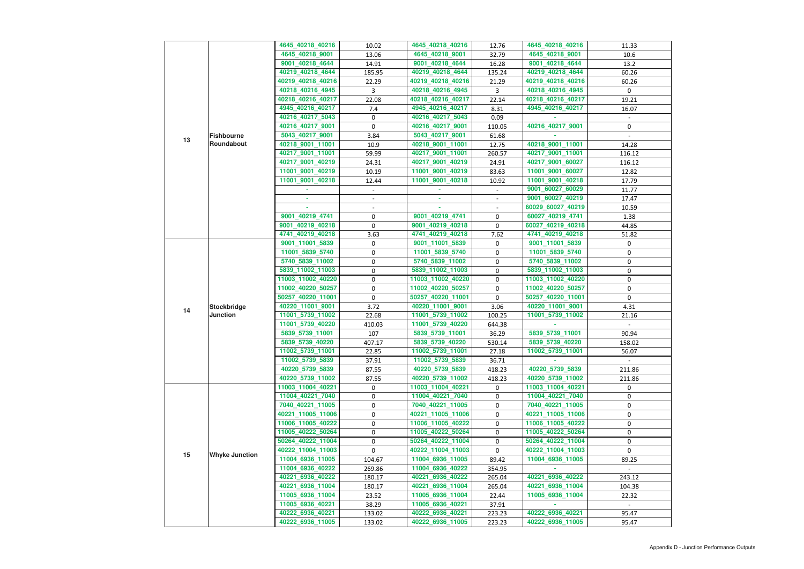|    |                                       | 4645_40218_40216  | 10.02            | 4645_40218_40216  | 12.76          | 4645_40218_40216  | 11.33          |
|----|---------------------------------------|-------------------|------------------|-------------------|----------------|-------------------|----------------|
|    |                                       | 4645_40218_9001   | 13.06            | 4645_40218_9001   | 32.79          | 4645_40218_9001   | 10.6           |
|    |                                       | 9001_40218_4644   | 14.91            | 9001_40218_4644   | 16.28          | 9001_40218_4644   | 13.2           |
|    |                                       | 40219_40218_4644  | 185.95           | 40219_40218_4644  | 135.24         | 40219_40218_4644  | 60.26          |
|    |                                       | 40219_40218_40216 | 22.29            | 40219_40218_40216 | 21.29          | 40219_40218_40216 | 60.26          |
|    |                                       | 40218_40216_4945  | $\mathbf{3}$     | 40218_40216_4945  | $\overline{3}$ | 40218_40216_4945  | 0              |
|    |                                       |                   |                  |                   |                |                   |                |
|    |                                       | 40218_40216_40217 | 22.08            | 40218_40216_40217 | 22.14          | 40218_40216_40217 | 19.21          |
|    |                                       | 4945_40216_40217  | 7.4              | 4945_40216_40217  | 8.31           | 4945_40216_40217  | 16.07          |
|    |                                       | 40216_40217_5043  | 0                | 40216_40217_5043  | 0.09           |                   | $\blacksquare$ |
|    |                                       | 40216_40217_9001  | $\mathbf 0$      | 40216_40217_9001  | 110.05         | 40216_40217_9001  | 0              |
| 13 | <b>Fishbourne</b>                     | 5043_40217_9001   | 3.84             | 5043_40217_9001   | 61.68          |                   |                |
|    | Roundabout                            | 40218_9001_11001  | 10.9             | 40218_9001_11001  | 12.75          | 40218_9001_11001  | 14.28          |
|    |                                       | 40217_9001_11001  | 59.99            | 40217_9001_11001  | 260.57         | 40217_9001_11001  | 116.12         |
|    |                                       | 40217_9001_40219  | 24.31            | 40217_9001_40219  | 24.91          | 40217_9001_60027  | 116.12         |
|    |                                       | 11001_9001_40219  | 10.19            | 11001_9001_40219  | 83.63          | 11001_9001_60027  | 12.82          |
|    |                                       | 11001_9001_40218  | 12.44            | 11001 9001 40218  | 10.92          | 11001_9001_40218  | 17.79          |
|    |                                       |                   |                  |                   |                | 9001_60027_60029  | 11.77          |
|    |                                       | ٠                 | $\blacksquare$   | ٠                 | $\blacksquare$ | 9001 60027 40219  | 17.47          |
|    |                                       |                   |                  |                   |                | 60029_60027_40219 | 10.59          |
|    |                                       | 9001_40219_4741   | $\mathbf 0$      | 9001_40219_4741   | $\mathbf 0$    | 60027_40219_4741  | 1.38           |
|    |                                       | 9001_40219_40218  | $\boldsymbol{0}$ | 9001_40219_40218  | 0              | 60027_40219_40218 | 44.85          |
|    |                                       | 4741 40219 40218  | 3.63             | 4741_40219_40218  | 7.62           | 4741_40219_40218  | 51.82          |
|    |                                       | 9001_11001_5839   | 0                | 9001_11001_5839   | 0              | 9001_11001_5839   | 0              |
|    | <b>Stockbridge</b><br><b>Junction</b> | 11001_5839_5740   | 0                | 11001_5839_5740   | 0              | 11001_5839_5740   | 0              |
|    |                                       | 5740_5839_11002   | $\pmb{0}$        | 5740_5839_11002   | 0              | 5740_5839_11002   | 0              |
|    |                                       | 5839_11002_11003  | $\pmb{0}$        | 5839_11002_11003  | $\mathbf 0$    | 5839_11002_11003  | 0              |
|    |                                       | 11003_11002_40220 | 0                | 11003_11002_40220 | 0              | 11003_11002_40220 | 0              |
|    |                                       | 11002_40220_50257 | $\mathbf 0$      | 11002_40220_50257 | $\mathbf 0$    | 11002_40220_50257 | 0              |
|    |                                       | 50257_40220_11001 | $\mathbf 0$      | 50257_40220_11001 | $\overline{0}$ | 50257_40220_11001 | 0              |
|    |                                       | 40220_11001_9001  | 3.72             | 40220_11001_9001  | 3.06           | 40220_11001_9001  | 4.31           |
| 14 |                                       | 11001_5739_11002  | 22.68            | 11001_5739_11002  | 100.25         | 11001_5739_11002  | 21.16          |
|    |                                       | 11001_5739_40220  | 410.03           | 11001_5739_40220  | 644.38         |                   |                |
|    |                                       | 5839_5739_11001   | 107              | 5839_5739_11001   | 36.29          | 5839 5739 11001   | 90.94          |
|    |                                       | 5839_5739_40220   | 407.17           | 5839_5739_40220   | 530.14         | 5839_5739_40220   | 158.02         |
|    |                                       | 11002_5739_11001  | 22.85            | 11002_5739_11001  | 27.18          | 11002_5739_11001  | 56.07          |
|    |                                       |                   | 37.91            | 11002_5739_5839   | 36.71          |                   |                |
|    |                                       | 11002_5739_5839   |                  |                   |                |                   |                |
|    |                                       | 40220_5739_5839   | 87.55            | 40220_5739_5839   | 418.23         | 40220_5739_5839   | 211.86         |
|    |                                       | 40220_5739_11002  | 87.55            | 40220_5739_11002  | 418.23         | 40220_5739_11002  | 211.86         |
|    |                                       | 11003_11004_40221 | 0                | 11003_11004_40221 | 0              | 11003_11004_40221 | 0              |
|    |                                       | 11004_40221_7040  | 0                | 11004_40221_7040  | 0              | 11004_40221_7040  | 0              |
|    |                                       | 7040_40221_11005  | 0                | 7040_40221_11005  | 0              | 7040_40221_11005  | 0              |
|    |                                       | 40221_11005_11006 | 0                | 40221_11005_11006 | 0              | 40221_11005_11006 | 0              |
|    |                                       | 11006_11005_40222 | 0                | 11006_11005_40222 | 0              | 11006_11005_40222 | 0              |
|    |                                       | 11005_40222_50264 | $\pmb{0}$        | 11005_40222_50264 | 0              | 11005_40222_50264 | 0              |
|    |                                       | 50264_40222_11004 | 0                | 50264_40222_11004 | 0              | 50264_40222_11004 | 0              |
| 15 | <b>Whyke Junction</b>                 | 40222_11004_11003 | 0                | 40222_11004_11003 | 0              | 40222_11004_11003 | 0              |
|    |                                       | 11004_6936_11005  | 104.67           | 11004_6936_11005  | 89.42          | 11004_6936_11005  | 89.25          |
|    |                                       | 11004_6936_40222  | 269.86           | 11004_6936_40222  | 354.95         |                   |                |
|    |                                       | 40221_6936_40222  | 180.17           | 40221_6936_40222  | 265.04         | 40221_6936_40222  | 243.12         |
|    |                                       | 40221_6936_11004  | 180.17           | 40221_6936_11004  | 265.04         | 40221_6936_11004  | 104.38         |
|    |                                       | 11005_6936_11004  | 23.52            | 11005_6936_11004  | 22.44          | 11005_6936_11004  | 22.32          |
|    |                                       | 11005_6936_40221  | 38.29            | 11005_6936_40221  | 37.91          |                   |                |
|    |                                       | 40222_6936_40221  | 133.02           | 40222_6936_40221  | 223.23         | 40222_6936_40221  | 95.47          |
|    |                                       | 40222_6936_11005  | 133.02           | 40222_6936_11005  | 223.23         | 40222_6936_11005  | 95.47          |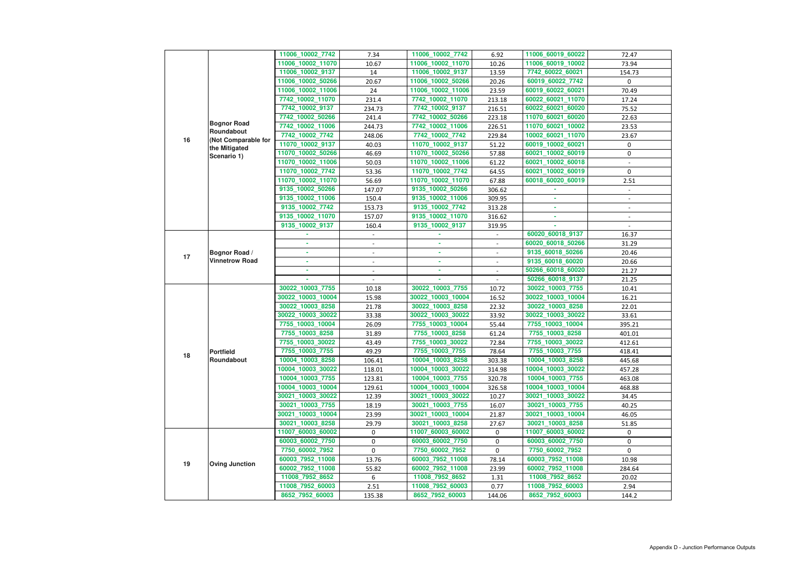|    |                                        | 11006_10002_7742  | 7.34                     | 11006_10002_7742  | 6.92                                       | 11006_60019_60022                     | 72.47          |
|----|----------------------------------------|-------------------|--------------------------|-------------------|--------------------------------------------|---------------------------------------|----------------|
|    |                                        | 11006_10002_11070 | 10.67                    | 11006_10002_11070 | 10.26                                      | 11006_60019_10002                     | 73.94          |
|    |                                        | 11006_10002_9137  | 14                       | 11006_10002_9137  | 13.59                                      | 7742_60022_60021                      | 154.73         |
|    |                                        | 11006_10002_50266 | 20.67                    | 11006_10002_50266 | 20.26                                      | 60019_60022_7742                      | 0              |
|    |                                        | 11006_10002_11006 | 24                       | 11006_10002_11006 | 23.59                                      | 60019_60022_60021                     | 70.49          |
|    |                                        | 7742_10002_11070  | 231.4                    | 7742_10002_11070  | 213.18                                     | 60022_60021_11070                     | 17.24          |
|    |                                        | 7742_10002_9137   | 234.73                   | 7742_10002_9137   | 216.51                                     | 60022_60021_60020                     | 75.52          |
|    |                                        | 7742_10002_50266  | 241.4                    | 7742_10002_50266  | 223.18                                     | 11070_60021_60020                     | 22.63          |
|    | <b>Bognor Road</b>                     | 7742_10002_11006  | 244.73                   | 7742_10002_11006  | 226.51                                     | 11070_60021_10002                     | 23.53          |
|    | Roundabout                             | 7742_10002_7742   | 248.06                   | 7742_10002_7742   | 229.84                                     | 10002 60021 11070                     | 23.67          |
| 16 | (Not Comparable for                    | 11070_10002_9137  | 40.03                    | 11070_10002_9137  | 51.22                                      | 60019_10002_60021                     | 0              |
|    | the Mitigated                          | 11070_10002_50266 | 46.69                    | 11070_10002_50266 | 57.88                                      | 60021_10002_60019                     | 0              |
|    | Scenario 1)                            | 11070_10002_11006 | 50.03                    | 11070_10002_11006 | 61.22                                      | 60021_10002_60018                     |                |
|    |                                        | 11070_10002_7742  | 53.36                    | 11070_10002_7742  | 64.55                                      | 60021_10002_60019                     | 0              |
|    |                                        | 11070_10002_11070 | 56.69                    | 11070_10002_11070 | 67.88                                      | 60018_60020_60019                     | 2.51           |
|    |                                        | 9135_10002_50266  | 147.07                   | 9135_10002_50266  | 306.62                                     |                                       |                |
|    |                                        | 9135 10002 11006  | 150.4                    | 9135_10002_11006  | 309.95                                     |                                       |                |
|    |                                        | 9135_10002_7742   | 153.73                   | 9135_10002_7742   | 313.28                                     |                                       |                |
|    |                                        | 9135_10002_11070  | 157.07                   | 9135 10002 11070  | 316.62                                     | ٠                                     |                |
|    |                                        | 9135_10002_9137   | 160.4                    | 9135 10002 9137   | 319.95                                     |                                       | $\blacksquare$ |
|    |                                        |                   |                          |                   |                                            | 60020_60018_9137                      | 16.37          |
|    |                                        |                   | $\overline{\phantom{a}}$ |                   |                                            | 60020_60018_50266                     | 31.29          |
|    |                                        |                   |                          |                   |                                            | 9135_60018_50266                      | 20.46          |
| 17 | Bognor Road /<br><b>Vinnetrow Road</b> |                   |                          | ٠                 | $\overline{\phantom{a}}$                   | 9135_60018_60020                      |                |
|    |                                        |                   | $\overline{\phantom{a}}$ | ×.                | $\overline{\phantom{a}}$<br>$\blacksquare$ |                                       | 20.66          |
|    |                                        |                   |                          |                   | $\overline{a}$                             | 50266_60018_60020<br>50266_60018_9137 | 21.27          |
|    |                                        |                   |                          | 30022_10003_7755  |                                            |                                       | 21.25          |
|    |                                        | 30022_10003_7755  | 10.18                    |                   | 10.72                                      | 30022_10003_7755                      | 10.41          |
|    |                                        | 30022_10003_10004 | 15.98                    | 30022_10003_10004 | 16.52                                      | 30022_10003_10004                     | 16.21          |
|    |                                        | 30022_10003_8258  | 21.78                    | 30022_10003_8258  | 22.32                                      | 30022_10003_8258                      | 22.01          |
|    |                                        | 30022_10003_30022 | 33.38                    | 30022_10003_30022 | 33.92                                      | 30022_10003_30022                     | 33.61          |
|    |                                        | 7755_10003_10004  | 26.09                    | 7755_10003_10004  | 55.44                                      | 7755_10003_10004                      | 395.21         |
|    |                                        | 7755_10003_8258   | 31.89                    | 7755_10003_8258   | 61.24                                      | 7755_10003_8258                       | 401.01         |
|    |                                        | 7755_10003_30022  | 43.49                    | 7755_10003_30022  | 72.84                                      | 7755_10003_30022                      | 412.61         |
| 18 | <b>Portfield</b>                       | 7755_10003_7755   | 49.29                    | 7755_10003_7755   | 78.64                                      | 7755_10003_7755                       | 418.41         |
|    | Roundabout                             | 10004_10003_8258  | 106.41                   | 10004_10003_8258  | 303.38                                     | 10004_10003_8258                      | 445.68         |
|    |                                        | 10004_10003_30022 | 118.01                   | 10004_10003_30022 | 314.98                                     | 10004_10003_30022                     | 457.28         |
|    |                                        | 10004_10003_7755  | 123.81                   | 10004_10003_7755  | 320.78                                     | 10004_10003_7755                      | 463.08         |
|    |                                        | 10004_10003_10004 | 129.61                   | 10004_10003_10004 | 326.58                                     | 10004_10003_10004                     | 468.88         |
|    |                                        | 30021_10003_30022 | 12.39                    | 30021_10003_30022 | 10.27                                      | 30021_10003_30022                     | 34.45          |
|    |                                        | 30021_10003_7755  | 18.19                    | 30021_10003_7755  | 16.07                                      | 30021_10003_7755                      | 40.25          |
|    |                                        | 30021_10003_10004 | 23.99                    | 30021_10003_10004 | 21.87                                      | 30021_10003_10004                     | 46.05          |
|    |                                        | 30021_10003_8258  | 29.79                    | 30021_10003_8258  | 27.67                                      | 30021_10003_8258                      | 51.85          |
|    |                                        | 11007_60003_60002 | 0                        | 11007_60003_60002 | $\mathbf 0$                                | 11007_60003_60002                     | $\mathbf{0}$   |
|    |                                        | 60003_60002_7750  | 0                        | 60003_60002_7750  | $\mathbf 0$                                | 60003_60002_7750                      | $\mathbf 0$    |
|    |                                        | 7750_60002_7952   | 0                        | 7750_60002_7952   | $\mathbf 0$                                | 7750_60002_7952                       | 0              |
| 19 | <b>Oving Junction</b>                  | 60003_7952_11008  | 13.76                    | 60003_7952_11008  | 78.14                                      | 60003_7952_11008                      | 10.98          |
|    |                                        | 60002_7952_11008  | 55.82                    | 60002_7952_11008  | 23.99                                      | 60002_7952_11008                      | 284.64         |
|    |                                        | 11008_7952_8652   | 6                        | 11008_7952_8652   | 1.31                                       | 11008_7952_8652                       | 20.02          |
|    |                                        | 11008_7952_60003  | 2.51                     | 11008_7952_60003  | 0.77                                       | 11008_7952_60003                      | 2.94           |
|    |                                        | 8652_7952_60003   | 135.38                   | 8652_7952_60003   | 144.06                                     | 8652_7952_60003                       | 144.2          |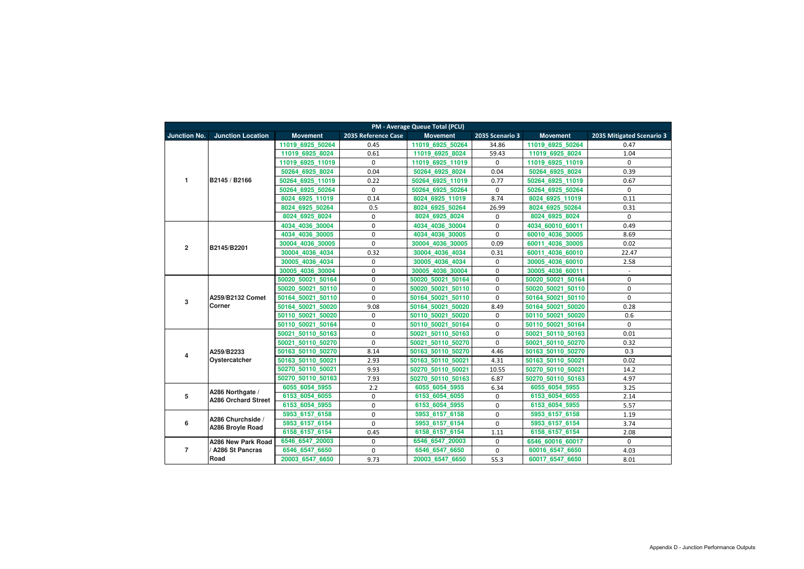| <b>PM - Average Queue Total (PCU)</b> |                                   |                   |                     |                   |                 |                     |                           |  |  |
|---------------------------------------|-----------------------------------|-------------------|---------------------|-------------------|-----------------|---------------------|---------------------------|--|--|
| <b>Junction No.</b>                   | <b>Junction Location</b>          | <b>Movement</b>   | 2035 Reference Case | <b>Movement</b>   | 2035 Scenario 3 | <b>Movement</b>     | 2035 Mitigated Scenario 3 |  |  |
|                                       |                                   | 11019 6925 50264  | 0.45                | 11019 6925 50264  | 34.86           | 11019 6925 50264    | 0.47                      |  |  |
|                                       |                                   | 11019 6925 8024   | 0.61                | 11019 6925 8024   | 59.43           | 11019 6925 8024     | 1.04                      |  |  |
|                                       |                                   | 11019 6925 11019  | 0                   | 11019 6925 11019  | 0               | 11019 6925 11019    | $\mathbf 0$               |  |  |
|                                       |                                   | 50264 6925 8024   | 0.04                | 50264 6925 8024   | 0.04            | 50264 6925 8024     | 0.39                      |  |  |
| $\mathbf{1}$                          | B2145 / B2166                     | 50264 6925 11019  | 0.22                | 50264 6925 11019  | 0.77            | 50264 6925 11019    | 0.67                      |  |  |
|                                       |                                   | 50264 6925 50264  | 0                   | 50264 6925 50264  | 0               | 50264 6925 50264    | $\mathbf 0$               |  |  |
|                                       |                                   | 8024 6925 11019   | 0.14                | 8024 6925 11019   | 8.74            | 8024 6925 11019     | 0.11                      |  |  |
|                                       |                                   | 8024 6925 50264   | 0.5                 | 8024 6925 50264   | 26.99           | 8024 6925 50264     | 0.31                      |  |  |
|                                       |                                   | 8024 6925 8024    | 0                   | 8024 6925 8024    | 0               | 8024 6925 8024      | $\mathbf{0}$              |  |  |
|                                       |                                   | 4034 4036 30004   | 0                   | 4034 4036 30004   | 0               | 4034 60010 60011    | 0.49                      |  |  |
|                                       |                                   | 4034 4036 30005   | 0                   | 4034 4036 30005   | $\mathbf{0}$    | 60010 4036 30005    | 8.69                      |  |  |
| $\overline{2}$                        | B2145/B2201                       | 30004 4036 30005  | 0                   | 30004 4036 30005  | 0.09            | 4036 30005<br>60011 | 0.02                      |  |  |
|                                       |                                   | 30004 4036 4034   | 0.32                | 30004 4036 4034   | 0.31            | 4036 60010<br>60011 | 22.47                     |  |  |
|                                       |                                   | 30005 4036 4034   | 0                   | 30005 4036 4034   | 0               | 30005 4036 60010    | 2.58                      |  |  |
|                                       |                                   | 30005 4036 30004  | 0                   | 30005_4036_30004  | $\mathbf 0$     | 30005 4036 60011    | $\overline{\phantom{a}}$  |  |  |
|                                       | A259/B2132 Comet<br><b>Corner</b> | 50020 50021 50164 | 0                   | 50020 50021 50164 | $\pmb{0}$       | 50020 50021 50164   | $\mathbf 0$               |  |  |
|                                       |                                   | 50020 50021 50110 | 0                   | 50020 50021 50110 | $\mathbf 0$     | 50020 50021 50110   | $\boldsymbol{0}$          |  |  |
| $\mathbf 3$                           |                                   | 50164 50021 50110 | 0                   | 50164 50021 50110 | $\mathbf 0$     | 50164 50021 50110   | $\mathbf 0$               |  |  |
|                                       |                                   | 50164_50021_50020 | 9.08                | 50164 50021 50020 | 8.49            | 50164_50021_50020   | 0.28                      |  |  |
|                                       |                                   | 50110 50021 50020 | 0                   | 50110 50021 50020 | $\mathbf 0$     | 50110_50021_50020   | 0.6                       |  |  |
|                                       |                                   | 50110 50021 50164 | 0                   | 50110 50021 50164 | $\mathbf 0$     | 50110 50021 50164   | $\mathbf 0$               |  |  |
|                                       |                                   | 50021 50110 50163 | 0                   | 50021 50110 50163 | 0               | 50021 50110 50163   | 0.01                      |  |  |
|                                       |                                   | 50021 50110 50270 | 0                   | 50021 50110 50270 | $\mathbf 0$     | 50021 50110 50270   | 0.32                      |  |  |
| 4                                     | A259/B2233                        | 50163 50110 50270 | 8.14                | 50163_50110_50270 | 4.46            | 50163_50110_50270   | 0.3                       |  |  |
|                                       | Oystercatcher                     | 50163 50110 50021 | 2.93                | 50163_50110_50021 | 4.31            | 50163_50110_50021   | 0.02                      |  |  |
|                                       |                                   | 50270_50110_50021 | 9.93                | 50270 50110 50021 | 10.55           | 50270 50110 50021   | 14.2                      |  |  |
|                                       |                                   | 50270 50110 50163 | 7.93                | 50270 50110 50163 | 6.87            | 50270 50110 50163   | 4.97                      |  |  |
|                                       | A286 Northgate /                  | 6055 6054 5955    | 2.2                 | 6055_6054_5955    | 6.34            | 6055_6054_5955      | 3.25                      |  |  |
| 5                                     | <b>A286 Orchard Street</b>        | 6153_6054_6055    | 0                   | 6153_6054_6055    | $\mathbf 0$     | 6153_6054_6055      | 2.14                      |  |  |
|                                       |                                   | 6153 6054 5955    | 0                   | 6153 6054 5955    | $\mathbf 0$     | 6153 6054 5955      | 5.57                      |  |  |
|                                       | A286 Churchside /                 | 5953_6157_6158    | 0                   | 5953_6157_6158    | $\mathbf 0$     | 5953_6157_6158      | 1.19                      |  |  |
| $\boldsymbol{6}$                      | A286 Broyle Road                  | 5953 6157 6154    | 0                   | 5953 6157 6154    | $\mathbf 0$     | 5953 6157 6154      | 3.74                      |  |  |
|                                       |                                   | 6158_6157_6154    | 0.45                | 6158_6157_6154    | 1.11            | 6158_6157_6154      | 2.08                      |  |  |
|                                       | A286 New Park Road                | 6546 6547 20003   | 0                   | 6546 6547 20003   | $\mathbf 0$     | 6546 60016 60017    | $\mathbf 0$               |  |  |
| $\overline{7}$                        | A286 St Pancras                   | 6546_6547_6650    | 0                   | 6546_6547_6650    | 0               | 60016_6547_6650     | 4.03                      |  |  |
|                                       | Road                              | 20003 6547 6650   | 9.73                | 20003_6547_6650   | 55.3            | 60017_6547_6650     | 8.01                      |  |  |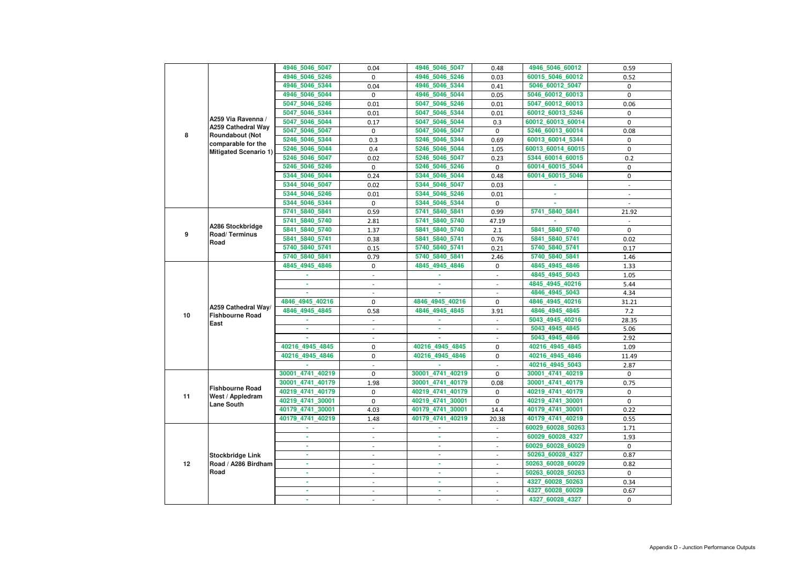|    |                                              | 4946_5046_5047   | 0.04                     | 4946_5046_5047   | 0.48                     | 4946_5046_60012   | 0.59           |
|----|----------------------------------------------|------------------|--------------------------|------------------|--------------------------|-------------------|----------------|
|    |                                              | 4946_5046_5246   | 0                        | 4946_5046_5246   | 0.03                     | 60015_5046_60012  | 0.52           |
|    |                                              | 4946_5046_5344   | 0.04                     | 4946_5046_5344   | 0.41                     | 5046_60012_5047   | 0              |
|    |                                              | 4946_5046_5044   | 0                        | 4946_5046_5044   | 0.05                     | 5046_60012_60013  | 0              |
|    |                                              | 5047_5046_5246   | 0.01                     | 5047 5046 5246   | 0.01                     | 5047_60012_60013  | 0.06           |
|    |                                              | 5047 5046 5344   | 0.01                     | 5047_5046_5344   | 0.01                     | 60012_60013_5246  | $\mathbf 0$    |
|    | A259 Via Ravenna /                           | 5047_5046_5044   | 0.17                     | 5047_5046_5044   | 0.3                      | 60012_60013_60014 | 0              |
| 8  | <b>A259 Cathedral Way</b>                    | 5047_5046_5047   | 0                        | 5047 5046 5047   | 0                        | 5246_60013_60014  | 0.08           |
|    | <b>Roundabout (Not</b><br>comparable for the | 5246_5046_5344   | 0.3                      | 5246_5046_5344   | 0.69                     | 60013_60014_5344  | 0              |
|    | <b>Mitigated Scenario 1)</b>                 | 5246_5046_5044   | 0.4                      | 5246 5046 5044   | 1.05                     | 60013_60014_60015 | $\mathbf 0$    |
|    |                                              | 5246_5046_5047   | 0.02                     | 5246_5046_5047   | 0.23                     | 5344_60014_60015  | 0.2            |
|    |                                              | 5246_5046_5246   | 0                        | 5246_5046_5246   | $\mathbf 0$              | 60014_60015_5044  | 0              |
|    |                                              | 5344_5046_5044   | 0.24                     | 5344_5046_5044   | 0.48                     | 60014_60015_5046  | 0              |
|    |                                              | 5344_5046_5047   | 0.02                     | 5344_5046_5047   | 0.03                     |                   | $\blacksquare$ |
|    |                                              | 5344_5046_5246   | 0.01                     | 5344_5046_5246   | 0.01                     |                   |                |
|    |                                              | 5344_5046_5344   | 0                        | 5344_5046_5344   | 0                        |                   |                |
|    |                                              | 5741_5840_5841   | 0.59                     | 5741_5840_5841   | 0.99                     | 5741_5840_5841    | 21.92          |
|    |                                              | 5741 5840 5740   | 2.81                     | 5741_5840_5740   | 47.19                    |                   |                |
|    | A286 Stockbridge                             | 5841_5840_5740   | 1.37                     | 5841 5840 5740   | 2.1                      | 5841_5840_5740    | $\mathbf 0$    |
| 9  | Road/Terminus                                | 5841_5840_5741   | 0.38                     | 5841_5840_5741   | 0.76                     | 5841_5840_5741    | 0.02           |
|    | Road                                         |                  |                          |                  |                          |                   |                |
|    |                                              | 5740_5840_5741   | 0.15                     | 5740_5840_5741   | 0.21                     | 5740_5840_5741    | 0.17           |
|    |                                              | 5740 5840 5841   | 0.79                     | 5740_5840_5841   | 2.46                     | 5740_5840_5841    | 1.46           |
|    |                                              | 4845_4945_4846   | 0                        | 4845_4945_4846   | 0                        | 4845_4945_4846    | 1.33           |
|    |                                              |                  |                          |                  |                          | 4845_4945_5043    | 1.05           |
|    |                                              |                  |                          |                  |                          | 4845_4945_40216   | 5.44           |
|    |                                              |                  |                          |                  |                          | 4846_4945_5043    | 4.34           |
|    | A259 Cathedral Way/                          | 4846_4945_40216  | 0                        | 4846_4945_40216  | 0                        | 4846_4945_40216   | 31.21          |
| 10 | <b>Fishbourne Road</b>                       | 4846_4945_4845   | 0.58                     | 4846_4945_4845   | 3.91                     | 4846_4945_4845    | 7.2            |
|    | East                                         |                  |                          |                  |                          | 5043_4945_40216   | 28.35          |
|    |                                              |                  | $\blacksquare$           |                  | $\blacksquare$           | 5043_4945_4845    | 5.06           |
|    |                                              |                  |                          |                  |                          | 5043_4945_4846    | 2.92           |
|    |                                              | 40216 4945 4845  | 0                        | 40216 4945 4845  | $\mathbf 0$              | 40216_4945_4845   | 1.09           |
|    |                                              | 40216_4945_4846  | 0                        | 40216_4945_4846  | 0                        | 40216_4945_4846   | 11.49          |
|    |                                              |                  |                          |                  |                          | 40216_4945_5043   | 2.87           |
|    |                                              | 30001_4741_40219 | 0                        | 30001_4741_40219 | $\mathbf 0$              | 30001_4741_40219  | $\Omega$       |
|    |                                              | 30001_4741_40179 | 1.98                     | 30001_4741_40179 | 0.08                     | 30001_4741_40179  | 0.75           |
|    | <b>Fishbourne Road</b>                       | 40219_4741_40179 | 0                        | 40219_4741_40179 | $\mathbf 0$              | 40219_4741_40179  | $\mathbf 0$    |
| 11 | West / Appledram<br><b>Lane South</b>        | 40219_4741_30001 | 0                        | 40219_4741_30001 | $\mathbf{0}$             | 40219_4741_30001  | 0              |
|    |                                              | 40179_4741_30001 | 4.03                     | 40179_4741_30001 | 14.4                     | 40179_4741_30001  | 0.22           |
|    |                                              | 40179_4741_40219 | 1.48                     | 40179_4741_40219 | 20.38                    | 40179_4741_40219  | 0.55           |
|    |                                              |                  | $\blacksquare$           | ж.               | $\pm$                    | 60029_60028_50263 | 1.71           |
|    |                                              | ٠                | $\overline{\phantom{a}}$ | ٠                | $\blacksquare$           | 60029_60028_4327  | 1.93           |
|    |                                              |                  |                          |                  |                          | 60029_60028_60029 | $\mathbf 0$    |
|    | <b>Stockbridge Link</b>                      | ٠                |                          |                  |                          | 50263_60028_4327  | 0.87           |
| 12 | Road / A286 Birdham                          | ٠                | $\overline{\phantom{a}}$ | ٠                | $\overline{\phantom{a}}$ | 50263_60028_60029 | 0.82           |
|    | Road                                         |                  | $\overline{\phantom{a}}$ | ×.               | $\blacksquare$           | 50263_60028_50263 | $\mathbf 0$    |
|    |                                              |                  |                          | ٠                |                          | 4327_60028_50263  | 0.34           |
|    |                                              | ٠                |                          | $\sim$           | $\blacksquare$           | 4327_60028_60029  | 0.67           |
|    |                                              |                  |                          |                  | $\overline{\phantom{a}}$ | 4327_60028_4327   |                |
|    |                                              |                  |                          |                  |                          |                   | 0              |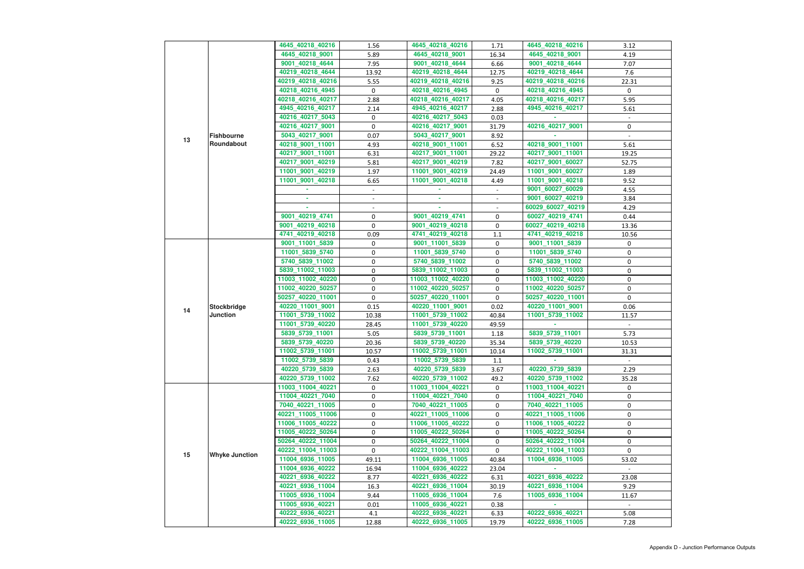|    |                                       | 4645_40218_40216                       | 1.56           | 4645_40218_40216                       | 1.71           | 4645_40218_40216                       | 3.12           |
|----|---------------------------------------|----------------------------------------|----------------|----------------------------------------|----------------|----------------------------------------|----------------|
|    |                                       | 4645_40218_9001                        | 5.89           | 4645_40218_9001                        | 16.34          | 4645_40218_9001                        | 4.19           |
|    |                                       | 9001_40218_4644                        | 7.95           | 9001_40218_4644                        | 6.66           | 9001_40218_4644                        | 7.07           |
|    |                                       | 40219_40218_4644                       | 13.92          | 40219_40218_4644                       | 12.75          | 40219_40218_4644                       | 7.6            |
|    |                                       | 40219_40218_40216                      | 5.55           | 40219_40218_40216                      | 9.25           | 40219_40218_40216                      | 22.31          |
|    |                                       | 40218_40216_4945                       | $\mathbf 0$    | 40218_40216_4945                       | $\mathbf 0$    | 40218_40216_4945                       | $\mathbf 0$    |
|    |                                       |                                        |                |                                        |                |                                        |                |
|    |                                       | 40218_40216_40217                      | 2.88           | 40218_40216_40217                      | 4.05           | 40218_40216_40217                      | 5.95           |
|    |                                       | 4945_40216_40217                       | 2.14           | 4945_40216_40217                       | 2.88           | 4945_40216_40217                       | 5.61           |
|    |                                       | 40216_40217_5043                       | 0              | 40216_40217_5043                       | 0.03           |                                        | $\blacksquare$ |
|    |                                       | 40216_40217_9001                       | $\mathbf 0$    | 40216_40217_9001                       | 31.79          | 40216_40217_9001                       | 0              |
| 13 | <b>Fishbourne</b>                     | 5043_40217_9001                        | 0.07           | 5043_40217_9001                        | 8.92           |                                        |                |
|    | Roundabout                            | 40218_9001_11001                       | 4.93           | 40218_9001_11001                       | 6.52           | 40218_9001_11001                       | 5.61           |
|    |                                       | 40217_9001_11001                       | 6.31           | 40217_9001_11001                       | 29.22          | 40217_9001_11001                       | 19.25          |
|    |                                       | 40217_9001_40219                       | 5.81           | 40217_9001_40219                       | 7.82           | 40217_9001_60027                       | 52.75          |
|    |                                       | 11001_9001_40219                       | 1.97           | 11001_9001_40219                       | 24.49          | 11001_9001_60027                       | 1.89           |
|    |                                       | 11001_9001_40218                       | 6.65           | 11001_9001_40218                       | 4.49           | 11001_9001_40218                       | 9.52           |
|    |                                       |                                        |                |                                        |                | 9001_60027_60029                       | 4.55           |
|    |                                       | ٠                                      | $\blacksquare$ | ٠                                      | $\blacksquare$ | 9001_60027_40219                       | 3.84           |
|    |                                       |                                        |                |                                        |                | 60029_60027_40219                      | 4.29           |
|    |                                       | 9001_40219_4741                        | $\mathbf 0$    | 9001_40219_4741                        | $\mathbf 0$    | 60027_40219_4741                       | 0.44           |
|    |                                       | 9001_40219_40218                       | $\pmb{0}$      | 9001_40219_40218                       | 0              | 60027_40219_40218                      | 13.36          |
|    |                                       | 4741_40219_40218                       | 0.09           | 4741_40219_40218                       | 1.1            | 4741_40219_40218                       | 10.56          |
|    |                                       | 9001_11001_5839                        | 0              | 9001_11001_5839                        | 0              | 9001_11001_5839                        | 0              |
|    | <b>Stockbridge</b><br><b>Junction</b> | 11001_5839_5740                        | 0              | 11001_5839_5740                        | 0              | 11001_5839_5740                        | 0              |
|    |                                       | 5740_5839_11002                        | $\pmb{0}$      | 5740_5839_11002                        | 0              | 5740_5839_11002                        | 0              |
|    |                                       | 5839_11002_11003                       | $\pmb{0}$      | 5839_11002_11003                       | $\mathbf 0$    | 5839_11002_11003                       | 0              |
|    |                                       | 11003_11002_40220                      | 0              | 11003_11002_40220                      | 0              | 11003_11002_40220                      | 0              |
|    |                                       | 11002_40220_50257                      | $\mathbf 0$    | 11002_40220_50257                      | $\mathbf 0$    | 11002_40220_50257                      | 0              |
|    |                                       | 50257_40220_11001                      | 0              | 50257_40220_11001                      | $\overline{0}$ | 50257_40220_11001                      | 0              |
|    |                                       | 40220_11001_9001                       | 0.15           | 40220_11001_9001                       | 0.02           | 40220_11001_9001                       | 0.06           |
| 14 |                                       | 11001_5739_11002                       | 10.38          | 11001_5739_11002                       | 40.84          | 11001_5739_11002                       | 11.57          |
|    |                                       | 11001_5739_40220                       | 28.45          | 11001_5739_40220                       | 49.59          |                                        | $\sim$         |
|    |                                       | 5839_5739_11001                        | 5.05           | 5839_5739_11001                        | 1.18           | 5839_5739_11001                        | 5.73           |
|    |                                       | 5839_5739_40220                        | 20.36          | 5839_5739_40220                        | 35.34          | 5839_5739_40220                        | 10.53          |
|    |                                       | 11002_5739_11001                       | 10.57          | 11002_5739_11001                       | 10.14          | 11002_5739_11001                       | 31.31          |
|    |                                       | 11002_5739_5839                        | 0.43           | 11002_5739_5839                        | 1.1            |                                        |                |
|    |                                       | 40220_5739_5839                        | 2.63           | 40220_5739_5839                        | 3.67           | 40220_5739_5839                        | 2.29           |
|    |                                       | 40220_5739_11002                       | 7.62           | 40220_5739_11002                       | 49.2           | 40220_5739_11002                       | 35.28          |
|    |                                       | 11003_11004_40221                      | 0              | 11003_11004_40221                      | 0              | 11003_11004_40221                      | 0              |
|    |                                       | 11004_40221_7040                       | 0              | 11004_40221_7040                       | 0              | 11004_40221_7040                       | 0              |
|    |                                       | 7040_40221_11005                       | 0              | 7040_40221_11005                       | 0              | 7040_40221_11005                       | 0              |
|    |                                       | 40221_11005_11006                      | 0              | 40221_11005_11006                      | 0              | 40221_11005_11006                      | 0              |
|    |                                       | 11006_11005_40222                      | 0              | 11006_11005_40222                      | 0              | 11006_11005_40222                      | 0              |
|    |                                       | 11005_40222_50264                      | $\pmb{0}$      | 11005_40222_50264                      | 0              | 11005_40222_50264                      | 0              |
|    |                                       |                                        |                |                                        |                |                                        |                |
|    |                                       | 50264_40222_11004<br>40222_11004_11003 | 0<br>0         | 50264_40222_11004<br>40222_11004_11003 | 0              | 50264_40222_11004<br>40222_11004_11003 | 0              |
| 15 | <b>Whyke Junction</b>                 | 11004_6936_11005                       |                | 11004_6936_11005                       | 0              | 11004_6936_11005                       | 0              |
|    |                                       |                                        | 49.11          |                                        | 40.84          |                                        | 53.02          |
|    |                                       | 11004_6936_40222<br>40221_6936_40222   | 16.94<br>8.77  | 11004_6936_40222<br>40221_6936_40222   | 23.04          | 40221_6936_40222                       | 23.08          |
|    |                                       | 40221_6936_11004                       |                | 40221_6936_11004                       | 6.31<br>30.19  | 40221_6936_11004                       | 9.29           |
|    |                                       |                                        | 16.3<br>9.44   | 11005_6936_11004                       |                | 11005_6936_11004                       |                |
|    |                                       | 11005_6936_11004                       |                |                                        | 7.6            |                                        | 11.67          |
|    |                                       | 11005_6936_40221                       | 0.01           | 11005_6936_40221                       | 0.38           |                                        |                |
|    |                                       | 40222_6936_40221                       | 4.1            | 40222_6936_40221                       | 6.33           | 40222_6936_40221                       | 5.08           |
|    |                                       | 40222_6936_11005                       | 12.88          | 40222_6936_11005                       | 19.79          | 40222_6936_11005                       | 7.28           |